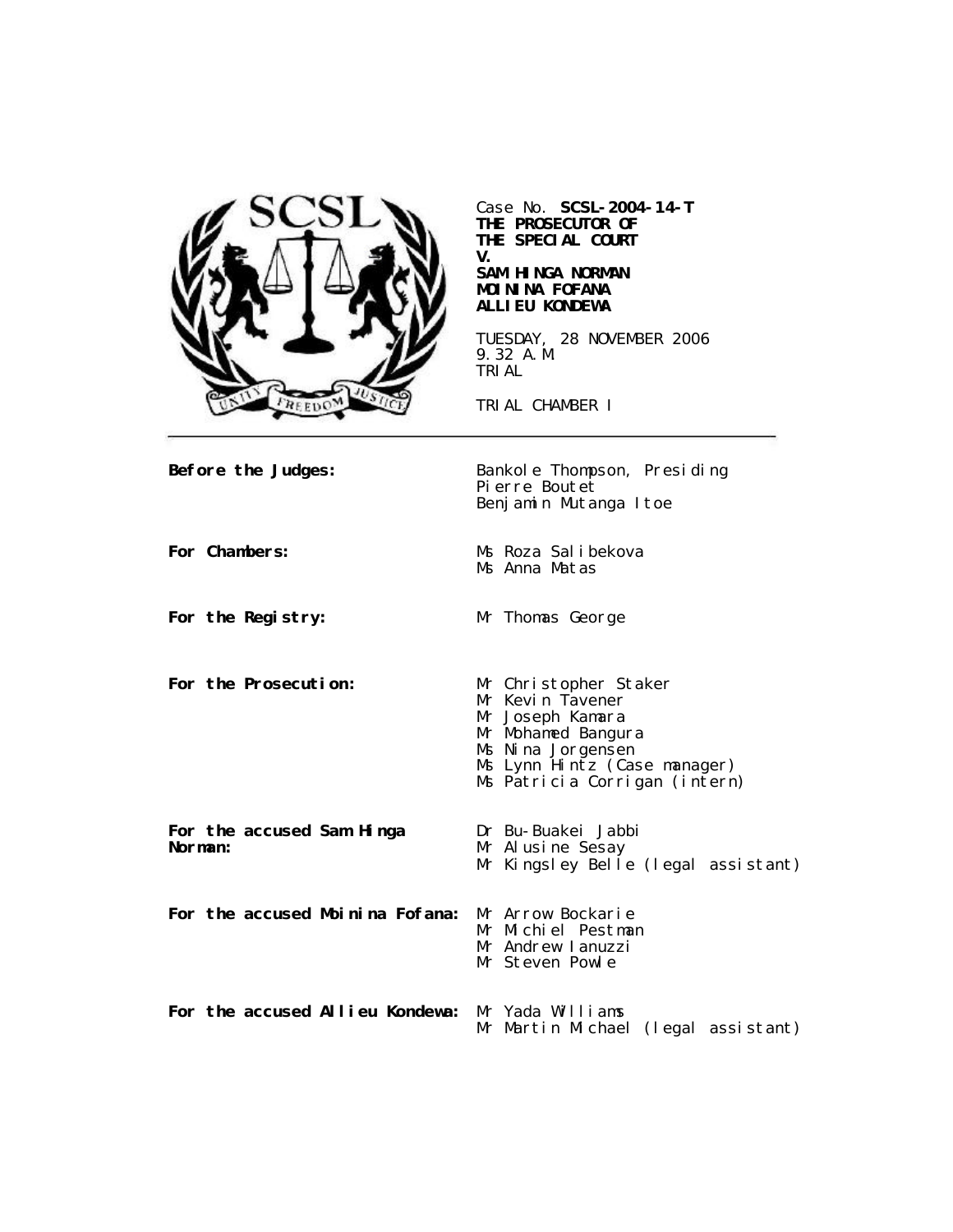

Case No. **SCSL-2004-14-T THE PROSECUTOR OF THE SPECIAL COURT V.**

#### **SAM HINGA NORMAN MOININA FOFANA ALLIEU KONDEWA**

TUESDAY, 28 NOVEMBER 2006 9.32 A.M. TRIAL

TRIAL CHAMBER I

**Before the Judges:** Bankole Thompson, Presiding Pierre Boutet Benjamin Mutanga Itoe **For Chambers:** Ms Roza Salibekova Ms Anna Matas **For the Registry:** Mr Thomas George **For the Prosecution:** Mr Christopher Staker Mr Kevin Tavener Mr Joseph Kamara Mr Mohamed Bangura Ms Nina Jorgensen Ms Lynn Hintz (Case manager) Ms Patricia Corrigan (intern) **For the accused Sam Hinga Norman:** Dr Bu-Buakei Jabbi Mr Alusine Sesay Mr Kingsley Belle (legal assistant) **For the accused Moinina Fofana:** Mr Arrow Bockarie Mr Michiel Pestman Mr Andrew Ianuzzi Mr Steven Powle **For the accused Allieu Kondewa:** Mr Yada Williams Mr Martin Michael (legal assistant)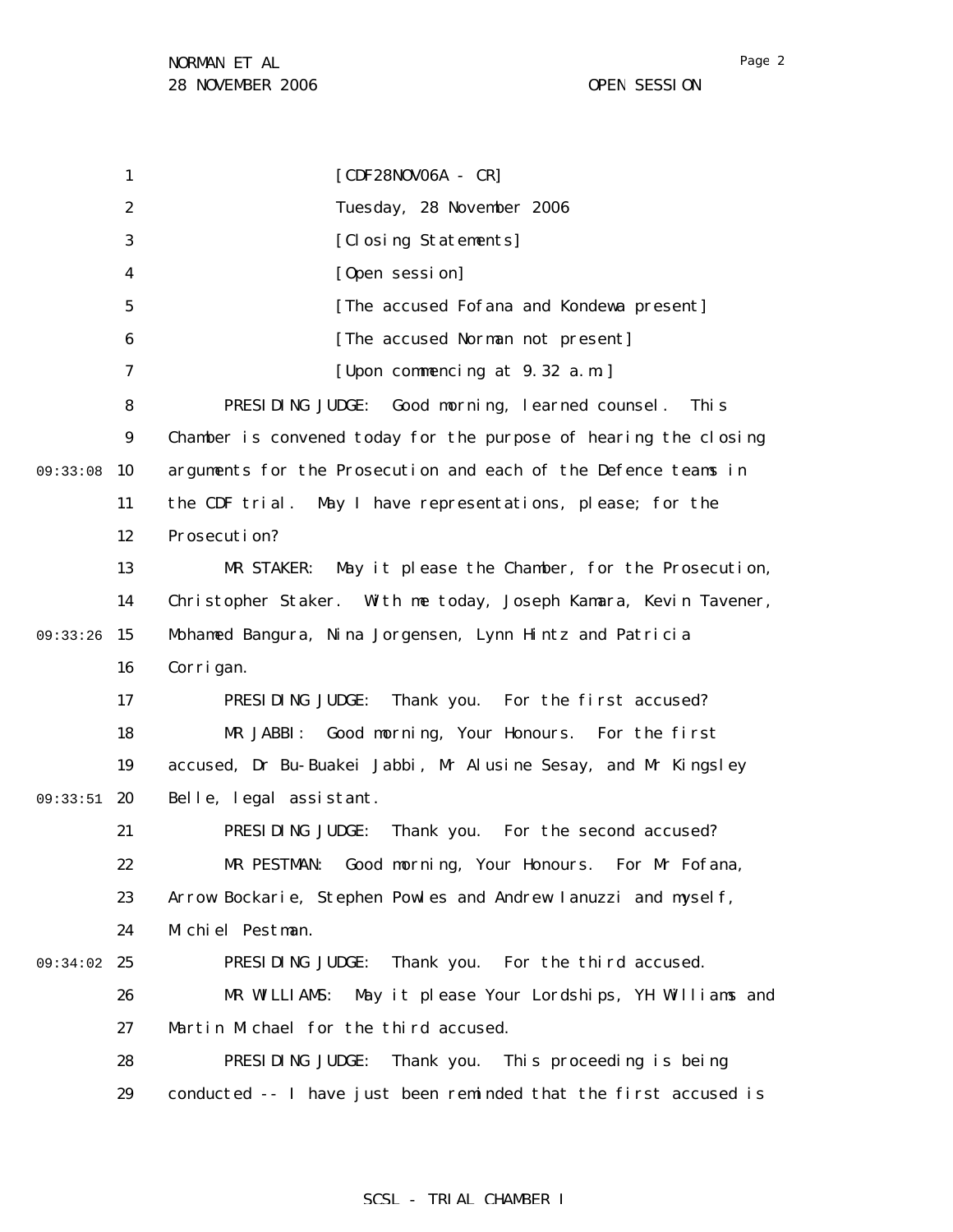1 2 3 4 5 6 7 8 9 09:33:08 10 11 12 13 14 09:33:26 15 16 17 18 19 09:33:51 20 21 22 23 24 09:34:02 25 26 27 28 29 [CDF28NOV06A - CR] Tuesday, 28 November 2006 [Closing Statements] [Open session] [The accused Fofana and Kondewa present] [The accused Norman not present] [Upon commencing at 9.32 a.m.] PRESIDING JUDGE: Good morning, learned counsel. This Chamber is convened today for the purpose of hearing the closing arguments for the Prosecution and each of the Defence teams in the CDF trial. May I have representations, please; for the Prosecution? MR STAKER: May it please the Chamber, for the Prosecution, Christopher Staker. With me today, Joseph Kamara, Kevin Tavener, Mohamed Bangura, Nina Jorgensen, Lynn Hintz and Patricia Corrigan. PRESIDING JUDGE: Thank you. For the first accused? MR JABBI: Good morning, Your Honours. For the first accused, Dr Bu-Buakei Jabbi, Mr Alusine Sesay, and Mr Kingsley Belle, legal assistant. PRESIDING JUDGE: Thank you. For the second accused? MR PESTMAN: Good morning, Your Honours. For Mr Fofana, Arrow Bockarie, Stephen Powles and Andrew Ianuzzi and myself, Michiel Pestman. PRESIDING JUDGE: Thank you. For the third accused. MR WILLIAMS: May it please Your Lordships, YH Williams and Martin Michael for the third accused. PRESIDING JUDGE: Thank you. This proceeding is being conducted -- I have just been reminded that the first accused is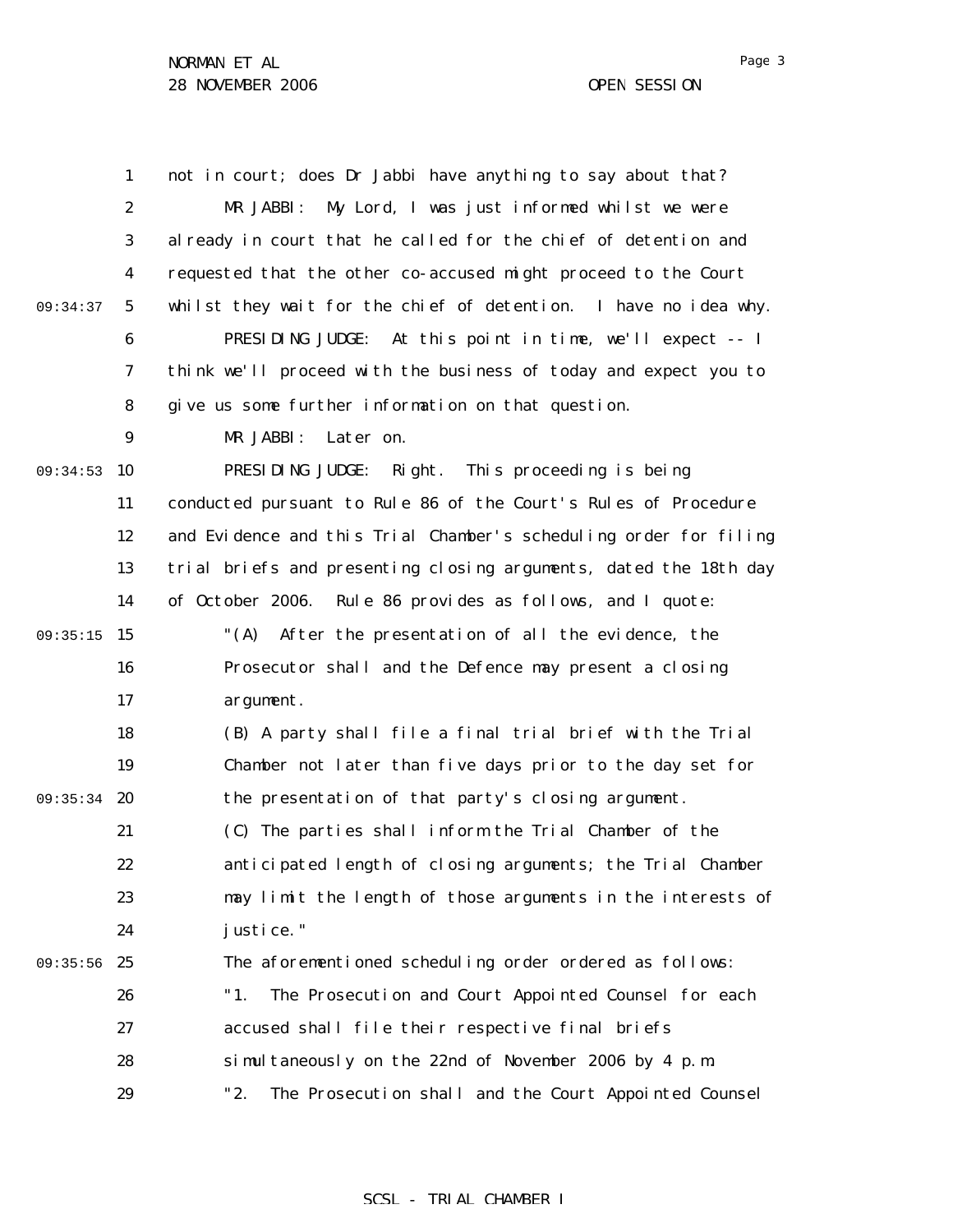|          | $\mathbf{1}$     | not in court; does Dr Jabbi have anything to say about that?      |
|----------|------------------|-------------------------------------------------------------------|
|          | $\boldsymbol{2}$ | My Lord, I was just informed whilst we were<br>MR JABBI:          |
|          | 3                | al ready in court that he called for the chief of detention and   |
|          | 4                | requested that the other co-accused might proceed to the Court    |
| 09:34:37 | $\sqrt{5}$       | whilst they wait for the chief of detention. I have no idea why.  |
|          | 6                | PRESIDING JUDGE: At this point in time, we'll expect -- I         |
|          | 7                | think we'll proceed with the business of today and expect you to  |
|          | 8                | give us some further information on that question.                |
|          | 9                | MR JABBI:<br>Later on.                                            |
| 09:34:53 | 10               | PRESIDING JUDGE: Right. This proceeding is being                  |
|          | 11               | conducted pursuant to Rule 86 of the Court's Rules of Procedure   |
|          | 12               | and Evidence and this Trial Chamber's scheduling order for filing |
|          | 13               | trial briefs and presenting closing arguments, dated the 18th day |
|          | 14               | of October 2006. Rule 86 provides as follows, and I quote:        |
| 09:35:15 | 15               | " $(A)$<br>After the presentation of all the evidence, the        |
|          | 16               | Prosecutor shall and the Defence may present a closing            |
|          | 17               | argument.                                                         |
|          | 18               | (B) A party shall file a final trial brief with the Trial         |
|          | 19               | Chamber not later than five days prior to the day set for         |
| 09:35:34 | 20               | the presentation of that party's closing argument.                |
|          | 21               | (C) The parties shall inform the Trial Chamber of the             |
|          | 22               | anticipated length of closing arguments; the Trial Chamber        |
|          | 23               | may limit the length of those arguments in the interests of       |
|          | 24               | justice."                                                         |
| 09:35:56 | 25               | The aforementioned scheduling order ordered as follows:           |
|          | 26               | "1.<br>The Prosecution and Court Appointed Counsel for each       |
|          | 27               | accused shall file their respective final briefs                  |
|          | 28               | simultaneously on the 22nd of November 2006 by 4 p.m.             |
|          | 29               | "2.<br>The Prosecution shall and the Court Appointed Counsel      |

## SCSL - TRIAL CHAMBER I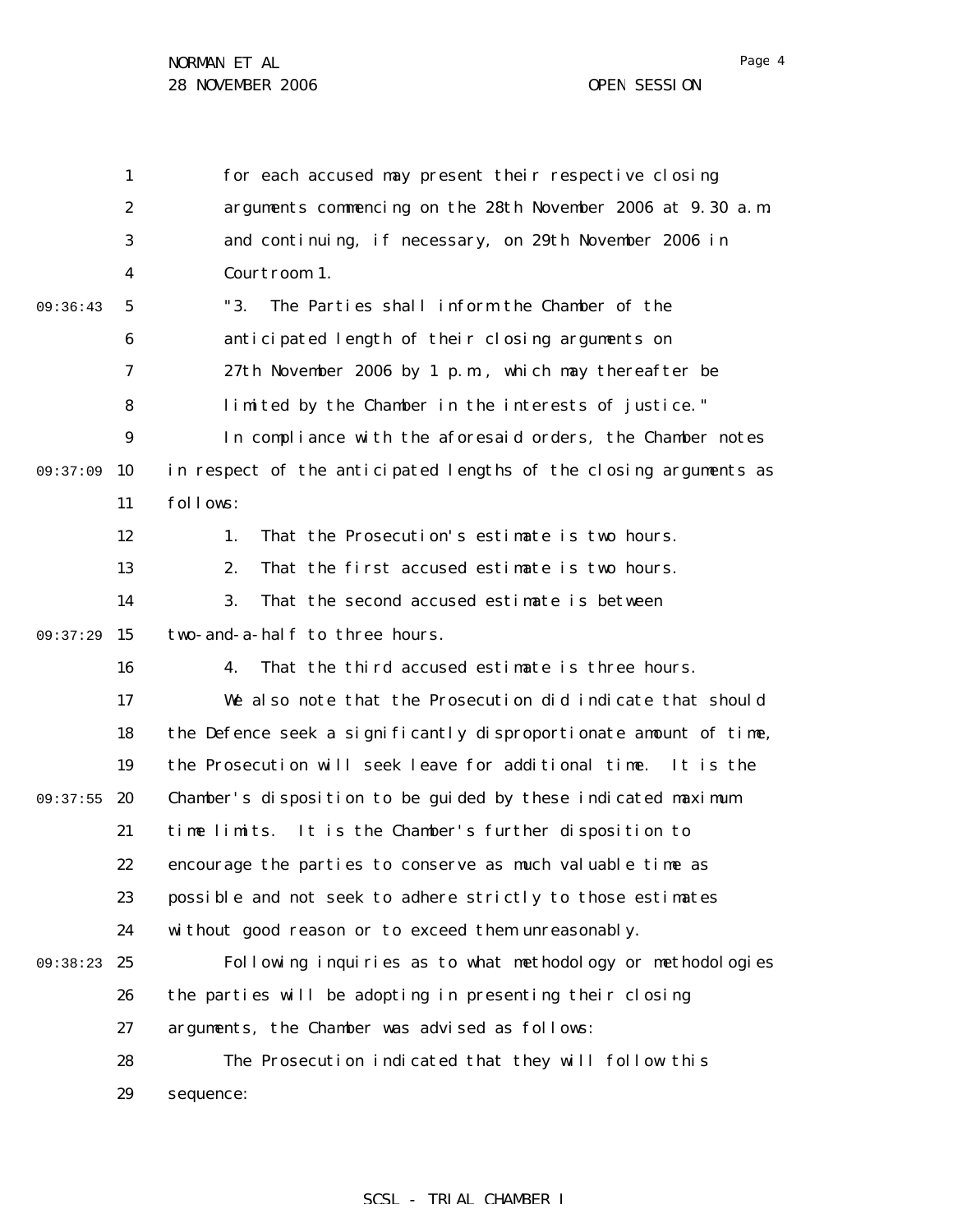|          | 1                | for each accused may present their respective closing             |
|----------|------------------|-------------------------------------------------------------------|
|          | $\boldsymbol{2}$ | arguments commencing on the 28th November 2006 at 9.30 a.m.       |
|          | $\boldsymbol{3}$ | and continuing, if necessary, on 29th November 2006 in            |
|          | 4                | Courtroom 1.                                                      |
| 09:36:43 | 5                | The Parties shall inform the Chamber of the<br>"3.                |
|          | 6                | anticipated length of their closing arguments on                  |
|          | 7                | 27th November 2006 by 1 p.m., which may thereafter be             |
|          | 8                | limited by the Chamber in the interests of justice."              |
|          | $\boldsymbol{9}$ | In compliance with the aforesaid orders, the Chamber notes        |
| 09:37:09 | 10               | in respect of the anticipated lengths of the closing arguments as |
|          | 11               | follows:                                                          |
|          | 12               | That the Prosecution's estimate is two hours.<br>1.               |
|          | 13               | That the first accused estimate is two hours.<br>2.               |
|          | 14               | 3.<br>That the second accused estimate is between                 |
| 09:37:29 | 15               | two-and-a-half to three hours.                                    |
|          | 16               | That the third accused estimate is three hours.<br>4.             |
|          | 17               | We also note that the Prosecution did indicate that should        |
|          | 18               | the Defence seek a significantly disproportionate amount of time, |
|          | 19               | the Prosecution will seek leave for additional time.<br>It is the |
| 09:37:55 | 20               | Chamber's disposition to be guided by these indicated maximum     |
|          | 21               | time limits. It is the Chamber's further disposition to           |
|          | 22               | encourage the parties to conserve as much valuable time as        |
|          | 23               | possible and not seek to adhere strictly to those estimates       |
|          | 24               | without good reason or to exceed them unreasonably.               |
| 09:38:23 | 25               | Following inquiries as to what methodology or methodologies       |
|          | 26               | the parties will be adopting in presenting their closing          |
|          | 27               | arguments, the Chamber was advised as follows:                    |
|          | 28               | The Prosecution indicated that they will follow this              |
|          | 29               | sequence:                                                         |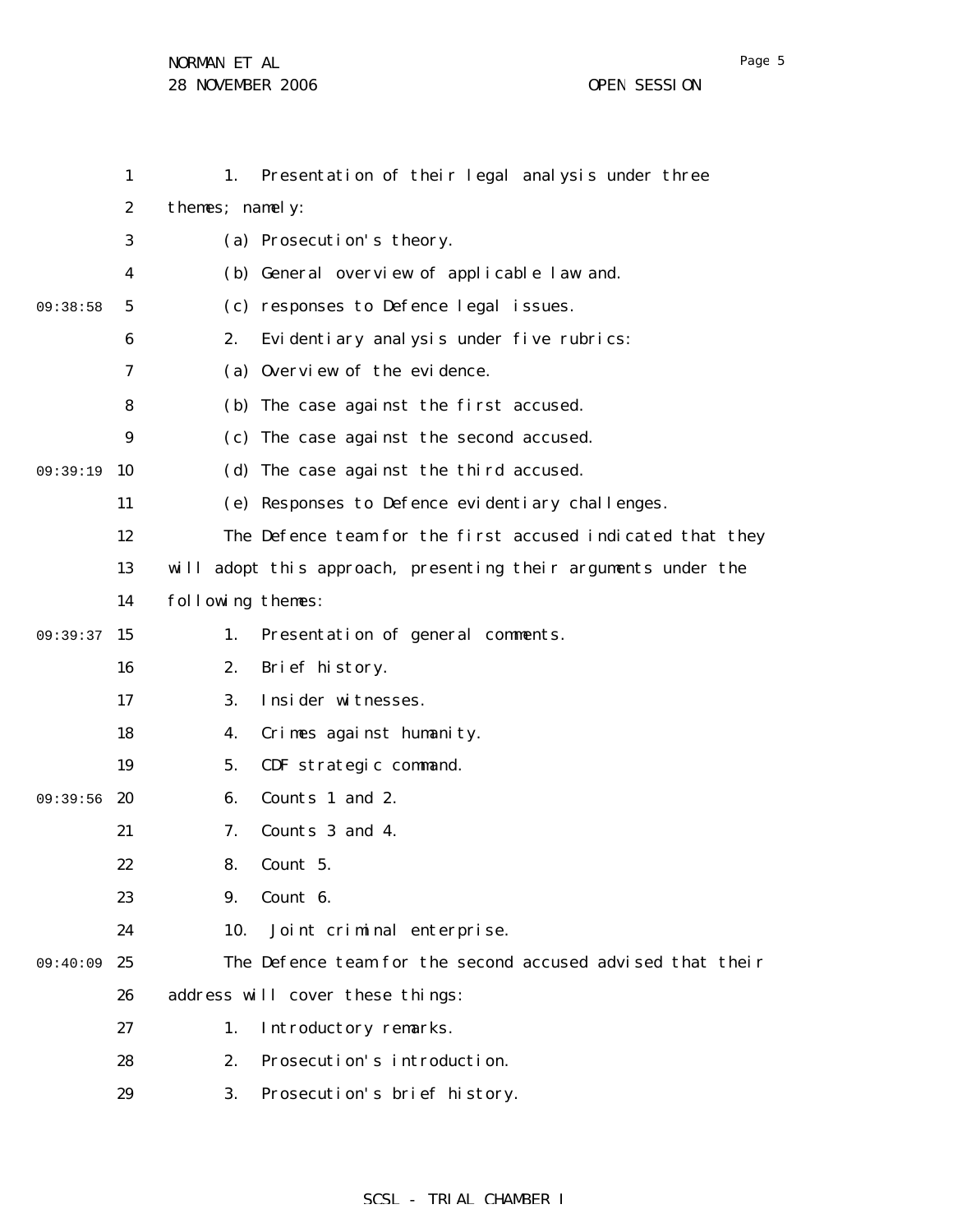|          | $\mathbf{1}$     | 1.                | Presentation of their legal analysis under three               |
|----------|------------------|-------------------|----------------------------------------------------------------|
|          | $\boldsymbol{2}$ | themes; namely:   |                                                                |
|          | 3                |                   | (a) Prosecution's theory.                                      |
|          | 4                |                   | (b) General overview of applicable law and.                    |
| 09:38:58 | 5                |                   | (c) responses to Defence legal issues.                         |
|          | 6                | 2.                | Evidentiary analysis under five rubrics:                       |
|          | 7                |                   | (a) Overview of the evidence.                                  |
|          | 8                |                   | (b) The case against the first accused.                        |
|          | 9                |                   | (c) The case against the second accused.                       |
| 09:39:19 | 10               |                   | (d) The case against the third accused.                        |
|          | 11               |                   | (e) Responses to Defence evidentiary challenges.               |
|          | 12               |                   | The Defence team for the first accused indicated that they     |
|          | 13               |                   | will adopt this approach, presenting their arguments under the |
|          | 14               | following themes: |                                                                |
| 09:39:37 | 15               | 1.                | Presentation of general comments.                              |
|          | 16               | 2.                | Brief history.                                                 |
|          | 17               | 3.                | Insider witnesses.                                             |
|          | 18               | 4.                | Crimes against humanity.                                       |
|          | 19               | 5.                | CDF strategic command.                                         |
| 09:39:56 | 20               | 6.                | Counts 1 and 2.                                                |
|          | 21               | 7.                | Counts 3 and 4.                                                |
|          | 22               | 8.                | Count 5.                                                       |
|          | 23               | 9.                | Count 6.                                                       |
|          | 24               | 10.               | Joint criminal enterprise.                                     |
| 09:40:09 | 25               |                   | The Defence team for the second accused advised that their     |
|          | 26               |                   | address will cover these things:                               |
|          | 27               | 1.                | Introductory remarks.                                          |
|          | 28               | 2.                | Prosecution's introduction.                                    |
|          | 29               | 3.                | Prosecution's brief history.                                   |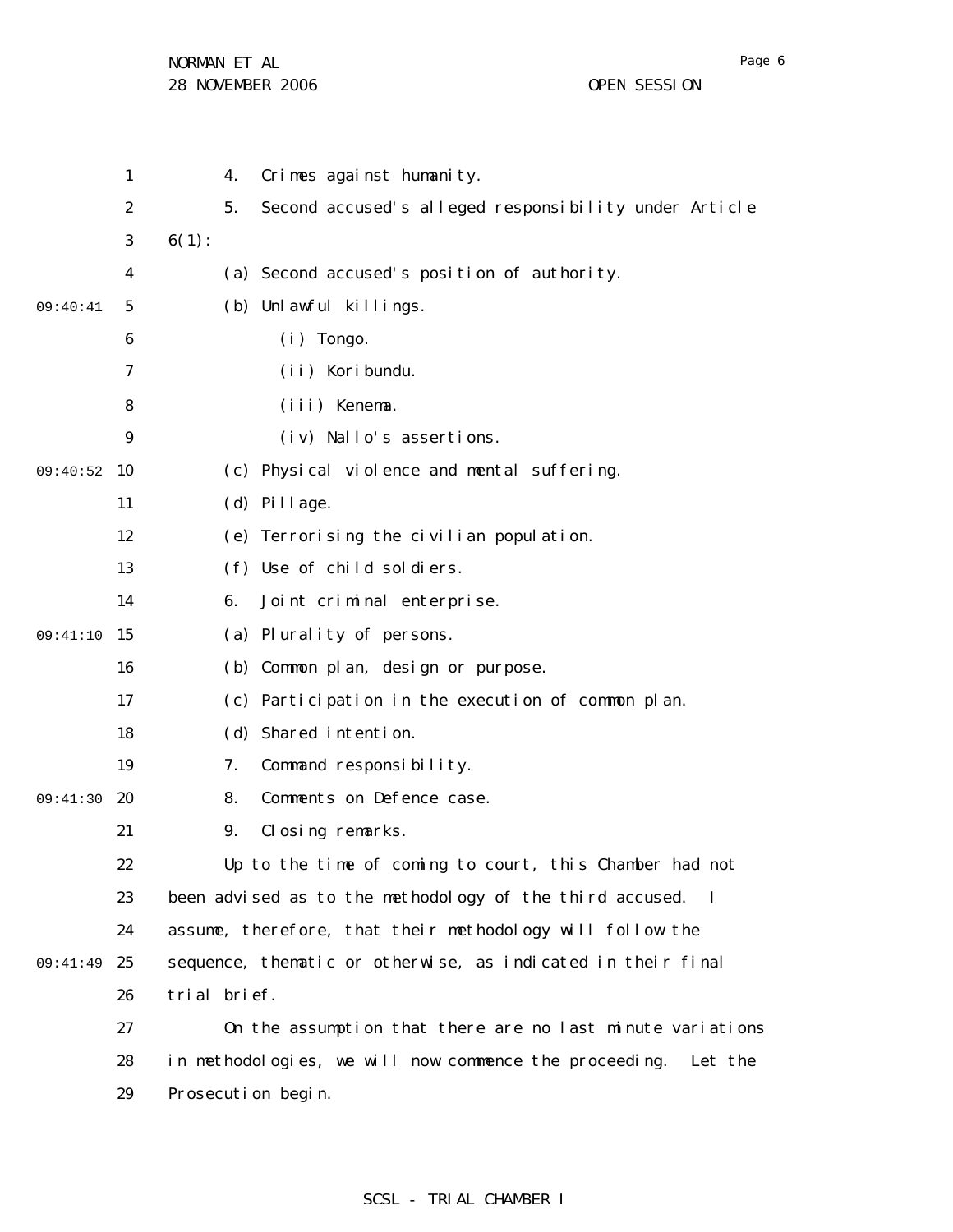|          | $\mathbf{1}$     |              | 4. | Crimes against humanity.                                       |
|----------|------------------|--------------|----|----------------------------------------------------------------|
|          | $\boldsymbol{2}$ |              | 5. | Second accused's alleged responsibility under Article          |
|          | 3                | $6(1)$ :     |    |                                                                |
|          | 4                |              |    | (a) Second accused's position of authority.                    |
| 09:40:41 | 5                |              |    | (b) Unlawful killings.                                         |
|          | 6                |              |    | $(i)$ Tongo.                                                   |
|          | 7                |              |    | (ii) Koribundu.                                                |
|          | 8                |              |    | (iii) Kenema.                                                  |
|          | 9                |              |    | (iv) Nallo's assertions.                                       |
| 09:40:52 | 10               |              |    | (c) Physical violence and mental suffering.                    |
|          | 11               |              |    | (d) Pillage.                                                   |
|          | 12               |              |    | (e) Terrorising the civilian population.                       |
|          | 13               |              |    | (f) Use of child soldiers.                                     |
|          | 14               |              | 6. | Joint criminal enterprise.                                     |
| 09:41:10 | 15               |              |    | (a) Plurality of persons.                                      |
|          | 16               |              |    | (b) Common plan, design or purpose.                            |
|          | 17               |              |    | (c) Participation in the execution of common plan.             |
|          | 18               |              |    | (d) Shared intention.                                          |
|          | 19               |              | 7. | Command responsibility.                                        |
| 09:41:30 | <b>20</b>        |              | 8. | Comments on Defence case.                                      |
|          | 21               |              | 9. | Closing remarks.                                               |
|          | 22               |              |    | Up to the time of coming to court, this Chamber had not        |
|          | 23               |              |    | been advised as to the methodology of the third accused. I     |
|          | 24               |              |    | assume, therefore, that their methodology will follow the      |
| 09:41:49 | 25               |              |    | sequence, thematic or otherwise, as indicated in their final   |
|          | 26               | trial brief. |    |                                                                |
|          | 27               |              |    | On the assumption that there are no last minute variations     |
|          | 28               |              |    | in methodologies, we will now commence the proceeding. Let the |
|          | 29               |              |    | Prosecution begin.                                             |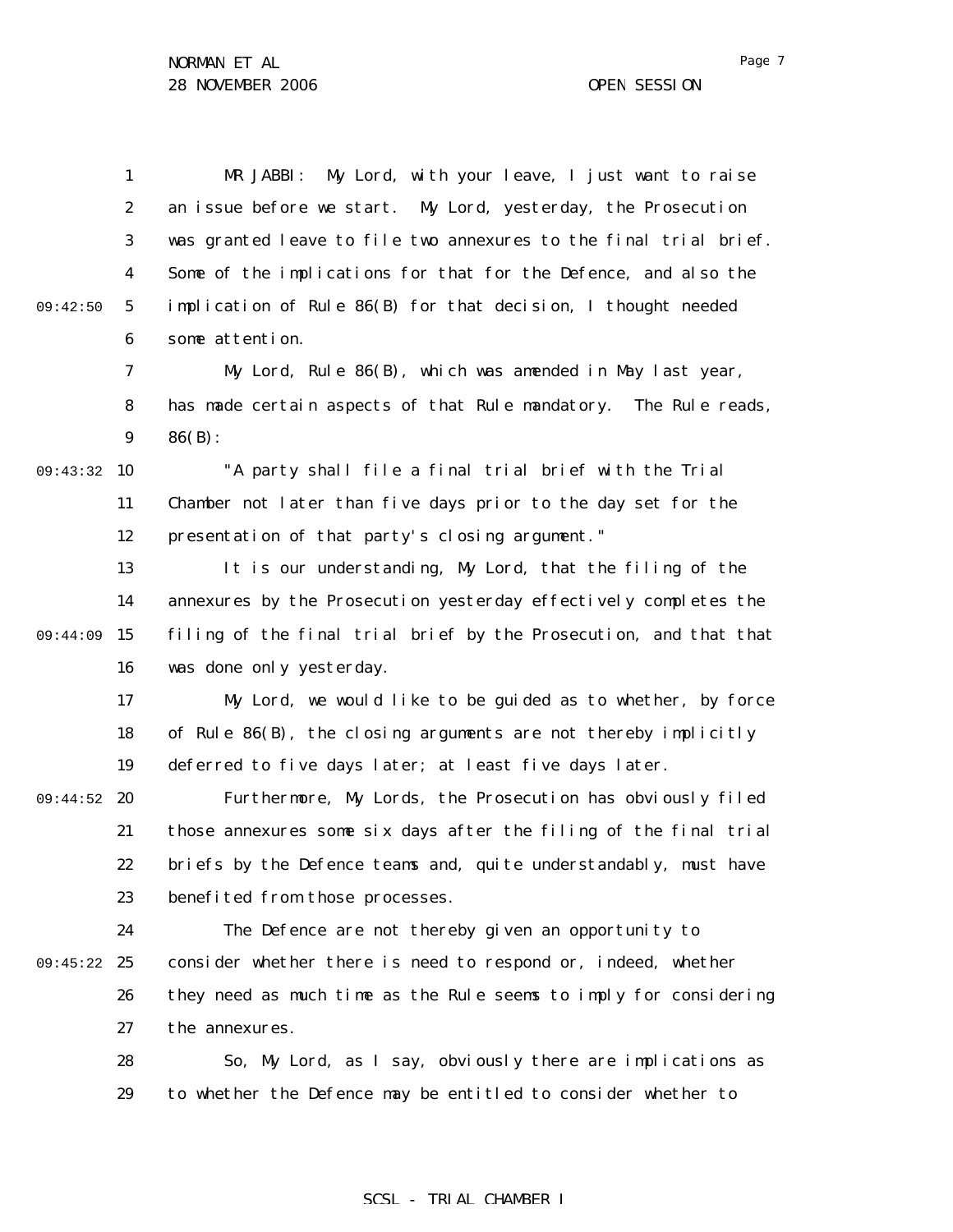|          | $\mathbf{1}$     | My Lord, with your leave, I just want to raise<br>MR JABBI:       |
|----------|------------------|-------------------------------------------------------------------|
|          | $\boldsymbol{2}$ | an issue before we start. My Lord, yesterday, the Prosecution     |
|          | 3                | was granted leave to file two annexures to the final trial brief. |
|          | $\boldsymbol{4}$ | Some of the implications for that for the Defence, and also the   |
| 09:42:50 | $\sqrt{5}$       | implication of Rule 86(B) for that decision, I thought needed     |
|          | $\boldsymbol{6}$ | some attention.                                                   |
|          | 7                | My Lord, Rule 86(B), which was amended in May last year,          |
|          | 8                | has made certain aspects of that Rule mandatory. The Rule reads,  |
|          | $\boldsymbol{9}$ | $86(B)$ :                                                         |
| 09:43:32 | 10               | "A party shall file a final trial brief with the Trial            |
|          | 11               | Chamber not later than five days prior to the day set for the     |
|          | 12               | presentation of that party's closing argument."                   |
|          | 13               | It is our understanding, My Lord, that the filing of the          |
|          | 14               | annexures by the Prosecution yesterday effectively completes the  |
| 09:44:09 | 15               | filing of the final trial brief by the Prosecution, and that that |
|          | 16               | was done only yesterday.                                          |
|          | 17               | My Lord, we would like to be guided as to whether, by force       |
|          | 18               | of Rule 86(B), the closing arguments are not thereby implicitly   |
|          | 19               | deferred to five days later; at least five days later.            |
| 09:44:52 | 20               | Furthermore, My Lords, the Prosecution has obviously filed        |
|          | 21               | those annexures some six days after the filing of the final trial |
|          | 22               | briefs by the Defence teams and, quite understandably, must have  |
|          | 23               | benefited from those processes.                                   |
|          | 24               | The Defence are not thereby given an opportunity to               |
| 09:45:22 | 25               | consider whether there is need to respond or, indeed, whether     |
|          | 26               | they need as much time as the Rule seems to imply for considering |
|          | 27               | the annexures.                                                    |
|          | 28               | So, My Lord, as I say, obviously there are implications as        |
|          | 29               | to whether the Defence may be entitled to consider whether to     |

# SCSL - TRIAL CHAMBER I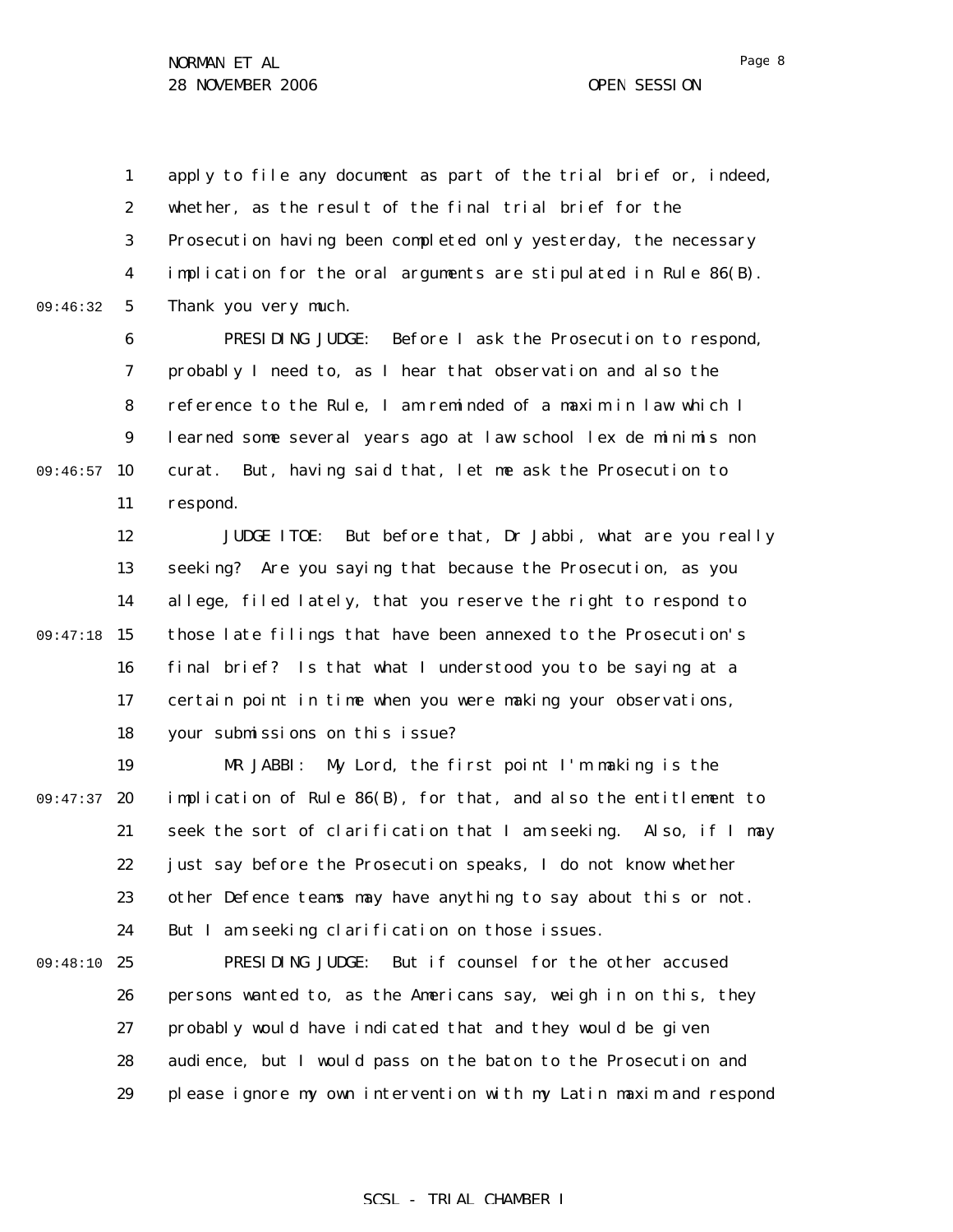1 2 3 4 5 09:46:32 apply to file any document as part of the trial brief or, indeed, whether, as the result of the final trial brief for the Prosecution having been completed only yesterday, the necessary implication for the oral arguments are stipulated in Rule 86(B). Thank you very much.

6 7 8 9 09:46:57 10 11 PRESIDING JUDGE: Before I ask the Prosecution to respond, probably I need to, as I hear that observation and also the reference to the Rule, I am reminded of a maxim in law which I learned some several years ago at law school *lex de minimis non curat*. But, having said that, let me ask the Prosecution to respond.

12 13 14 09:47:18 15 16 17 18 JUDGE ITOE: But before that, Dr Jabbi, what are you really seeking? Are you saying that because the Prosecution, as you allege, filed lately, that you reserve the right to respond to those late filings that have been annexed to the Prosecution's final brief? Is that what I understood you to be saying at a certain point in time when you were making your observations, your submissions on this issue?

19 09:47:37 20 21 22 23 24 MR JABBI: My Lord, the first point I'm making is the implication of Rule 86(B), for that, and also the entitlement to seek the sort of clarification that I am seeking. Also, if I may just say before the Prosecution speaks, I do not know whether other Defence teams may have anything to say about this or not. But I am seeking clarification on those issues.

09:48:10 25 26 27 28 29 PRESIDING JUDGE: But if counsel for the other accused persons wanted to, as the Americans say, weigh in on this, they probably would have indicated that and they would be given audience, but I would pass on the baton to the Prosecution and please ignore my own intervention with my Latin maxim and respond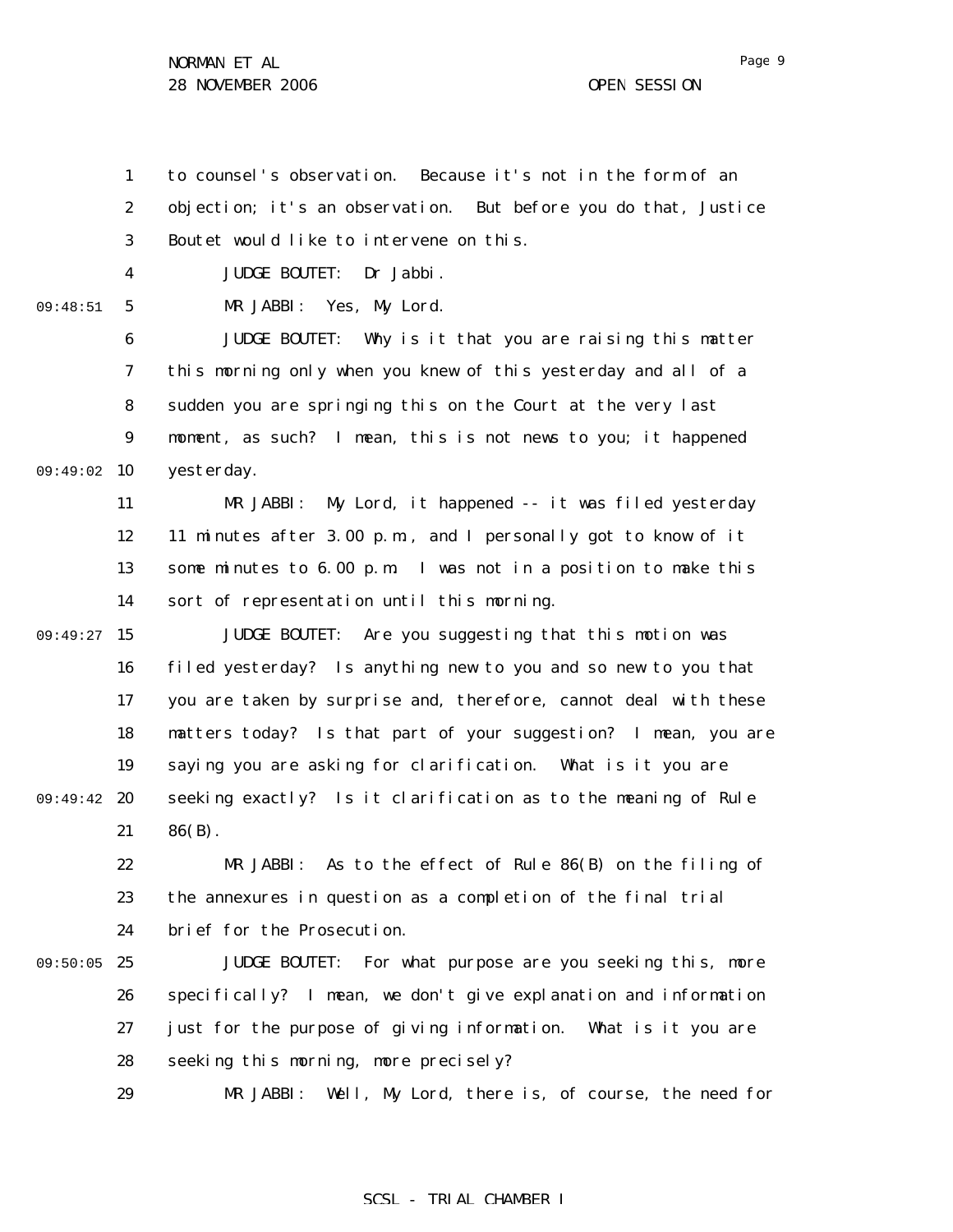1 2 3 4 5 6 7 8 9 09:49:02 10 11 12 13 14 09:49:27 15 16 17 18 19 09:49:42 20 21 22 23 24 09:50:05 25 26 09:48:51 to counsel's observation. Because it's not in the form of an objection; it's an observation. But before you do that, Justice Boutet would like to intervene on this. JUDGE BOUTET: Dr Jabbi. MR JABBI: Yes, My Lord. JUDGE BOUTET: Why is it that you are raising this matter this morning only when you knew of this yesterday and all of a sudden you are springing this on the Court at the very last moment, as such? I mean, this is not news to you; it happened yesterday. MR JABBI: My Lord, it happened -- it was filed yesterday 11 minutes after 3.00 p.m., and I personally got to know of it some minutes to 6.00 p.m. I was not in a position to make this sort of representation until this morning. JUDGE BOUTET: Are you suggesting that this motion was filed yesterday? Is anything new to you and so new to you that you are taken by surprise and, therefore, cannot deal with these matters today? Is that part of your suggestion? I mean, you are saying you are asking for clarification. What is it you are seeking exactly? Is it clarification as to the meaning of Rule  $86(B)$ . MR JABBI: As to the effect of Rule 86(B) on the filing of the annexures in question as a completion of the final trial brief for the Prosecution. JUDGE BOUTET: For what purpose are you seeking this, more specifically? I mean, we don't give explanation and information

> 27 28 just for the purpose of giving information. What is it you are seeking this morning, more precisely?

29 MR JABBI: Well, My Lord, there is, of course, the need for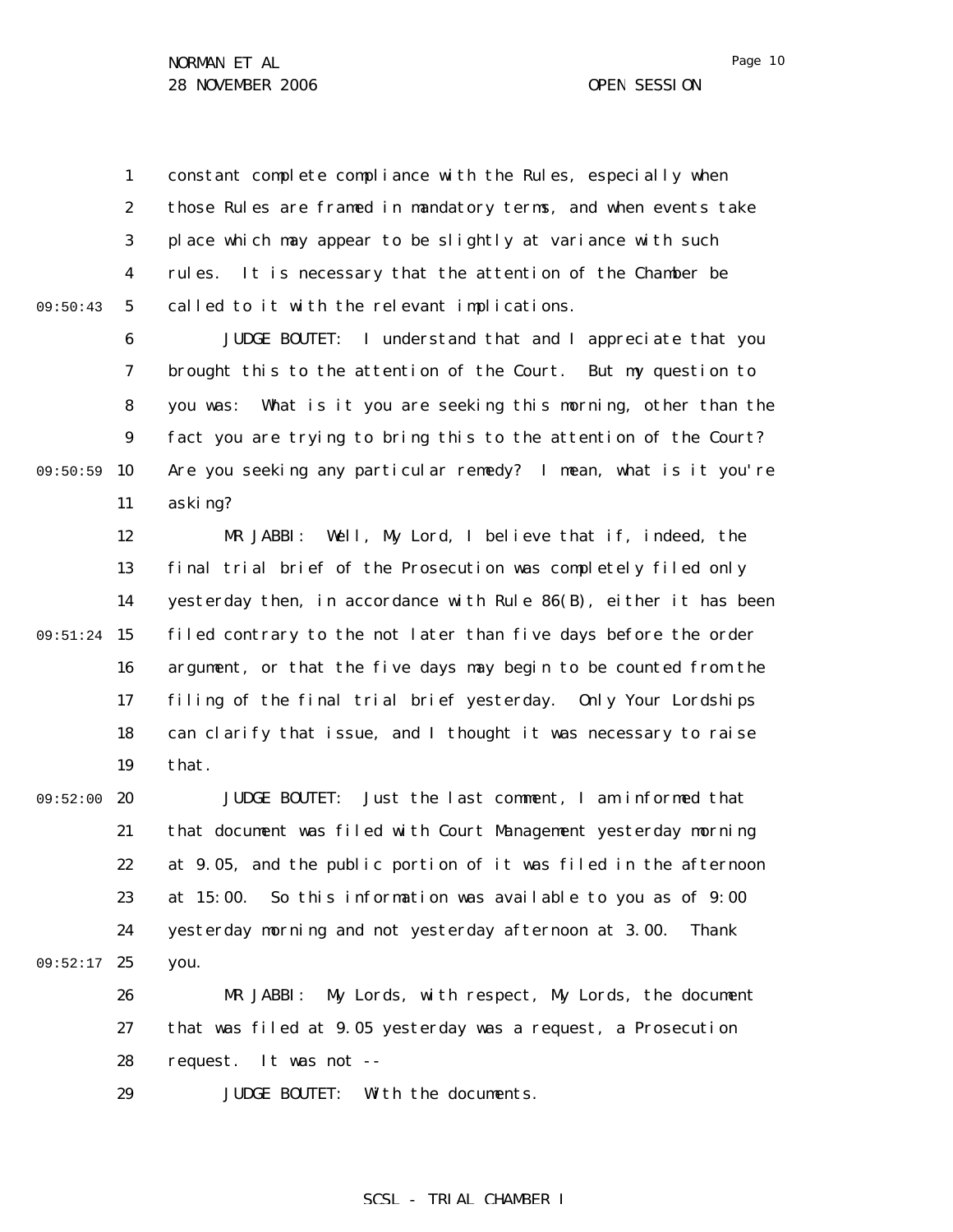Page 10

1 2 3 4 5 09:50:43 constant complete compliance with the Rules, especially when those Rules are framed in mandatory terms, and when events take place which may appear to be slightly at variance with such rules. It is necessary that the attention of the Chamber be called to it with the relevant implications.

6 7 8 9 09:50:59 10 11 JUDGE BOUTET: I understand that and I appreciate that you brought this to the attention of the Court. But my question to you was: What is it you are seeking this morning, other than the fact you are trying to bring this to the attention of the Court? Are you seeking any particular remedy? I mean, what is it you're asking?

12 13 14 09:51:24 15 16 17 18 19 MR JABBI: Well, My Lord, I believe that if, indeed, the final trial brief of the Prosecution was completely filed only yesterday then, in accordance with Rule 86(B), either it has been filed contrary to the not later than five days before the order argument, or that the five days may begin to be counted from the filing of the final trial brief yesterday. Only Your Lordships can clarify that issue, and I thought it was necessary to raise that.

09:52:00 20 21 22 23 24 09:52:17 25 JUDGE BOUTET: Just the last comment, I am informed that that document was filed with Court Management yesterday morning at 9.05, and the public portion of it was filed in the afternoon at 15:00. So this information was available to you as of 9:00 yesterday morning and not yesterday afternoon at 3.00. Thank you.

26 27 28 MR JABBI: My Lords, with respect, My Lords, the document that was filed at 9.05 yesterday was a request, a Prosecution request. It was not --

29 JUDGE BOUTET: With the documents.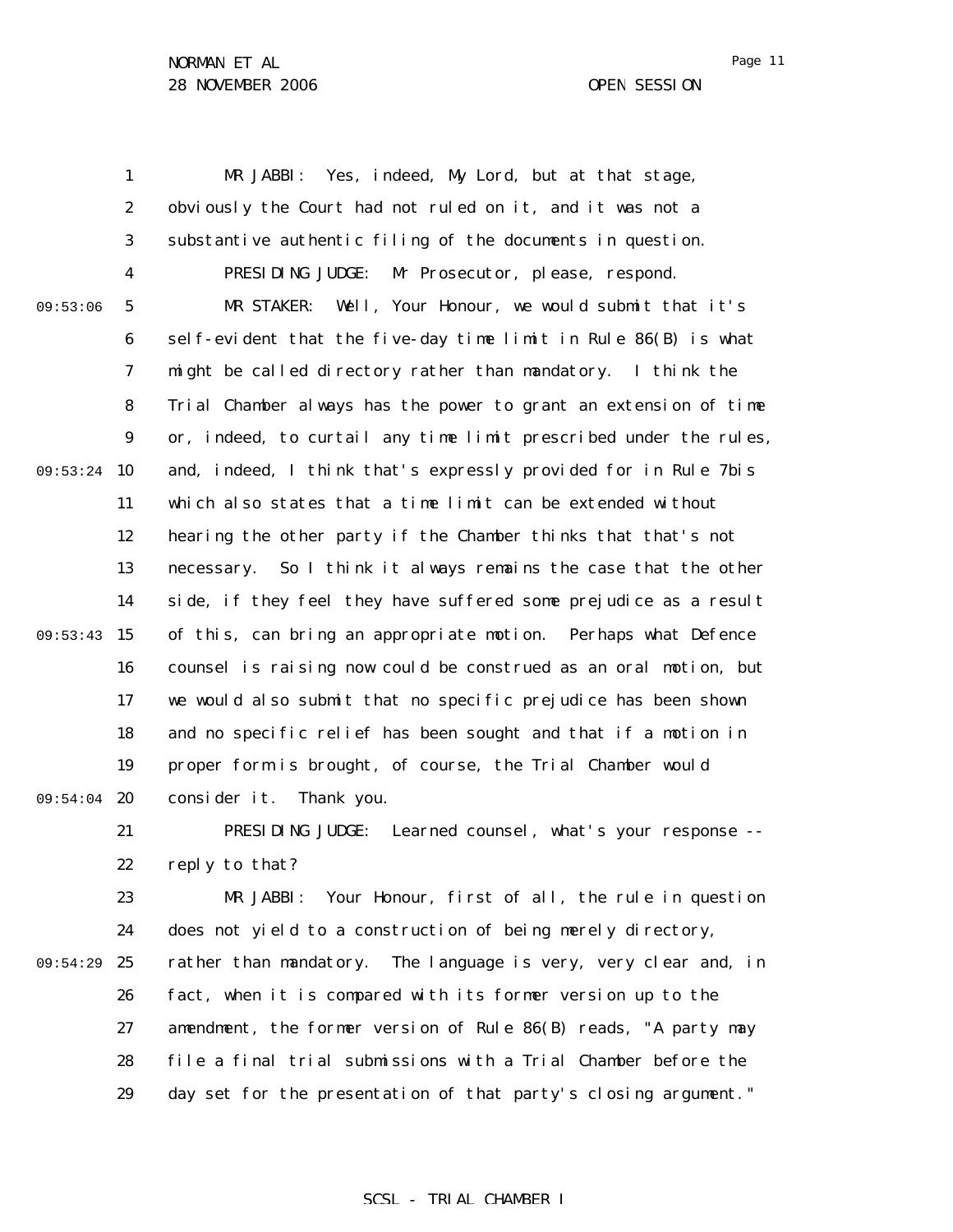1 2 3 4 5 6 7 8 9 09:53:24 10 11 12 13 14 09:53:43 15 16 17 18 19 09:54:04 20 21 22 23 24 25 26 27 28 29 09:53:06 09:54:29 MR JABBI: Yes, indeed, My Lord, but at that stage, obviously the Court had not ruled on it, and it was not a substantive authentic filing of the documents in question. PRESIDING JUDGE: Mr Prosecutor, please, respond. MR STAKER: Well, Your Honour, we would submit that it's self-evident that the five-day time limit in Rule 86(B) is what might be called directory rather than mandatory. I think the Trial Chamber always has the power to grant an extension of time or, indeed, to curtail any time limit prescribed under the rules, and, indeed, I think that's expressly provided for in Rule 7*bis* which also states that a time limit can be extended without hearing the other party if the Chamber thinks that that's not necessary. So I think it always remains the case that the other side, if they feel they have suffered some prejudice as a result of this, can bring an appropriate motion. Perhaps what Defence counsel is raising now could be construed as an oral motion, but we would also submit that no specific prejudice has been shown and no specific relief has been sought and that if a motion in proper form is brought, of course, the Trial Chamber would consider it. Thank you. PRESIDING JUDGE: Learned counsel, what's your response - reply to that? MR JABBI: Your Honour, first of all, the rule in question does not yield to a construction of being merely directory, rather than mandatory. The language is very, very clear and, in fact, when it is compared with its former version up to the amendment, the former version of Rule 86(B) reads, "A party may file a final trial submissions with a Trial Chamber before the day set for the presentation of that party's closing argument."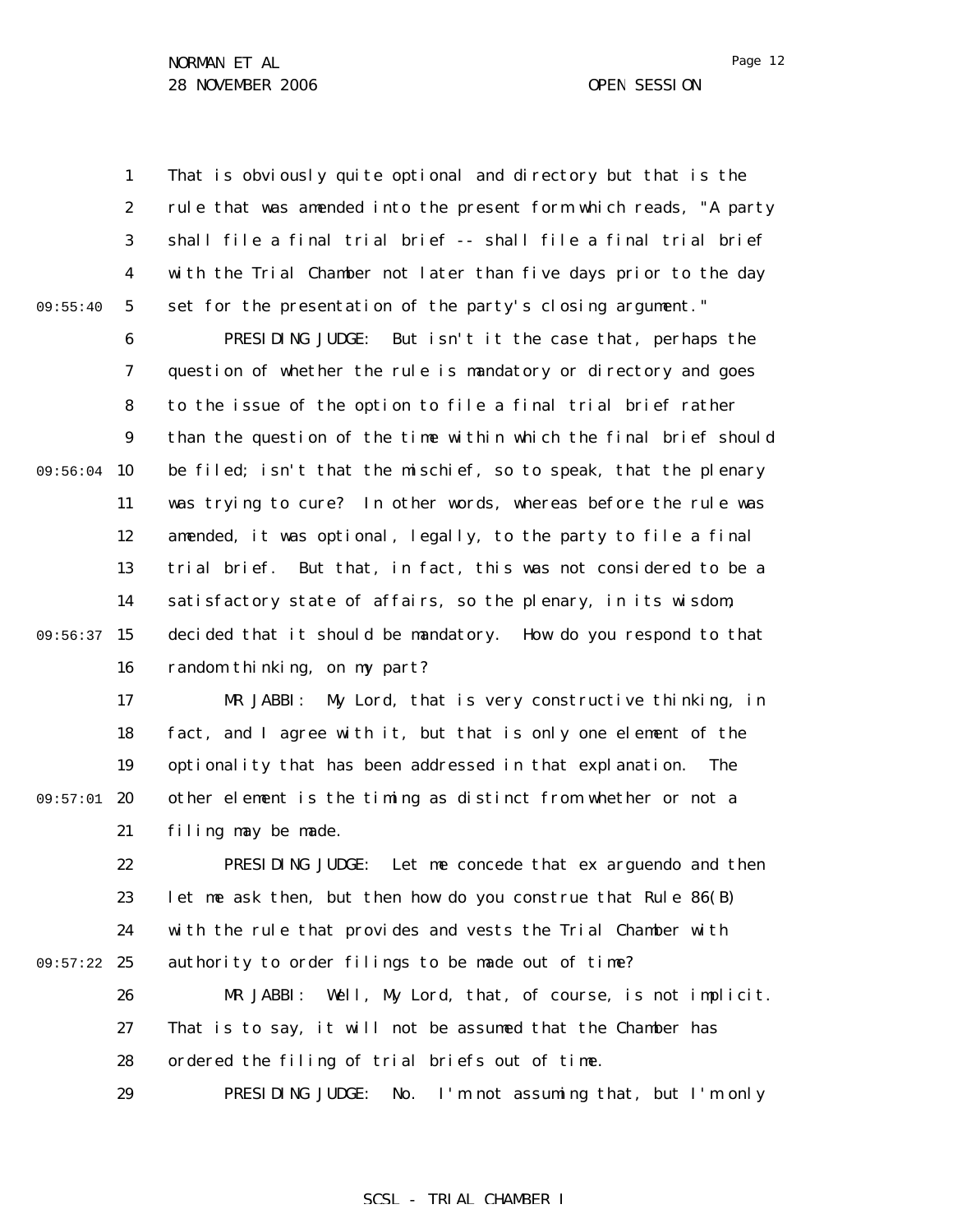09:55:40

1 2 3 4 5 That is obviously quite optional and directory but that is the rule that was amended into the present form which reads, "A party shall file a final trial brief -- shall file a final trial brief with the Trial Chamber not later than five days prior to the day set for the presentation of the party's closing argument."

6 7 8 9 09:56:04 10 11 12 13 14 09:56:37 15 16 PRESIDING JUDGE: But isn't it the case that, perhaps the question of whether the rule is mandatory or directory and goes to the issue of the option to file a final trial brief rather than the question of the time within which the final brief should be filed; isn't that the mischief, so to speak, that the plenary was trying to cure? In other words, whereas before the rule was amended, it was optional, legally, to the party to file a final trial brief. But that, in fact, this was not considered to be a satisfactory state of affairs, so the plenary, in its wisdom, decided that it should be mandatory. How do you respond to that random thinking, on my part?

17 18 19 09:57:01 20 21 MR JABBI: My Lord, that is very constructive thinking, in fact, and I agree with it, but that is only one element of the optionality that has been addressed in that explanation. The other element is the timing as distinct from whether or not a filing may be made.

22 23 24 09:57:22 25 PRESIDING JUDGE: Let me concede that *ex arguendo* and then let me ask then, but then how do you construe that Rule 86(B) with the rule that provides and vests the Trial Chamber with authority to order filings to be made out of time?

26 27 28 29 MR JABBI: Well, My Lord, that, of course, is not implicit. That is to say, it will not be assumed that the Chamber has ordered the filing of trial briefs out of time. PRESIDING JUDGE: No. I'm not assuming that, but I'm only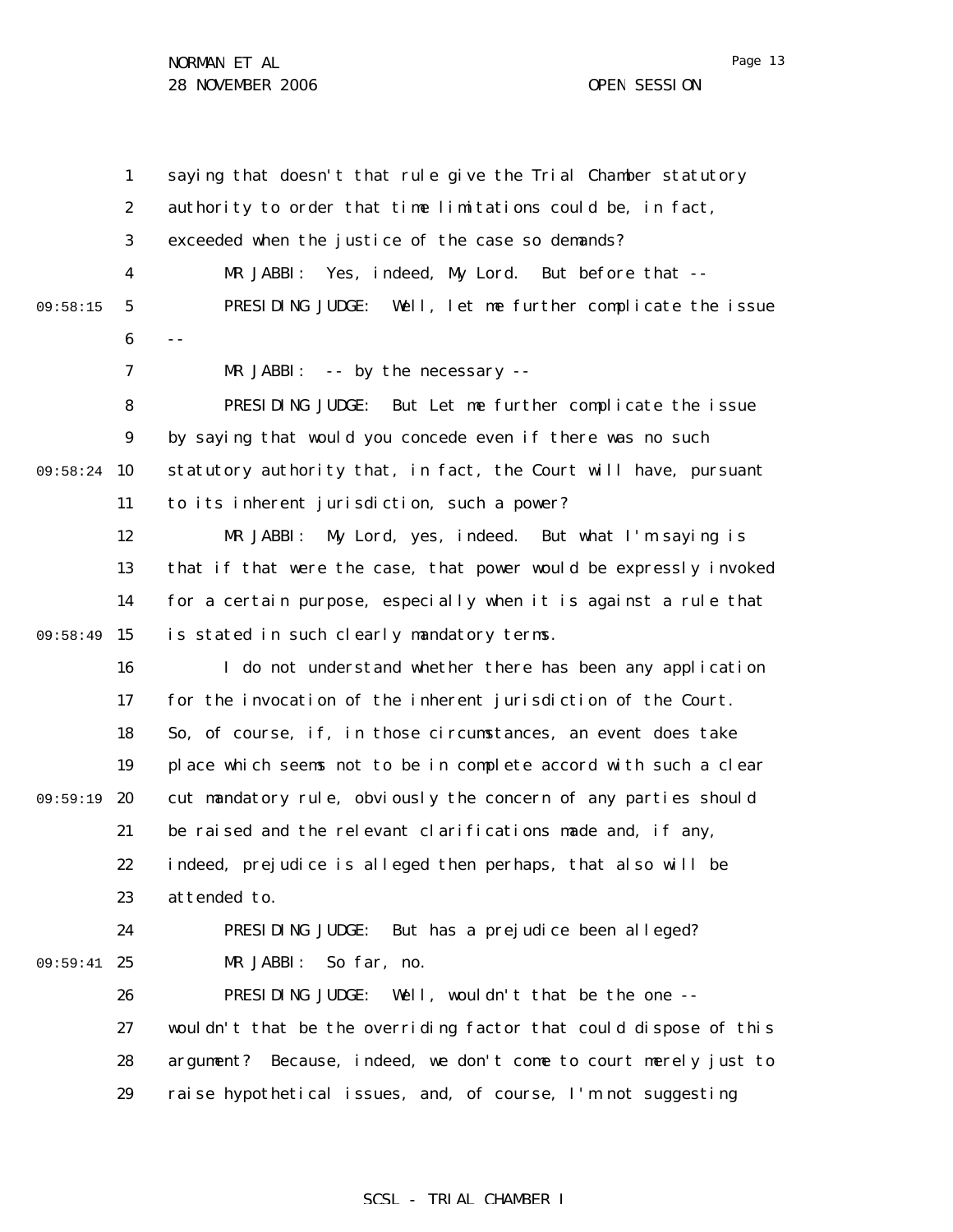Page 13

1 2 3 4 5 6 7 8 9 09:58:24 10 11 12 13 14 09:58:49 15 16 17 18 19 09:59:19 20 21 22 23 24 09:59:41 25 26 27 28 29 09:58:15 saying that doesn't that rule give the Trial Chamber statutory authority to order that time limitations could be, in fact, exceeded when the justice of the case so demands? MR JABBI: Yes, indeed, My Lord. But before that -- PRESIDING JUDGE: Well, let me further complicate the issue  $-$ MR JABBI: -- by the necessary -- PRESIDING JUDGE: But Let me further complicate the issue by saying that would you concede even if there was no such statutory authority that, in fact, the Court will have, pursuant to its inherent jurisdiction, such a power? MR JABBI: My Lord, yes, indeed. But what I'm saying is that if that were the case, that power would be expressly invoked for a certain purpose, especially when it is against a rule that is stated in such clearly mandatory terms. I do not understand whether there has been any application for the invocation of the inherent jurisdiction of the Court. So, of course, if, in those circumstances, an event does take place which seems not to be in complete accord with such a clear cut mandatory rule, obviously the concern of any parties should be raised and the relevant clarifications made and, if any, indeed, prejudice is alleged then perhaps, that also will be attended to. PRESIDING JUDGE: But has a prejudice been alleged? MR JABBI: So far, no. PRESIDING JUDGE: Well, wouldn't that be the one - wouldn't that be the overriding factor that could dispose of this argument? Because, indeed, we don't come to court merely just to raise hypothetical issues, and, of course, I'm not suggesting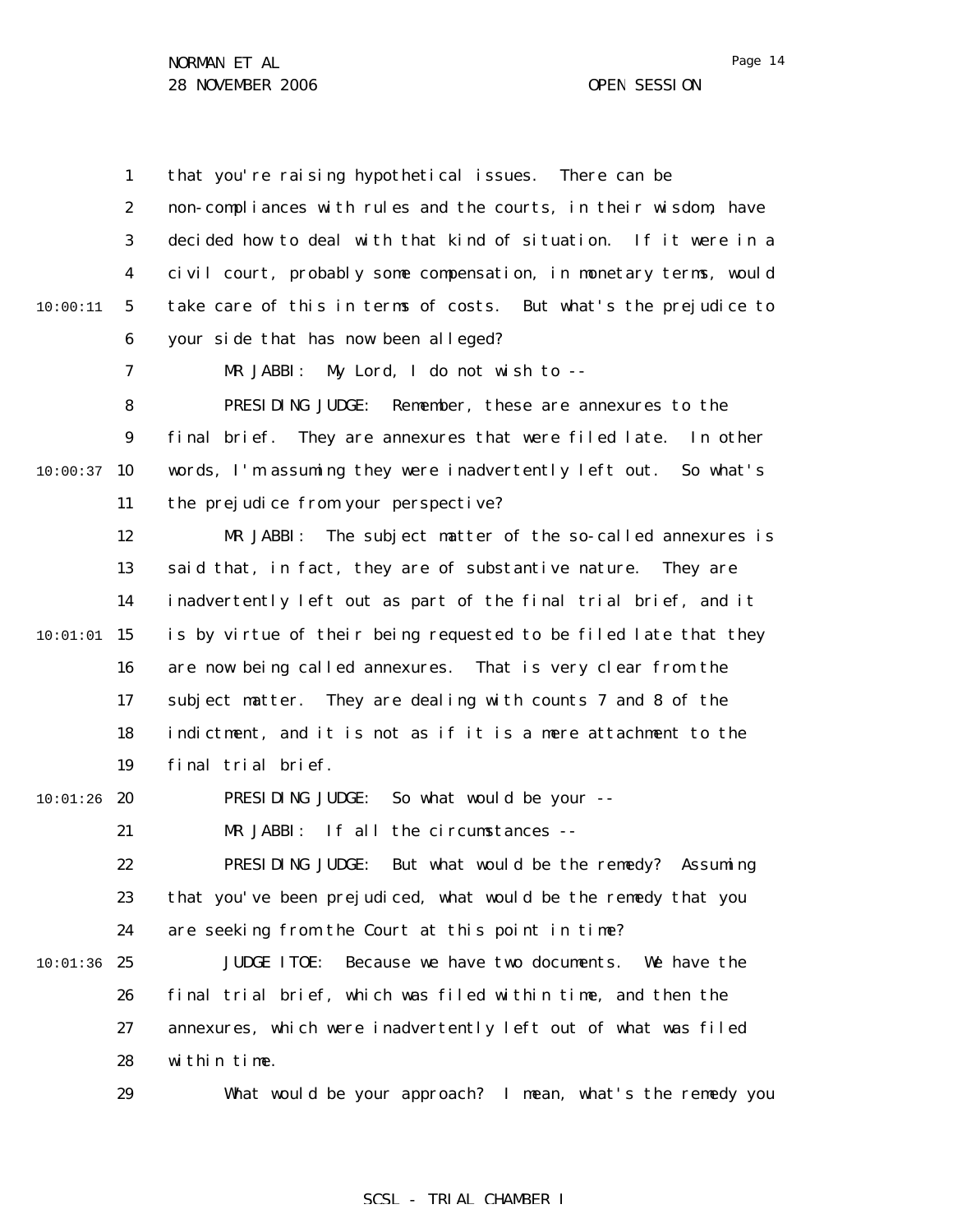1 2 3 4 5 6 7 8 9  $10:00:37$  10 11 12 13 14  $10:01:01$  15 16 17 18 19  $10:01:26$  20 21 22 23 24  $10:01:36$  25 26 27 28 29 10:00:11 that you're raising hypothetical issues. There can be non-compliances with rules and the courts, in their wisdom, have decided how to deal with that kind of situation. If it were in a civil court, probably some compensation, in monetary terms, would take care of this in terms of costs. But what's the prejudice to your side that has now been alleged? MR JABBI: My Lord, I do not wish to -- PRESIDING JUDGE: Remember, these are annexures to the final brief. They are annexures that were filed late. In other words, I'm assuming they were inadvertently left out. So what's the prejudice from your perspective? MR JABBI: The subject matter of the so-called annexures is said that, in fact, they are of substantive nature. They are inadvertently left out as part of the final trial brief, and it is by virtue of their being requested to be filed late that they are now being called annexures. That is very clear from the subject matter. They are dealing with counts 7 and 8 of the indictment, and it is not as if it is a mere attachment to the final trial brief. PRESIDING JUDGE: So what would be your -- MR JABBI: If all the circumstances -- PRESIDING JUDGE: But what would be the remedy? Assuming that you've been prejudiced, what would be the remedy that you are seeking from the Court at this point in time? JUDGE ITOE: Because we have two documents. We have the final trial brief, which was filed within time, and then the annexures, which were inadvertently left out of what was filed within time. What would be your approach? I mean, what's the remedy you

#### SCSL - TRIAL CHAMBER I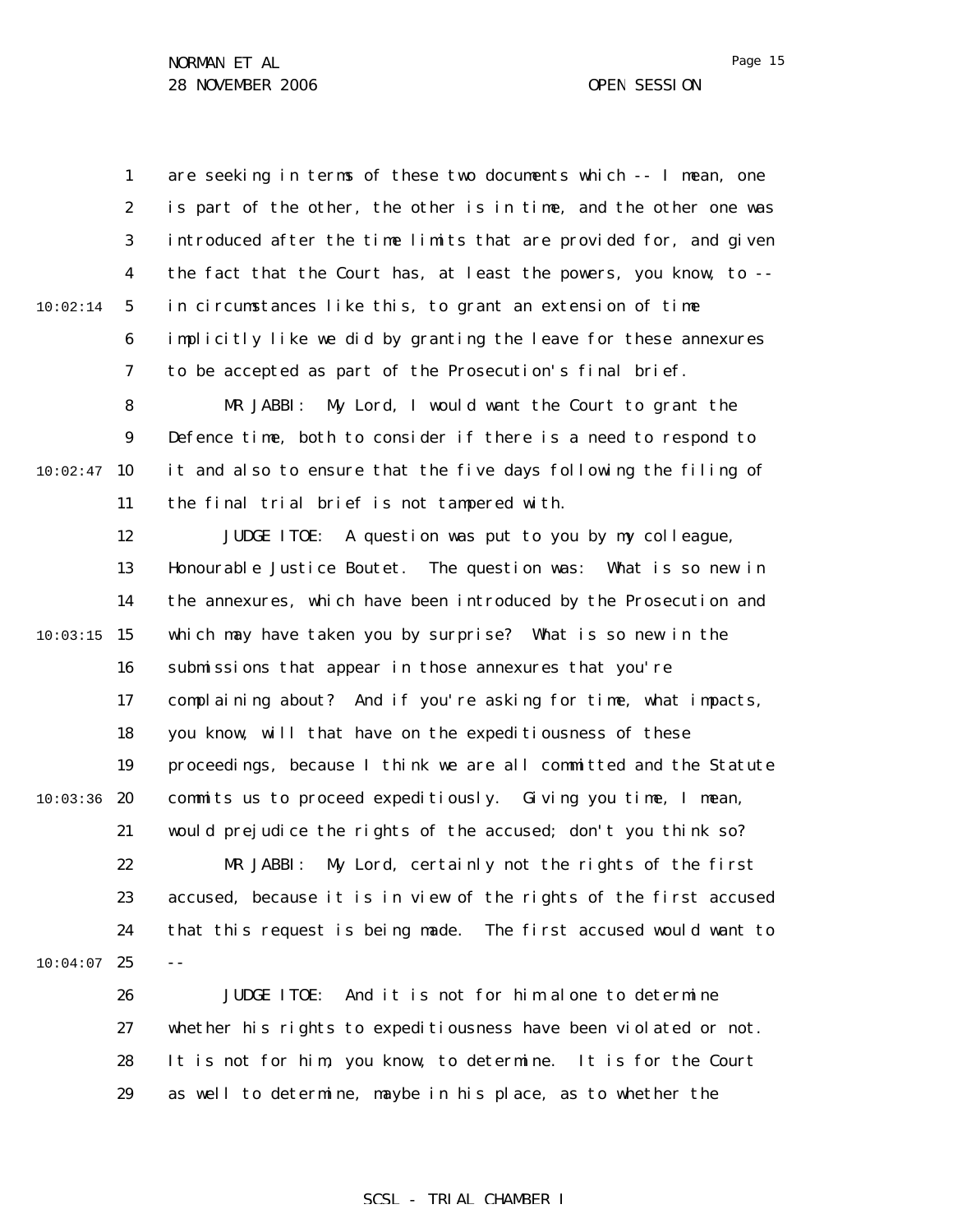1 2 3 4 5 6 7 10:02:14 are seeking in terms of these two documents which -- I mean, one is part of the other, the other is in time, and the other one was introduced after the time limits that are provided for, and given the fact that the Court has, at least the powers, you know, to - in circumstances like this, to grant an extension of time implicitly like we did by granting the leave for these annexures to be accepted as part of the Prosecution's final brief.

8 9  $10:02:47$  10 11 MR JABBI: My Lord, I would want the Court to grant the Defence time, both to consider if there is a need to respond to it and also to ensure that the five days following the filing of the final trial brief is not tampered with.

12 13 14  $10:03:15$  15 16 17 18 19  $10:03:36$  20 21 JUDGE ITOE: A question was put to you by my colleague, Honourable Justice Boutet. The question was: What is so new in the annexures, which have been introduced by the Prosecution and which may have taken you by surprise? What is so new in the submissions that appear in those annexures that you're complaining about? And if you're asking for time, what impacts, you know, will that have on the expeditiousness of these proceedings, because I think we are all committed and the Statute commits us to proceed expeditiously. Giving you time, I mean, would prejudice the rights of the accused; don't you think so?

22 23 24  $10:04:07$  25 MR JABBI: My Lord, certainly not the rights of the first accused, because it is in view of the rights of the first accused that this request is being made. The first accused would want to --

> 26 27 28 29 JUDGE ITOE: And it is not for him alone to determine whether his rights to expeditiousness have been violated or not. It is not for him, you know, to determine. It is for the Court as well to determine, maybe in his place, as to whether the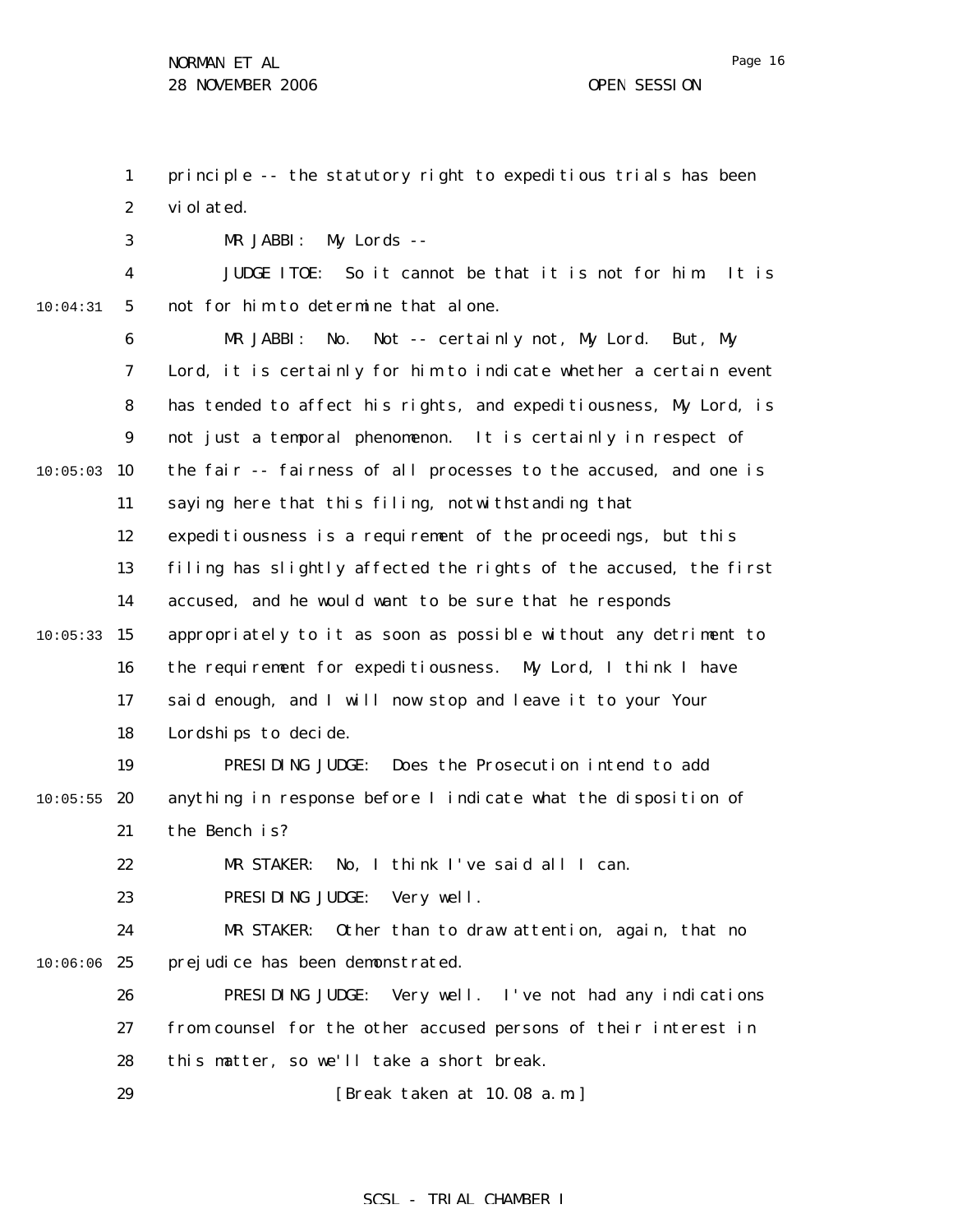1 2 principle -- the statutory right to expeditious trials has been violated.

MR JABBI: My Lords --

3

4 5 10:04:31 JUDGE ITOE: So it cannot be that it is not for him. It is not for him to determine that alone.

6 7 8 9  $10:05:03$  10 11 12 13 14  $10:05:33$  15 16 17 18 19  $10:05:55$  20 21 22 23 24  $10:06:06$  25 26 27 28 MR JABBI: No. Not -- certainly not, My Lord. But, My Lord, it is certainly for him to indicate whether a certain event has tended to affect his rights, and expeditiousness, My Lord, is not just a temporal phenomenon. It is certainly in respect of the fair -- fairness of all processes to the accused, and one is saying here that this filing, notwithstanding that expeditiousness is a requirement of the proceedings, but this filing has slightly affected the rights of the accused, the first accused, and he would want to be sure that he responds appropriately to it as soon as possible without any detriment to the requirement for expeditiousness. My Lord, I think I have said enough, and I will now stop and leave it to your Your Lordships to decide. PRESIDING JUDGE: Does the Prosecution intend to add anything in response before I indicate what the disposition of the Bench is? MR STAKER: No, I think I've said all I can. PRESIDING JUDGE: Very well. MR STAKER: Other than to draw attention, again, that no prejudice has been demonstrated. PRESIDING JUDGE: Very well. I've not had any indications from counsel for the other accused persons of their interest in this matter, so we'll take a short break.

> 29 [Break taken at 10.08 a.m.]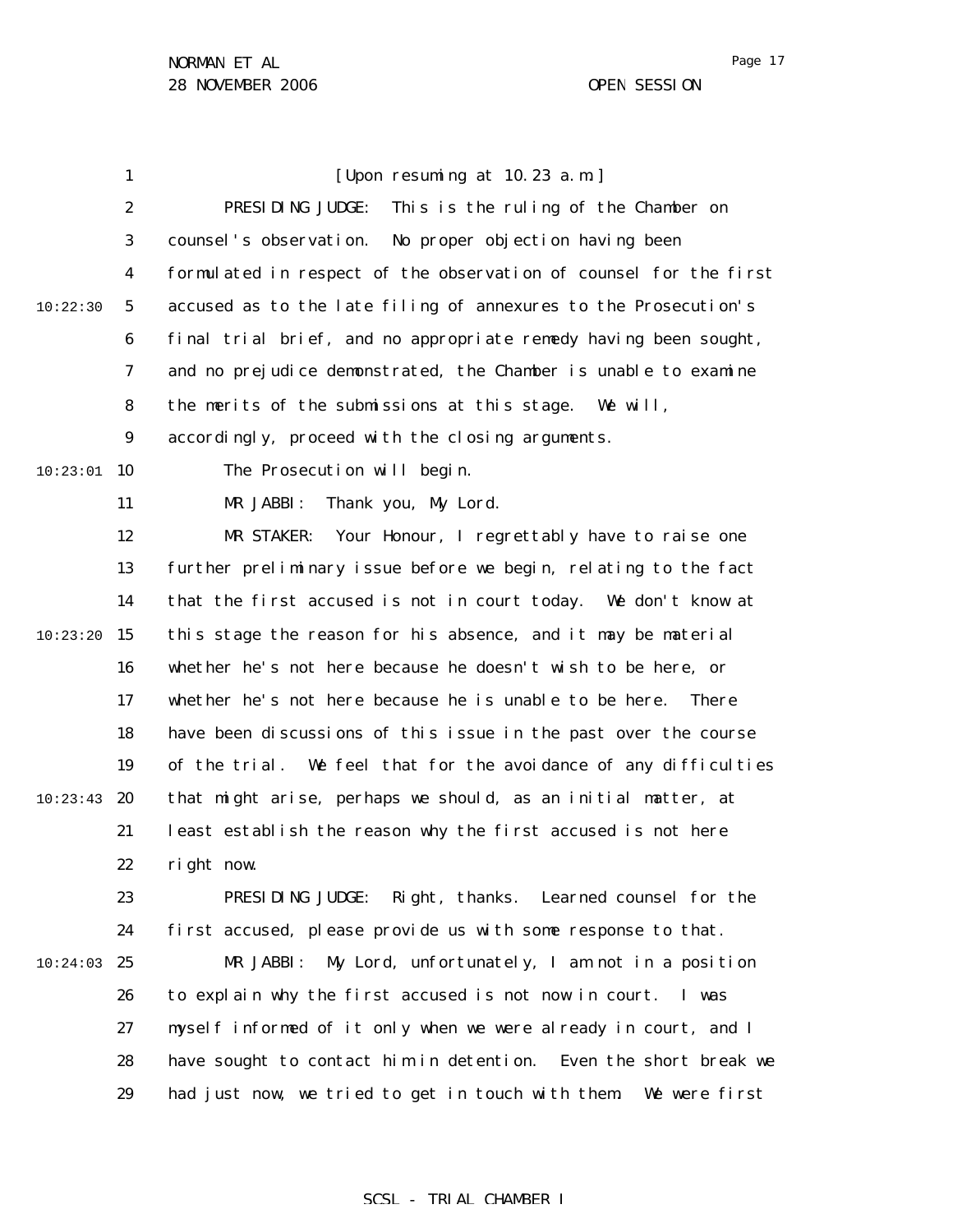Page 17

|          | $\mathbf{1}$     | [Upon resuming at 10.23 a.m.]                                          |
|----------|------------------|------------------------------------------------------------------------|
|          | $\boldsymbol{2}$ | PRESIDING JUDGE:<br>This is the ruling of the Chamber on               |
|          | 3                | counsel's observation.<br>No proper objection having been              |
|          | 4                | formulated in respect of the observation of counsel for the first      |
| 10:22:30 | $\mathbf{5}$     | accused as to the late filing of annexures to the Prosecution's        |
|          | $\boldsymbol{6}$ | final trial brief, and no appropriate remedy having been sought,       |
|          | 7                | and no prejudice demonstrated, the Chamber is unable to examine        |
|          | 8                | the merits of the submissions at this stage. We will,                  |
|          | $\boldsymbol{9}$ | accordingly, proceed with the closing arguments.                       |
| 10:23:01 | 10               | The Prosecution will begin.                                            |
|          | 11               | Thank you, My Lord.<br>MR JABBI:                                       |
|          | 12               | MR STAKER:<br>Your Honour, I regrettably have to raise one             |
|          | 13               | further preliminary issue before we begin, relating to the fact        |
|          | 14               | that the first accused is not in court today. We don't know at         |
| 10:23:20 | 15               | this stage the reason for his absence, and it may be material          |
|          | 16               | whether he's not here because he doesn't wish to be here, or           |
|          | 17               | whether he's not here because he is unable to be here.<br><b>There</b> |
|          | 18               | have been discussions of this issue in the past over the course        |
|          | 19               | of the trial. We feel that for the avoidance of any difficulties       |
| 10:23:43 | 20               | that might arise, perhaps we should, as an initial matter, at          |
|          | 21               | least establish the reason why the first accused is not here           |
|          | 22               | right now.                                                             |
|          | 23               | Right, thanks. Learned counsel for the<br>PRESIDING JUDGE:             |
|          | 24               | first accused, please provide us with some response to that.           |
| 10:24:03 | 25               | MR JABBI:<br>My Lord, unfortunately, I am not in a position            |
|          | 26               | to explain why the first accused is not now in court.<br>I was         |
|          | 27               | myself informed of it only when we were already in court, and I        |
|          | 28               | have sought to contact him in detention. Even the short break we       |
|          | 29               | had just now, we tried to get in touch with them.<br>We were first     |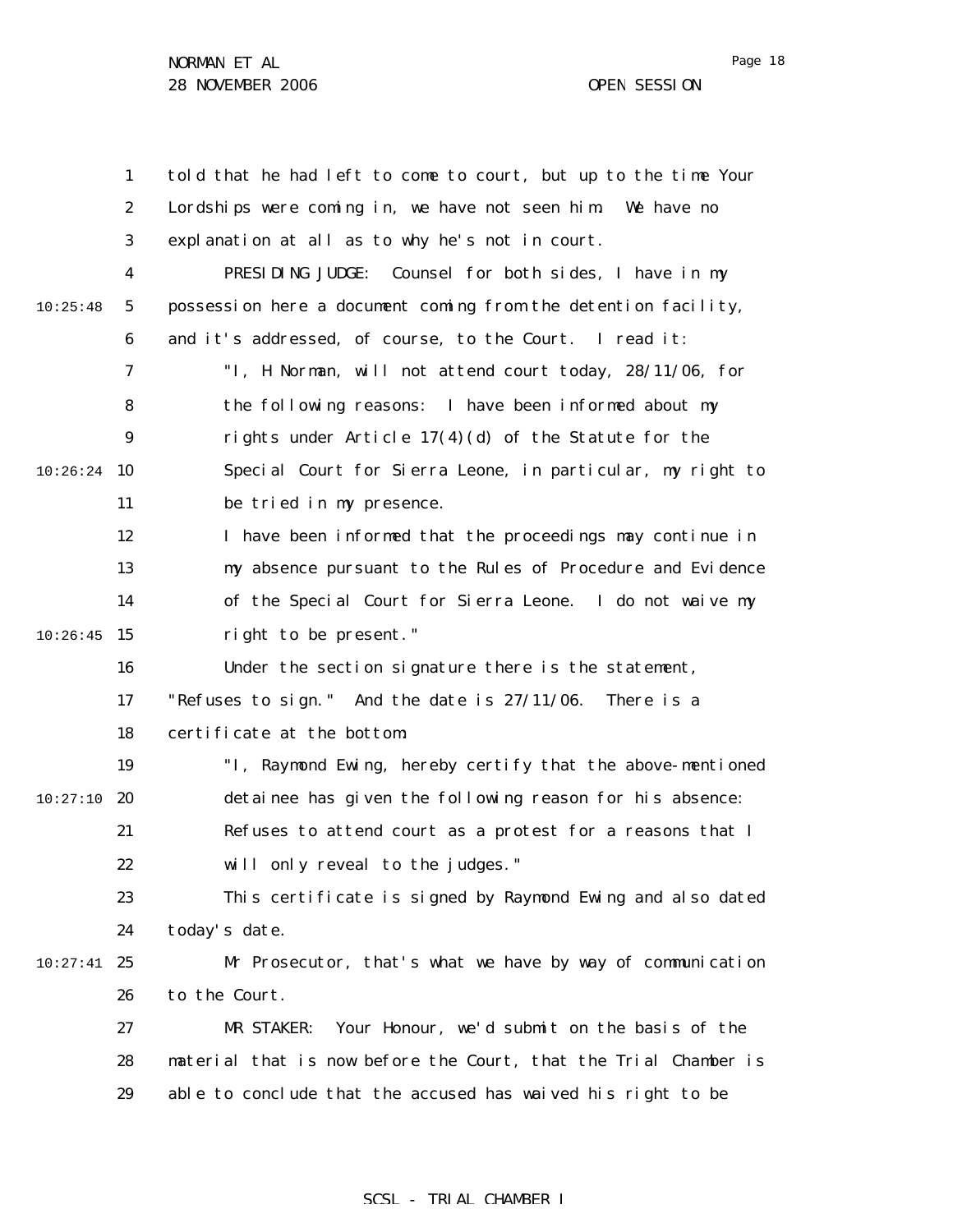|          | $\mathbf{1}$     | told that he had left to come to court, but up to the time Your  |
|----------|------------------|------------------------------------------------------------------|
|          | $\boldsymbol{2}$ | Lordships were coming in, we have not seen him. We have no       |
|          | 3                | explanation at all as to why he's not in court.                  |
|          | 4                | PRESIDING JUDGE:<br>Counsel for both sides, I have in my         |
| 10:25:48 | 5                | possession here a document coming from the detention facility,   |
|          | $\boldsymbol{6}$ | and it's addressed, of course, to the Court. I read it:          |
|          | 7                | "I, H Norman, will not attend court today, 28/11/06, for         |
|          | 8                | the following reasons: I have been informed about my             |
|          | 9                | rights under Article $17(4)(d)$ of the Statute for the           |
| 10:26:24 | 10               | Special Court for Sierra Leone, in particular, my right to       |
|          | 11               | be tried in my presence.                                         |
|          | 12               | I have been informed that the proceedings may continue in        |
|          | 13               | my absence pursuant to the Rules of Procedure and Evidence       |
|          | 14               | of the Special Court for Sierra Leone. I do not waive my         |
| 10:26:45 | 15               | right to be present."                                            |
|          | 16               | Under the section signature there is the statement,              |
|          | 17               | "Refuses to sign." And the date is $27/11/06$ .<br>There is a    |
|          | 18               | certificate at the bottom:                                       |
|          | 19               | "I, Raymond Ewing, hereby certify that the above-mentioned       |
| 10:27:10 | 20               | detainee has given the following reason for his absence:         |
|          | 21               | Refuses to attend court as a protest for a reasons that I        |
|          | 22               | will only reveal to the judges."                                 |
|          | 23               | This certificate is signed by Raymond Ewing and also dated       |
|          | 24               | today's date.                                                    |
| 10:27:41 | 25               | Mr Prosecutor, that's what we have by way of communication       |
|          | 26               | to the Court.                                                    |
|          | 27               | Your Honour, we'd submit on the basis of the<br>MR STAKER:       |
|          | 28               | material that is now before the Court, that the Trial Chamber is |
|          | 29               | able to conclude that the accused has waived his right to be     |
|          |                  |                                                                  |

# SCSL - TRIAL CHAMBER I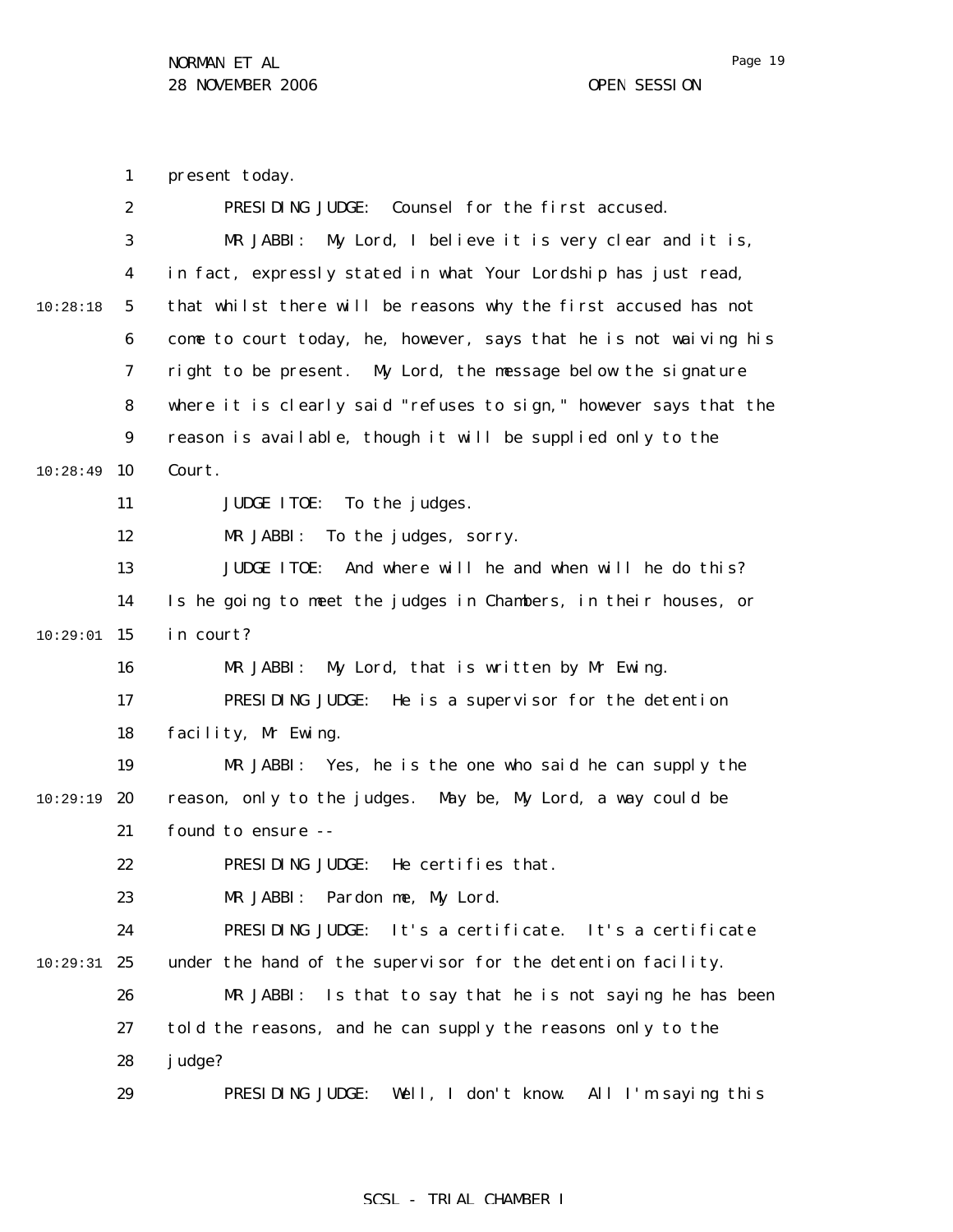present today.

1

2 3 4 5 6 7 8 9 10:28:49 10 11 12 13 14  $10:29:01$  15 16 17 18 19 10:29:19 20 21 22 23 24 10:29:31 25 26 27 28 29 10:28:18 PRESIDING JUDGE: Counsel for the first accused. MR JABBI: My Lord, I believe it is very clear and it is, in fact, expressly stated in what Your Lordship has just read, that whilst there will be reasons why the first accused has not come to court today, he, however, says that he is not waiving his right to be present. My Lord, the message below the signature where it is clearly said "refuses to sign," however says that the reason is available, though it will be supplied only to the Court. JUDGE ITOE: To the judges. MR JABBI: To the judges, sorry. JUDGE ITOE: And where will he and when will he do this? Is he going to meet the judges in Chambers, in their houses, or in court? MR JABBI: My Lord, that is written by Mr Ewing. PRESIDING JUDGE: He is a supervisor for the detention facility, Mr Ewing. MR JABBI: Yes, he is the one who said he can supply the reason, only to the judges. May be, My Lord, a way could be found to ensure -- PRESIDING JUDGE: He certifies that. MR JABBI: Pardon me, My Lord. PRESIDING JUDGE: It's a certificate. It's a certificate under the hand of the supervisor for the detention facility. MR JABBI: Is that to say that he is not saying he has been told the reasons, and he can supply the reasons only to the judge? PRESIDING JUDGE: Well, I don't know. All I'm saying this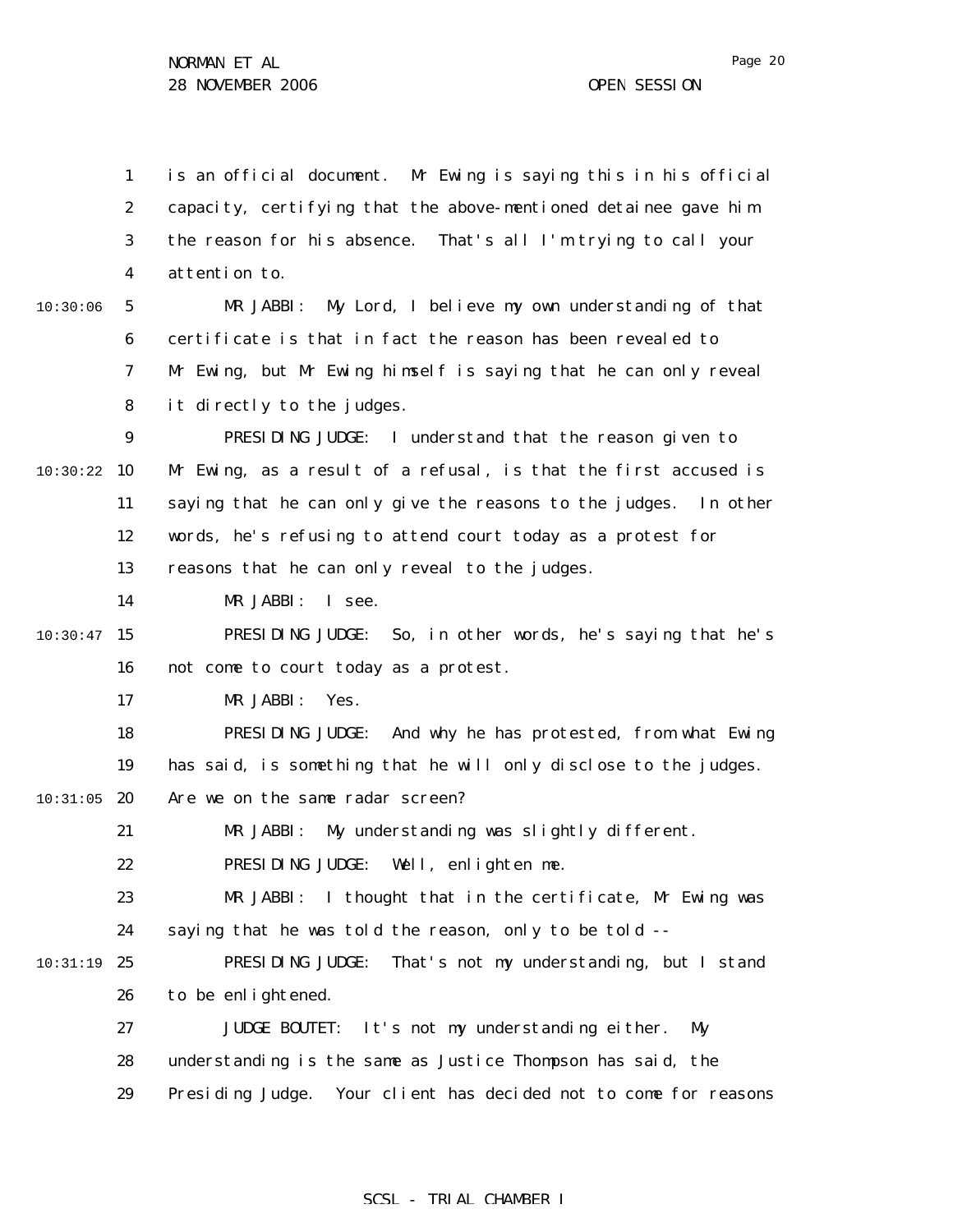1 2 3 4 5 6 7 8 9 10:30:22 10 11 12 13 14  $10:30:47$  15 16 17 18 19  $10:31:05$  20 21 22 23 24 10:31:19 25 26 27 28 29 10:30:06 is an official document. Mr Ewing is saying this in his official capacity, certifying that the above-mentioned detainee gave him the reason for his absence. That's all I'm trying to call your attention to. MR JABBI: My Lord, I believe my own understanding of that certificate is that in fact the reason has been revealed to Mr Ewing, but Mr Ewing himself is saying that he can only reveal it directly to the judges. PRESIDING JUDGE: I understand that the reason given to Mr Ewing, as a result of a refusal, is that the first accused is saying that he can only give the reasons to the judges. In other words, he's refusing to attend court today as a protest for reasons that he can only reveal to the judges. MR JABBI: I see. PRESIDING JUDGE: So, in other words, he's saying that he's not come to court today as a protest. MR JABBI: Yes. PRESIDING JUDGE: And why he has protested, from what Ewing has said, is something that he will only disclose to the judges. Are we on the same radar screen? MR JABBI: My understanding was slightly different. PRESIDING JUDGE: Well, enlighten me. MR JABBI: I thought that in the certificate, Mr Ewing was saying that he was told the reason, only to be told -- PRESIDING JUDGE: That's not my understanding, but I stand to be enlightened. JUDGE BOUTET: It's not my understanding either. My understanding is the same as Justice Thompson has said, the Presiding Judge. Your client has decided not to come for reasons

#### SCSL - TRIAL CHAMBER I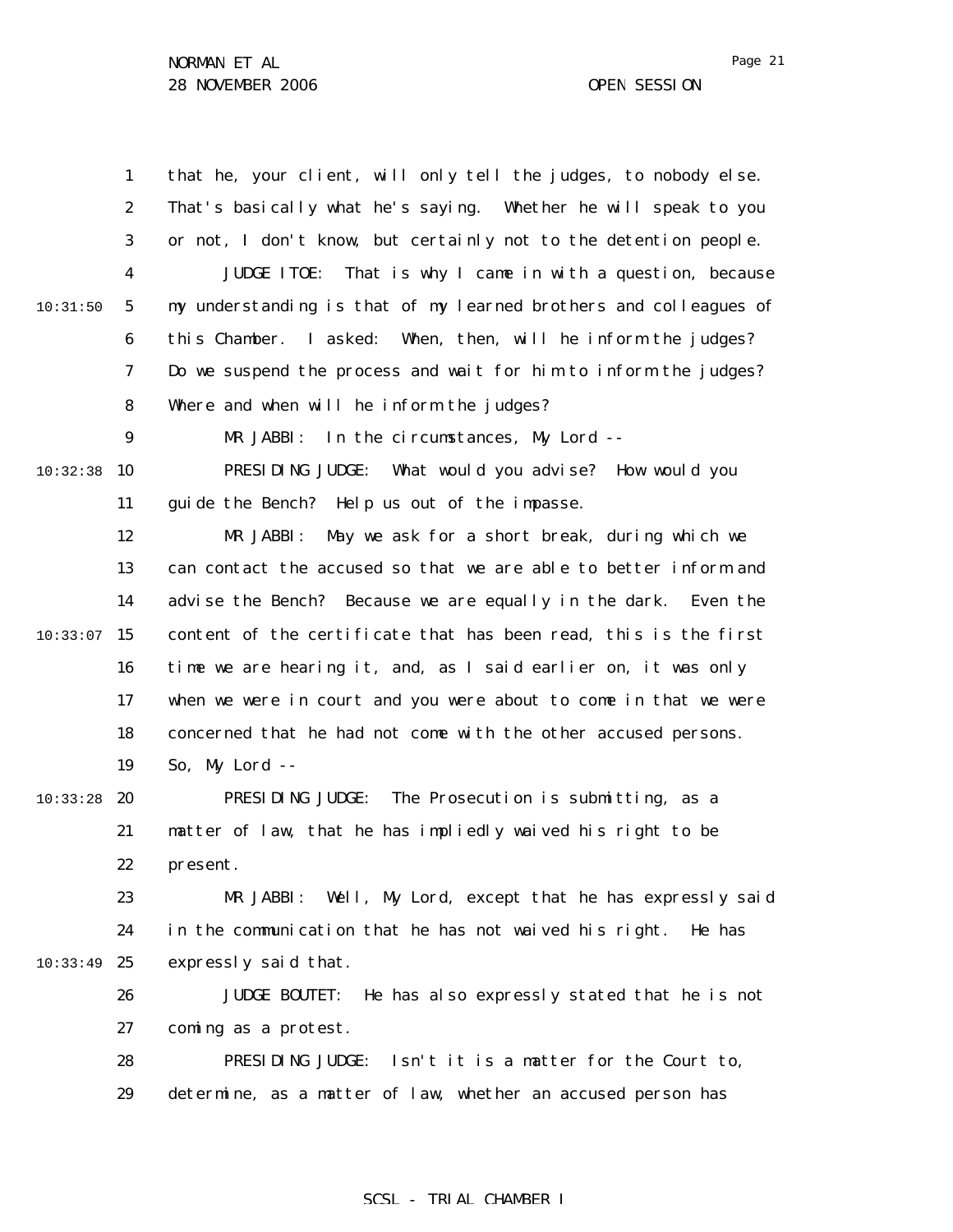1 2 3 4 5 6 7 8 9 10:32:38 10 11 12 13 14  $10:33:07$  15 16 17 18 19  $10:33:28$  20 21 22 23 24 10:33:49 25 26 27 28 29 10:31:50 that he, your client, will only tell the judges, to nobody else. That's basically what he's saying. Whether he will speak to you or not, I don't know, but certainly not to the detention people. JUDGE ITOE: That is why I came in with a question, because my understanding is that of my learned brothers and colleagues of this Chamber. I asked: When, then, will he inform the judges? Do we suspend the process and wait for him to inform the judges? Where and when will he inform the judges? MR JABBI: In the circumstances, My Lord -- PRESIDING JUDGE: What would you advise? How would you guide the Bench? Help us out of the impasse. MR JABBI: May we ask for a short break, during which we can contact the accused so that we are able to better inform and advise the Bench? Because we are equally in the dark. Even the content of the certificate that has been read, this is the first time we are hearing it, and, as I said earlier on, it was only when we were in court and you were about to come in that we were concerned that he had not come with the other accused persons. So, My Lord -- PRESIDING JUDGE: The Prosecution is submitting, as a matter of law, that he has impliedly waived his right to be present. MR JABBI: Well, My Lord, except that he has expressly said in the communication that he has not waived his right. He has expressly said that. JUDGE BOUTET: He has also expressly stated that he is not coming as a protest. PRESIDING JUDGE: Isn't it is a matter for the Court to, determine, as a matter of law, whether an accused person has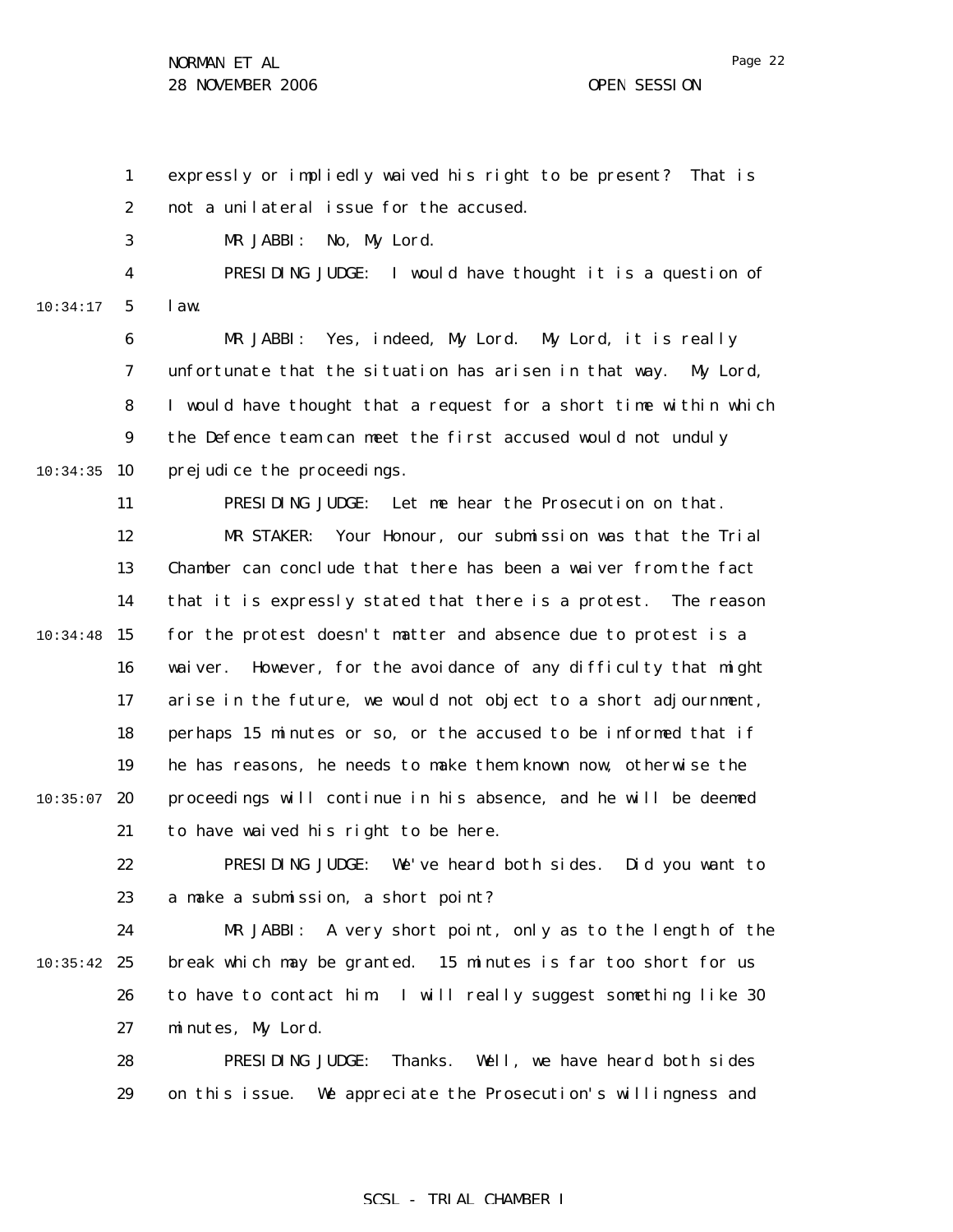29

1 2 3 4 5 6 7 8 9 10:34:35 10 11 12 13 14  $10:34:48$  15 16 17 18 19  $10:35:07$  20 21 22 23 24  $10:35:42$  25 26 27 28 10:34:17 expressly or impliedly waived his right to be present? That is not a unilateral issue for the accused. MR JABBI: No, My Lord. PRESIDING JUDGE: I would have thought it is a question of law. MR JABBI: Yes, indeed, My Lord. My Lord, it is really unfortunate that the situation has arisen in that way. My Lord, I would have thought that a request for a short time within which the Defence team can meet the first accused would not unduly prejudice the proceedings. PRESIDING JUDGE: Let me hear the Prosecution on that. MR STAKER: Your Honour, our submission was that the Trial Chamber can conclude that there has been a waiver from the fact that it is expressly stated that there is a protest. The reason for the protest doesn't matter and absence due to protest is a waiver. However, for the avoidance of any difficulty that might arise in the future, we would not object to a short adjournment, perhaps 15 minutes or so, or the accused to be informed that if he has reasons, he needs to make them known now, otherwise the proceedings will continue in his absence, and he will be deemed to have waived his right to be here. PRESIDING JUDGE: We've heard both sides. Did you want to a make a submission, a short point? MR JABBI: A very short point, only as to the length of the break which may be granted. 15 minutes is far too short for us to have to contact him. I will really suggest something like 30 minutes, My Lord. PRESIDING JUDGE: Thanks. Well, we have heard both sides

### SCSL - TRIAL CHAMBER I

on this issue. We appreciate the Prosecution's willingness and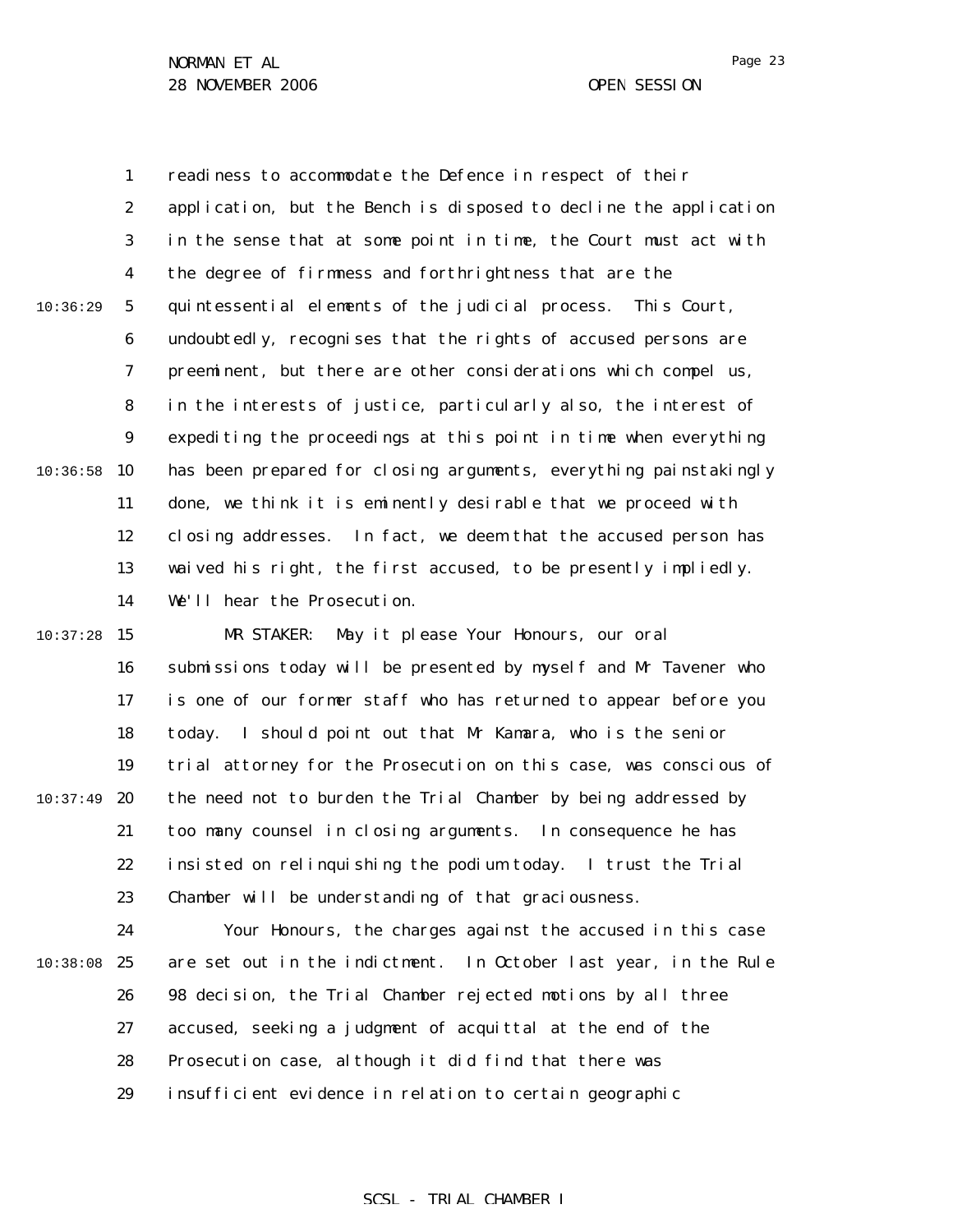1 2 3 4 5 6 7 8 9  $10:36:58$  10 11 12 13 14  $10:37:28$  15 16 17 18 19 20 21 10:36:29 10:37:49 readiness to accommodate the Defence in respect of their application, but the Bench is disposed to decline the application in the sense that at some point in time, the Court must act with the degree of firmness and forthrightness that are the quintessential elements of the judicial process. This Court, undoubtedly, recognises that the rights of accused persons are preeminent, but there are other considerations which compel us, in the interests of justice, particularly also, the interest of expediting the proceedings at this point in time when everything has been prepared for closing arguments, everything painstakingly done, we think it is eminently desirable that we proceed with closing addresses. In fact, we deem that the accused person has waived his right, the first accused, to be presently impliedly. We'll hear the Prosecution. MR STAKER: May it please Your Honours, our oral submissions today will be presented by myself and Mr Tavener who is one of our former staff who has returned to appear before you today. I should point out that Mr Kamara, who is the senior trial attorney for the Prosecution on this case, was conscious of the need not to burden the Trial Chamber by being addressed by too many counsel in closing arguments. In consequence he has

22 23 insisted on relinquishing the podium today. I trust the Trial Chamber will be understanding of that graciousness.

24 10:38:08 25 26 27 28 29 Your Honours, the charges against the accused in this case are set out in the indictment. In October last year, in the Rule 98 decision, the Trial Chamber rejected motions by all three accused, seeking a judgment of acquittal at the end of the Prosecution case, although it did find that there was insufficient evidence in relation to certain geographic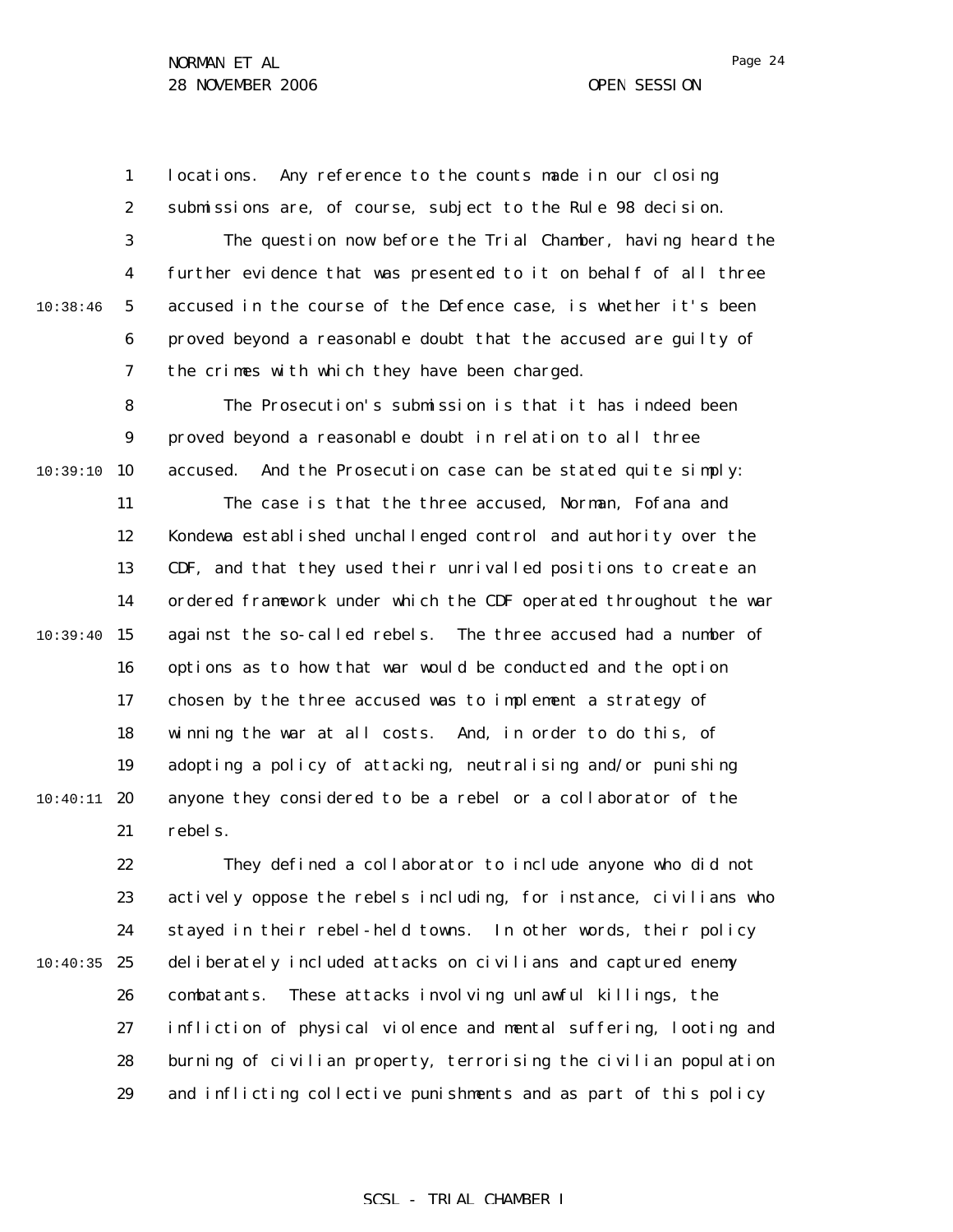1 2 locations. Any reference to the counts made in our closing submissions are, of course, subject to the Rule 98 decision.

3 4 5 6 7 The question now before the Trial Chamber, having heard the further evidence that was presented to it on behalf of all three accused in the course of the Defence case, is whether it's been proved beyond a reasonable doubt that the accused are guilty of the crimes with which they have been charged.

8 9 10:39:10 10 The Prosecution's submission is that it has indeed been proved beyond a reasonable doubt in relation to all three accused. And the Prosecution case can be stated quite simply:

11 12 13 14  $10:39:40$  15 16 17 18 19  $10:40:11$  20 21 The case is that the three accused, Norman, Fofana and Kondewa established unchallenged control and authority over the CDF, and that they used their unrivalled positions to create an ordered framework under which the CDF operated throughout the war against the so-called rebels. The three accused had a number of options as to how that war would be conducted and the option chosen by the three accused was to implement a strategy of winning the war at all costs. And, in order to do this, of adopting a policy of attacking, neutralising and/or punishing anyone they considered to be a rebel or a collaborator of the rebels.

22 23 24  $10:40:35$  25 26 27 28 29 They defined a collaborator to include anyone who did not actively oppose the rebels including, for instance, civilians who stayed in their rebel-held towns. In other words, their policy deliberately included attacks on civilians and captured enemy combatants. These attacks involving unlawful killings, the infliction of physical violence and mental suffering, looting and burning of civilian property, terrorising the civilian population and inflicting collective punishments and as part of this policy

#### SCSL - TRIAL CHAMBER I

10:38:46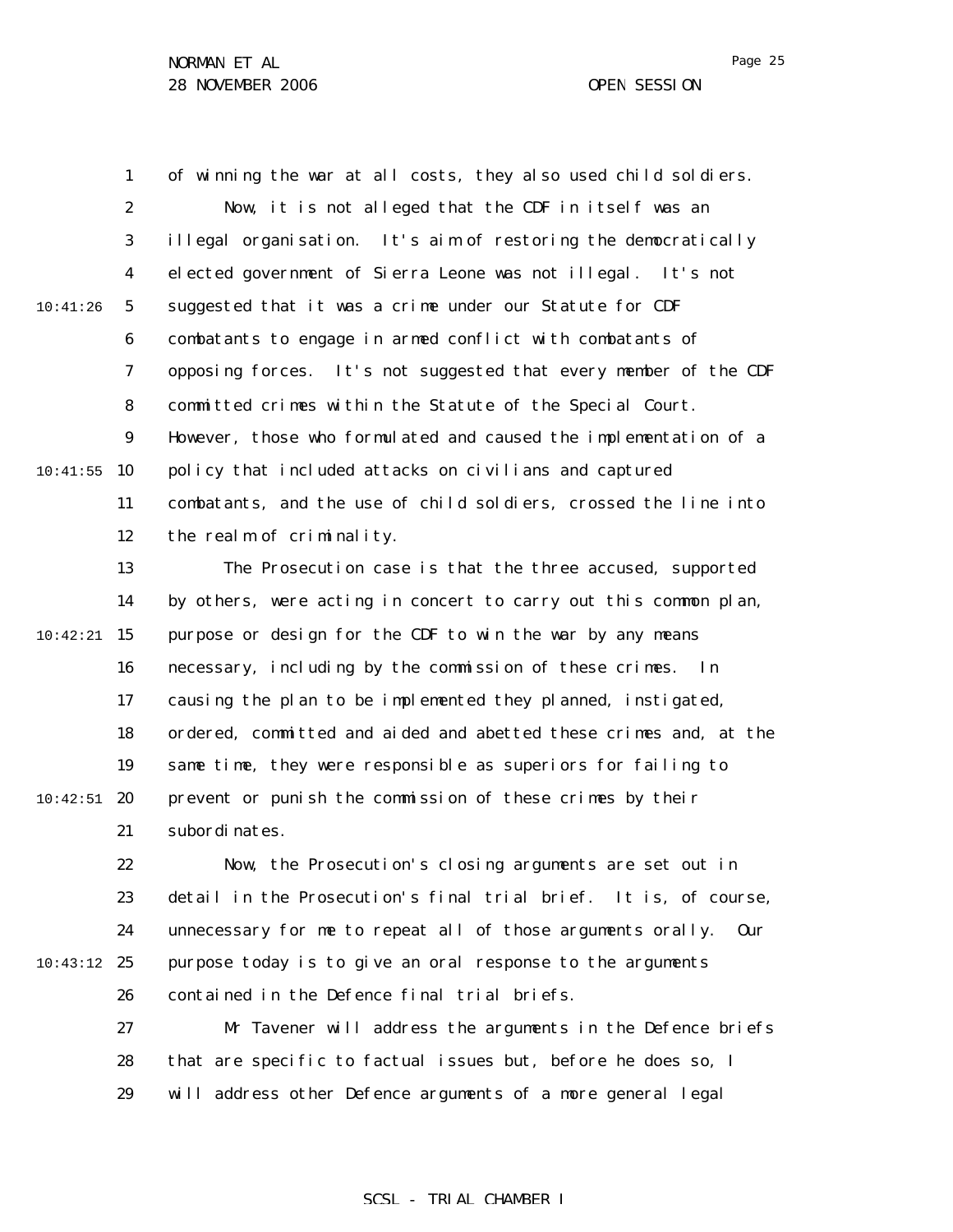Page 25

1 2 3 4 5 6 7 8 9 10:41:55 10 11 12 13 14  $10:42:21$  15 16 17 18 19  $10:42:51$  20 21 22 23 24 10:43:12 25 26 27 28 10:41:26 of winning the war at all costs, they also used child soldiers. Now, it is not alleged that the CDF in itself was an illegal organisation. It's aim of restoring the democratically elected government of Sierra Leone was not illegal. It's not suggested that it was a crime under our Statute for CDF combatants to engage in armed conflict with combatants of opposing forces. It's not suggested that every member of the CDF committed crimes within the Statute of the Special Court. However, those who formulated and caused the implementation of a policy that included attacks on civilians and captured combatants, and the use of child soldiers, crossed the line into the realm of criminality. The Prosecution case is that the three accused, supported by others, were acting in concert to carry out this common plan, purpose or design for the CDF to win the war by any means necessary, including by the commission of these crimes. In causing the plan to be implemented they planned, instigated, ordered, committed and aided and abetted these crimes and, at the same time, they were responsible as superiors for failing to prevent or punish the commission of these crimes by their subordinates. Now, the Prosecution's closing arguments are set out in detail in the Prosecution's final trial brief. It is, of course, unnecessary for me to repeat all of those arguments orally. Our purpose today is to give an oral response to the arguments contained in the Defence final trial briefs. Mr Tavener will address the arguments in the Defence briefs that are specific to factual issues but, before he does so, I

> 29 will address other Defence arguments of a more general legal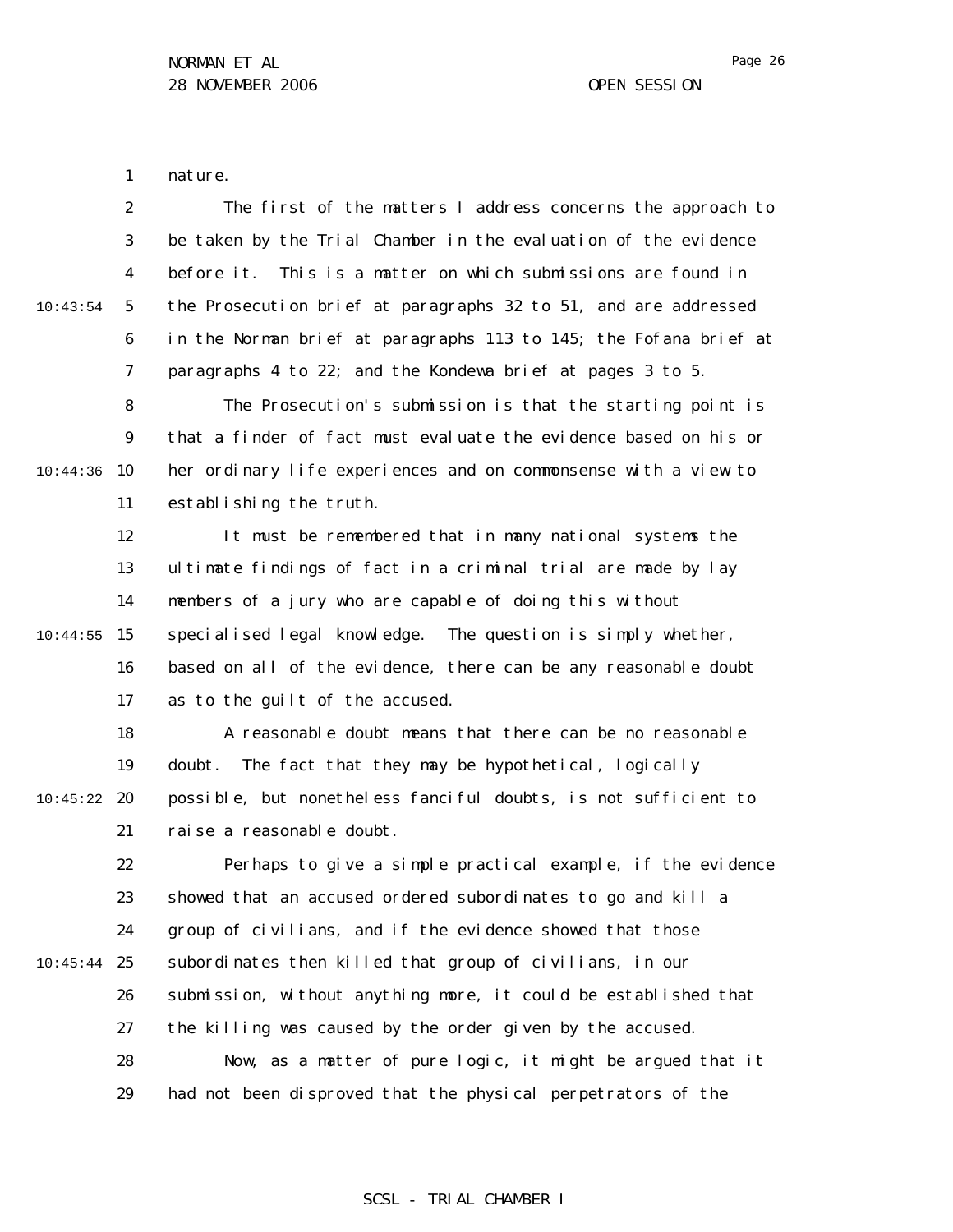1 nature.

|          | $\boldsymbol{2}$ | The first of the matters I address concerns the approach to       |
|----------|------------------|-------------------------------------------------------------------|
|          | 3                | be taken by the Trial Chamber in the evaluation of the evidence   |
|          | 4                | This is a matter on which submissions are found in<br>before it.  |
| 10:43:54 | $\mathbf{5}$     | the Prosecution brief at paragraphs 32 to 51, and are addressed   |
|          | 6                | in the Norman brief at paragraphs 113 to 145; the Fofana brief at |
|          | 7                | paragraphs 4 to 22; and the Kondewa brief at pages 3 to 5.        |
|          | 8                | The Prosecution's submission is that the starting point is        |
|          | $\boldsymbol{9}$ | that a finder of fact must evaluate the evidence based on his or  |
| 10:44:36 | 10               | her ordinary life experiences and on commonsense with a view to   |
|          | 11               | establishing the truth.                                           |
|          | 12               | It must be remembered that in many national systems the           |
|          | 13               | ultimate findings of fact in a criminal trial are made by lay     |
|          | 14               | members of a jury who are capable of doing this without           |
| 10:44:55 | 15               | specialised legal knowledge. The question is simply whether,      |
|          | 16               | based on all of the evidence, there can be any reasonable doubt   |
|          | 17               | as to the guilt of the accused.                                   |
|          | 18               | A reasonable doubt means that there can be no reasonable          |
|          | 19               | The fact that they may be hypothetical, logically<br>doubt.       |
| 10:45:22 | 20               | possible, but nonetheless fanciful doubts, is not sufficient to   |
|          | 21               | rai se a reasonable doubt.                                        |
|          | 22               | Perhaps to give a simple practical example, if the evidence       |
|          | 23               | showed that an accused ordered subordinates to go and kill a      |
|          | 24               | group of civilians, and if the evidence showed that those         |
| 10:45:44 | 25               | subordinates then killed that group of civilians, in our          |
|          | 26               | submission, without anything more, it could be established that   |
|          | 27               | the killing was caused by the order given by the accused.         |
|          | 28               | Now, as a matter of pure logic, it might be argued that it        |
|          | 29               | had not been disproved that the physical perpetrators of the      |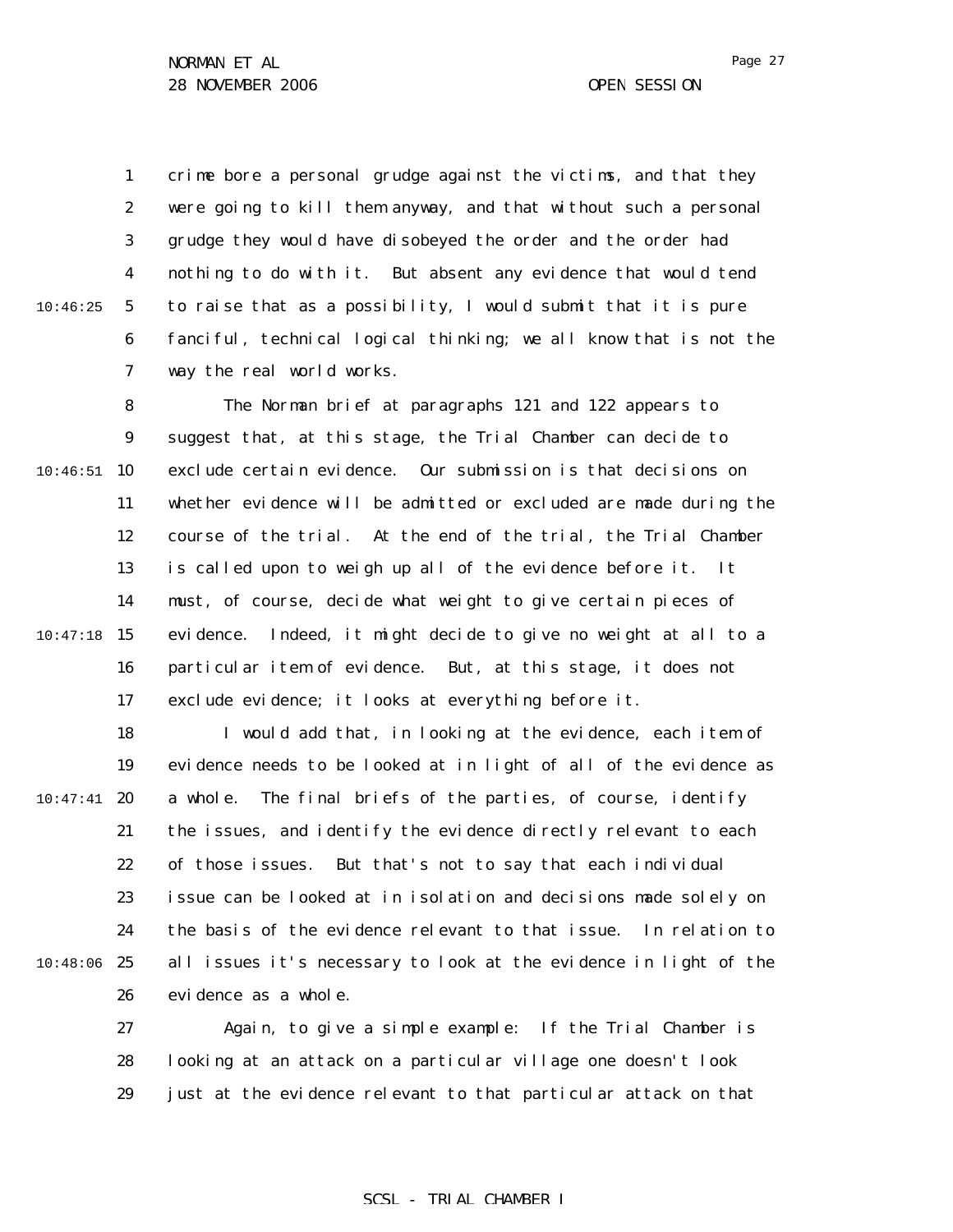1 2 3 4 5 6 7 crime bore a personal grudge against the victims, and that they were going to kill them anyway, and that without such a personal grudge they would have disobeyed the order and the order had nothing to do with it. But absent any evidence that would tend to raise that as a possibility, I would submit that it is pure fanciful, technical logical thinking; we all know that is not the way the real world works.

8 9  $10:46:51$  10 11 12 13 14  $10:47:18$  15 16 17 The Norman brief at paragraphs 121 and 122 appears to suggest that, at this stage, the Trial Chamber can decide to exclude certain evidence. Our submission is that decisions on whether evidence will be admitted or excluded are made during the course of the trial. At the end of the trial, the Trial Chamber is called upon to weigh up all of the evidence before it. It must, of course, decide what weight to give certain pieces of evidence. Indeed, it might decide to give no weight at all to a particular item of evidence. But, at this stage, it does not exclude evidence; it looks at everything before it.

18 19  $10:47:41$  20 21 22 23 24 10:48:06 25 26 I would add that, in looking at the evidence, each item of evidence needs to be looked at in light of all of the evidence as a whole. The final briefs of the parties, of course, identify the issues, and identify the evidence directly relevant to each of those issues. But that's not to say that each individual issue can be looked at in isolation and decisions made solely on the basis of the evidence relevant to that issue. In relation to all issues it's necessary to look at the evidence in light of the evidence as a whole.

> 27 28 29 Again, to give a simple example: If the Trial Chamber is looking at an attack on a particular village one doesn't look just at the evidence relevant to that particular attack on that

#### SCSL - TRIAL CHAMBER I

10:46:25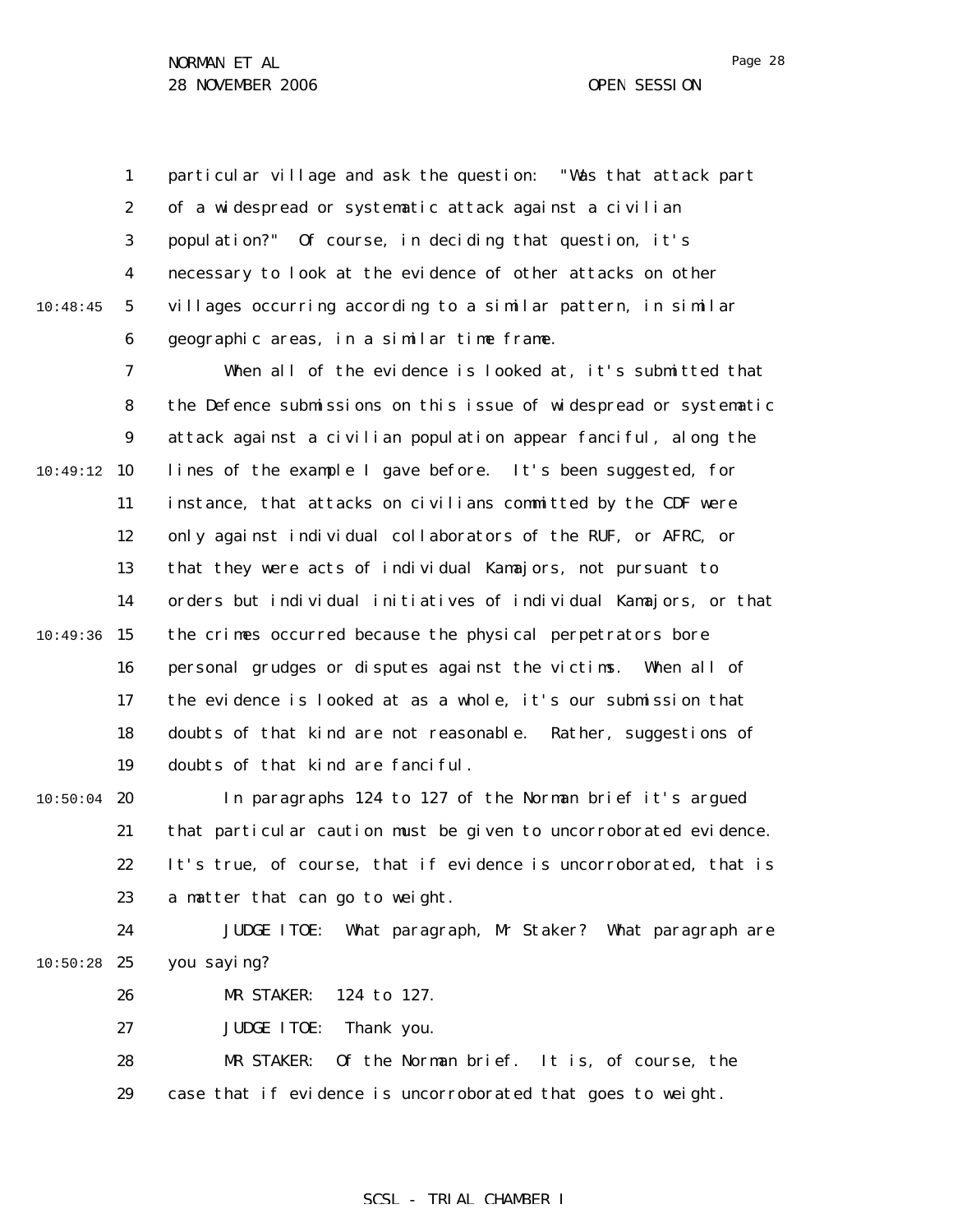1 2 3 4 5 6 10:48:45 particular village and ask the question: "Was that attack part of a widespread or systematic attack against a civilian population?" Of course, in deciding that question, it's necessary to look at the evidence of other attacks on other villages occurring according to a similar pattern, in similar geographic areas, in a similar time frame.

7 8 9 10:49:12 10 11 12 13 14  $10:49:36$  15 16 17 18 19 When all of the evidence is looked at, it's submitted that the Defence submissions on this issue of widespread or systematic attack against a civilian population appear fanciful, along the lines of the example I gave before. It's been suggested, for instance, that attacks on civilians committed by the CDF were only against individual collaborators of the RUF, or AFRC, or that they were acts of individual Kamajors, not pursuant to orders but individual initiatives of individual Kamajors, or that the crimes occurred because the physical perpetrators bore personal grudges or disputes against the victims. When all of the evidence is looked at as a whole, it's our submission that doubts of that kind are not reasonable. Rather, suggestions of doubts of that kind are fanciful.

 $10:50:04$  20 21 22 23 In paragraphs 124 to 127 of the Norman brief it's argued that particular caution must be given to uncorroborated evidence. It's true, of course, that if evidence is uncorroborated, that is a matter that can go to weight.

24  $10:50:28$  25 JUDGE ITOE: What paragraph, Mr Staker? What paragraph are you saying?

> 26 MR STAKER: 124 to 127.

27 JUDGE ITOE: Thank you.

28 29 MR STAKER: Of the Norman brief. It is, of course, the case that if evidence is uncorroborated that goes to weight.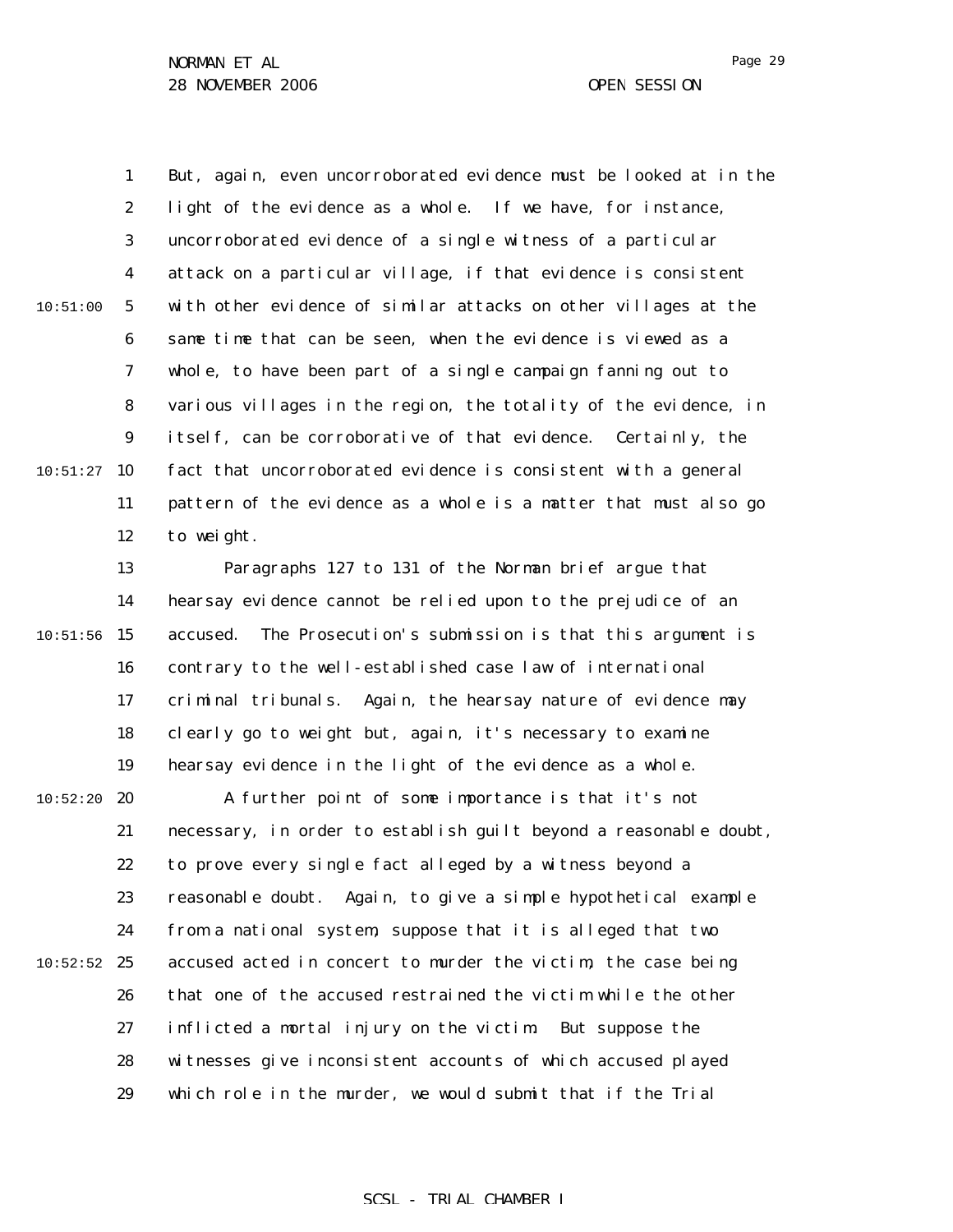1 2 3 4 5 6 7 8 9  $10:51:27$  10 11 12 13 14  $10:51:56$  15 16 17 18 19 10:51:00 But, again, even uncorroborated evidence must be looked at in the light of the evidence as a whole. If we have, for instance, uncorroborated evidence of a single witness of a particular attack on a particular village, if that evidence is consistent with other evidence of similar attacks on other villages at the same time that can be seen, when the evidence is viewed as a whole, to have been part of a single campaign fanning out to various villages in the region, the totality of the evidence, in itself, can be corroborative of that evidence. Certainly, the fact that uncorroborated evidence is consistent with a general pattern of the evidence as a whole is a matter that must also go to weight. Paragraphs 127 to 131 of the Norman brief argue that hearsay evidence cannot be relied upon to the prejudice of an accused. The Prosecution's submission is that this argument is contrary to the well-established case law of international criminal tribunals. Again, the hearsay nature of evidence may clearly go to weight but, again, it's necessary to examine hearsay evidence in the light of the evidence as a whole.

 $10:52:20$  20 21 22 23 24  $10:52:52$  25 26 27 28 29 A further point of some importance is that it's not necessary, in order to establish guilt beyond a reasonable doubt, to prove every single fact alleged by a witness beyond a reasonable doubt. Again, to give a simple hypothetical example from a national system, suppose that it is alleged that two accused acted in concert to murder the victim, the case being that one of the accused restrained the victim while the other inflicted a mortal injury on the victim. But suppose the witnesses give inconsistent accounts of which accused played which role in the murder, we would submit that if the Trial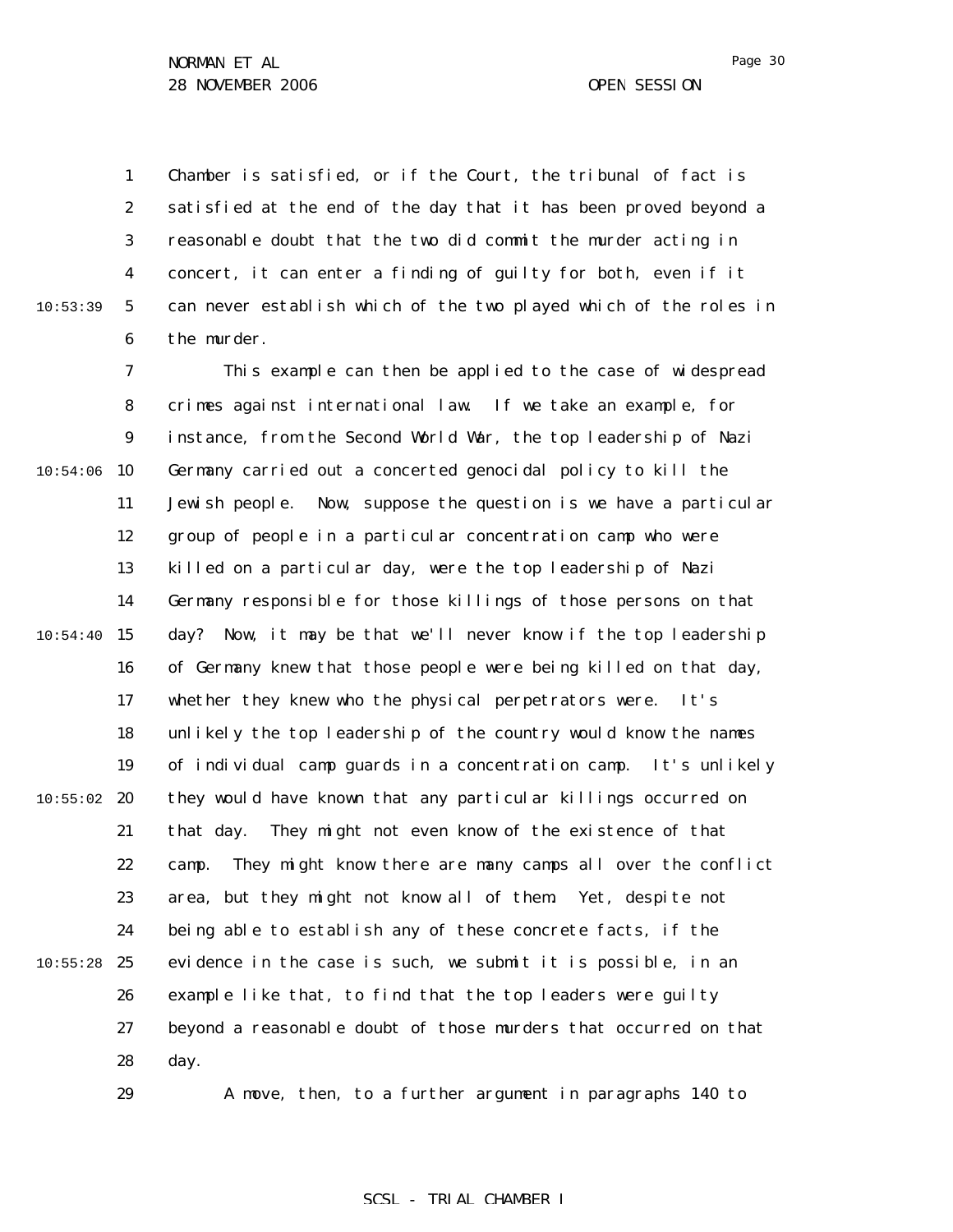10:53:39

29

1 2 3 4 5 6 Chamber is satisfied, or if the Court, the tribunal of fact is satisfied at the end of the day that it has been proved beyond a reasonable doubt that the two did commit the murder acting in concert, it can enter a finding of guilty for both, even if it can never establish which of the two played which of the roles in the murder.

7 8 9  $10:54:06$  10 11 12 13 14  $10:54:40$  15 16 17 18 19  $10:55:02$  20 21 22 23 24  $10:55:28$  25 26 27 28 This example can then be applied to the case of widespread crimes against international law. If we take an example, for instance, from the Second World War, the top leadership of Nazi Germany carried out a concerted genocidal policy to kill the Jewish people. Now, suppose the question is we have a particular group of people in a particular concentration camp who were killed on a particular day, were the top leadership of Nazi Germany responsible for those killings of those persons on that day? Now, it may be that we'll never know if the top leadership of Germany knew that those people were being killed on that day, whether they knew who the physical perpetrators were. It's unlikely the top leadership of the country would know the names of individual camp guards in a concentration camp. It's unlikely they would have known that any particular killings occurred on that day. They might not even know of the existence of that camp. They might know there are many camps all over the conflict area, but they might not know all of them. Yet, despite not being able to establish any of these concrete facts, if the evidence in the case is such, we submit it is possible, in an example like that, to find that the top leaders were guilty beyond a reasonable doubt of those murders that occurred on that day.

A move, then, to a further argument in paragraphs 140 to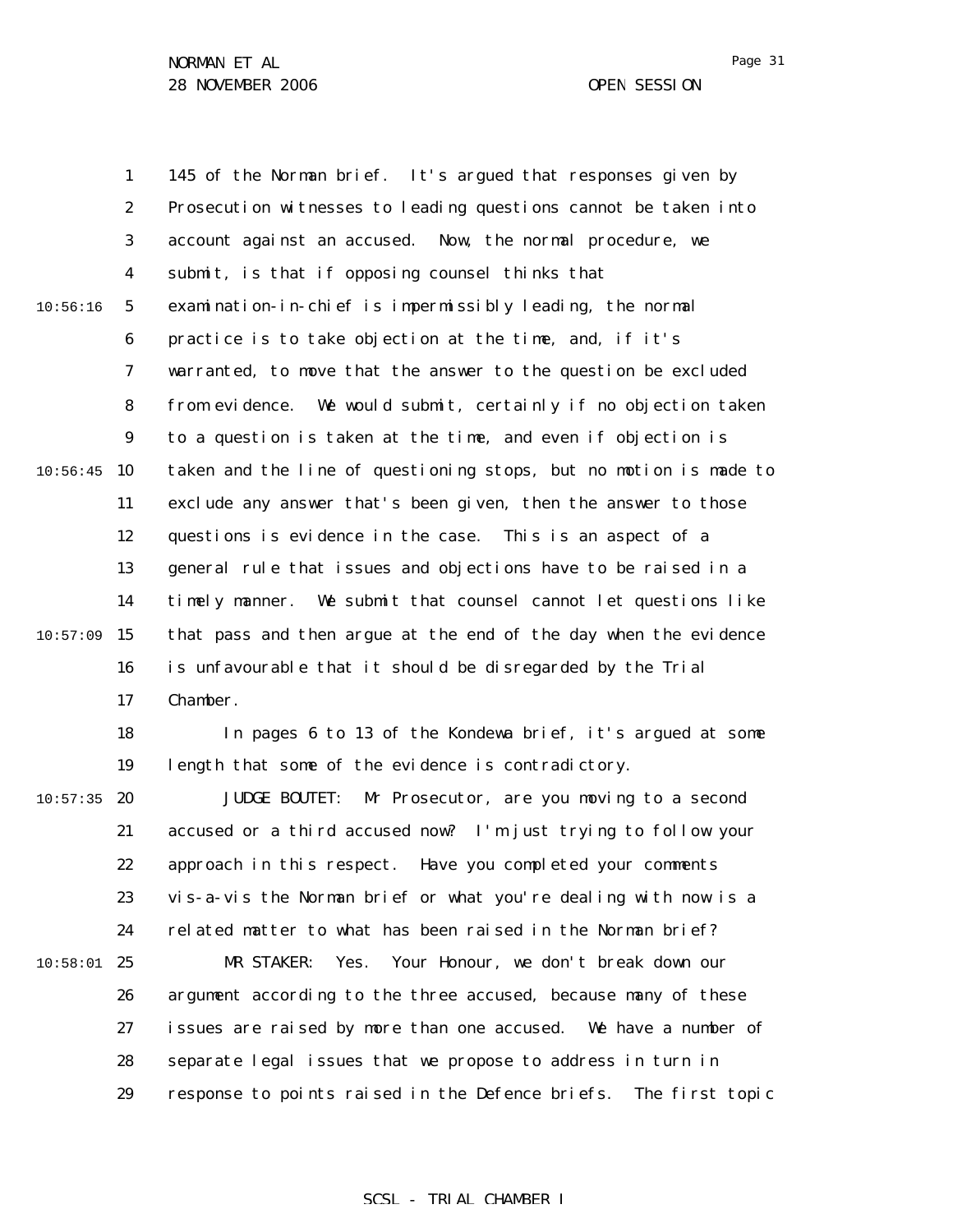1 2 3 4 5 6 7 8 9  $10:56:45$  10 11 12 13 14  $10:57:09$  15 16 17 18 19  $10:57:35$  20 21 22 23 24  $10:58:01$  25 26 27 28 29 10:56:16 145 of the Norman brief. It's argued that responses given by Prosecution witnesses to leading questions cannot be taken into account against an accused. Now, the normal procedure, we submit, is that if opposing counsel thinks that examination-in-chief is impermissibly leading, the normal practice is to take objection at the time, and, if it's warranted, to move that the answer to the question be excluded from evidence. We would submit, certainly if no objection taken to a question is taken at the time, and even if objection is taken and the line of questioning stops, but no motion is made to exclude any answer that's been given, then the answer to those questions is evidence in the case. This is an aspect of a general rule that issues and objections have to be raised in a timely manner. We submit that counsel cannot let questions like that pass and then argue at the end of the day when the evidence is unfavourable that it should be disregarded by the Trial Chamber. In pages 6 to 13 of the Kondewa brief, it's argued at some length that some of the evidence is contradictory. JUDGE BOUTET: Mr Prosecutor, are you moving to a second accused or a third accused now? I'm just trying to follow your approach in this respect. Have you completed your comments vis-a-vis the Norman brief or what you're dealing with now is a related matter to what has been raised in the Norman brief? MR STAKER: Yes. Your Honour, we don't break down our argument according to the three accused, because many of these issues are raised by more than one accused. We have a number of separate legal issues that we propose to address in turn in response to points raised in the Defence briefs. The first topic

#### SCSL - TRIAL CHAMBER I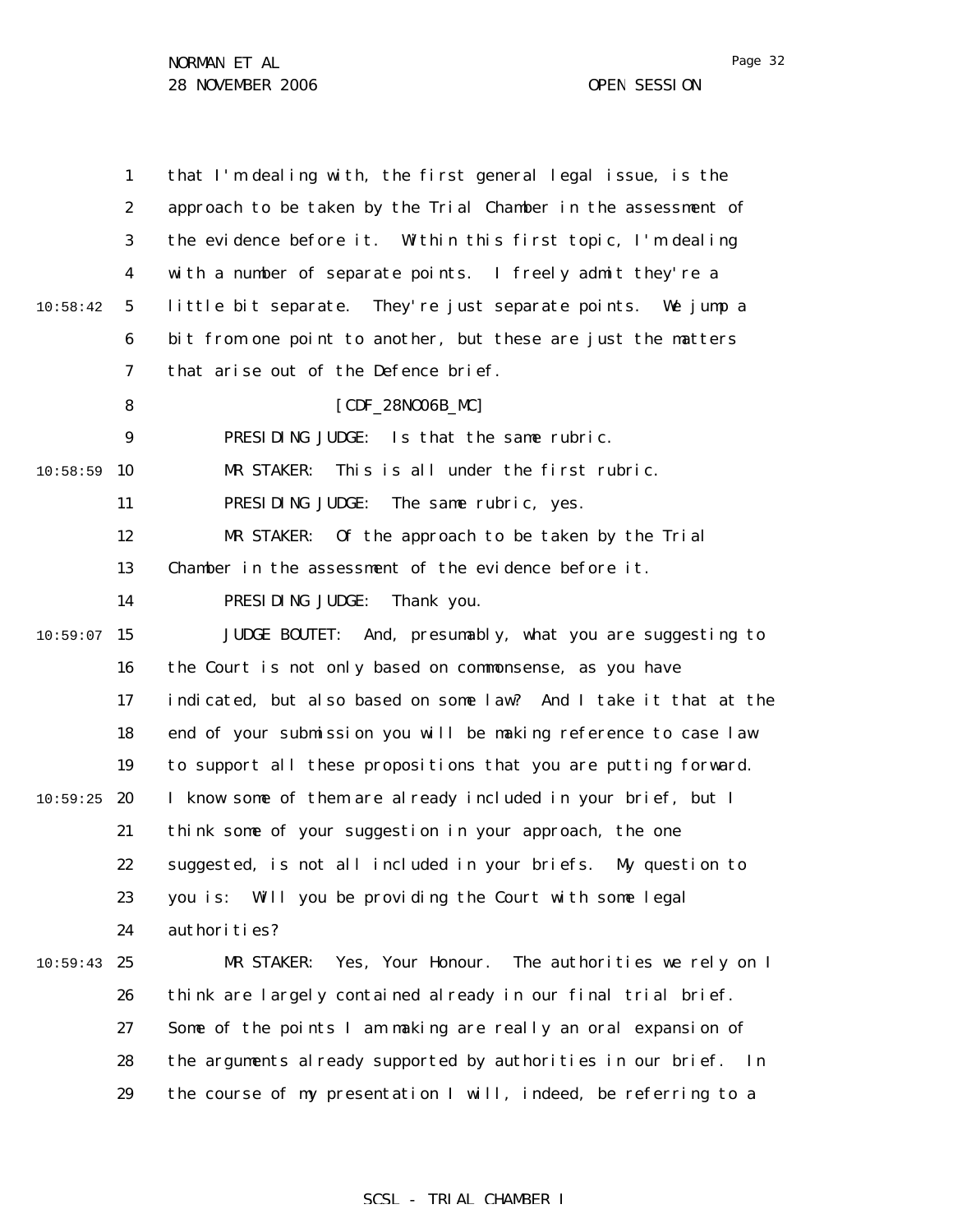|          | $\mathbf{1}$     | that I'm dealing with, the first general legal issue, is the       |
|----------|------------------|--------------------------------------------------------------------|
|          | $\boldsymbol{2}$ | approach to be taken by the Trial Chamber in the assessment of     |
|          | $\bf{3}$         | the evidence before it. Within this first topic, I'm dealing       |
|          | 4                | with a number of separate points. I freely admit they're a         |
| 10:58:42 | $5\phantom{.0}$  | little bit separate. They're just separate points. We jump a       |
|          | 6                | bit from one point to another, but these are just the matters      |
|          | $\boldsymbol{7}$ | that arise out of the Defence brief.                               |
|          | 8                | [CDF_28N006B_MC]                                                   |
|          | $\boldsymbol{9}$ | Is that the same rubric.<br>PRESIDING JUDGE:                       |
| 10:58:59 | 10               | This is all under the first rubric.<br>MR STAKER:                  |
|          | 11               | PRESIDING JUDGE:<br>The same rubric, yes.                          |
|          | 12               | MR STAKER:<br>Of the approach to be taken by the Trial             |
|          | 13               | Chamber in the assessment of the evidence before it.               |
|          | 14               | PRESIDING JUDGE:<br>Thank you.                                     |
| 10:59:07 | 15               | JUDGE BOUTET: And, presumably, what you are suggesting to          |
|          | 16               | the Court is not only based on commonsense, as you have            |
|          | 17               | indicated, but also based on some law? And I take it that at the   |
|          | 18               | end of your submission you will be making reference to case law    |
|          | 19               | to support all these propositions that you are putting forward.    |
| 10:59:25 | 20               | I know some of them are already included in your brief, but I      |
|          | 21               | think some of your suggestion in your approach, the one            |
|          | 22               | suggested, is not all included in your briefs. My question to      |
|          | 23               | Will you be providing the Court with some legal<br>you is:         |
|          | 24               | authorities?                                                       |
| 10:59:43 | 25               | Yes, Your Honour.<br>The authorities we rely on I<br>MR STAKER:    |
|          | 26               | think are largely contained already in our final trial brief.      |
|          | 27               | Some of the points I am making are really an oral expansion of     |
|          | 28               | the arguments already supported by authorities in our brief.<br>In |
|          | 29               | the course of my presentation I will, indeed, be referring to a    |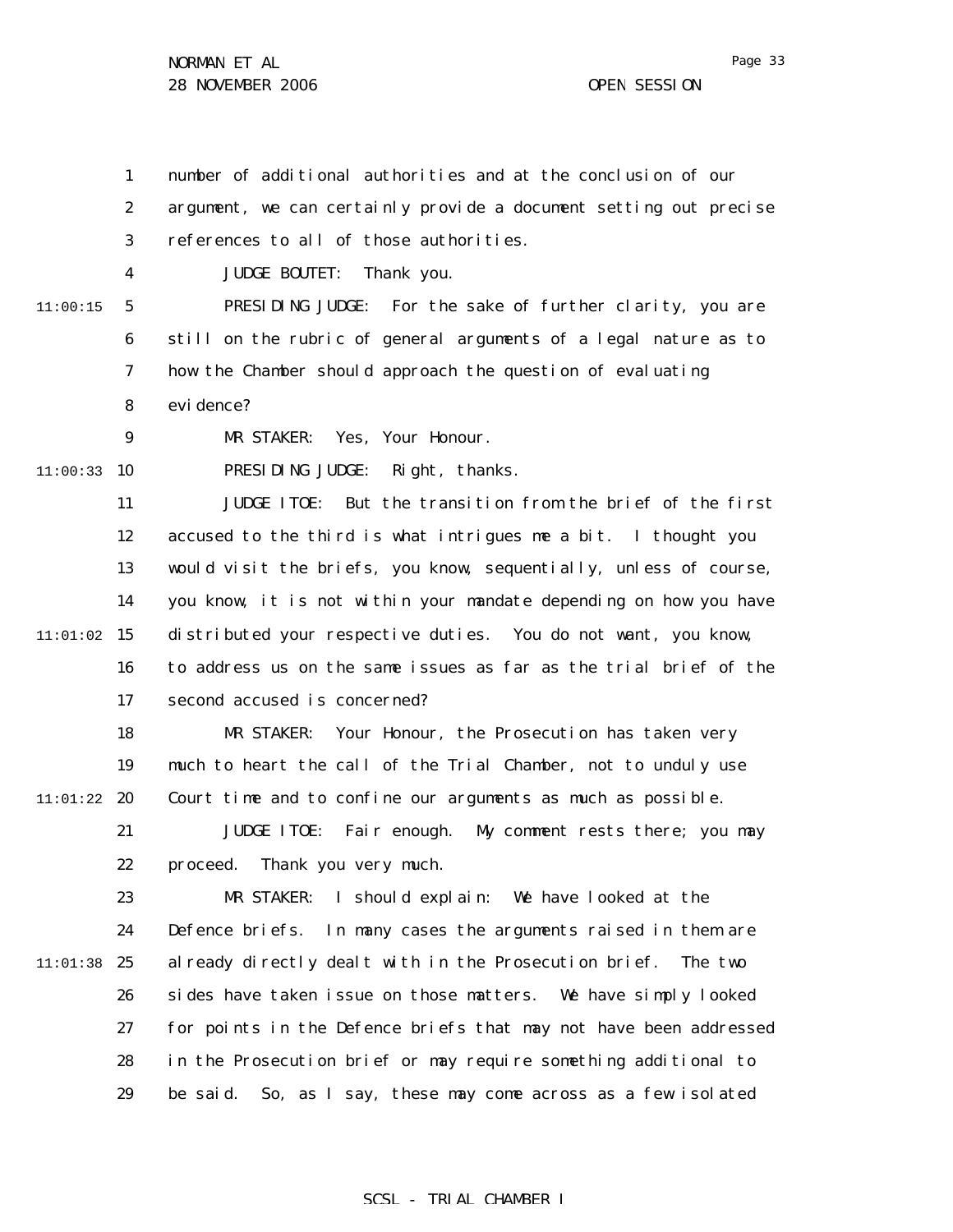Page 33

1 2 3 4 5 6 7 8 9  $11:00:33$  10 11 12 13 14  $11:01:02$  15 16 17 18 19  $11:01:22$  20 21 22 23 24 11:01:38 25 26 27 28 29 11:00:15 number of additional authorities and at the conclusion of our argument, we can certainly provide a document setting out precise references to all of those authorities. JUDGE BOUTET: Thank you. PRESIDING JUDGE: For the sake of further clarity, you are still on the rubric of general arguments of a legal nature as to how the Chamber should approach the question of evaluating evi dence? MR STAKER: Yes, Your Honour. PRESIDING JUDGE: Right, thanks. JUDGE ITOE: But the transition from the brief of the first accused to the third is what intrigues me a bit. I thought you would visit the briefs, you know, sequentially, unless of course, you know, it is not within your mandate depending on how you have distributed your respective duties. You do not want, you know, to address us on the same issues as far as the trial brief of the second accused is concerned? MR STAKER: Your Honour, the Prosecution has taken very much to heart the call of the Trial Chamber, not to unduly use Court time and to confine our arguments as much as possible. JUDGE ITOE: Fair enough. My comment rests there; you may proceed. Thank you very much. MR STAKER: I should explain: We have looked at the Defence briefs. In many cases the arguments raised in them are already directly dealt with in the Prosecution brief. The two sides have taken issue on those matters. We have simply looked for points in the Defence briefs that may not have been addressed in the Prosecution brief or may require something additional to be said. So, as I say, these may come across as a few isolated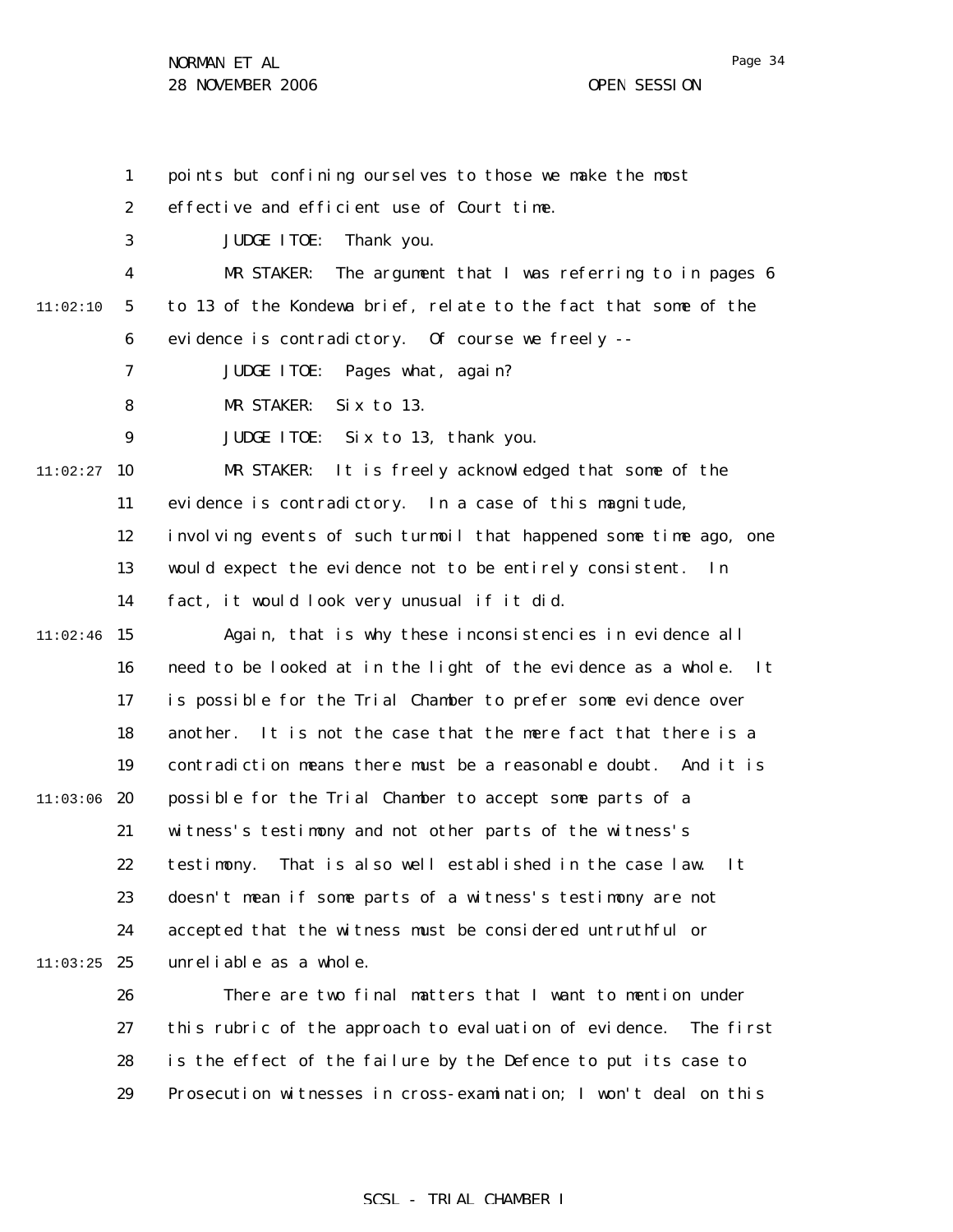1 2 3 4 5 6 7 8 9  $11:02:27$  10 11 12 13 14  $11:02:46$  15 16 17 18 19  $11:03:06$  20 21 22 23 24  $11:03:25$  25 26 27 28 29 11:02:10 points but confining ourselves to those we make the most effective and efficient use of Court time. JUDGE ITOE: Thank you. MR STAKER: The argument that I was referring to in pages 6 to 13 of the Kondewa brief, relate to the fact that some of the evidence is contradictory. Of course we freely -- JUDGE ITOE: Pages what, again? MR STAKER: Six to 13. JUDGE ITOE: Six to 13, thank you. MR STAKER: It is freely acknowledged that some of the evidence is contradictory. In a case of this magnitude, involving events of such turmoil that happened some time ago, one would expect the evidence not to be entirely consistent. In fact, it would look very unusual if it did. Again, that is why these inconsistencies in evidence all need to be looked at in the light of the evidence as a whole. It is possible for the Trial Chamber to prefer some evidence over another. It is not the case that the mere fact that there is a contradiction means there must be a reasonable doubt. And it is possible for the Trial Chamber to accept some parts of a witness's testimony and not other parts of the witness's testimony. That is also well established in the case law. It doesn't mean if some parts of a witness's testimony are not accepted that the witness must be considered untruthful or unreliable as a whole. There are two final matters that I want to mention under this rubric of the approach to evaluation of evidence. The first is the effect of the failure by the Defence to put its case to Prosecution witnesses in cross-examination; I won't deal on this

#### SCSL - TRIAL CHAMBER I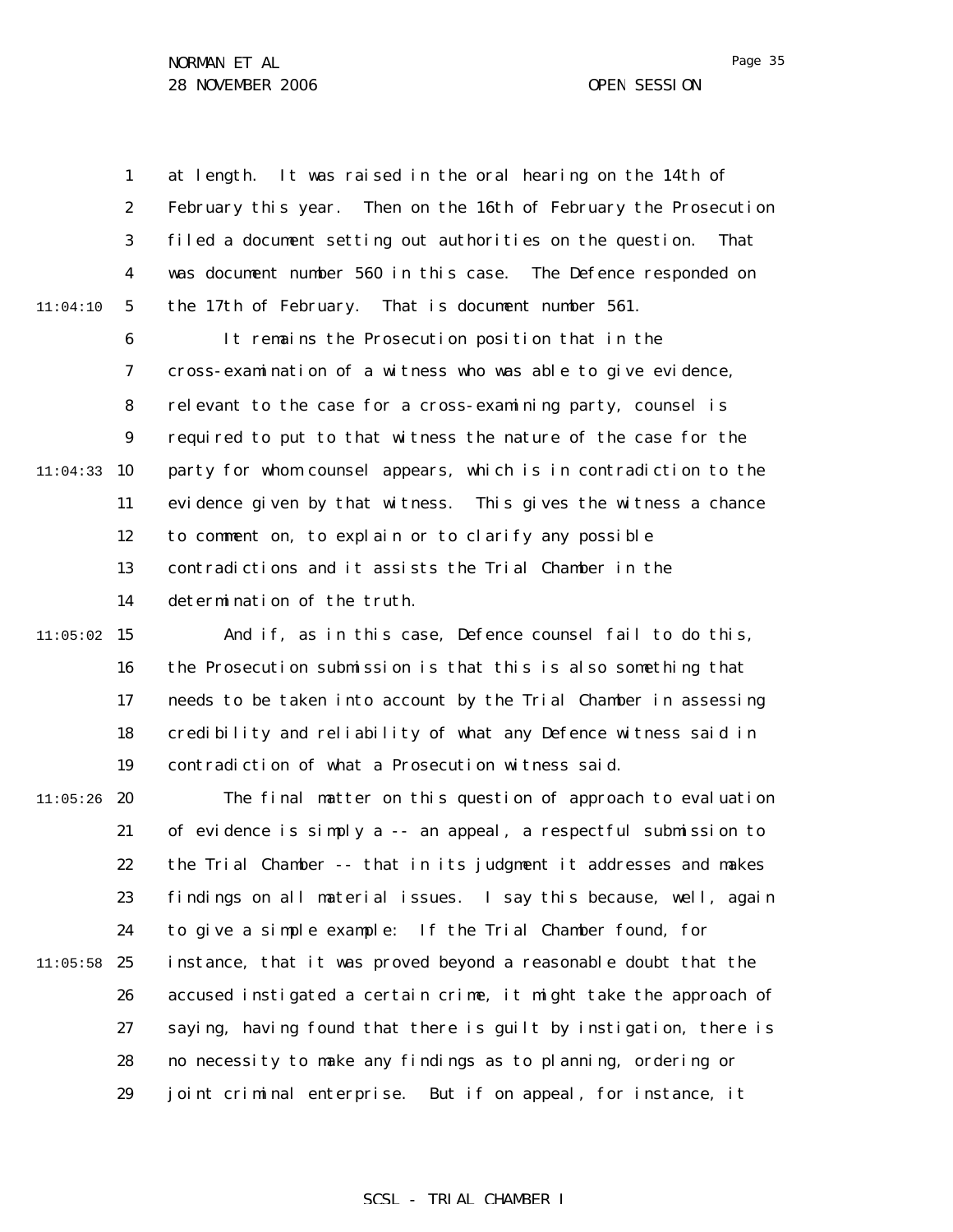|          | $\mathbf{1}$     | It was raised in the oral hearing on the 14th of<br>at length.    |
|----------|------------------|-------------------------------------------------------------------|
|          | $\boldsymbol{2}$ | February this year. Then on the 16th of February the Prosecution  |
|          | $\boldsymbol{3}$ | filed a document setting out authorities on the question.<br>That |
|          | $\boldsymbol{4}$ | was document number 560 in this case. The Defence responded on    |
| 11:04:10 | $\sqrt{5}$       | the 17th of February. That is document number 561.                |
|          | $\boldsymbol{6}$ | It remains the Prosecution position that in the                   |
|          | 7                | cross-examination of a witness who was able to give evidence,     |
|          | 8                | relevant to the case for a cross-examining party, counsel is      |
|          | 9                | required to put to that witness the nature of the case for the    |
| 11:04:33 | 10               | party for whom counsel appears, which is in contradiction to the  |
|          | 11               | evidence given by that witness. This gives the witness a chance   |
|          | 12               | to comment on, to explain or to clarify any possible              |
|          | 13               | contradictions and it assists the Trial Chamber in the            |
|          | 14               | determination of the truth.                                       |
| 11:05:02 | 15               | And if, as in this case, Defence counsel fail to do this,         |
|          | 16               | the Prosecution submission is that this is also something that    |
|          | 17               | needs to be taken into account by the Trial Chamber in assessing  |
|          | 18               | credibility and reliability of what any Defence witness said in   |
|          | 19               | contradiction of what a Prosecution witness said.                 |
| 11:05:26 | 20               | The final matter on this question of approach to evaluation       |
|          | 21               | of evidence is simply a -- an appeal, a respectful submission to  |
|          | 22               | the Trial Chamber -- that in its judgment it addresses and makes  |
|          | 23               | findings on all material issues. I say this because, well, again  |
|          | 24               | to give a simple example: If the Trial Chamber found, for         |
| 11:05:58 | 25               | instance, that it was proved beyond a reasonable doubt that the   |
|          | 26               | accused instigated a certain crime, it might take the approach of |
|          | 27               | saying, having found that there is guilt by instigation, there is |
|          | 28               | no necessity to make any findings as to planning, ordering or     |
|          | 29               | joint criminal enterprise. But if on appeal, for instance, it     |

## SCSL - TRIAL CHAMBER I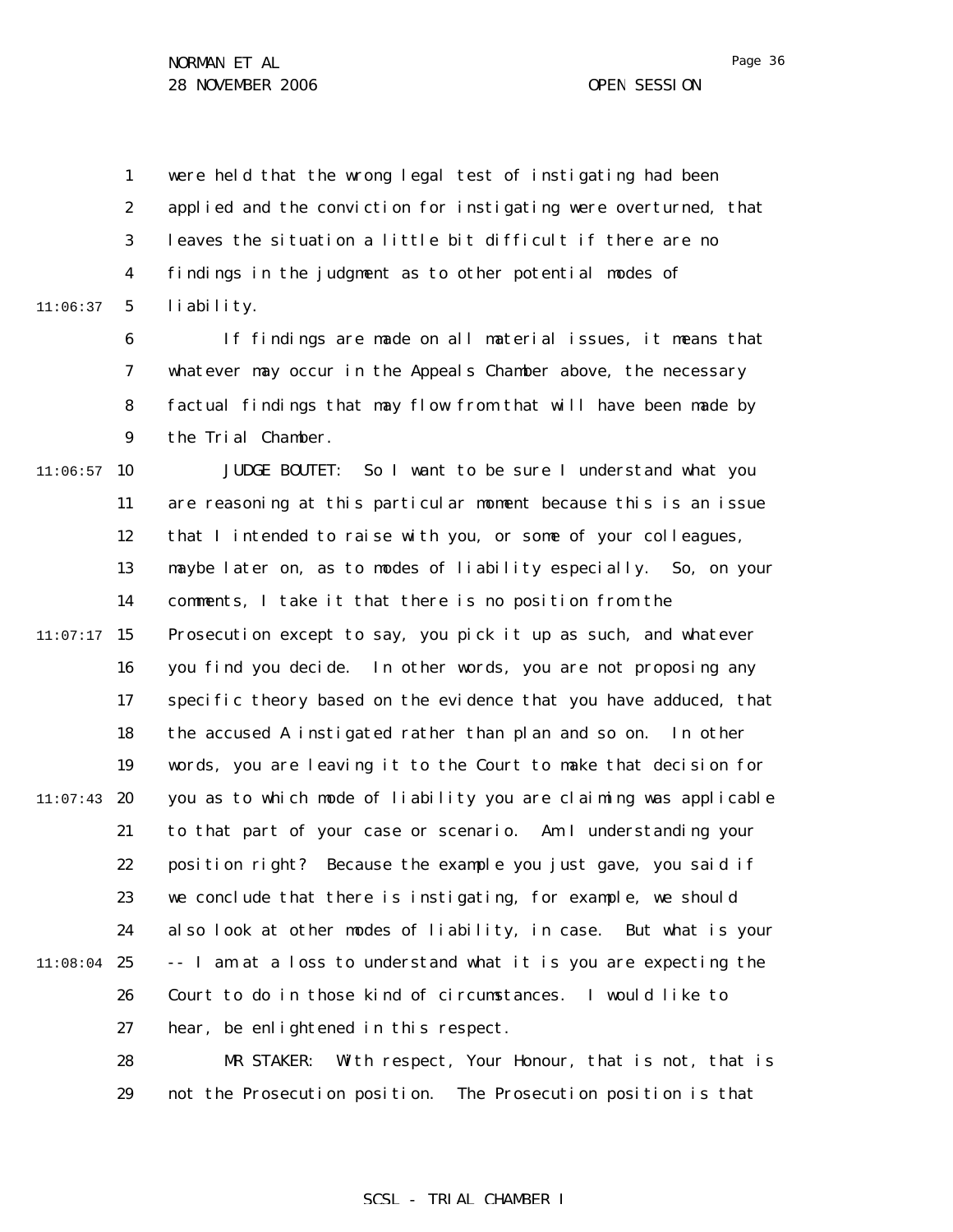1 2 3 4 5 11:06:37 were held that the wrong legal test of instigating had been applied and the conviction for instigating were overturned, that leaves the situation a little bit difficult if there are no findings in the judgment as to other potential modes of liability.

> 6 7 8 9 If findings are made on all material issues, it means that whatever may occur in the Appeals Chamber above, the necessary factual findings that may flow from that will have been made by the Trial Chamber.

 $11:06:57$  10 11 12 13 14  $11:07:17$  15 16 17 18 19  $11:07:43$  20 21 22 23 24 11:08:04 25 26 27 JUDGE BOUTET: So I want to be sure I understand what you are reasoning at this particular moment because this is an issue that I intended to raise with you, or some of your colleagues, maybe later on, as to modes of liability especially. So, on your comments, I take it that there is no position from the Prosecution except to say, you pick it up as such, and whatever you find you decide. In other words, you are not proposing any specific theory based on the evidence that you have adduced, that the accused A instigated rather than plan and so on. In other words, you are leaving it to the Court to make that decision for you as to which mode of liability you are claiming was applicable to that part of your case or scenario. Am I understanding your position right? Because the example you just gave, you said if we conclude that there is instigating, for example, we should also look at other modes of liability, in case. But what is your -- I am at a loss to understand what it is you are expecting the Court to do in those kind of circumstances. I would like to hear, be enlightened in this respect.

> 28 29 MR STAKER: With respect, Your Honour, that is not, that is not the Prosecution position. The Prosecution position is that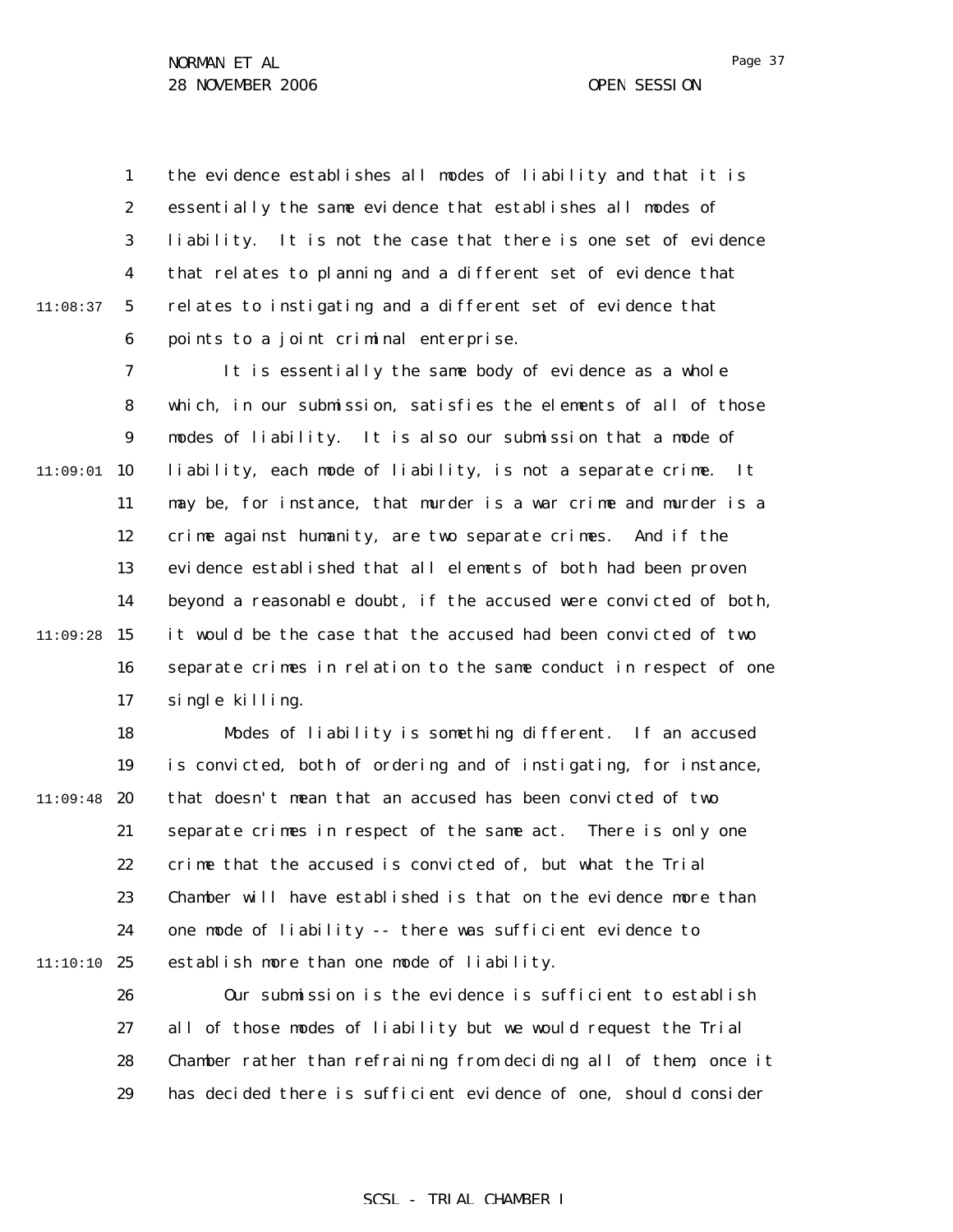11:08:37

1 2 3 4 5 6 the evidence establishes all modes of liability and that it is essentially the same evidence that establishes all modes of liability. It is not the case that there is one set of evidence that relates to planning and a different set of evidence that relates to instigating and a different set of evidence that points to a joint criminal enterprise.

7 8 9  $11:09:01$  10 11 12 13 14  $11:09:28$  15 16 17 It is essentially the same body of evidence as a whole which, in our submission, satisfies the elements of all of those modes of liability. It is also our submission that a mode of liability, each mode of liability, is not a separate crime. It may be, for instance, that murder is a war crime and murder is a crime against humanity, are two separate crimes. And if the evidence established that all elements of both had been proven beyond a reasonable doubt, if the accused were convicted of both, it would be the case that the accused had been convicted of two separate crimes in relation to the same conduct in respect of one single killing.

18 19  $11:09:48$  20 21 22 23 24 11:10:10 25 Modes of liability is something different. If an accused is convicted, both of ordering and of instigating, for instance, that doesn't mean that an accused has been convicted of two separate crimes in respect of the same act. There is only one crime that the accused is convicted of, but what the Trial Chamber will have established is that on the evidence more than one mode of liability -- there was sufficient evidence to establish more than one mode of liability.

> 26 27 28 29 Our submission is the evidence is sufficient to establish all of those modes of liability but we would request the Trial Chamber rather than refraining from deciding all of them, once it has decided there is sufficient evidence of one, should consider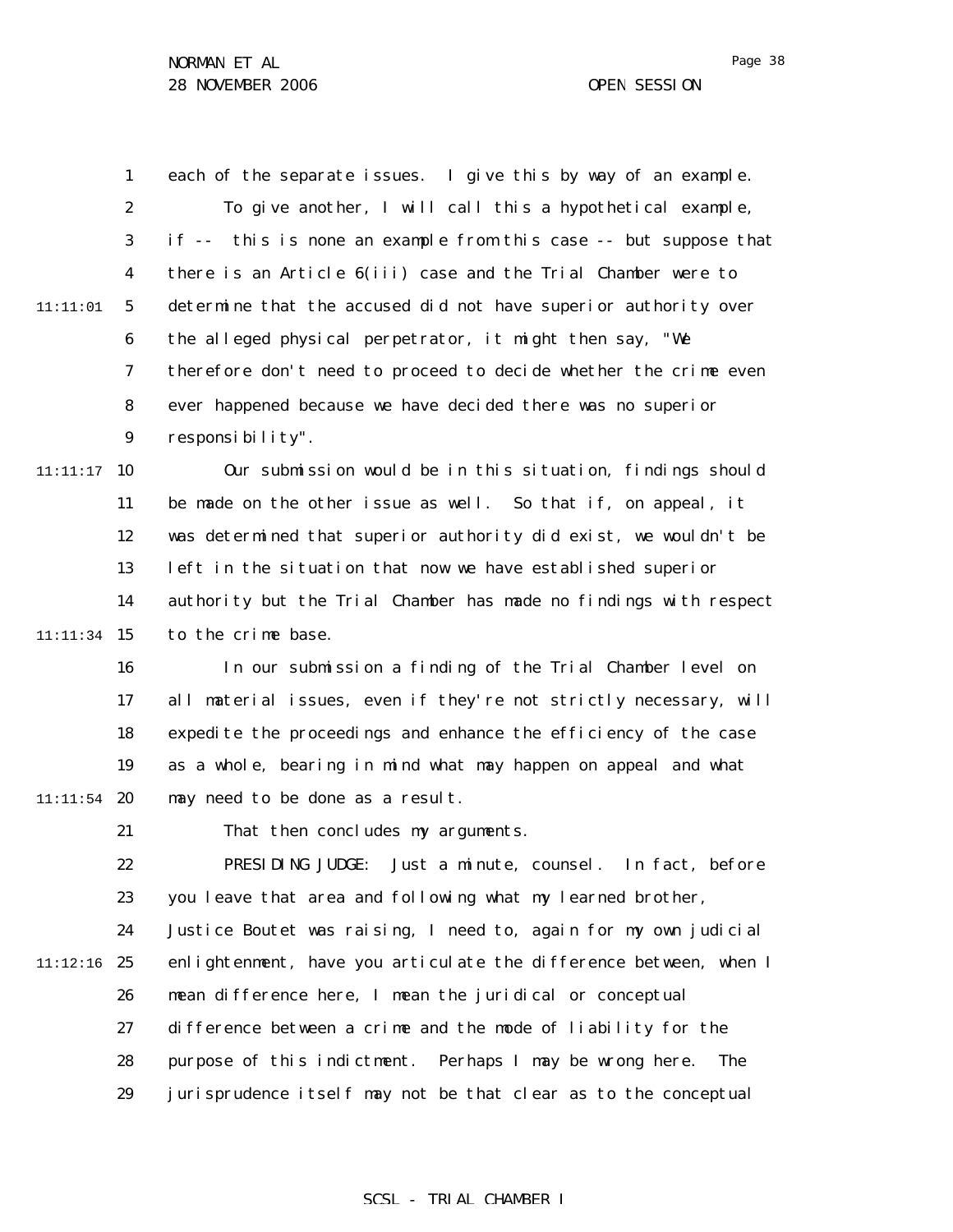Page 38

1 2 3 4 5 6 7 8 9  $11:11:17$  10 11 12 13 14 11:11:34 15 16 17 18 19  $11:11:54$  20 21 22 23 24 11:12:16 25 26 27 28 29 11:11:01 each of the separate issues. I give this by way of an example. To give another, I will call this a hypothetical example, if -- this is none an example from this case -- but suppose that there is an Article 6(iii) case and the Trial Chamber were to determine that the accused did not have superior authority over the alleged physical perpetrator, it might then say, "We therefore don't need to proceed to decide whether the crime even ever happened because we have decided there was no superior responsibility". Our submission would be in this situation, findings should be made on the other issue as well. So that if, on appeal, it was determined that superior authority did exist, we wouldn't be left in the situation that now we have established superior authority but the Trial Chamber has made no findings with respect to the crime base. In our submission a finding of the Trial Chamber level on all material issues, even if they're not strictly necessary, will expedite the proceedings and enhance the efficiency of the case as a whole, bearing in mind what may happen on appeal and what may need to be done as a result. That then concludes my arguments. PRESIDING JUDGE: Just a minute, counsel. In fact, before you leave that area and following what my learned brother, Justice Boutet was raising, I need to, again for my own judicial enlightenment, have you articulate the difference between, when I mean difference here, I mean the juridical or conceptual difference between a crime and the mode of liability for the purpose of this indictment. Perhaps I may be wrong here. The jurisprudence itself may not be that clear as to the conceptual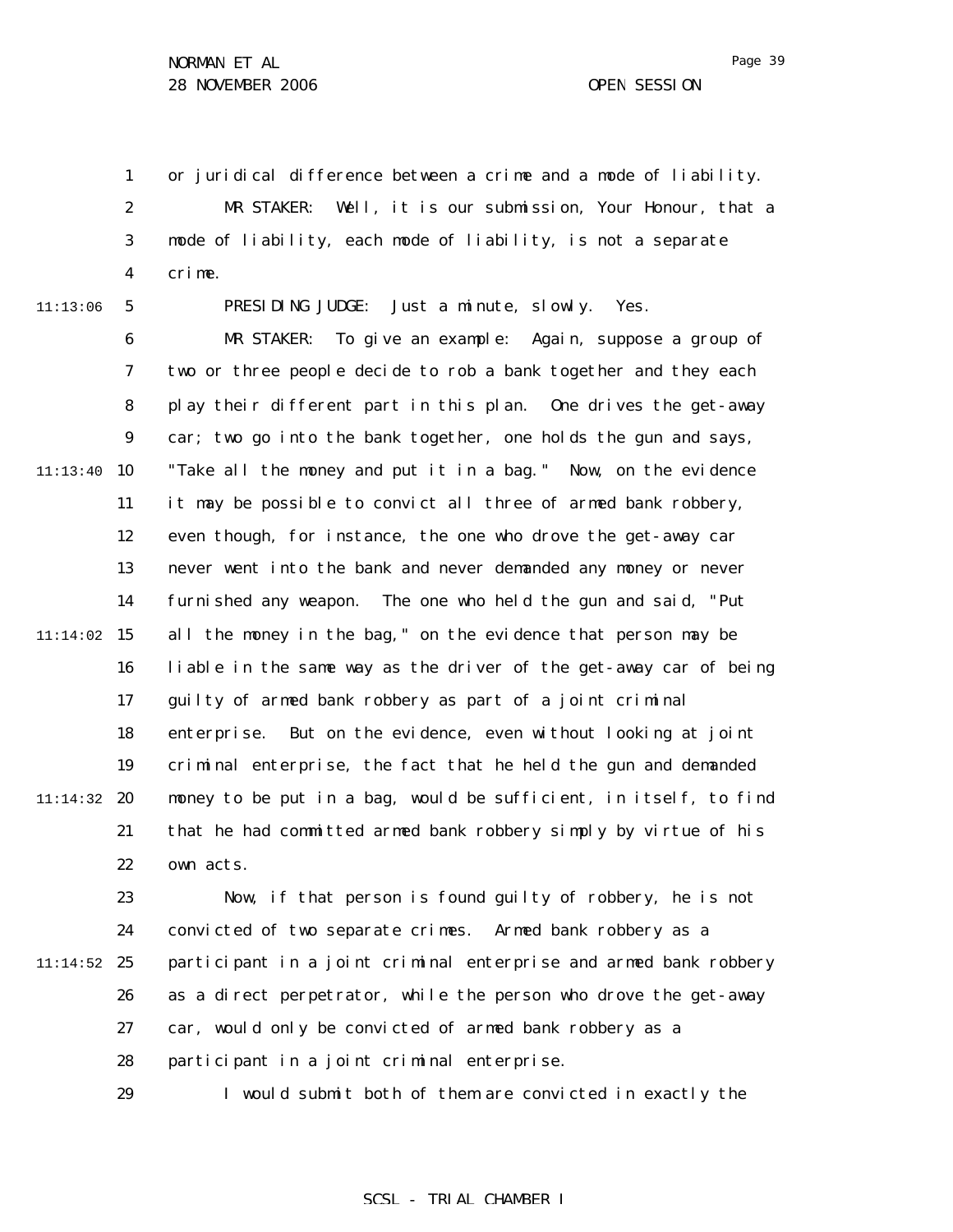Page 39

1 or juridical difference between a crime and a mode of liability.

2 3 4 MR STAKER: Well, it is our submission, Your Honour, that a mode of liability, each mode of liability, is not a separate crime.

11:13:06

5

PRESIDING JUDGE: Just a minute, slowly. Yes.

6 7 8 9  $11:13:40$  10 11 12 13 14  $11:14:02$  15 16 17 18 19 11:14:32 20 21 22 MR STAKER: To give an example: Again, suppose a group of two or three people decide to rob a bank together and they each play their different part in this plan. One drives the get-away car; two go into the bank together, one holds the gun and says, "Take all the money and put it in a bag." Now, on the evidence it may be possible to convict all three of armed bank robbery, even though, for instance, the one who drove the get-away car never went into the bank and never demanded any money or never furnished any weapon. The one who held the gun and said, "Put all the money in the bag," on the evidence that person may be liable in the same way as the driver of the get-away car of being guilty of armed bank robbery as part of a joint criminal enterprise. But on the evidence, even without looking at joint criminal enterprise, the fact that he held the gun and demanded money to be put in a bag, would be sufficient, in itself, to find that he had committed armed bank robbery simply by virtue of his own acts.

23 24  $11:14:52$  25 26 27 28 Now, if that person is found guilty of robbery, he is not convicted of two separate crimes. Armed bank robbery as a participant in a joint criminal enterprise and armed bank robbery as a direct perpetrator, while the person who drove the get-away car, would only be convicted of armed bank robbery as a participant in a joint criminal enterprise.

> 29 I would submit both of them are convicted in exactly the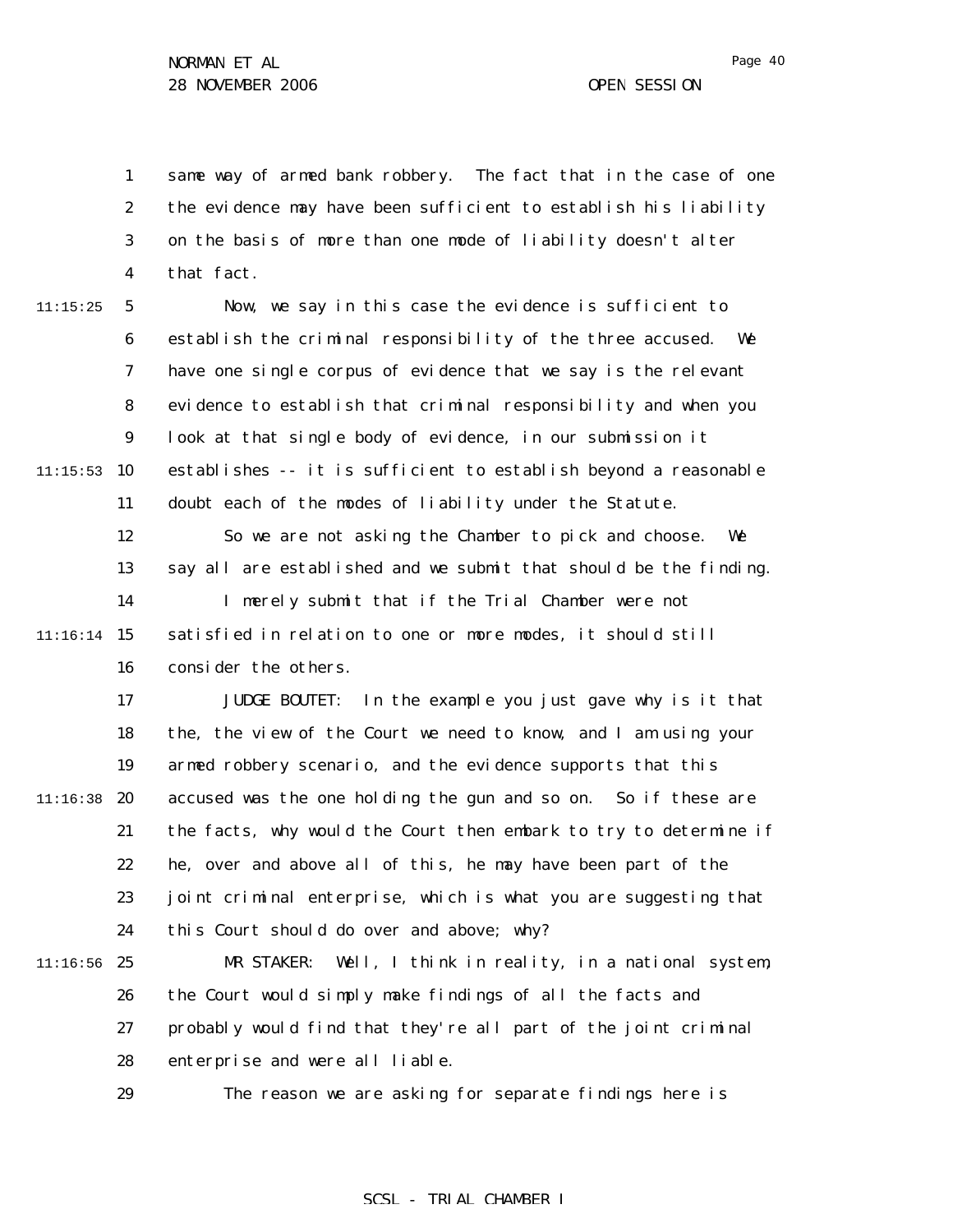1 2 3 4 same way of armed bank robbery. The fact that in the case of one the evidence may have been sufficient to establish his liability on the basis of more than one mode of liability doesn't alter that fact.

5 6 7 8 9  $11:15:53$  10 11 12 13 14  $11:16:14$  15 16 17 11:15:25 Now, we say in this case the evidence is sufficient to establish the criminal responsibility of the three accused. We have one single corpus of evidence that we say is the relevant evidence to establish that criminal responsibility and when you look at that single body of evidence, in our submission it establishes -- it is sufficient to establish beyond a reasonable doubt each of the modes of liability under the Statute. So we are not asking the Chamber to pick and choose. We say all are established and we submit that should be the finding. I merely submit that if the Trial Chamber were not satisfied in relation to one or more modes, it should still consider the others. JUDGE BOUTET: In the example you just gave why is it that

18 19 11:16:38 20 21 22 23 24 the, the view of the Court we need to know, and I am using your armed robbery scenario, and the evidence supports that this accused was the one holding the gun and so on. So if these are the facts, why would the Court then embark to try to determine if he, over and above all of this, he may have been part of the joint criminal enterprise, which is what you are suggesting that this Court should do over and above; why?

 $11:16:56$  25 26 27 28 MR STAKER: Well, I think in reality, in a national system, the Court would simply make findings of all the facts and probably would find that they're all part of the joint criminal enterprise and were all liable.

29

The reason we are asking for separate findings here is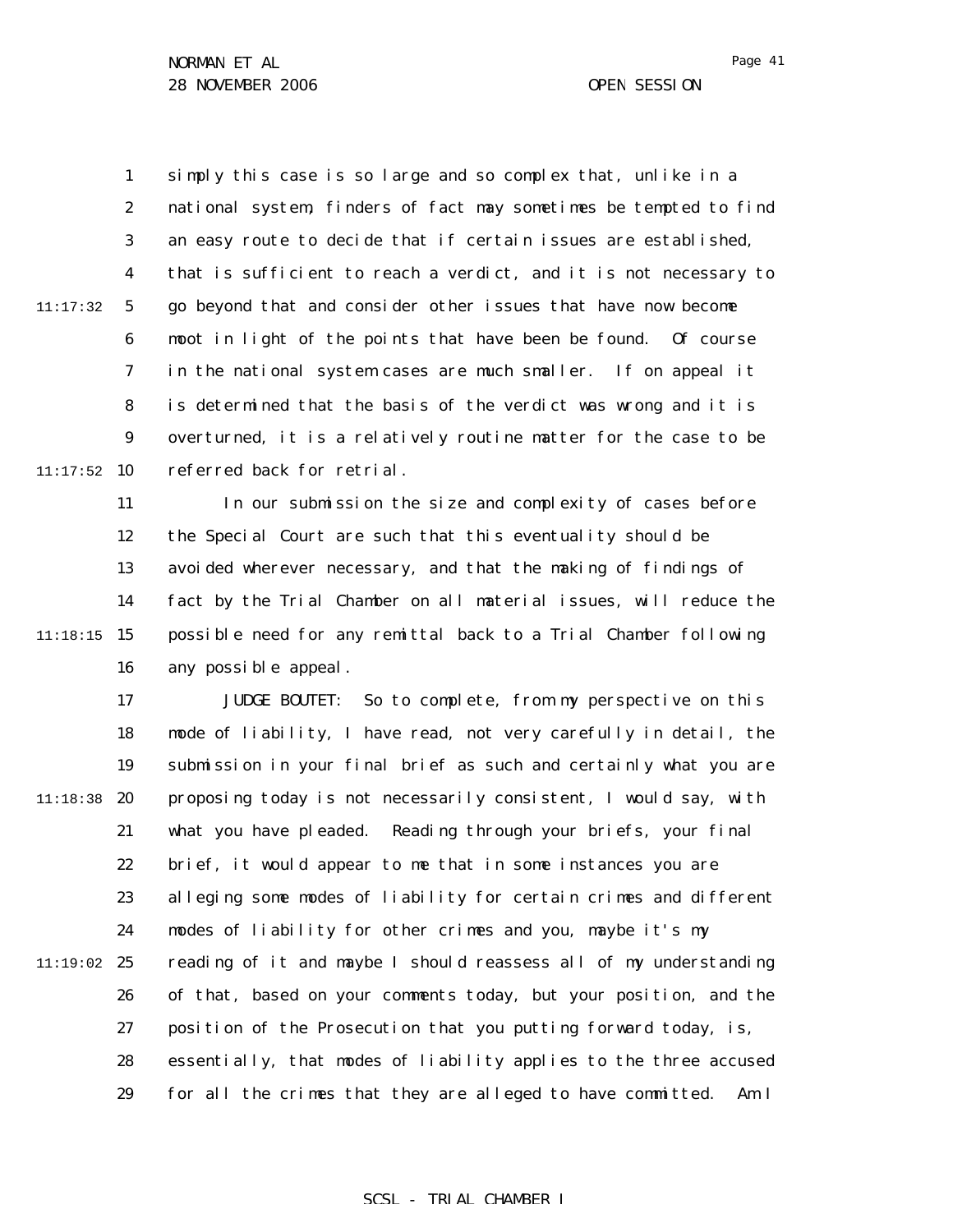1 2 3 4 5 6 7 8 9  $11:17:52$  10 11:17:32 simply this case is so large and so complex that, unlike in a national system, finders of fact may sometimes be tempted to find an easy route to decide that if certain issues are established, that is sufficient to reach a verdict, and it is not necessary to go beyond that and consider other issues that have now become moot in light of the points that have been be found. Of course in the national system cases are much smaller. If on appeal it is determined that the basis of the verdict was wrong and it is overturned, it is a relatively routine matter for the case to be referred back for retrial.

11 12 13 14 11:18:15 15 16 In our submission the size and complexity of cases before the Special Court are such that this eventuality should be avoided wherever necessary, and that the making of findings of fact by the Trial Chamber on all material issues, will reduce the possible need for any remittal back to a Trial Chamber following any possible appeal.

17 18 19 11:18:38 20 21 22 23 24 11:19:02 25 26 27 28 29 JUDGE BOUTET: So to complete, from my perspective on this mode of liability, I have read, not very carefully in detail, the submission in your final brief as such and certainly what you are proposing today is not necessarily consistent, I would say, with what you have pleaded. Reading through your briefs, your final brief, it would appear to me that in some instances you are alleging some modes of liability for certain crimes and different modes of liability for other crimes and you, maybe it's my reading of it and maybe I should reassess all of my understanding of that, based on your comments today, but your position, and the position of the Prosecution that you putting forward today, is, essentially, that modes of liability applies to the three accused for all the crimes that they are alleged to have committed. Am I

### SCSL - TRIAL CHAMBER I

Page 41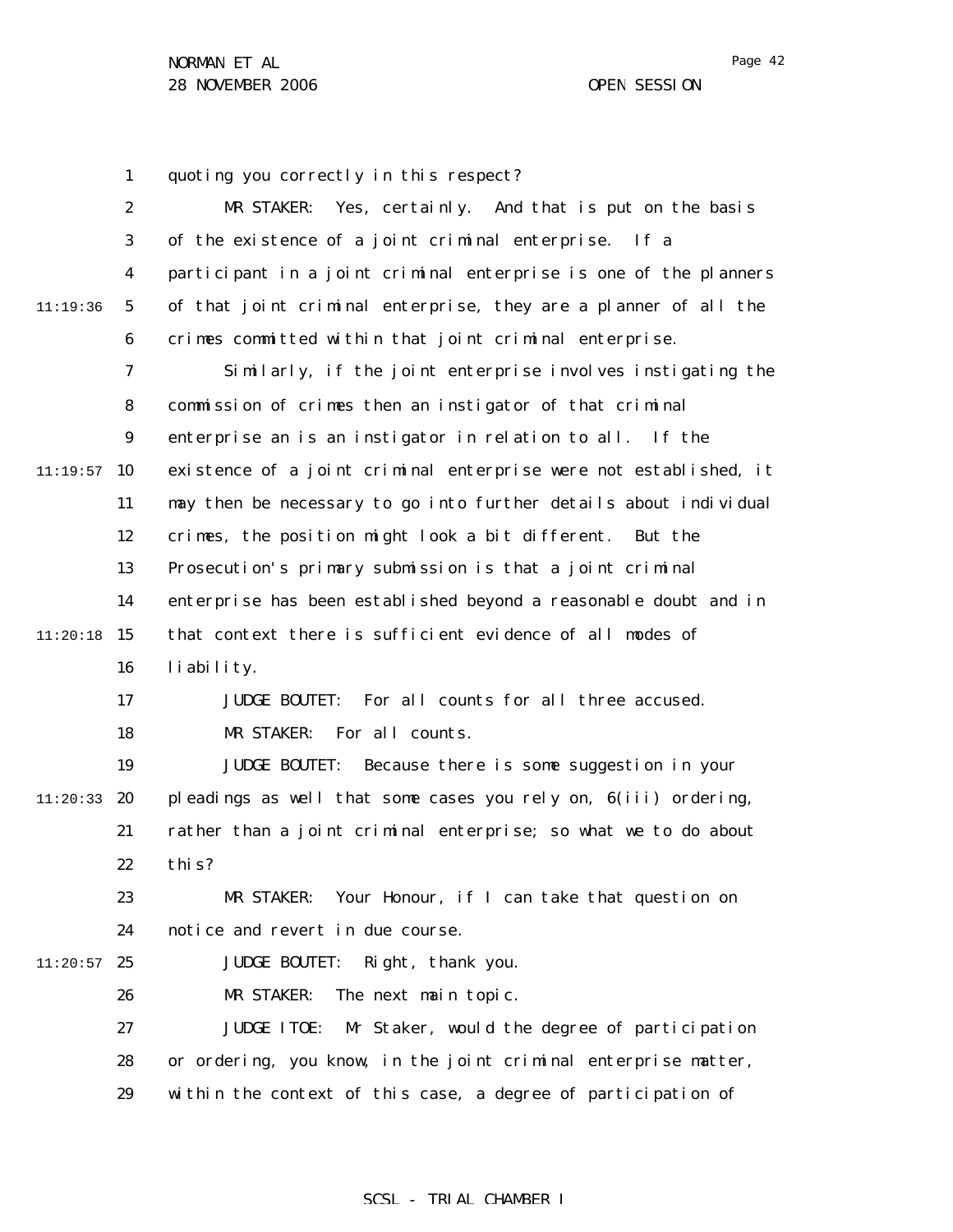1 2 3 4 5 6 7 8 9  $11:19:57$  10 11 12 13 14  $11:20:18$  15 16 17 18 19 11:20:33 **20** 21 22 23 24  $11:20:57$  25 26 27 28 29 11:19:36 quoting you correctly in this respect? MR STAKER: Yes, certainly. And that is put on the basis of the existence of a joint criminal enterprise. If a participant in a joint criminal enterprise is one of the planners of that joint criminal enterprise, they are a planner of all the crimes committed within that joint criminal enterprise. Similarly, if the joint enterprise involves instigating the commission of crimes then an instigator of that criminal enterprise an is an instigator in relation to all. If the existence of a joint criminal enterprise were not established, it may then be necessary to go into further details about individual crimes, the position might look a bit different. But the Prosecution's primary submission is that a joint criminal enterprise has been established beyond a reasonable doubt and in that context there is sufficient evidence of all modes of liability. JUDGE BOUTET: For all counts for all three accused. MR STAKER: For all counts. JUDGE BOUTET: Because there is some suggestion in your pleadings as well that some cases you rely on, 6(iii) ordering, rather than a joint criminal enterprise; so what we to do about this? MR STAKER: Your Honour, if I can take that question on notice and revert in due course. JUDGE BOUTET: Right, thank you. MR STAKER: The next main topic. JUDGE ITOE: Mr Staker, would the degree of participation or ordering, you know, in the joint criminal enterprise matter, within the context of this case, a degree of participation of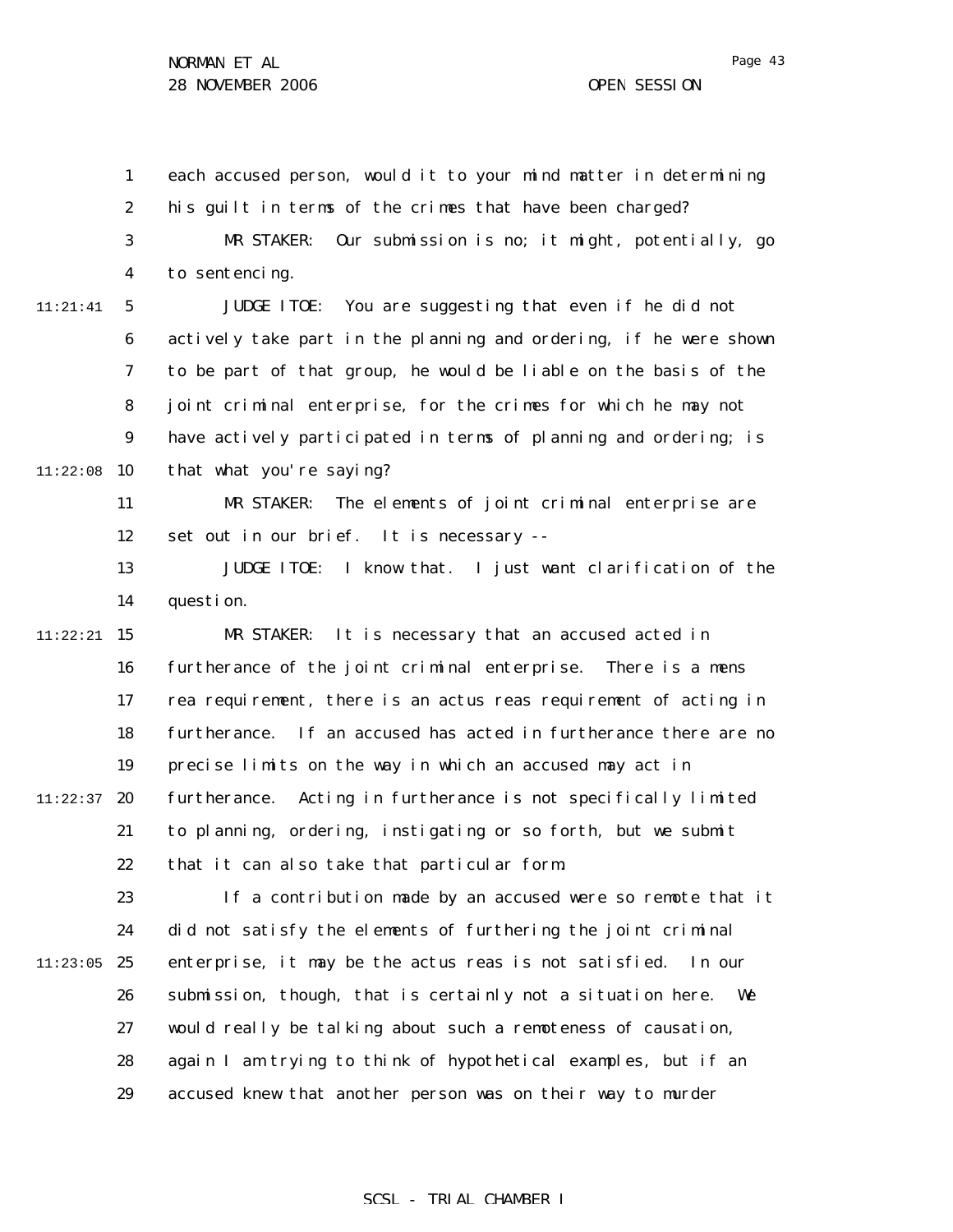1 2 3 4 5 6 7 8 9  $11:22:08$  10 11 12 13 14  $11:22:21$  15 16 17 18 19  $11:22:37$  20 21 22 23 24  $11:23:05$  25 26 27 28 29 11:21:41 each accused person, would it to your mind matter in determining his guilt in terms of the crimes that have been charged? MR STAKER: Our submission is no; it might, potentially, go to sentencing. JUDGE ITOE: You are suggesting that even if he did not actively take part in the planning and ordering, if he were shown to be part of that group, he would be liable on the basis of the joint criminal enterprise, for the crimes for which he may not have actively participated in terms of planning and ordering; is that what you're saying? MR STAKER: The elements of joint criminal enterprise are set out in our brief. It is necessary -- JUDGE ITOE: I know that. I just want clarification of the question. MR STAKER: It is necessary that an accused acted in furtherance of the joint criminal enterprise. There is a *mens rea* requirement, there is an *actus reas* requirement of acting in furtherance. If an accused has acted in furtherance there are no precise limits on the way in which an accused may act in furtherance. Acting in furtherance is not specifically limited to planning, ordering, instigating or so forth, but we submit that it can also take that particular form. If a contribution made by an accused were so remote that it did not satisfy the elements of furthering the joint criminal enterprise, it may be the *actus reas* is not satisfied. In our submission, though, that is certainly not a situation here. We would really be talking about such a remoteness of causation, again I am trying to think of hypothetical examples, but if an accused knew that another person was on their way to murder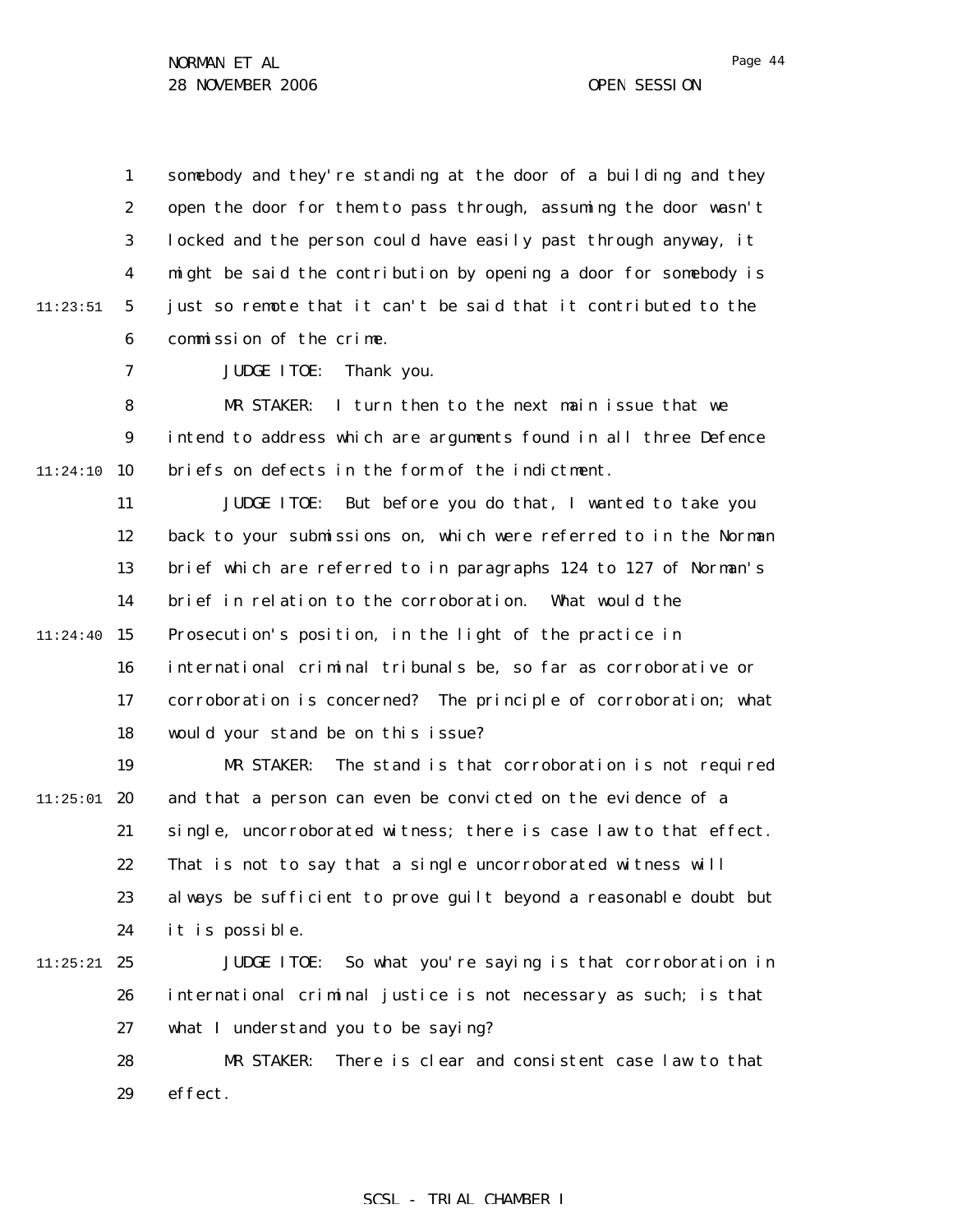1 2 3 4 5 6 11:23:51 somebody and they're standing at the door of a building and they open the door for them to pass through, assuming the door wasn't locked and the person could have easily past through anyway, it might be said the contribution by opening a door for somebody is just so remote that it can't be said that it contributed to the commission of the crime.

> 7 JUDGE ITOE: Thank you.

8 9  $11:24:10$  10 MR STAKER: I turn then to the next main issue that we intend to address which are arguments found in all three Defence briefs on defects in the form of the indictment.

11 12 13 14  $11:24:40$  15 16 17 18 JUDGE ITOE: But before you do that, I wanted to take you back to your submissions on, which were referred to in the Norman brief which are referred to in paragraphs 124 to 127 of Norman's brief in relation to the corroboration. What would the Prosecution's position, in the light of the practice in international criminal tribunals be, so far as corroborative or corroboration is concerned? The principle of corroboration; what would your stand be on this issue?

19  $11:25:01$  20 21 22 23 24 MR STAKER: The stand is that corroboration is not required and that a person can even be convicted on the evidence of a single, uncorroborated witness; there is case law to that effect. That is not to say that a single uncorroborated witness will always be sufficient to prove guilt beyond a reasonable doubt but it is possible.

 $11:25:21$  25 26 27 JUDGE ITOE: So what you're saying is that corroboration in international criminal justice is not necessary as such; is that what I understand you to be saying?

> 28 29 MR STAKER: There is clear and consistent case law to that effect.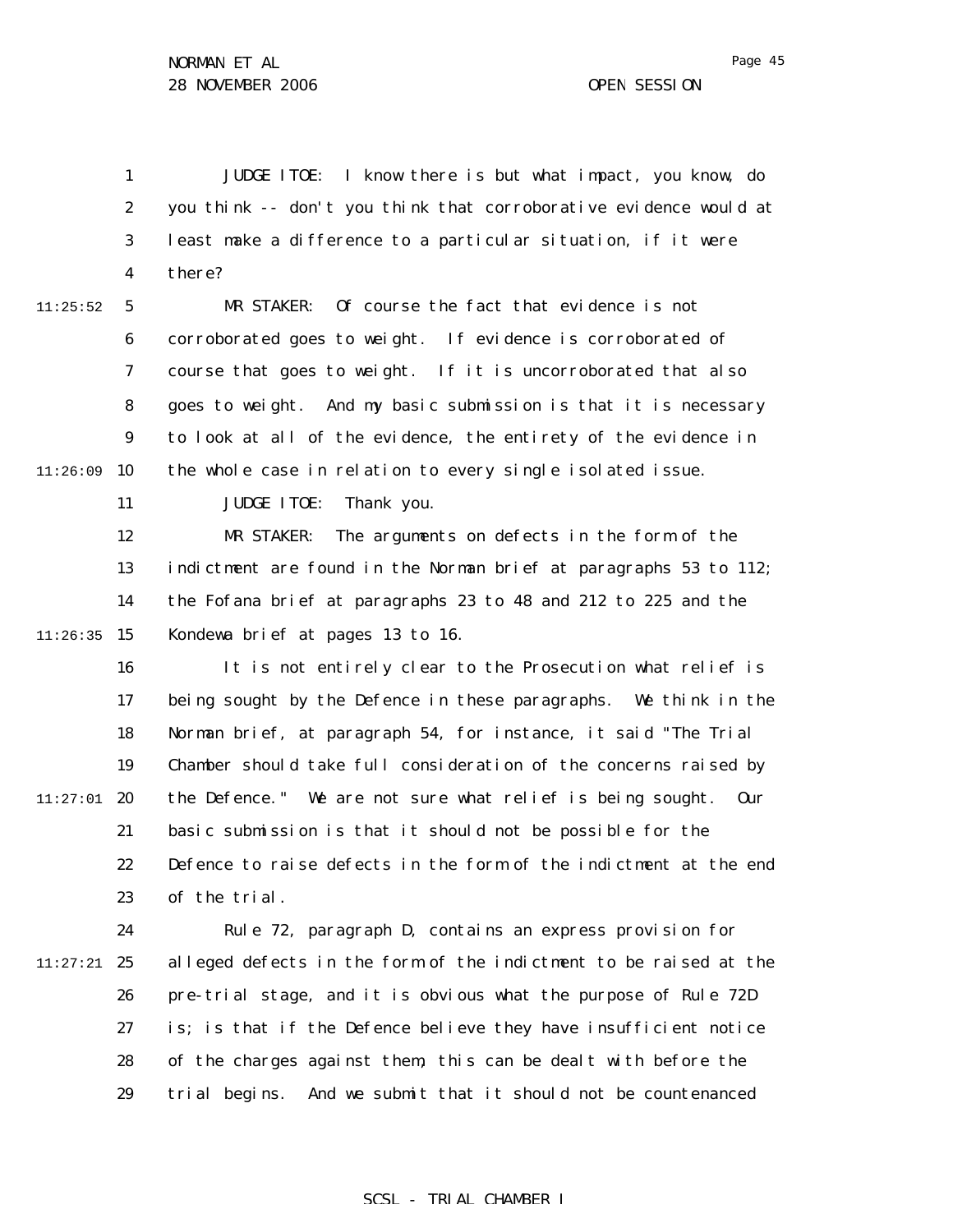1 2 3 4 JUDGE ITOE: I know there is but what impact, you know, do you think -- don't you think that corroborative evidence would at least make a difference to a particular situation, if it were there?

5 6 7 8 9  $11:26:09$  10 11:25:52 MR STAKER: Of course the fact that evidence is not corroborated goes to weight. If evidence is corroborated of course that goes to weight. If it is uncorroborated that also goes to weight. And my basic submission is that it is necessary to look at all of the evidence, the entirety of the evidence in the whole case in relation to every single isolated issue.

JUDGE ITOE: Thank you.

11

12 13 14  $11:26:35$  15 MR STAKER: The arguments on defects in the form of the indictment are found in the Norman brief at paragraphs 53 to 112; the Fofana brief at paragraphs 23 to 48 and 212 to 225 and the Kondewa brief at pages 13 to 16.

16 17 18 19  $11:27:01$  20 21 22 23 It is not entirely clear to the Prosecution what relief is being sought by the Defence in these paragraphs. We think in the Norman brief, at paragraph 54, for instance, it said "The Trial Chamber should take full consideration of the concerns raised by the Defence." We are not sure what relief is being sought. Our basic submission is that it should not be possible for the Defence to raise defects in the form of the indictment at the end of the trial.

24 11:27:21 25 26 27 28 29 Rule 72, paragraph D, contains an express provision for alleged defects in the form of the indictment to be raised at the pre-trial stage, and it is obvious what the purpose of Rule 72D is; is that if the Defence believe they have insufficient notice of the charges against them, this can be dealt with before the trial begins. And we submit that it should not be countenanced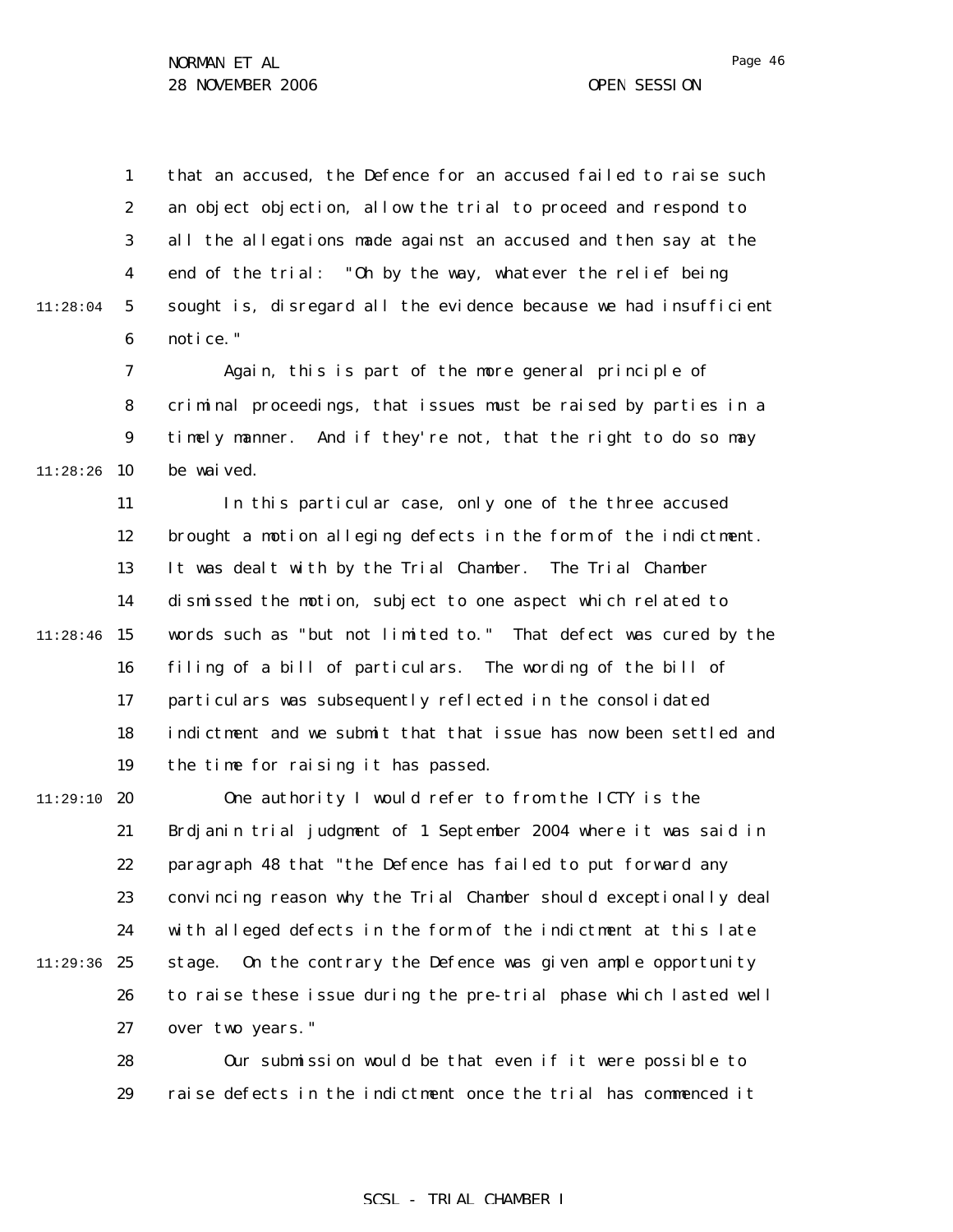1 2 3 4 5 6 that an accused, the Defence for an accused failed to raise such an object objection, allow the trial to proceed and respond to all the allegations made against an accused and then say at the end of the trial: "Oh by the way, whatever the relief being sought is, disregard all the evidence because we had insufficient notice."

7 8 9  $11:28:26$  10 Again, this is part of the more general principle of criminal proceedings, that issues must be raised by parties in a timely manner. And if they're not, that the right to do so may be waived.

11 12 13 14  $11:28:46$  15 16 17 18 19 In this particular case, only one of the three accused brought a motion alleging defects in the form of the indictment. It was dealt with by the Trial Chamber. The Trial Chamber dismissed the motion, subject to one aspect which related to words such as "but not limited to." That defect was cured by the filing of a bill of particulars. The wording of the bill of particulars was subsequently reflected in the consolidated indictment and we submit that that issue has now been settled and the time for raising it has passed.

11:29:10 **20** 21 22 23 24 11:29:36 25 26 27 One authority I would refer to from the ICTY is the *Brdjanin* trial judgment of 1 September 2004 where it was said in paragraph 48 that "the Defence has failed to put forward any convincing reason why the Trial Chamber should exceptionally deal with alleged defects in the form of the indictment at this late stage. On the contrary the Defence was given ample opportunity to raise these issue during the pre-trial phase which lasted well over two years."

> 28 29 Our submission would be that even if it were possible to raise defects in the indictment once the trial has commenced it

## SCSL - TRIAL CHAMBER I

11:28:04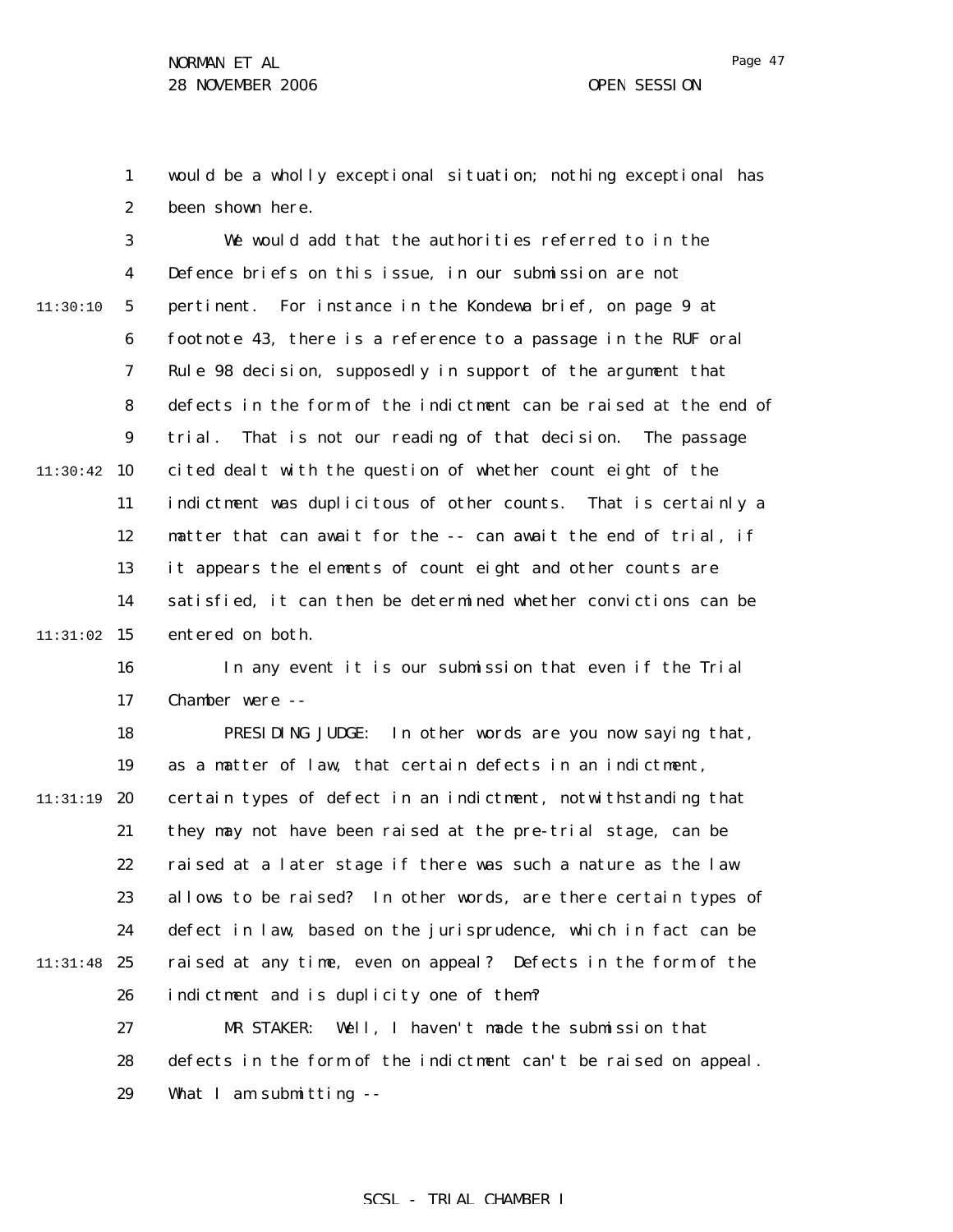1 2 would be a wholly exceptional situation; nothing exceptional has been shown here.

3 4 5 6 7 8 9  $11:30:42$  10 11 12 13 14  $11:31:02$  15 11:30:10 We would add that the authorities referred to in the Defence briefs on this issue, in our submission are not pertinent. For instance in the Kondewa brief, on page 9 at footnote 43, there is a reference to a passage in the RUF oral Rule 98 decision, supposedly in support of the argument that defects in the form of the indictment can be raised at the end of trial. That is not our reading of that decision. The passage cited dealt with the question of whether count eight of the indictment was duplicitous of other counts. That is certainly a matter that can await for the -- can await the end of trial, if it appears the elements of count eight and other counts are satisfied, it can then be determined whether convictions can be entered on both.

16

17 In any event it is our submission that even if the Trial Chamber were --

18 19 11:31:19 20 21 22 23 24 11:31:48 25 26 27 PRESIDING JUDGE: In other words are you now saying that, as a matter of law, that certain defects in an indictment, certain types of defect in an indictment, notwithstanding that they may not have been raised at the pre-trial stage, can be raised at a later stage if there was such a nature as the law allows to be raised? In other words, are there certain types of defect in law, based on the jurisprudence, which in fact can be raised at any time, even on appeal? Defects in the form of the indictment and is duplicity one of them? MR STAKER: Well, I haven't made the submission that

28 defects in the form of the indictment can't be raised on appeal.

29 What I am submitting --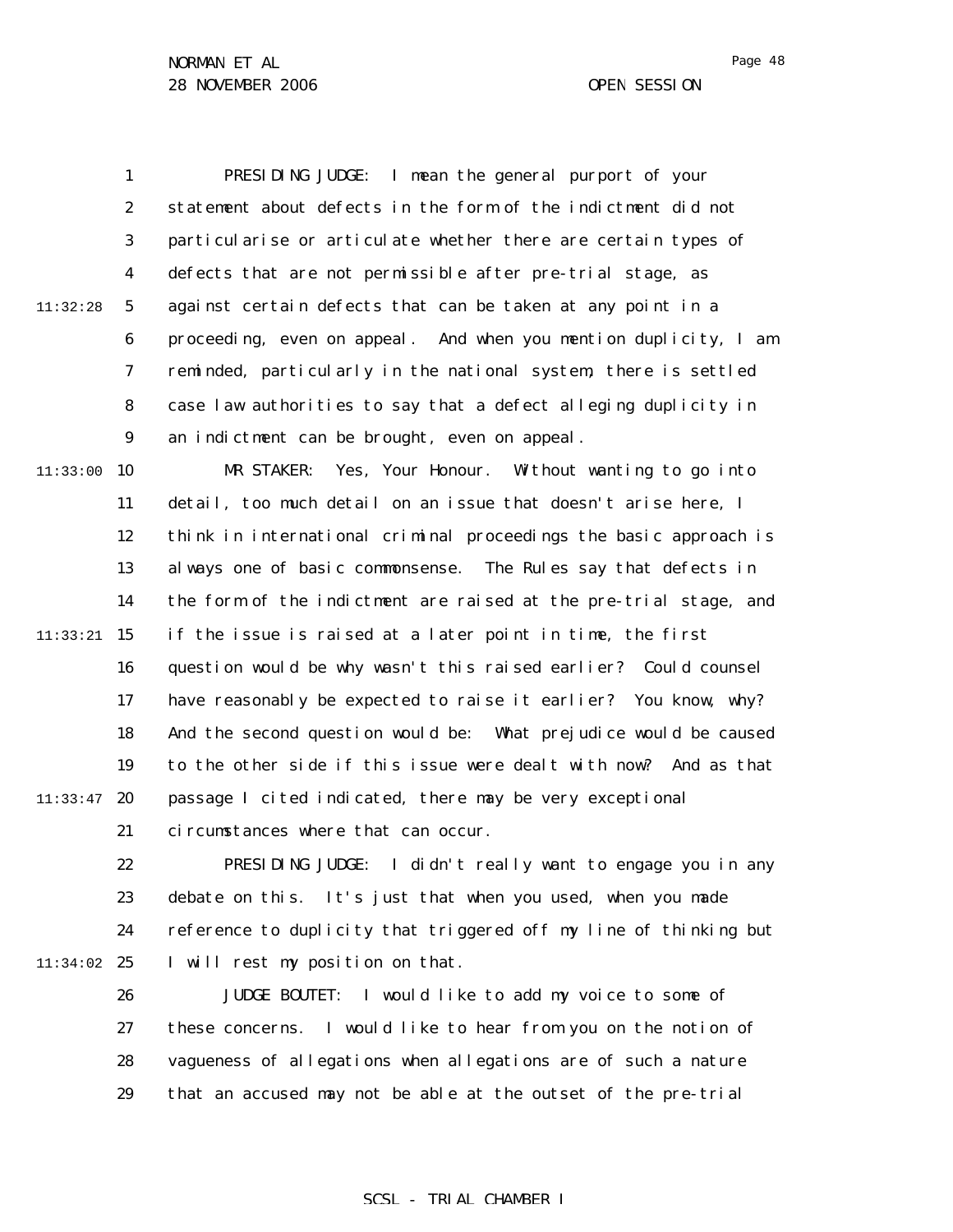1 2 3 4 5 6 7 8 9  $11:33:00$  10 11 12 13 14 11:32:28 PRESIDING JUDGE: I mean the general purport of your statement about defects in the form of the indictment did not particularise or articulate whether there are certain types of defects that are not permissible after pre-trial stage, as against certain defects that can be taken at any point in a proceeding, even on appeal. And when you mention duplicity, I am reminded, particularly in the national system, there is settled case law authorities to say that a defect alleging duplicity in an indictment can be brought, even on appeal. MR STAKER: Yes, Your Honour. Without wanting to go into detail, too much detail on an issue that doesn't arise here, I think in international criminal proceedings the basic approach is always one of basic commonsense. The Rules say that defects in the form of the indictment are raised at the pre-trial stage, and

 $11:33:21$  15 16 17 18 19  $11:33:47$  20 21 if the issue is raised at a later point in time, the first question would be why wasn't this raised earlier? Could counsel have reasonably be expected to raise it earlier? You know, why? And the second question would be: What prejudice would be caused to the other side if this issue were dealt with now? And as that passage I cited indicated, there may be very exceptional circumstances where that can occur.

22 23 24 11:34:02 25 PRESIDING JUDGE: I didn't really want to engage you in any debate on this. It's just that when you used, when you made reference to duplicity that triggered off my line of thinking but I will rest my position on that.

> 26 27 28 29 JUDGE BOUTET: I would like to add my voice to some of these concerns. I would like to hear from you on the notion of vagueness of allegations when allegations are of such a nature that an accused may not be able at the outset of the pre-trial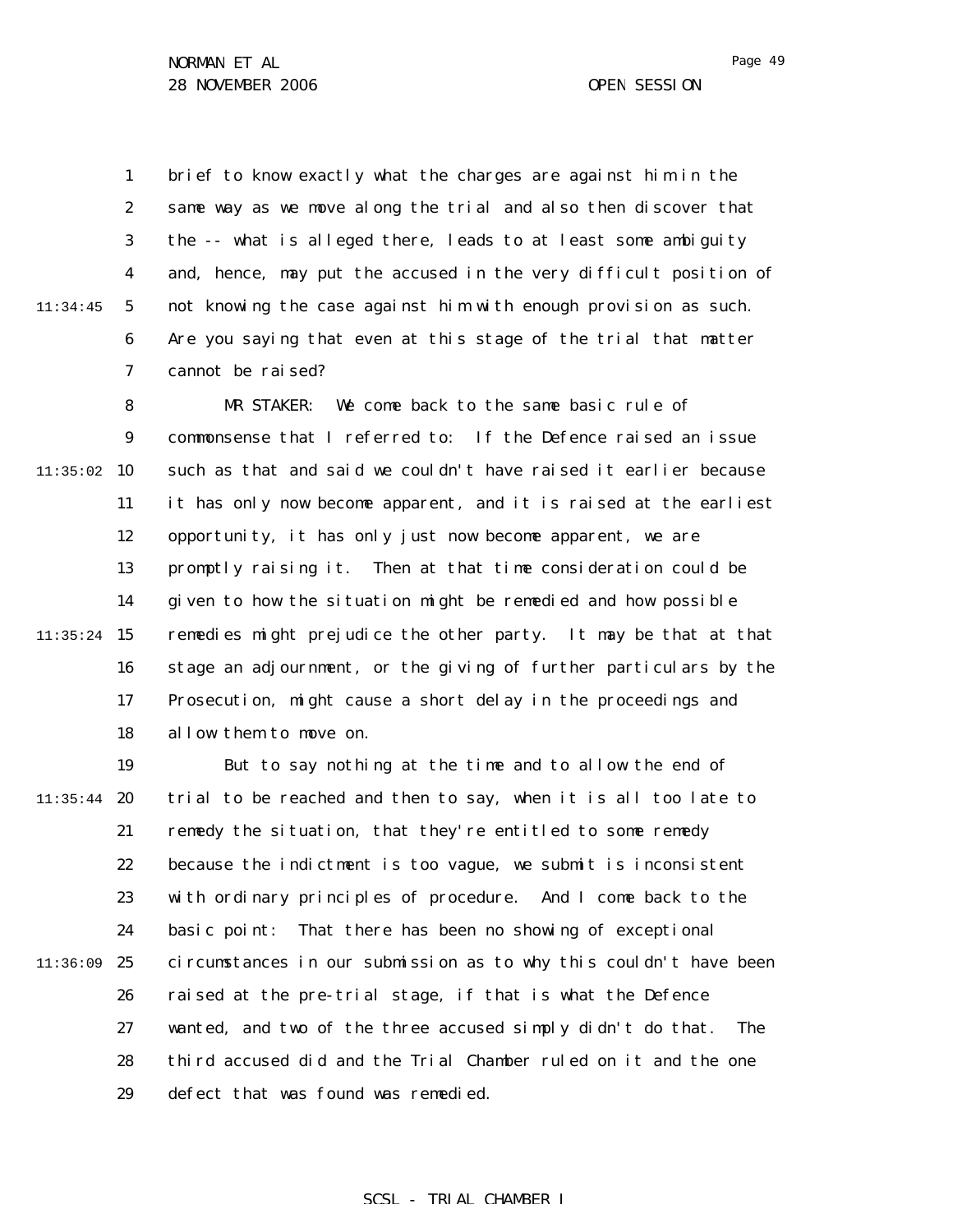1 2 3 4 5 6 7 11:34:45 brief to know exactly what the charges are against him in the same way as we move along the trial and also then discover that the -- what is alleged there, leads to at least some ambiguity and, hence, may put the accused in the very difficult position of not knowing the case against him with enough provision as such. Are you saying that even at this stage of the trial that matter cannot be raised?

8 9  $11:35:02$  10 11 12 13 14  $11:35:24$  15 16 17 18 MR STAKER: We come back to the same basic rule of commonsense that I referred to: If the Defence raised an issue such as that and said we couldn't have raised it earlier because it has only now become apparent, and it is raised at the earliest opportunity, it has only just now become apparent, we are promptly raising it. Then at that time consideration could be given to how the situation might be remedied and how possible remedies might prejudice the other party. It may be that at that stage an adjournment, or the giving of further particulars by the Prosecution, might cause a short delay in the proceedings and allow them to move on.

19  $11:35:44$  20 21 22 23 24 11:36:09 25 26 27 28 29 But to say nothing at the time and to allow the end of trial to be reached and then to say, when it is all too late to remedy the situation, that they're entitled to some remedy because the indictment is too vague, we submit is inconsistent with ordinary principles of procedure. And I come back to the basic point: That there has been no showing of exceptional circumstances in our submission as to why this couldn't have been raised at the pre-trial stage, if that is what the Defence wanted, and two of the three accused simply didn't do that. The third accused did and the Trial Chamber ruled on it and the one defect that was found was remedied.

#### Page 49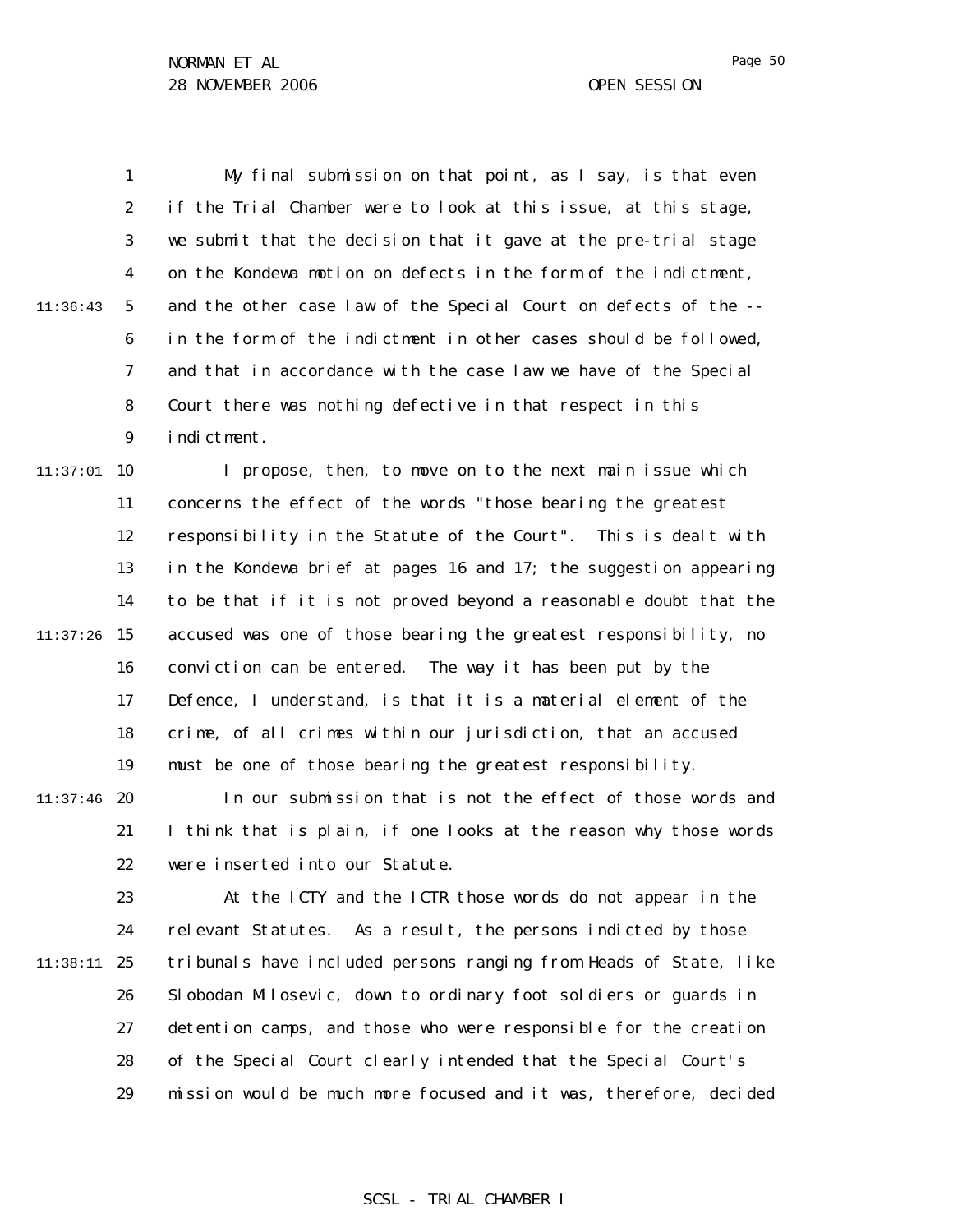1 2 3 4 5 6 7 8 9  $11:37:01$  10 11 12 13 14  $11:37:26$  15 11:36:43 My final submission on that point, as I say, is that even if the Trial Chamber were to look at this issue, at this stage, we submit that the decision that it gave at the pre-trial stage on the Kondewa motion on defects in the form of the indictment, and the other case law of the Special Court on defects of the - in the form of the indictment in other cases should be followed, and that in accordance with the case law we have of the Special Court there was nothing defective in that respect in this indictment. I propose, then, to move on to the next main issue which concerns the effect of the words "those bearing the greatest responsibility in the Statute of the Court". This is dealt with in the Kondewa brief at pages 16 and 17; the suggestion appearing to be that if it is not proved beyond a reasonable doubt that the accused was one of those bearing the greatest responsibility, no

16 17 18 19 conviction can be entered. The way it has been put by the Defence, I understand, is that it is a material element of the crime, of all crimes within our jurisdiction, that an accused must be one of those bearing the greatest responsibility.

 $11:37:46$  20 21 22 In our submission that is not the effect of those words and I think that is plain, if one looks at the reason why those words were inserted into our Statute.

23 24 11:38:11 25 26 27 28 29 At the ICTY and the ICTR those words do not appear in the relevant Statutes. As a result, the persons indicted by those tribunals have included persons ranging from Heads of State, like Slobodan Milosevic, down to ordinary foot soldiers or guards in detention camps, and those who were responsible for the creation of the Special Court clearly intended that the Special Court's mission would be much more focused and it was, therefore, decided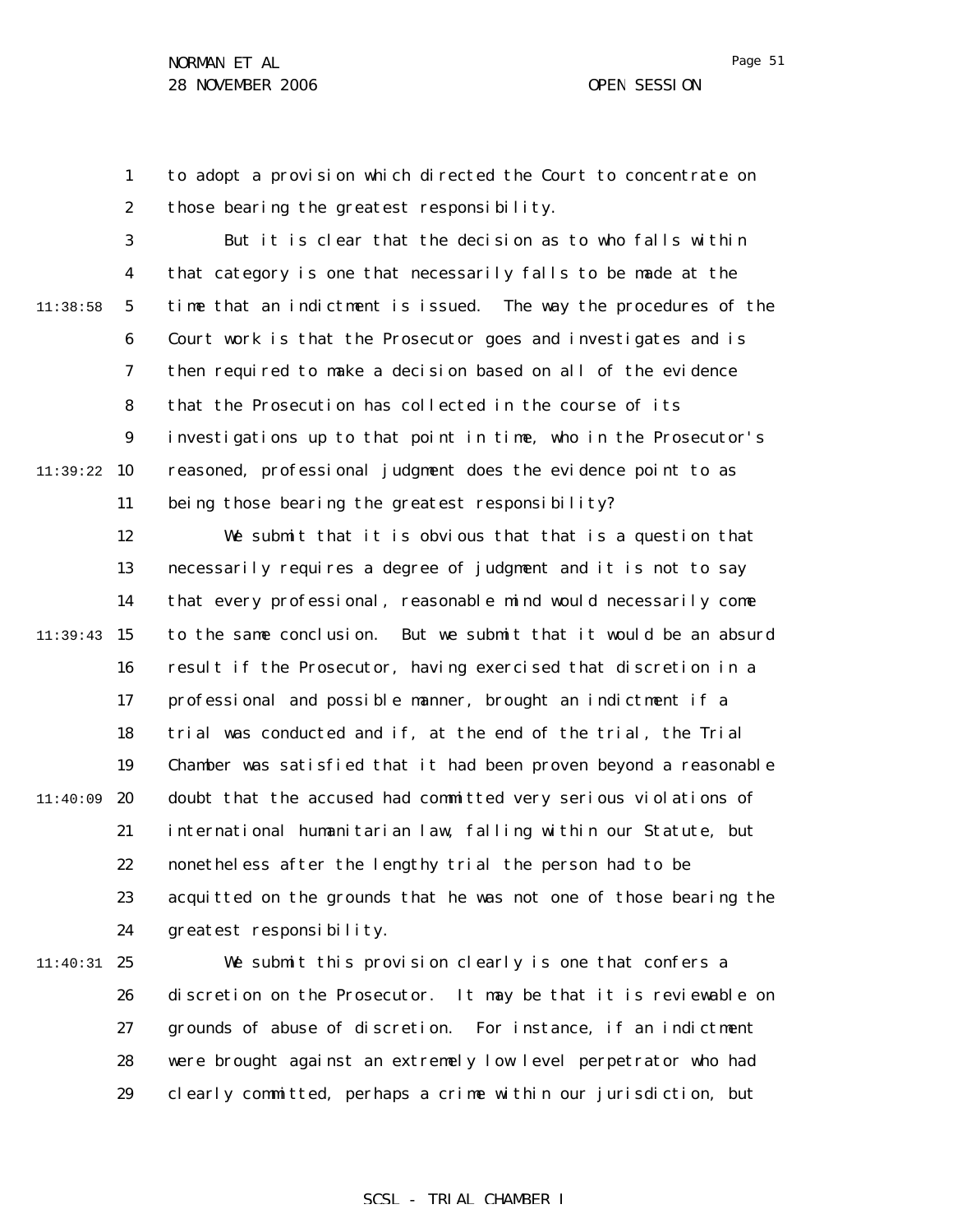Page 51

1 2 to adopt a provision which directed the Court to concentrate on those bearing the greatest responsibility.

3 4 5 6 7 8 9 11:39:22 10 11 11:38:58 But it is clear that the decision as to who falls within that category is one that necessarily falls to be made at the time that an indictment is issued. The way the procedures of the Court work is that the Prosecutor goes and investigates and is then required to make a decision based on all of the evidence that the Prosecution has collected in the course of its investigations up to that point in time, who in the Prosecutor's reasoned, professional judgment does the evidence point to as being those bearing the greatest responsibility?

12 13 14  $11:39:43$  15 16 17 18 19 11:40:09 20 21 22 23 24 We submit that it is obvious that that is a question that necessarily requires a degree of judgment and it is not to say that every professional, reasonable mind would necessarily come to the same conclusion. But we submit that it would be an absurd result if the Prosecutor, having exercised that discretion in a professional and possible manner, brought an indictment if a trial was conducted and if, at the end of the trial, the Trial Chamber was satisfied that it had been proven beyond a reasonable doubt that the accused had committed very serious violations of international humanitarian law, falling within our Statute, but nonetheless after the lengthy trial the person had to be acquitted on the grounds that he was not one of those bearing the greatest responsibility.

11:40:31 25 26 27 28 29 We submit this provision clearly is one that confers a discretion on the Prosecutor. It may be that it is reviewable on grounds of abuse of discretion. For instance, if an indictment were brought against an extremely low level perpetrator who had clearly committed, perhaps a crime within our jurisdiction, but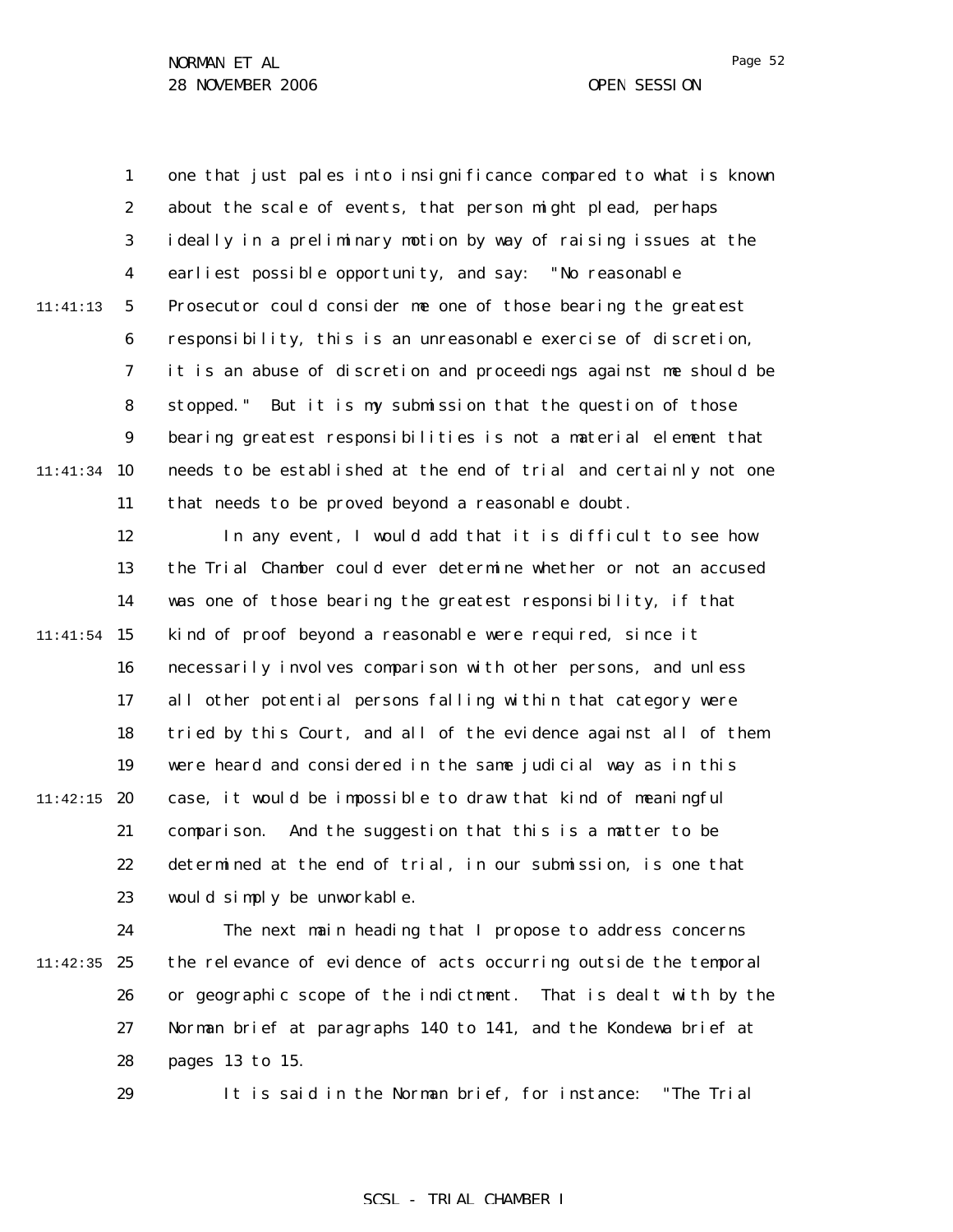1

2 3 4 5 6 7 8 9 11:41:34 10 11 12 13 14  $11:41:54$  15 16 17 11:41:13 one that just pales into insignificance compared to what is known about the scale of events, that person might plead, perhaps ideally in a preliminary motion by way of raising issues at the earliest possible opportunity, and say: "No reasonable Prosecutor could consider me one of those bearing the greatest responsibility, this is an unreasonable exercise of discretion, it is an abuse of discretion and proceedings against me should be stopped." But it is my submission that the question of those bearing greatest responsibilities is not a material element that needs to be established at the end of trial and certainly not one that needs to be proved beyond a reasonable doubt. In any event, I would add that it is difficult to see how the Trial Chamber could ever determine whether or not an accused was one of those bearing the greatest responsibility, if that kind of proof beyond a reasonable were required, since it necessarily involves comparison with other persons, and unless all other potential persons falling within that category were

18 19  $11:42:15$  20 21 22 23 tried by this Court, and all of the evidence against all of them were heard and considered in the same judicial way as in this case, it would be impossible to draw that kind of meaningful comparison. And the suggestion that this is a matter to be determined at the end of trial, in our submission, is one that would simply be unworkable.

24 11:42:35 25 26 27 28 The next main heading that I propose to address concerns the relevance of evidence of acts occurring outside the temporal or geographic scope of the indictment. That is dealt with by the Norman brief at paragraphs 140 to 141, and the Kondewa brief at pages 13 to 15.

> 29 It is said in the Norman brief, for instance: "The Trial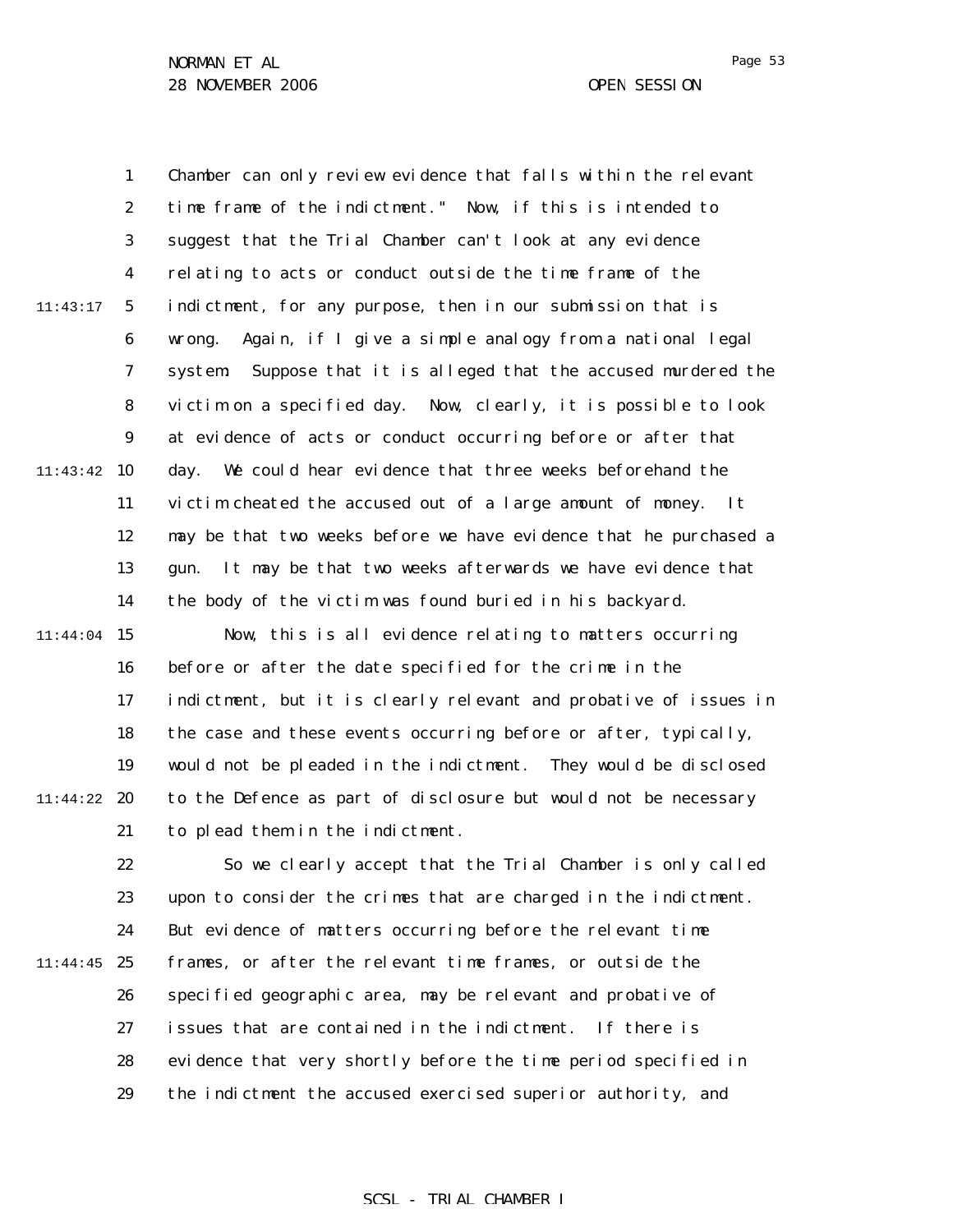|          | $\mathbf{1}$     | Chamber can only review evidence that falls within the relevant    |
|----------|------------------|--------------------------------------------------------------------|
|          | $\boldsymbol{2}$ | time frame of the indictment." Now, if this is intended to         |
|          | 3                | suggest that the Trial Chamber can't look at any evidence          |
|          | $\boldsymbol{4}$ | relating to acts or conduct outside the time frame of the          |
| 11:43:17 | $\mathbf{5}$     | indictment, for any purpose, then in our submission that is        |
|          | 6                | Again, if I give a simple analogy from a national legal<br>wrong.  |
|          | 7                | Suppose that it is alleged that the accused murdered the<br>system |
|          | 8                | victim on a specified day. Now, clearly, it is possible to look    |
|          | 9                | at evidence of acts or conduct occurring before or after that      |
| 11:43:42 | 10               | We could hear evidence that three weeks beforehand the<br>day.     |
|          | 11               | victim cheated the accused out of a large amount of money.<br>It   |
|          | 12               | may be that two weeks before we have evidence that he purchased a  |
|          | 13               | It may be that two weeks afterwards we have evidence that<br>gun.  |
|          | 14               | the body of the victim was found buried in his backyard.           |
| 11:44:04 | 15               | Now, this is all evidence relating to matters occurring            |
|          | 16               | before or after the date specified for the crime in the            |
|          | 17               | indictment, but it is clearly relevant and probative of issues in  |
|          | 18               | the case and these events occurring before or after, typically,    |
|          | 19               | would not be pleaded in the indictment. They would be disclosed    |
| 11:44:22 | 20               | to the Defence as part of disclosure but would not be necessary    |
|          | 21               | to plead them in the indictment.                                   |
|          | 22               | So we clearly accept that the Trial Chamber is only called         |
|          | 23               | upon to consider the crimes that are charged in the indictment.    |
|          | 24               | But evidence of matters occurring before the relevant time         |
| 11:44:45 | 25               | frames, or after the relevant time frames, or outside the          |
|          | 26               | specified geographic area, may be relevant and probative of        |
|          | 27               | issues that are contained in the indictment.<br>If there is        |
|          | 28               | evidence that very shortly before the time period specified in     |
|          | 29               | the indictment the accused exercised superior authority, and       |
|          |                  |                                                                    |

# SCSL - TRIAL CHAMBER I

Page 53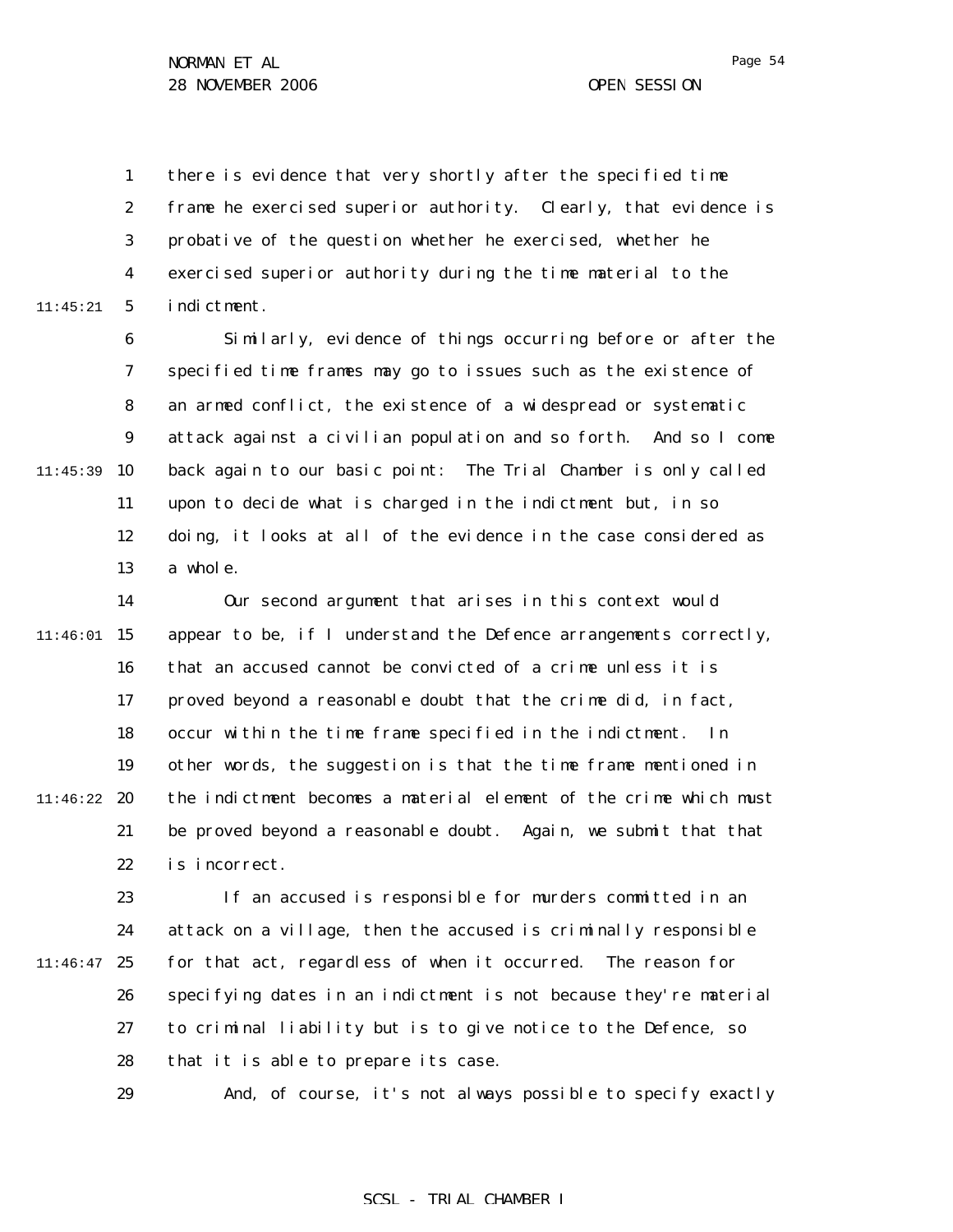1 2 3 4 5 11:45:21 there is evidence that very shortly after the specified time frame he exercised superior authority. Clearly, that evidence is probative of the question whether he exercised, whether he exercised superior authority during the time material to the indictment.

6 7 8 9 11:45:39 10 11 12 13 Similarly, evidence of things occurring before or after the specified time frames may go to issues such as the existence of an armed conflict, the existence of a widespread or systematic attack against a civilian population and so forth. And so I come back again to our basic point: The Trial Chamber is only called upon to decide what is charged in the indictment but, in so doing, it looks at all of the evidence in the case considered as a whole.

14  $11:46:01$  15 16 17 18 19 11:46:22 **20** 21 22 Our second argument that arises in this context would appear to be, if I understand the Defence arrangements correctly, that an accused cannot be convicted of a crime unless it is proved beyond a reasonable doubt that the crime did, in fact, occur within the time frame specified in the indictment. In other words, the suggestion is that the time frame mentioned in the indictment becomes a material element of the crime which must be proved beyond a reasonable doubt. Again, we submit that that is incorrect.

23 24  $11:46:47$  25 26 27 28 If an accused is responsible for murders committed in an attack on a village, then the accused is criminally responsible for that act, regardless of when it occurred. The reason for specifying dates in an indictment is not because they're material to criminal liability but is to give notice to the Defence, so that it is able to prepare its case.

29

And, of course, it's not always possible to specify exactly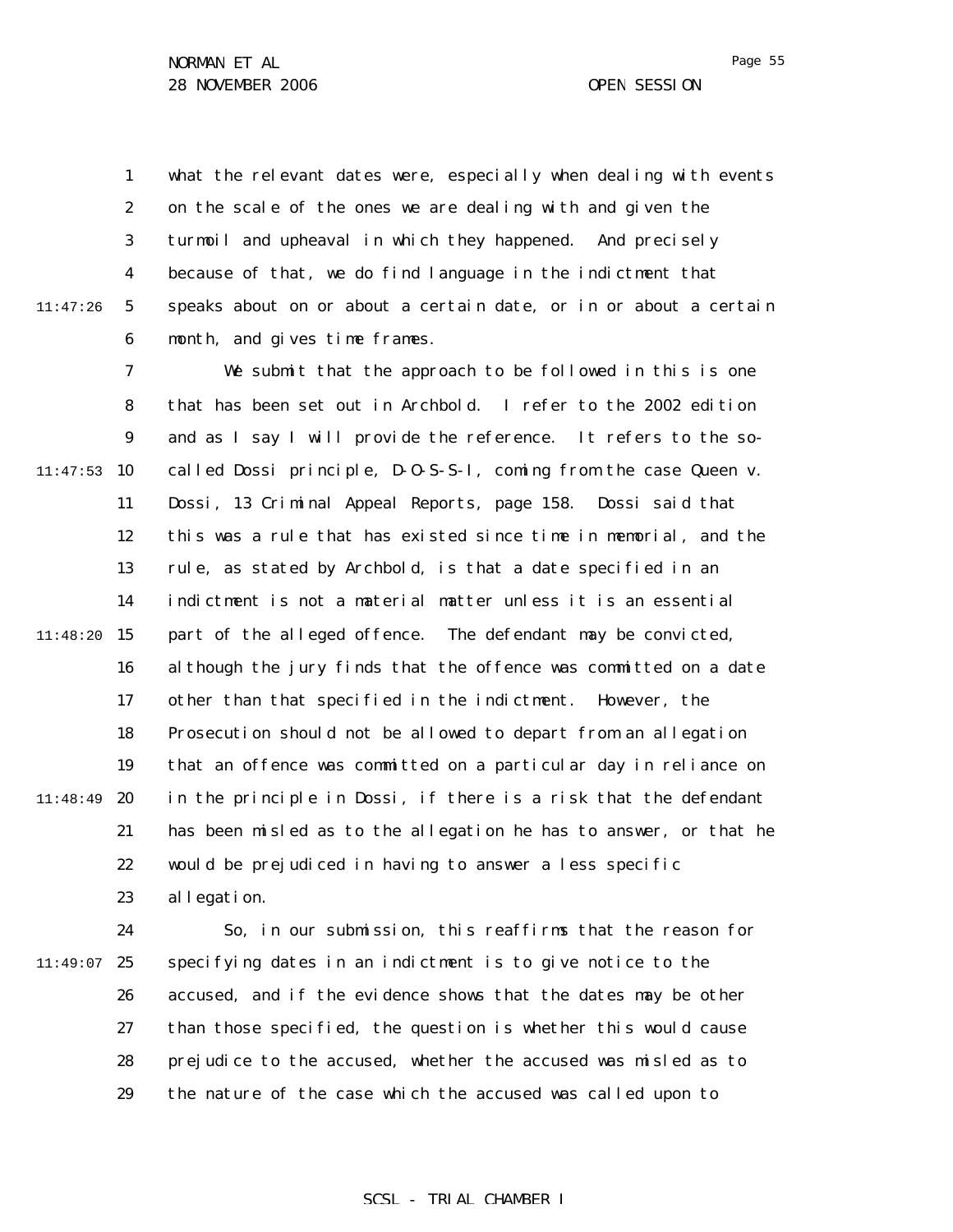1 2 3 4 5 6 11:47:26 what the relevant dates were, especially when dealing with events on the scale of the ones we are dealing with and given the turmoil and upheaval in which they happened. And precisely because of that, we do find language in the indictment that speaks about on or about a certain date, or in or about a certain month, and gives time frames.

7 8 9  $11:47:53$  10 11 12 13 14 11:48:20 15 16 17 18 19 11:48:49 20 21 22 23 We submit that the approach to be followed in this is one that has been set out in Archbold. I refer to the 2002 edition and as I say I will provide the reference. It refers to the socalled Dossi principle, D-O-S-S-I, coming from the case *Queen v. Dossi*, 13 Criminal Appeal Reports, page 158. Dossi said that this was a rule that has existed since time in memorial, and the rule, as stated by Archbold, is that a date specified in an indictment is not a material matter unless it is an essential part of the alleged offence. The defendant may be convicted, although the jury finds that the offence was committed on a date other than that specified in the indictment. However, the Prosecution should not be allowed to depart from an allegation that an offence was committed on a particular day in reliance on in the principle in Dossi, if there is a risk that the defendant has been misled as to the allegation he has to answer, or that he would be prejudiced in having to answer a less specific allegation.

24  $11:49:07$  25 26 27 28 29 So, in our submission, this reaffirms that the reason for specifying dates in an indictment is to give notice to the accused, and if the evidence shows that the dates may be other than those specified, the question is whether this would cause prejudice to the accused, whether the accused was misled as to the nature of the case which the accused was called upon to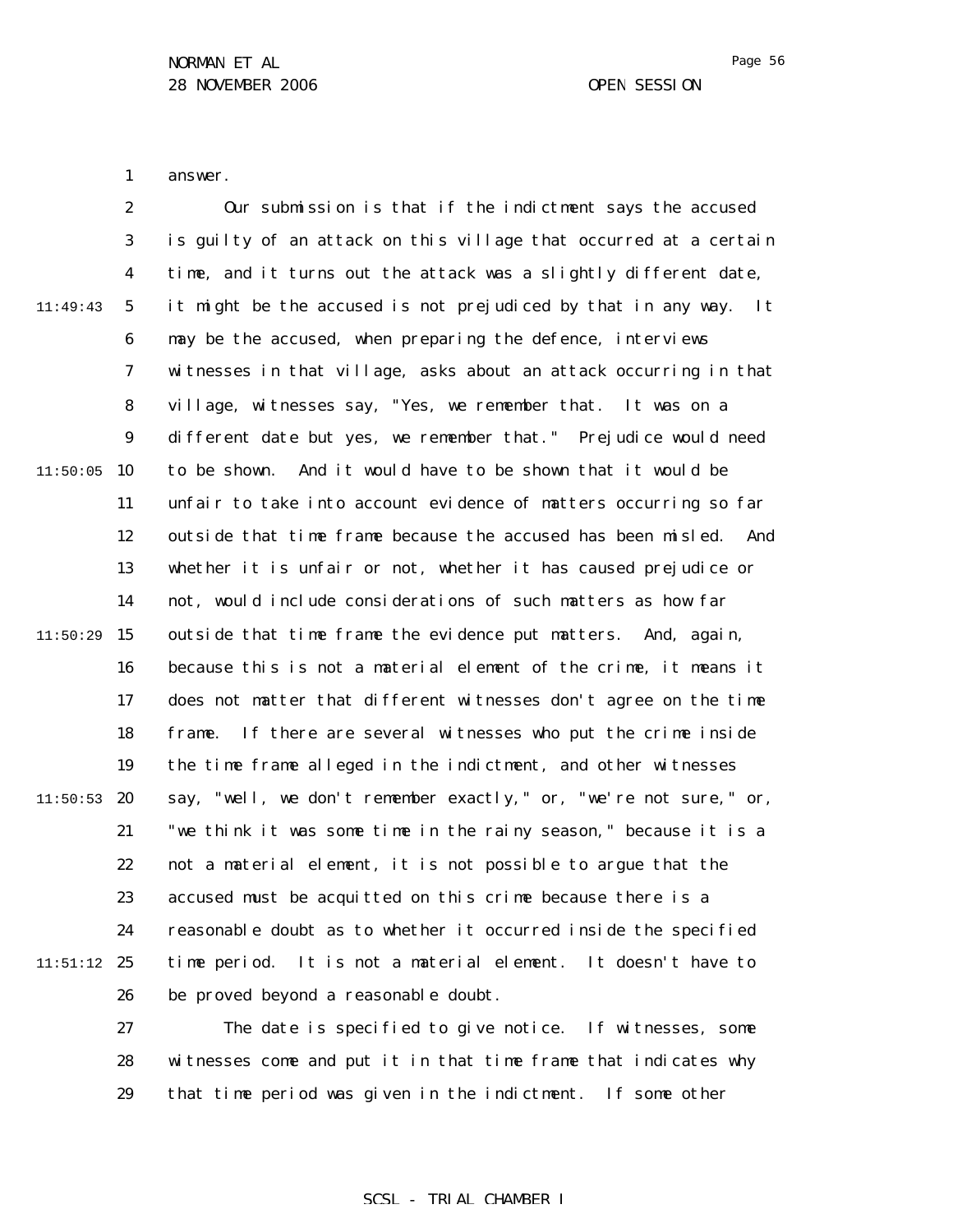1 answer.

|          | $\boldsymbol{2}$ | Our submission is that if the indictment says the accused           |
|----------|------------------|---------------------------------------------------------------------|
|          | 3                | is guilty of an attack on this village that occurred at a certain   |
|          | 4                | time, and it turns out the attack was a slightly different date,    |
| 11:49:43 | $\mathbf 5$      | it might be the accused is not prejudiced by that in any way.<br>It |
|          | 6                | may be the accused, when preparing the defence, interviews          |
|          | 7                | witnesses in that village, asks about an attack occurring in that   |
|          | 8                | village, witnesses say, "Yes, we remember that. It was on a         |
|          | 9                | different date but yes, we remember that." Prejudice would need     |
| 11:50:05 | 10               | to be shown. And it would have to be shown that it would be         |
|          | 11               | unfair to take into account evidence of matters occurring so far    |
|          | 12               | outside that time frame because the accused has been misled.<br>And |
|          | 13               | whether it is unfair or not, whether it has caused prejudice or     |
|          | 14               | not, would include considerations of such matters as how far        |
| 11:50:29 | 15               | outside that time frame the evidence put matters. And, again,       |
|          | 16               | because this is not a material element of the crime, it means it    |
|          | 17               | does not matter that different witnesses don't agree on the time    |
|          | 18               | If there are several witnesses who put the crime inside<br>frame.   |
|          | 19               | the time frame alleged in the indictment, and other witnesses       |
| 11:50:53 | 20               | say, "well, we don't remember exactly," or, "we're not sure," or,   |
|          | 21               | "we think it was some time in the rainy season," because it is a    |
|          | 22               | not a material element, it is not possible to argue that the        |
|          | 23               | accused must be acquitted on this crime because there is a          |
|          | 24               | reasonable doubt as to whether it occurred inside the specified     |
| 11:51:12 | 25               | time period. It is not a material element.<br>It doesn't have to    |
|          | 26               | be proved beyond a reasonable doubt.                                |
|          | 27               | The date is specified to give notice.<br>If witnesses, some         |

28 29 witnesses come and put it in that time frame that indicates why that time period was given in the indictment. If some other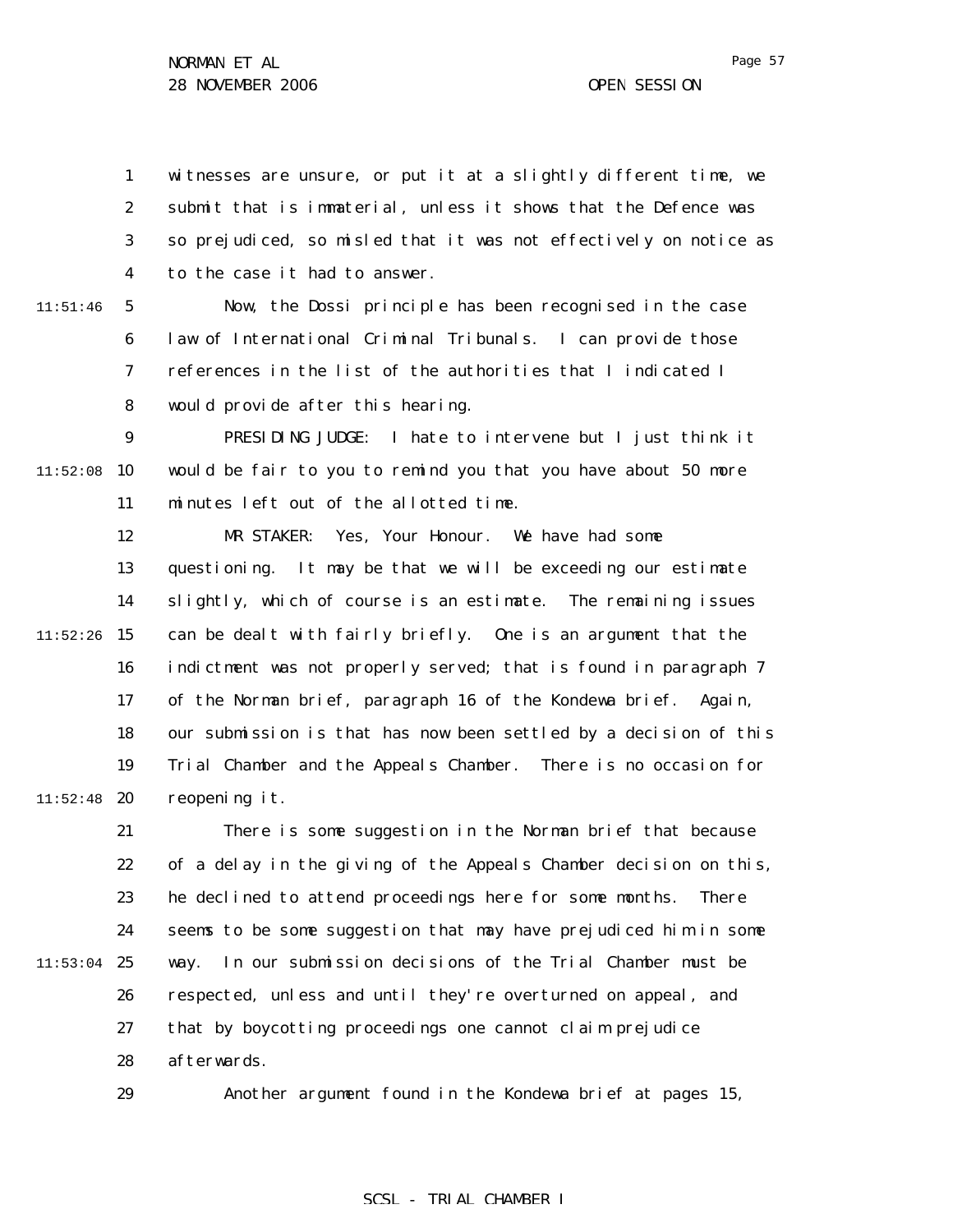1 2 3 4 witnesses are unsure, or put it at a slightly different time, we submit that is immaterial, unless it shows that the Defence was so prejudiced, so misled that it was not effectively on notice as to the case it had to answer.

11:51:46

5 6 7 8 Now, the Dossi principle has been recognised in the case law of International Criminal Tribunals. I can provide those references in the list of the authorities that I indicated I would provide after this hearing.

9  $11:52:08$  10 11 PRESIDING JUDGE: I hate to intervene but I just think it would be fair to you to remind you that you have about 50 more minutes left out of the allotted time.

12 13 14  $11:52:26$  15 16 17 18 19  $11:52:48$  20 MR STAKER: Yes, Your Honour. We have had some questioning. It may be that we will be exceeding our estimate slightly, which of course is an estimate. The remaining issues can be dealt with fairly briefly. One is an argument that the indictment was not properly served; that is found in paragraph 7 of the Norman brief, paragraph 16 of the Kondewa brief. Again, our submission is that has now been settled by a decision of this Trial Chamber and the Appeals Chamber. There is no occasion for reopening it.

21 22 23 24  $11:53:04$  25 26 27 28 There is some suggestion in the Norman brief that because of a delay in the giving of the Appeals Chamber decision on this, he declined to attend proceedings here for some months. There seems to be some suggestion that may have prejudiced him in some way. In our submission decisions of the Trial Chamber must be respected, unless and until they're overturned on appeal, and that by boycotting proceedings one cannot claim prejudice afterwards.

29

Another argument found in the Kondewa brief at pages 15,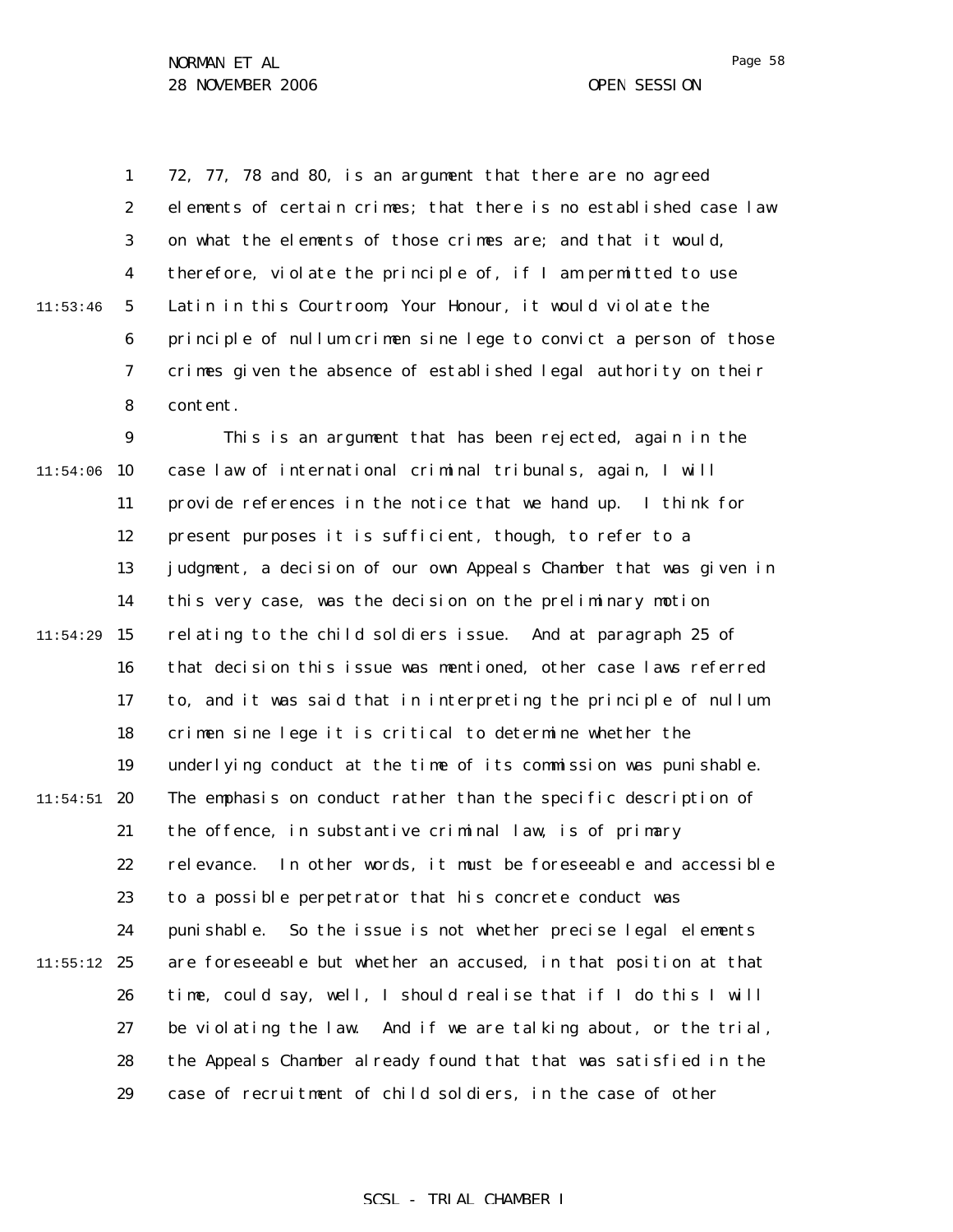1 2 3 4 5 6 7 8 11:53:46 72, 77, 78 and 80, is an argument that there are no agreed elements of certain crimes; that there is no established case law on what the elements of those crimes are; and that it would, therefore, violate the principle of, if I am permitted to use Latin in this Courtroom, Your Honour, it would violate the principle of *nullum crimen sine lege* to convict a person of those crimes given the absence of established legal authority on their content.

9  $11:54:06$  10 11 12 13 14  $11:54:29$  15 16 17 18 19  $11:54:51$  20 21 22 23 24  $11:55:12$  25 26 27 28 29 This is an argument that has been rejected, again in the case law of international criminal tribunals, again, I will provide references in the notice that we hand up. I think for present purposes it is sufficient, though, to refer to a judgment, a decision of our own Appeals Chamber that was given in this very case, was the decision on the preliminary motion relating to the child soldiers issue. And at paragraph 25 of that decision this issue was mentioned, other case laws referred to, and it was said that in interpreting the principle of *nullum crimen sine lege* it is critical to determine whether the underlying conduct at the time of its commission was punishable. The emphasis on conduct rather than the specific description of the offence, in substantive criminal law, is of primary relevance. In other words, it must be foreseeable and accessible to a possible perpetrator that his concrete conduct was punishable. So the issue is not whether precise legal elements are foreseeable but whether an accused, in that position at that time, could say, well, I should realise that if I do this I will be violating the law. And if we are talking about, or the trial, the Appeals Chamber already found that that was satisfied in the case of recruitment of child soldiers, in the case of other

### SCSL - TRIAL CHAMBER I

Page 58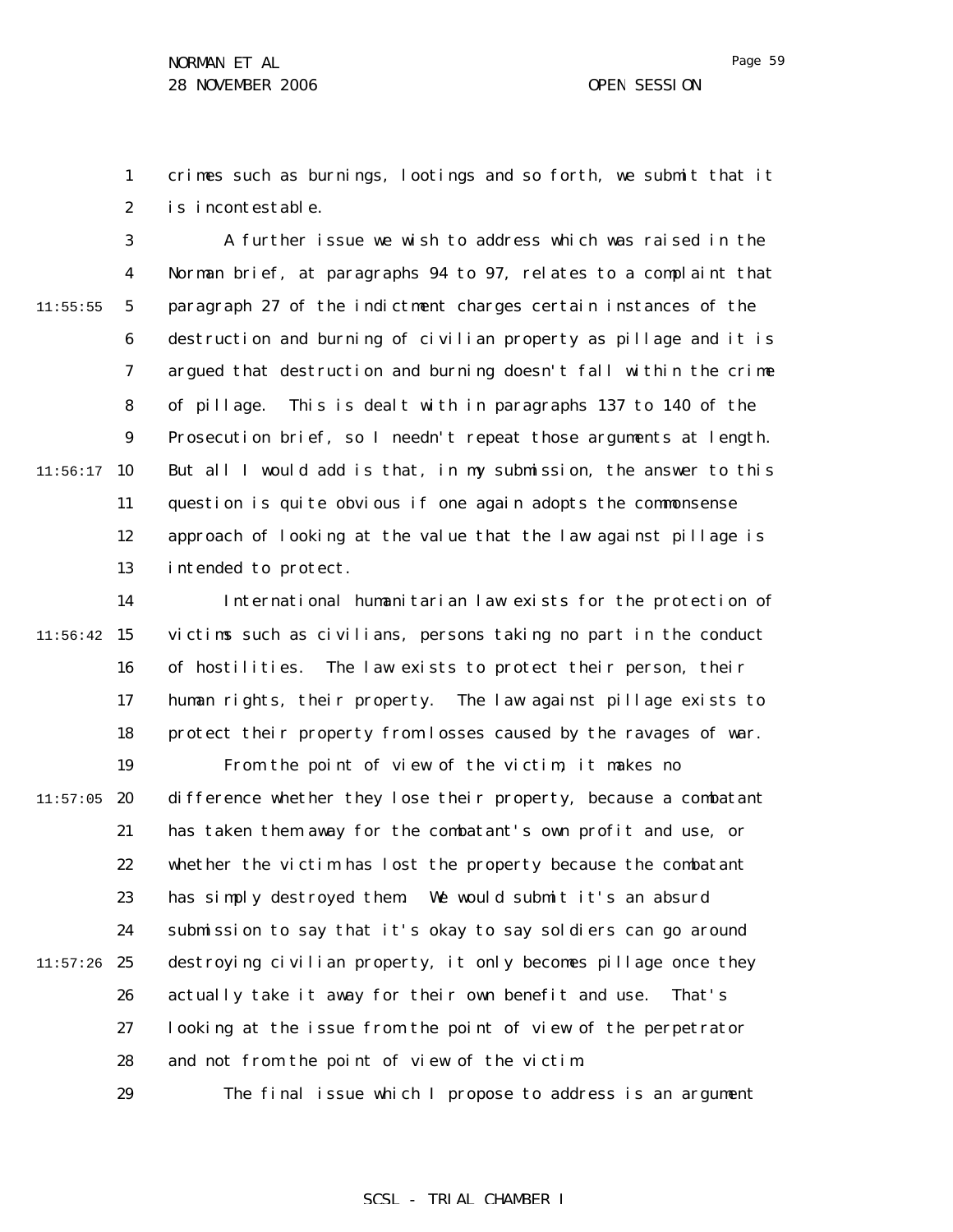1 2 crimes such as burnings, lootings and so forth, we submit that it is incontestable.

3 4 5 6 7 8 9  $11:56:17$  10 11 12 13 11:55:55 A further issue we wish to address which was raised in the Norman brief, at paragraphs 94 to 97, relates to a complaint that paragraph 27 of the indictment charges certain instances of the destruction and burning of civilian property as pillage and it is argued that destruction and burning doesn't fall within the crime of pillage. This is dealt with in paragraphs 137 to 140 of the Prosecution brief, so I needn't repeat those arguments at length. But all I would add is that, in my submission, the answer to this question is quite obvious if one again adopts the commonsense approach of looking at the value that the law against pillage is intended to protect.

14  $11:56:42$  15 16 17 18 19  $11:57:05$  20 21 22 23 24  $11:57:26$  25 26 27 28 29 International humanitarian law exists for the protection of victims such as civilians, persons taking no part in the conduct of hostilities. The law exists to protect their person, their human rights, their property. The law against pillage exists to protect their property from losses caused by the ravages of war. From the point of view of the victim, it makes no difference whether they lose their property, because a combatant has taken them away for the combatant's own profit and use, or whether the victim has lost the property because the combatant has simply destroyed them. We would submit it's an absurd submission to say that it's okay to say soldiers can go around destroying civilian property, it only becomes pillage once they actually take it away for their own benefit and use. That's looking at the issue from the point of view of the perpetrator and not from the point of view of the victim. The final issue which I propose to address is an argument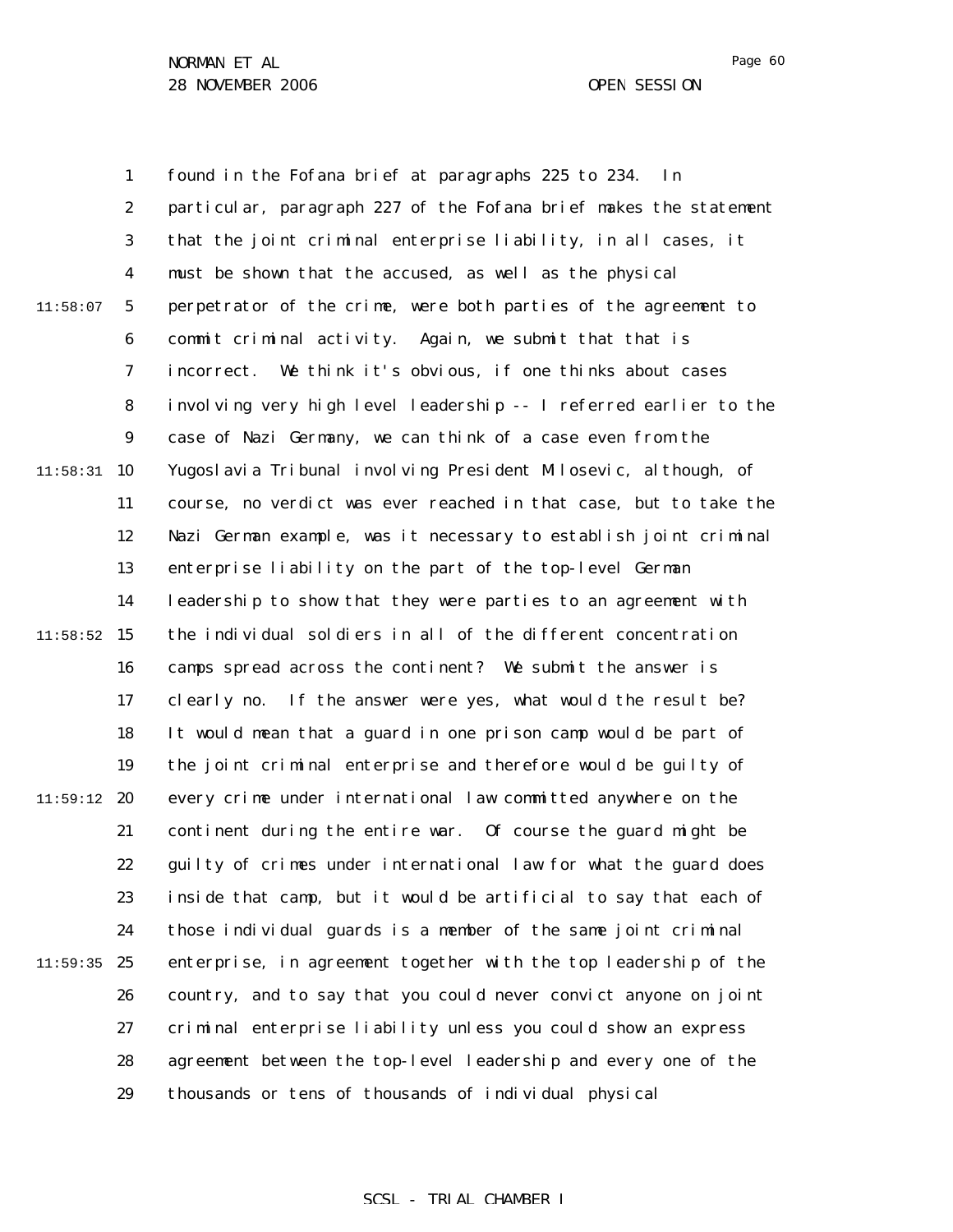1 2 3 4 5 6 7 8 9  $11:58:31$  10 11 12 13 14  $11:58:52$  15 16 17 18 19  $11:59:12$  20 21 22 23 24  $11:59:35$  25 26 27 28 29 11:58:07 found in the Fofana brief at paragraphs 225 to 234. In particular, paragraph 227 of the Fofana brief makes the statement that the joint criminal enterprise liability, in all cases, it must be shown that the accused, as well as the physical perpetrator of the crime, were both parties of the agreement to commit criminal activity. Again, we submit that that is incorrect. We think it's obvious, if one thinks about cases involving very high level leadership -- I referred earlier to the case of Nazi Germany, we can think of a case even from the Yugoslavia Tribunal involving President Milosevic, although, of course, no verdict was ever reached in that case, but to take the Nazi German example, was it necessary to establish joint criminal enterprise liability on the part of the top-level German leadership to show that they were parties to an agreement with the individual soldiers in all of the different concentration camps spread across the continent? We submit the answer is clearly no. If the answer were yes, what would the result be? It would mean that a guard in one prison camp would be part of the joint criminal enterprise and therefore would be guilty of every crime under international law committed anywhere on the continent during the entire war. Of course the guard might be guilty of crimes under international law for what the guard does inside that camp, but it would be artificial to say that each of those individual guards is a member of the same joint criminal enterprise, in agreement together with the top leadership of the country, and to say that you could never convict anyone on joint criminal enterprise liability unless you could show an express agreement between the top-level leadership and every one of the thousands or tens of thousands of individual physical

## Page 60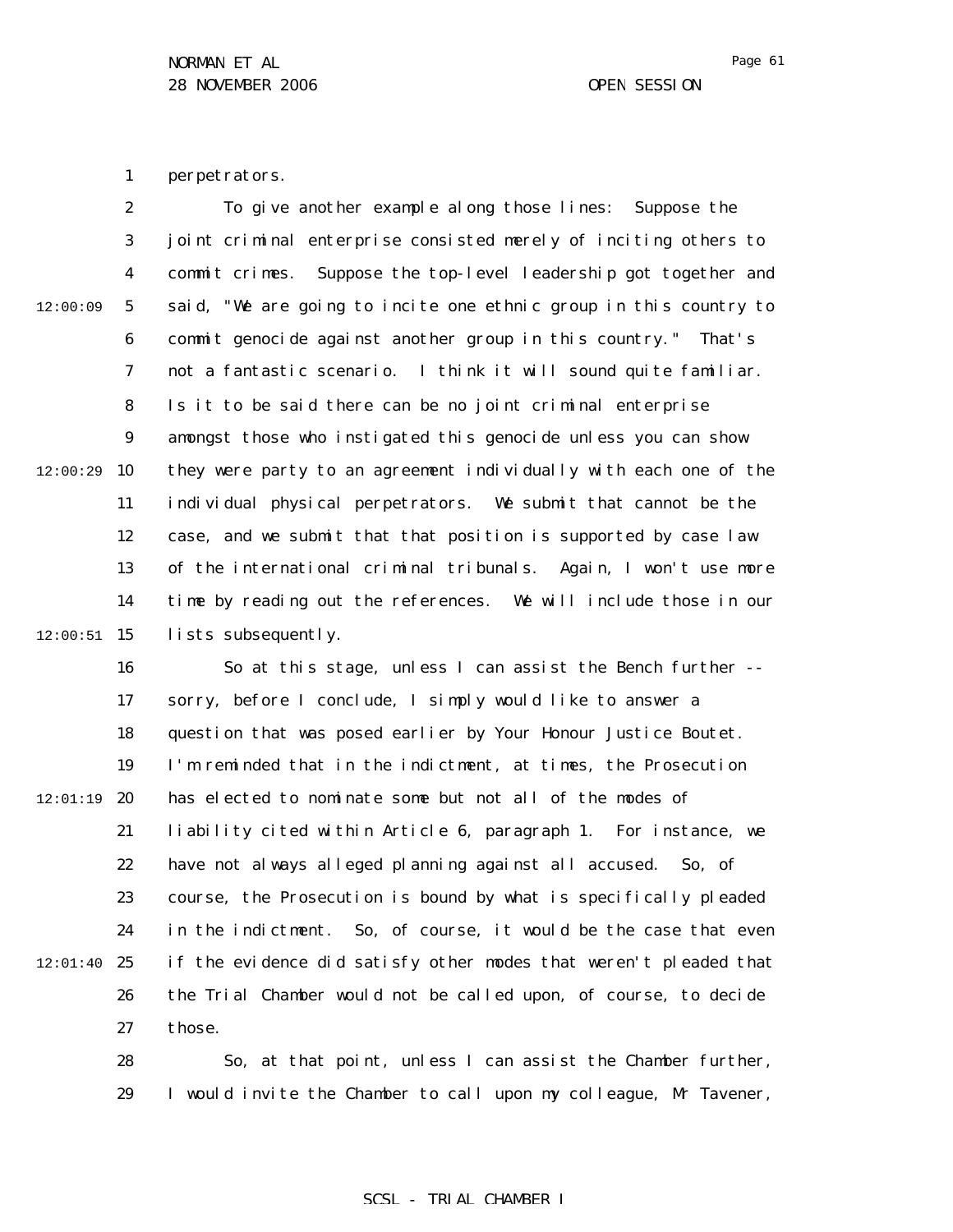Page 61

1 perpetrators.

2 3 4 5 6 7 8 9 10 11 12 13 14  $12:00:51$  15 12:00:09 12:00:29 To give another example along those lines: Suppose the joint criminal enterprise consisted merely of inciting others to commit crimes. Suppose the top-level leadership got together and said, "We are going to incite one ethnic group in this country to commit genocide against another group in this country." That's not a fantastic scenario. I think it will sound quite familiar. Is it to be said there can be no joint criminal enterprise amongst those who instigated this genocide unless you can show they were party to an agreement individually with each one of the individual physical perpetrators. We submit that cannot be the case, and we submit that that position is supported by case law of the international criminal tribunals. Again, I won't use more time by reading out the references. We will include those in our lists subsequently.

16 17 18 19  $12:01:19$  20 21 22 23 24  $12:01:40$  25 26 27 So at this stage, unless I can assist the Bench further - sorry, before I conclude, I simply would like to answer a question that was posed earlier by Your Honour Justice Boutet. I'm reminded that in the indictment, at times, the Prosecution has elected to nominate some but not all of the modes of liability cited within Article 6, paragraph 1. For instance, we have not always alleged planning against all accused. So, of course, the Prosecution is bound by what is specifically pleaded in the indictment. So, of course, it would be the case that even if the evidence did satisfy other modes that weren't pleaded that the Trial Chamber would not be called upon, of course, to decide those.

> 28 29 So, at that point, unless I can assist the Chamber further, I would invite the Chamber to call upon my colleague, Mr Tavener,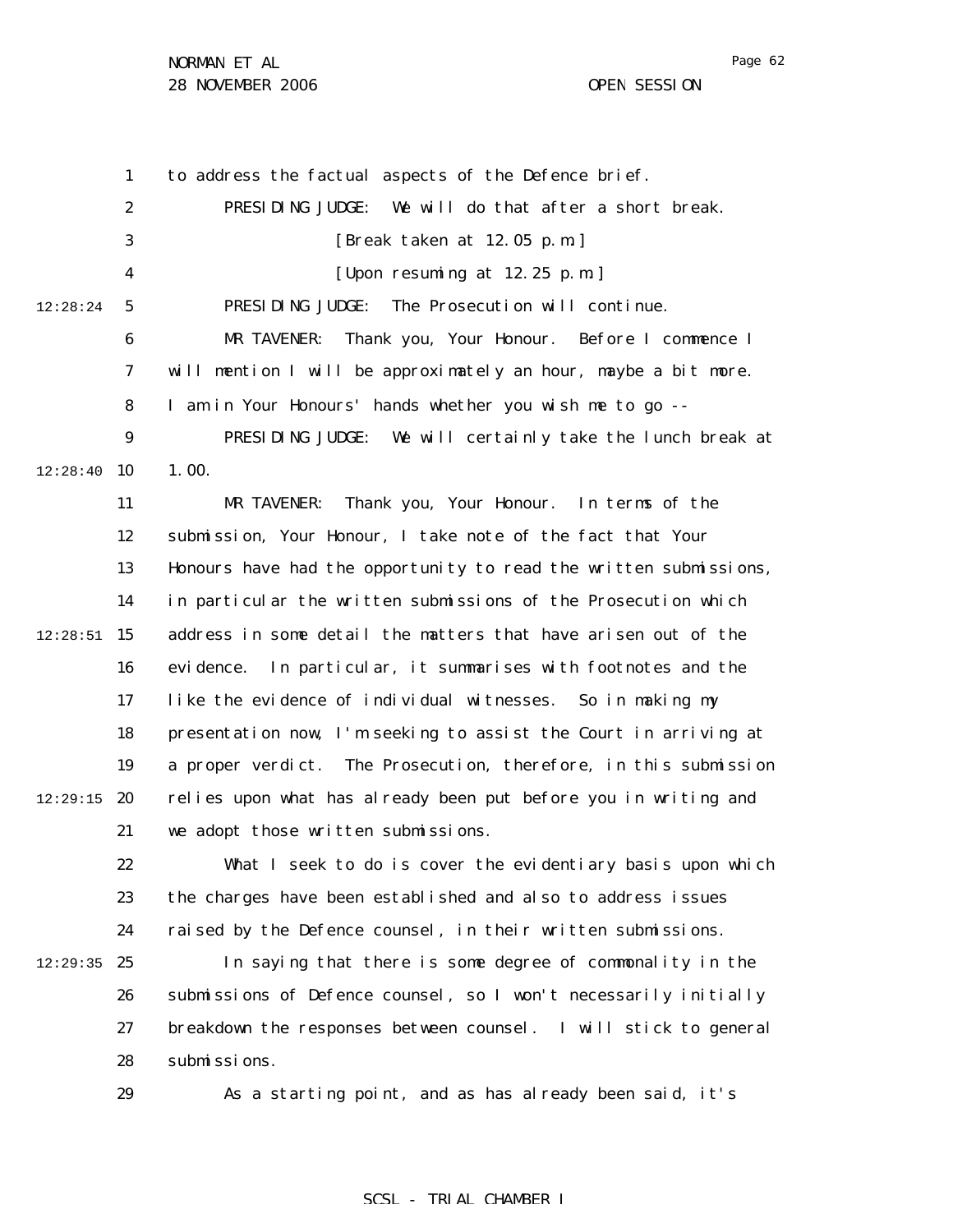Page 62

1 2 3 4 5 6 7 8 9  $12:28:40$  10 11 12 13 14  $12:28:51$  15 16 17 18 19  $12:29:15$  20 21 22 23 24  $12:29:35$  25 26 27 28 29 12:28:24 to address the factual aspects of the Defence brief. PRESIDING JUDGE: We will do that after a short break. [Break taken at 12.05 p.m.] [Upon resuming at 12.25 p.m.] PRESIDING JUDGE: The Prosecution will continue. MR TAVENER: Thank you, Your Honour. Before I commence I will mention I will be approximately an hour, maybe a bit more. I am in Your Honours' hands whether you wish me to go -- PRESIDING JUDGE: We will certainly take the lunch break at 1.00. MR TAVENER: Thank you, Your Honour. In terms of the submission, Your Honour, I take note of the fact that Your Honours have had the opportunity to read the written submissions, in particular the written submissions of the Prosecution which address in some detail the matters that have arisen out of the evidence. In particular, it summarises with footnotes and the like the evidence of individual witnesses. So in making my presentation now, I'm seeking to assist the Court in arriving at a proper verdict. The Prosecution, therefore, in this submission relies upon what has already been put before you in writing and we adopt those written submissions. What I seek to do is cover the evidentiary basis upon which the charges have been established and also to address issues raised by the Defence counsel, in their written submissions. In saying that there is some degree of commonality in the submissions of Defence counsel, so I won't necessarily initially breakdown the responses between counsel. I will stick to general submissions. As a starting point, and as has already been said, it's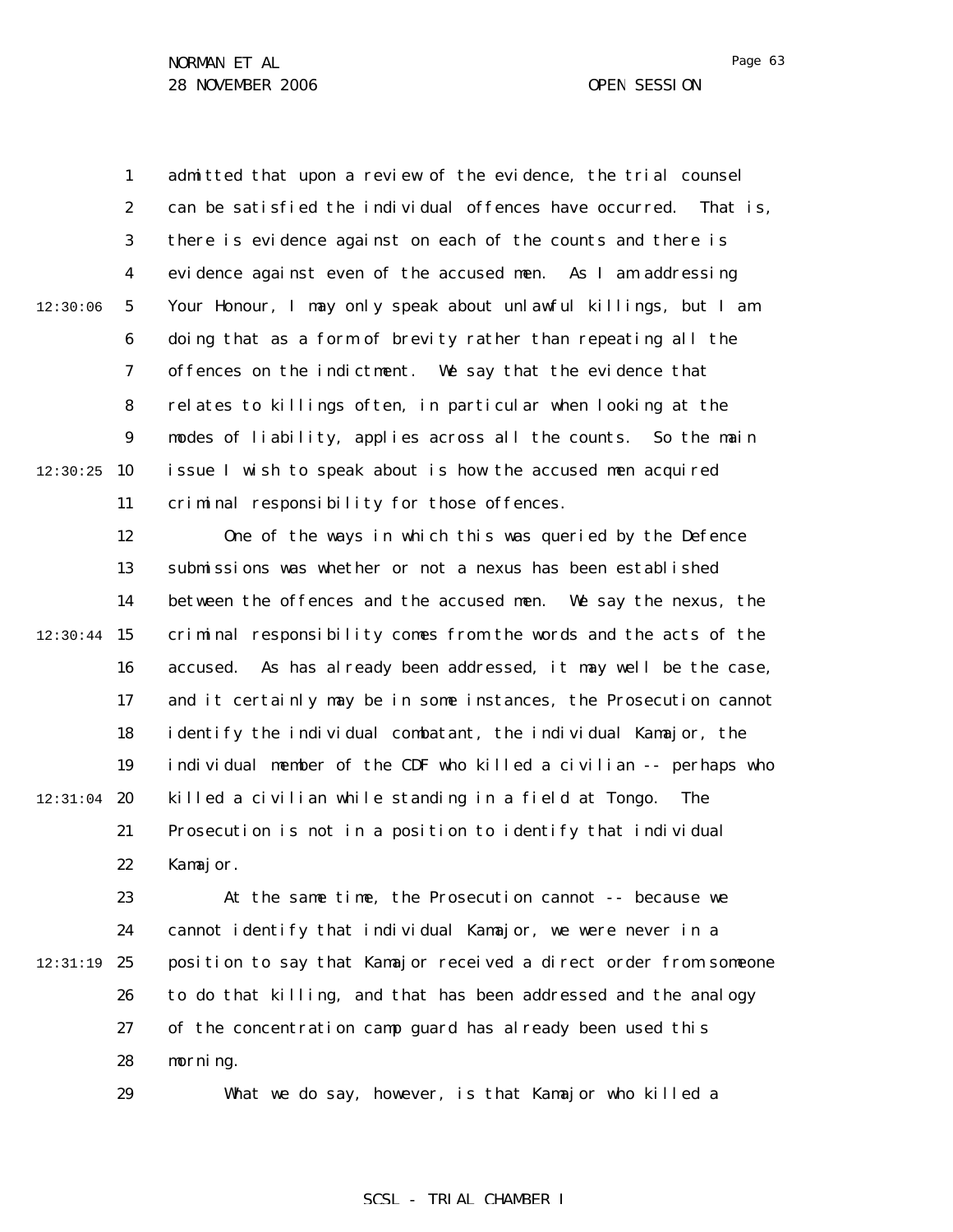1 2 3 4 5 6 7 8 9  $12:30:25$  10 11 12:30:06 admitted that upon a review of the evidence, the trial counsel can be satisfied the individual offences have occurred. That is, there is evidence against on each of the counts and there is evidence against even of the accused men. As I am addressing Your Honour, I may only speak about unlawful killings, but I am doing that as a form of brevity rather than repeating all the offences on the indictment. We say that the evidence that relates to killings often, in particular when looking at the modes of liability, applies across all the counts. So the main issue I wish to speak about is how the accused men acquired criminal responsibility for those offences.

12 13 14  $12:30:44$  15 16 17 18 19  $12:31:04$  20 21 22 One of the ways in which this was queried by the Defence submissions was whether or not a nexus has been established between the offences and the accused men. We say the nexus, the criminal responsibility comes from the words and the acts of the accused. As has already been addressed, it may well be the case, and it certainly may be in some instances, the Prosecution cannot identify the individual combatant, the individual Kamajor, the individual member of the CDF who killed a civilian -- perhaps who killed a civilian while standing in a field at Tongo. The Prosecution is not in a position to identify that individual Kamajor.

23 24 12:31:19 25 26 27 28 At the same time, the Prosecution cannot -- because we cannot identify that individual Kamajor, we were never in a position to say that Kamajor received a direct order from someone to do that killing, and that has been addressed and the analogy of the concentration camp guard has already been used this morning.

29

What we do say, however, is that Kamajor who killed a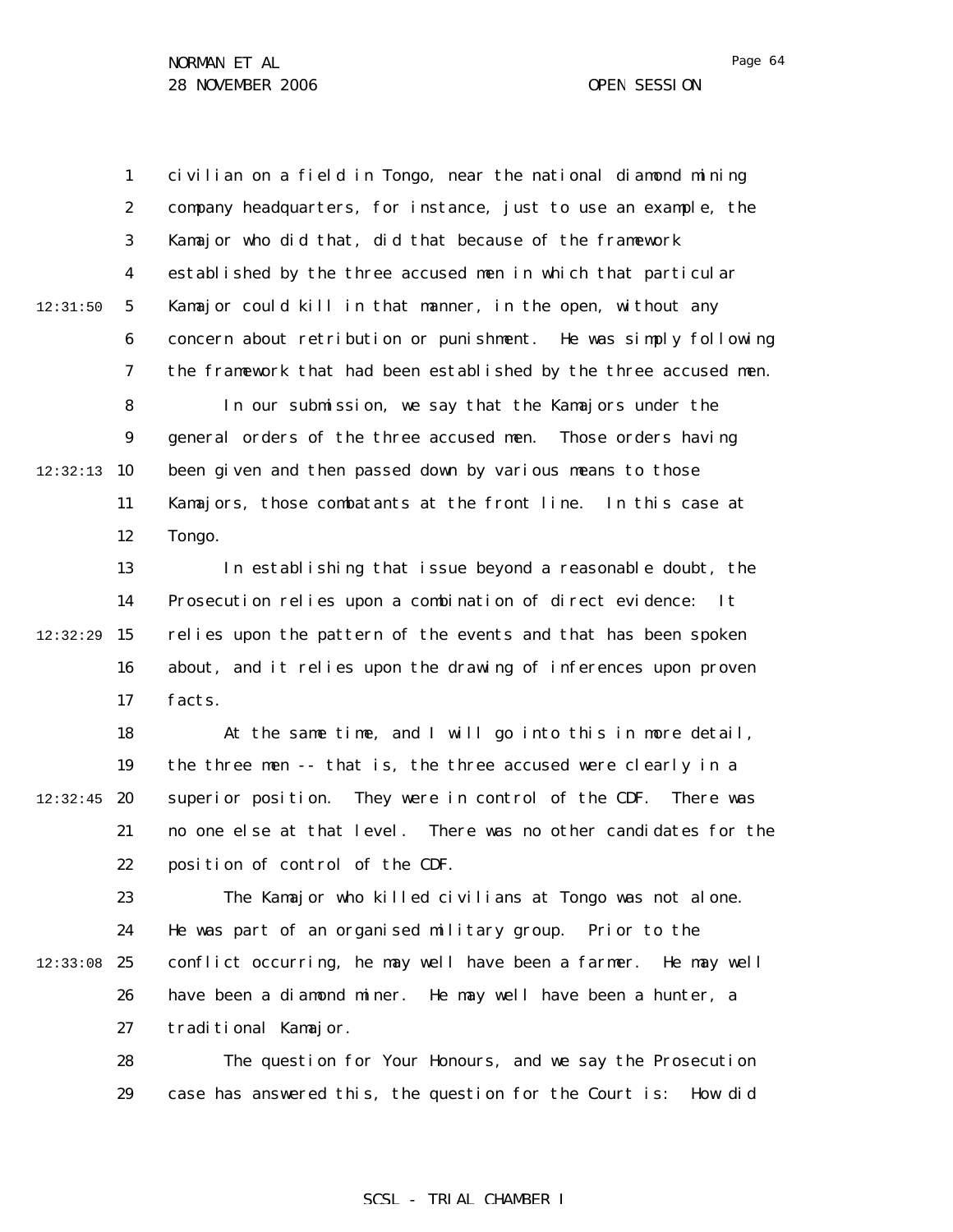29

1 2 3 4 5 6 7 8 9  $12:32:13$  10 11 12 13 14  $12:32:29$  15 16 17 18 19  $12:32:45$  20 21 22 23 24  $12:33:08$  25 26 27 28 12:31:50 civilian on a field in Tongo, near the national diamond mining company headquarters, for instance, just to use an example, the Kamajor who did that, did that because of the framework established by the three accused men in which that particular Kamajor could kill in that manner, in the open, without any concern about retribution or punishment. He was simply following the framework that had been established by the three accused men. In our submission, we say that the Kamajors under the general orders of the three accused men. Those orders having been given and then passed down by various means to those Kamajors, those combatants at the front line. In this case at Tongo. In establishing that issue beyond a reasonable doubt, the Prosecution relies upon a combination of direct evidence: It relies upon the pattern of the events and that has been spoken about, and it relies upon the drawing of inferences upon proven facts. At the same time, and I will go into this in more detail, the three men -- that is, the three accused were clearly in a superior position. They were in control of the CDF. There was no one else at that level. There was no other candidates for the position of control of the CDF. The Kamajor who killed civilians at Tongo was not alone. He was part of an organised military group. Prior to the conflict occurring, he may well have been a farmer. He may well have been a diamond miner. He may well have been a hunter, a traditional Kamajor. The question for Your Honours, and we say the Prosecution

### SCSL - TRIAL CHAMBER I

case has answered this, the question for the Court is: How did

Page 64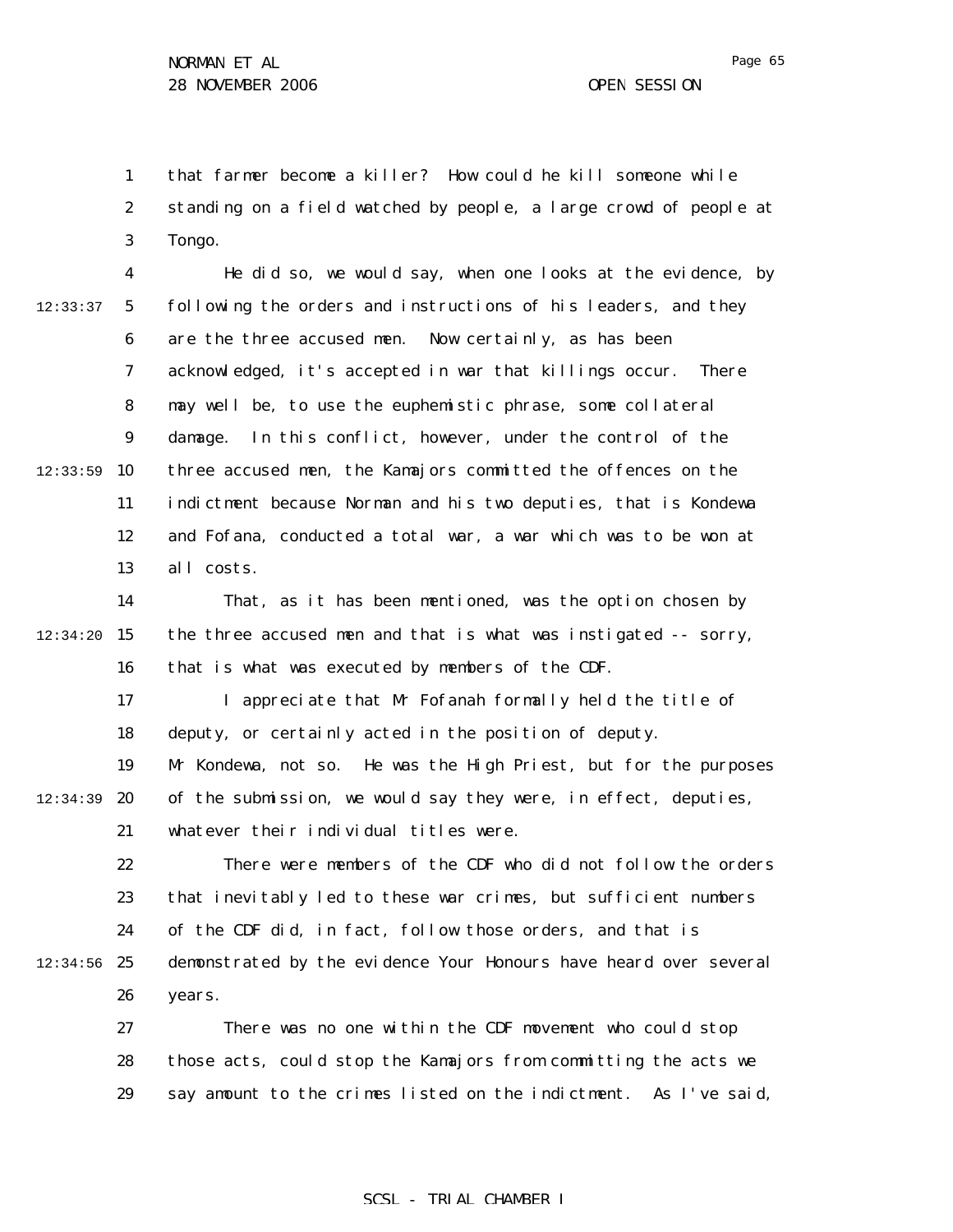1 2 3 that farmer become a killer? How could he kill someone while standing on a field watched by people, a large crowd of people at Tongo.

4 5 6 7 8 9  $12:33:59$  10 11 12 13 12:33:37 He did so, we would say, when one looks at the evidence, by following the orders and instructions of his leaders, and they are the three accused men. Now certainly, as has been acknowledged, it's accepted in war that killings occur. There may well be, to use the euphemistic phrase, some collateral damage. In this conflict, however, under the control of the three accused men, the Kamajors committed the offences on the indictment because Norman and his two deputies, that is Kondewa and Fofana, conducted a total war, a war which was to be won at all costs.

14  $12:34:20$  15 16 That, as it has been mentioned, was the option chosen by the three accused men and that is what was instigated -- sorry, that is what was executed by members of the CDF.

17 18 I appreciate that Mr Fofanah formally held the title of deputy, or certainly acted in the position of deputy.

19 12:34:39 **20** 21 Mr Kondewa, not so. He was the High Priest, but for the purposes of the submission, we would say they were, in effect, deputies, whatever their individual titles were.

22 23 24  $12:34:56$  25 26 There were members of the CDF who did not follow the orders that inevitably led to these war crimes, but sufficient numbers of the CDF did, in fact, follow those orders, and that is demonstrated by the evidence Your Honours have heard over several years.

27 28 29 There was no one within the CDF movement who could stop those acts, could stop the Kamajors from committing the acts we say amount to the crimes listed on the indictment. As I've said,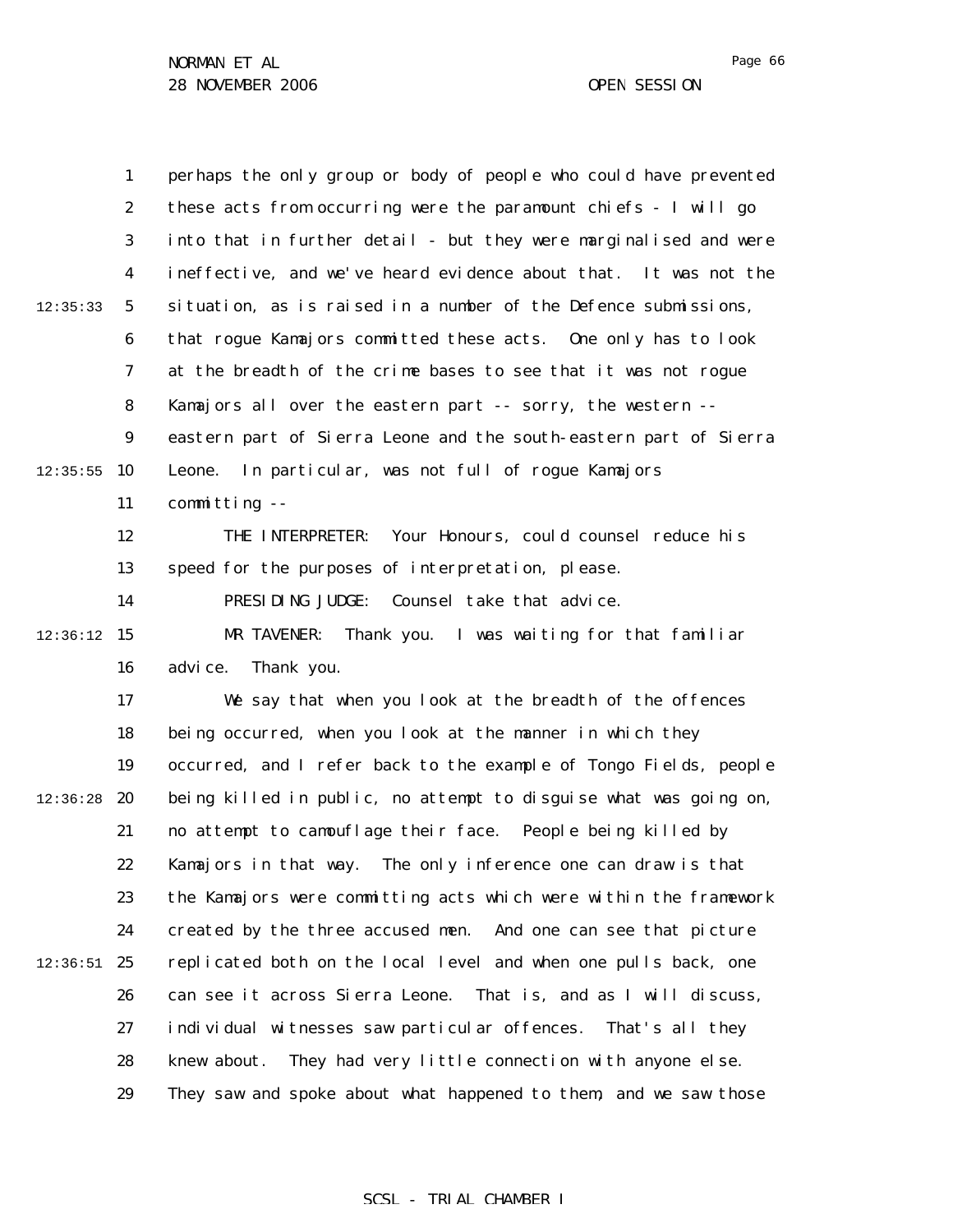|          | $\mathbf{1}$     | perhaps the only group or body of people who could have prevented |
|----------|------------------|-------------------------------------------------------------------|
|          | $\boldsymbol{2}$ | these acts from occurring were the paramount chiefs - I will go   |
|          | 3                | into that in further detail - but they were marginalised and were |
|          | $\boldsymbol{4}$ | ineffective, and we've heard evidence about that. It was not the  |
| 12:35:33 | $\mathbf 5$      | situation, as is raised in a number of the Defence submissions,   |
|          | $\boldsymbol{6}$ | that rogue Kamajors committed these acts. One only has to look    |
|          | 7                | at the breadth of the crime bases to see that it was not rogue    |
|          | 8                | Kamajors all over the eastern part -- sorry, the western --       |
|          | $\boldsymbol{9}$ | eastern part of Sierra Leone and the south-eastern part of Sierra |
| 12:35:55 | 10               | In particular, was not full of rogue Kamajors<br>Leone.           |
|          | 11               | committing --                                                     |
|          | 12               | Your Honours, could counsel reduce his<br>THE INTERPRETER:        |
|          | 13               | speed for the purposes of interpretation, please.                 |
|          | 14               | PRESIDING JUDGE:<br>Counsel take that advice.                     |
| 12:36:12 | 15               | MR TAVENER:<br>Thank you. I was waiting for that familiar         |
|          | 16               | Thank you.<br>advi ce.                                            |
|          | 17               | We say that when you look at the breadth of the offences          |
|          | 18               | being occurred, when you look at the manner in which they         |
|          | 19               | occurred, and I refer back to the example of Tongo Fields, people |
| 12:36:28 | 20               | being killed in public, no attempt to disguise what was going on, |
|          | 21               | no attempt to camouflage their face. People being killed by       |
|          | 22               | Kamajors in that way. The only inference one can draw is that     |
|          | 23               | the Kamajors were committing acts which were within the framework |
|          | 24               | created by the three accused men. And one can see that picture    |
| 12:36:51 | 25               | replicated both on the local level and when one pulls back, one   |
|          | 26               | can see it across Sierra Leone. That is, and as I will discuss,   |
|          | 27               | individual witnesses saw particular offences.<br>That's all they  |
|          | 28               | They had very little connection with anyone else.<br>knew about.  |
|          | 29               | They saw and spoke about what happened to them, and we saw those  |

## SCSL - TRIAL CHAMBER I

Page 66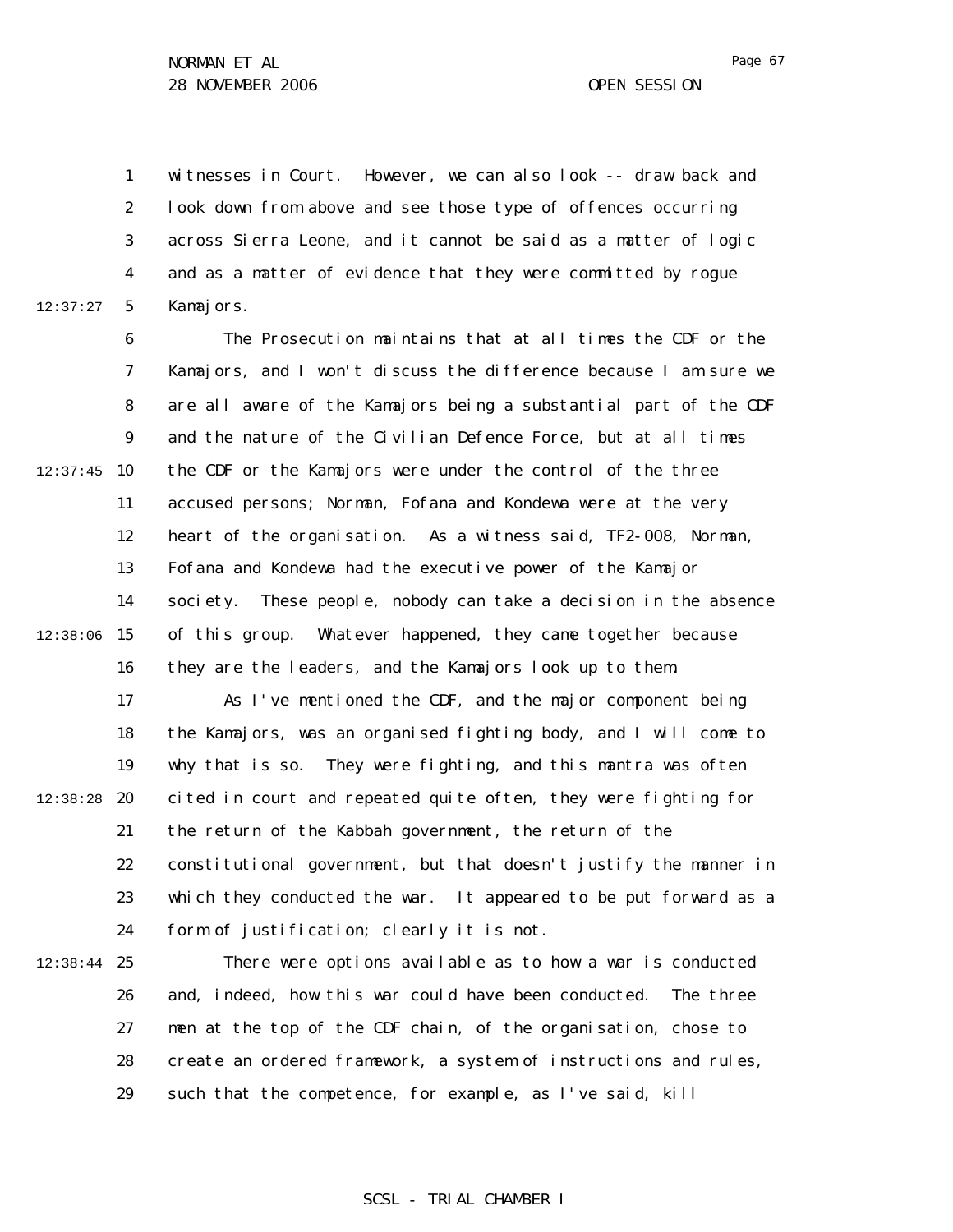1 2 3 4 5 12:37:27 witnesses in Court. However, we can also look -- draw back and look down from above and see those type of offences occurring across Sierra Leone, and it cannot be said as a matter of logic and as a matter of evidence that they were committed by rogue Kamajors.

6 7 8 9  $12:37:45$  10 11 12 13 14  $12:38:06$  15 16 The Prosecution maintains that at all times the CDF or the Kamajors, and I won't discuss the difference because I am sure we are all aware of the Kamajors being a substantial part of the CDF and the nature of the Civilian Defence Force, but at all times the CDF or the Kamajors were under the control of the three accused persons; Norman, Fofana and Kondewa were at the very heart of the organisation. As a witness said, TF2-008, Norman, Fofana and Kondewa had the executive power of the Kamajor society. These people, nobody can take a decision in the absence of this group. Whatever happened, they came together because they are the leaders, and the Kamajors look up to them.

17 18 19 12:38:28 **20** 21 22 23 24 As I've mentioned the CDF, and the major component being the Kamajors, was an organised fighting body, and I will come to why that is so. They were fighting, and this mantra was often cited in court and repeated quite often, they were fighting for the return of the Kabbah government, the return of the constitutional government, but that doesn't justify the manner in which they conducted the war. It appeared to be put forward as a form of justification; clearly it is not.

 $12:38:44$  25 26 27 28 29 There were options available as to how a war is conducted and, indeed, how this war could have been conducted. The three men at the top of the CDF chain, of the organisation, chose to create an ordered framework, a system of instructions and rules, such that the competence, for example, as I've said, kill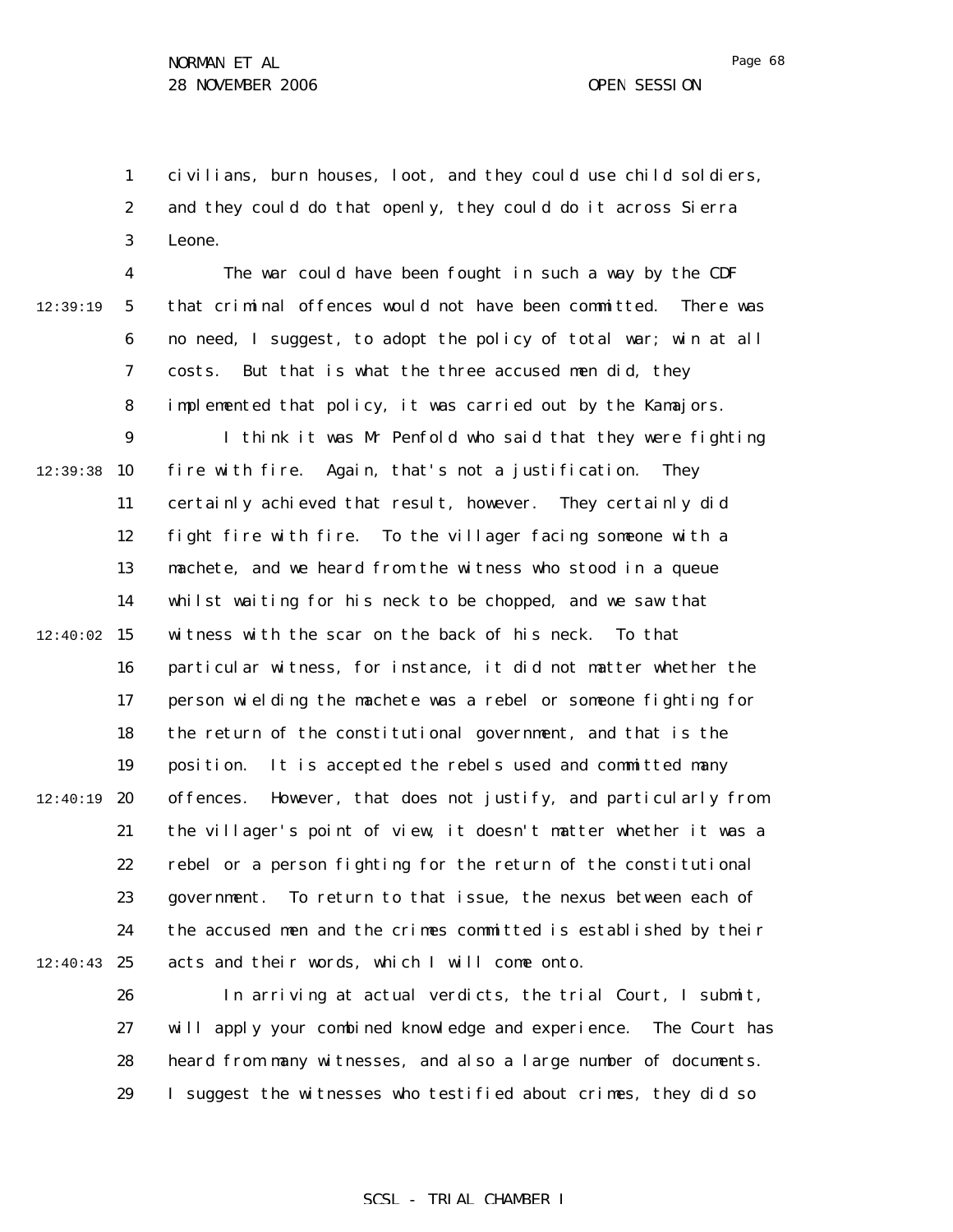1 2 3 civilians, burn houses, loot, and they could use child soldiers, and they could do that openly, they could do it across Sierra Leone.

12:39:19

4 5 6 7 8 The war could have been fought in such a way by the CDF that criminal offences would not have been committed. There was no need, I suggest, to adopt the policy of total war; win at all costs. But that is what the three accused men did, they implemented that policy, it was carried out by the Kamajors.

9  $12:39:38$  10 11 12 13 14  $12:40:02$  15 16 17 18 19  $12:40:19$  20 21 22 23 24  $12:40:43$  25 I think it was Mr Penfold who said that they were fighting fire with fire. Again, that's not a justification. They certainly achieved that result, however. They certainly did fight fire with fire. To the villager facing someone with a machete, and we heard from the witness who stood in a queue whilst waiting for his neck to be chopped, and we saw that witness with the scar on the back of his neck. To that particular witness, for instance, it did not matter whether the person wielding the machete was a rebel or someone fighting for the return of the constitutional government, and that is the position. It is accepted the rebels used and committed many offences. However, that does not justify, and particularly from the villager's point of view, it doesn't matter whether it was a rebel or a person fighting for the return of the constitutional government. To return to that issue, the nexus between each of the accused men and the crimes committed is established by their acts and their words, which I will come onto.

26 27 28 29 In arriving at actual verdicts, the trial Court, I submit, will apply your combined knowledge and experience. The Court has heard from many witnesses, and also a large number of documents. I suggest the witnesses who testified about crimes, they did so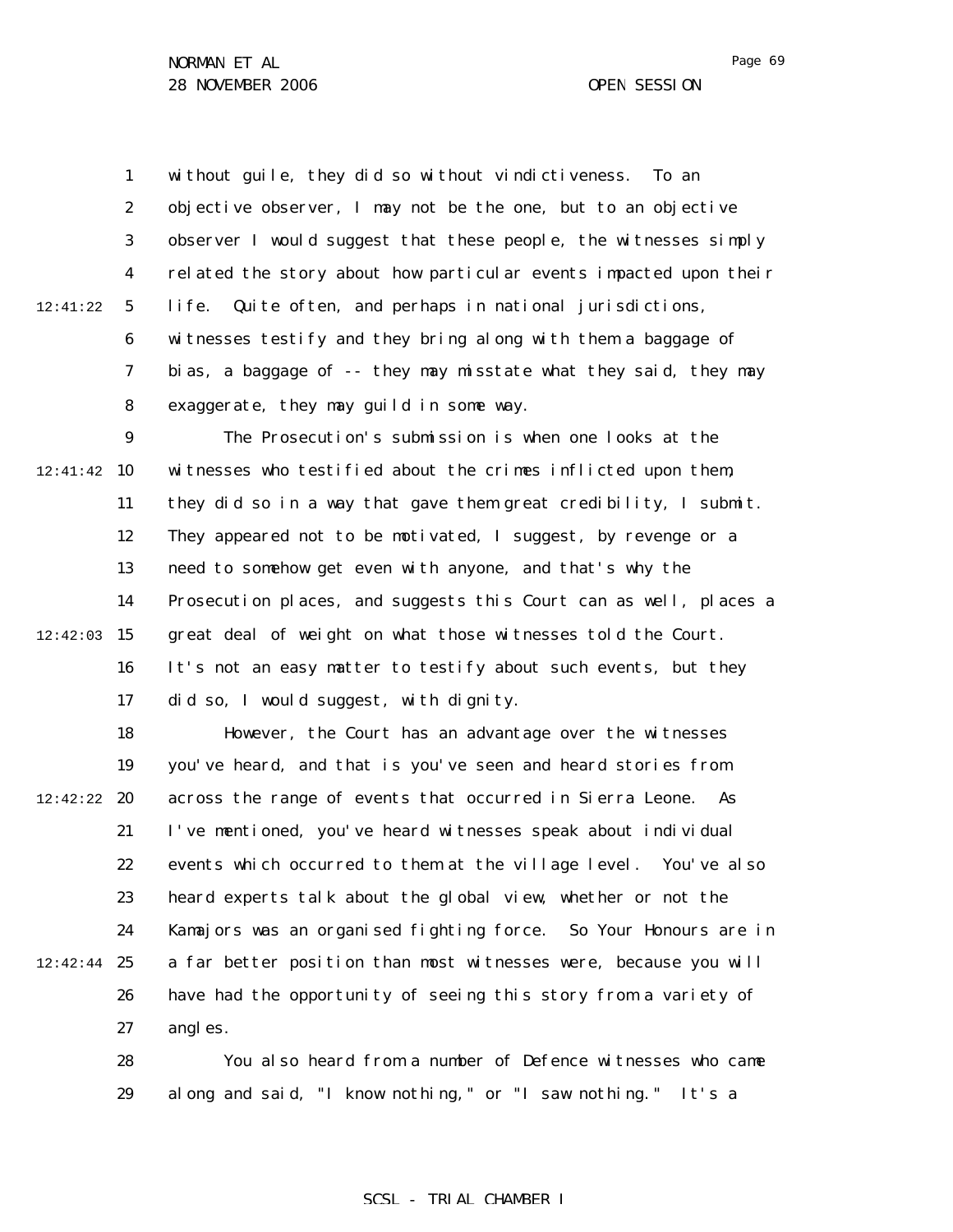1 2 3 4 5 6 7 8 9 12:41:42 10 11 12 13 14  $12:42:03$  15 16 17 18 19 12:42:22 **20** 21 22 23 24  $12:42:44$  25 26 27 12:41:22 without guile, they did so without vindictiveness. To an objective observer, I may not be the one, but to an objective observer I would suggest that these people, the witnesses simply related the story about how particular events impacted upon their life. Quite often, and perhaps in national jurisdictions, witnesses testify and they bring along with them a baggage of bias, a baggage of -- they may misstate what they said, they may exaggerate, they may guild in some way. The Prosecution's submission is when one looks at the witnesses who testified about the crimes inflicted upon them, they did so in a way that gave them great credibility, I submit. They appeared not to be motivated, I suggest, by revenge or a need to somehow get even with anyone, and that's why the Prosecution places, and suggests this Court can as well, places a great deal of weight on what those witnesses told the Court. It's not an easy matter to testify about such events, but they did so, I would suggest, with dignity. However, the Court has an advantage over the witnesses you've heard, and that is you've seen and heard stories from across the range of events that occurred in Sierra Leone. As I've mentioned, you've heard witnesses speak about individual events which occurred to them at the village level. You've also heard experts talk about the global view, whether or not the Kamajors was an organised fighting force. So Your Honours are in a far better position than most witnesses were, because you will have had the opportunity of seeing this story from a variety of angles.

> 28 29 You also heard from a number of Defence witnesses who came along and said, "I know nothing," or "I saw nothing." It's a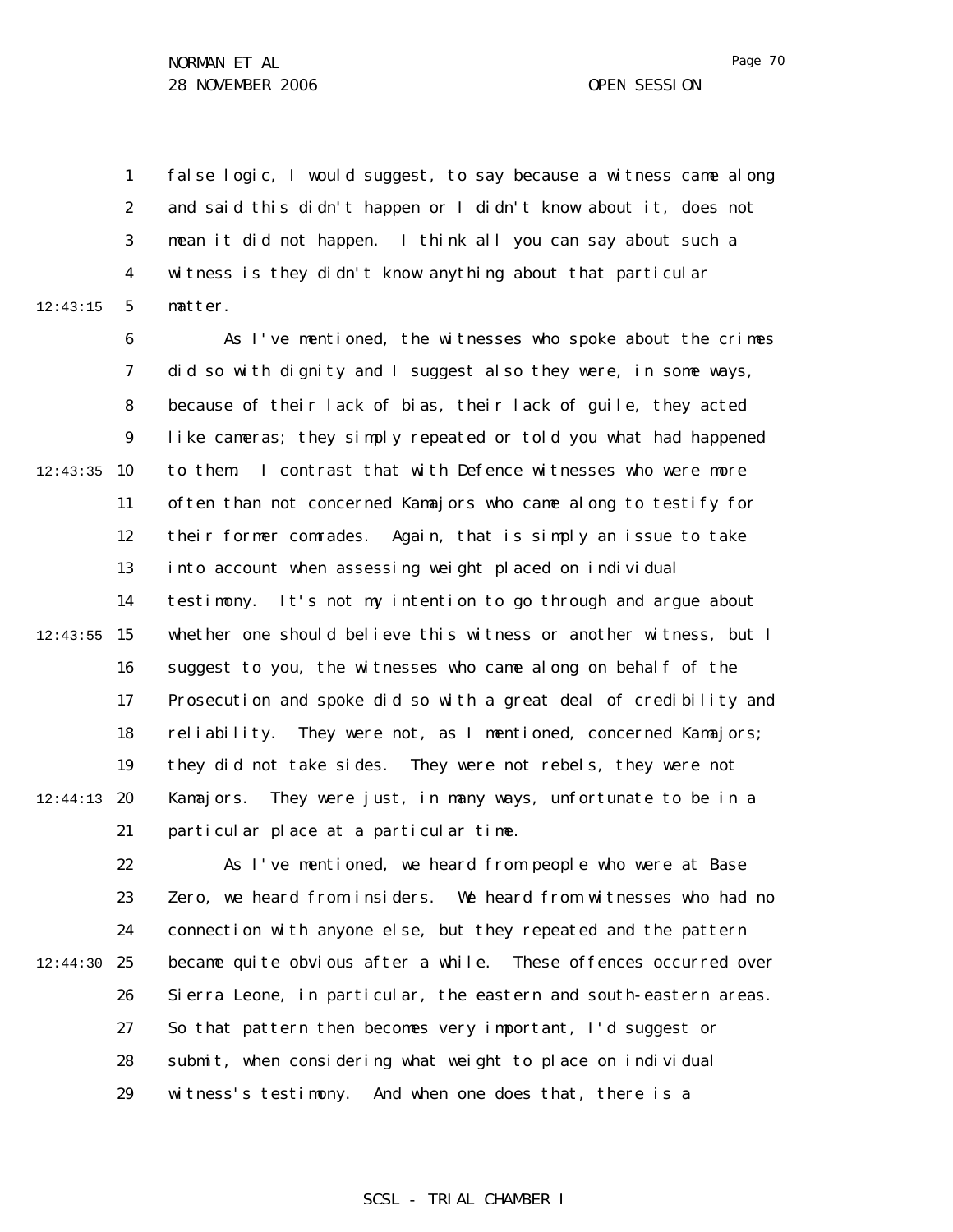1 2 3 4 5 12:43:15 false logic, I would suggest, to say because a witness came along and said this didn't happen or I didn't know about it, does not mean it did not happen. I think all you can say about such a witness is they didn't know anything about that particular matter.

6 7 8 9  $12:43:35$  10 11 12 13 14  $12:43:55$  15 16 17 18 19  $12:44:13$  20 21 As I've mentioned, the witnesses who spoke about the crimes did so with dignity and I suggest also they were, in some ways, because of their lack of bias, their lack of guile, they acted like cameras; they simply repeated or told you what had happened to them. I contrast that with Defence witnesses who were more often than not concerned Kamajors who came along to testify for their former comrades. Again, that is simply an issue to take into account when assessing weight placed on individual testimony. It's not my intention to go through and argue about whether one should believe this witness or another witness, but I suggest to you, the witnesses who came along on behalf of the Prosecution and spoke did so with a great deal of credibility and reliability. They were not, as I mentioned, concerned Kamajors; they did not take sides. They were not rebels, they were not Kamajors. They were just, in many ways, unfortunate to be in a particular place at a particular time.

22 23 24 12:44:30 25 26 27 28 29 As I've mentioned, we heard from people who were at Base Zero, we heard from insiders. We heard from witnesses who had no connection with anyone else, but they repeated and the pattern became quite obvious after a while. These offences occurred over Sierra Leone, in particular, the eastern and south-eastern areas. So that pattern then becomes very important, I'd suggest or submit, when considering what weight to place on individual witness's testimony. And when one does that, there is a

SCSL - TRIAL CHAMBER I

Page 70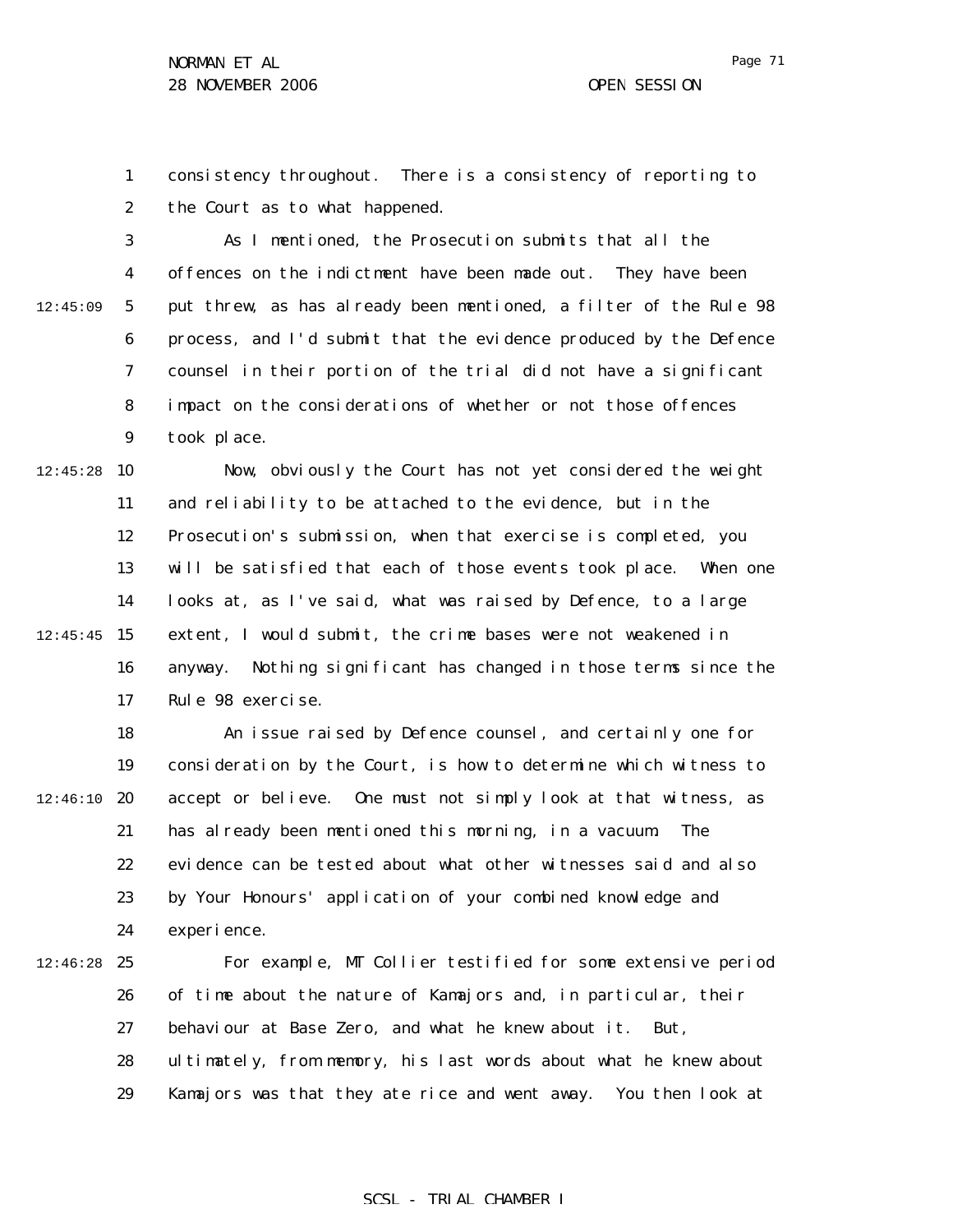Page 71

1 2 consistency throughout. There is a consistency of reporting to the Court as to what happened.

3 4 5 6 7 8 9 12:45:09 As I mentioned, the Prosecution submits that all the offences on the indictment have been made out. They have been put threw, as has already been mentioned, a filter of the Rule 98 process, and I'd submit that the evidence produced by the Defence counsel in their portion of the trial did not have a significant impact on the considerations of whether or not those offences took place.

 $12:45:28$  10 11 12 13 14  $12:45:45$  15 16 17 Now, obviously the Court has not yet considered the weight and reliability to be attached to the evidence, but in the Prosecution's submission, when that exercise is completed, you will be satisfied that each of those events took place. When one looks at, as I've said, what was raised by Defence, to a large extent, I would submit, the crime bases were not weakened in anyway. Nothing significant has changed in those terms since the Rule 98 exercise.

18 19  $12:46:10$  20 21 22 23 24 An issue raised by Defence counsel, and certainly one for consideration by the Court, is how to determine which witness to accept or believe. One must not simply look at that witness, as has already been mentioned this morning, in a vacuum. The evidence can be tested about what other witnesses said and also by Your Honours' application of your combined knowledge and experience.

 $12:46:28$  25 26 27 28 29 For example, MT Collier testified for some extensive period of time about the nature of Kamajors and, in particular, their behaviour at Base Zero, and what he knew about it. But, ultimately, from memory, his last words about what he knew about Kamajors was that they ate rice and went away. You then look at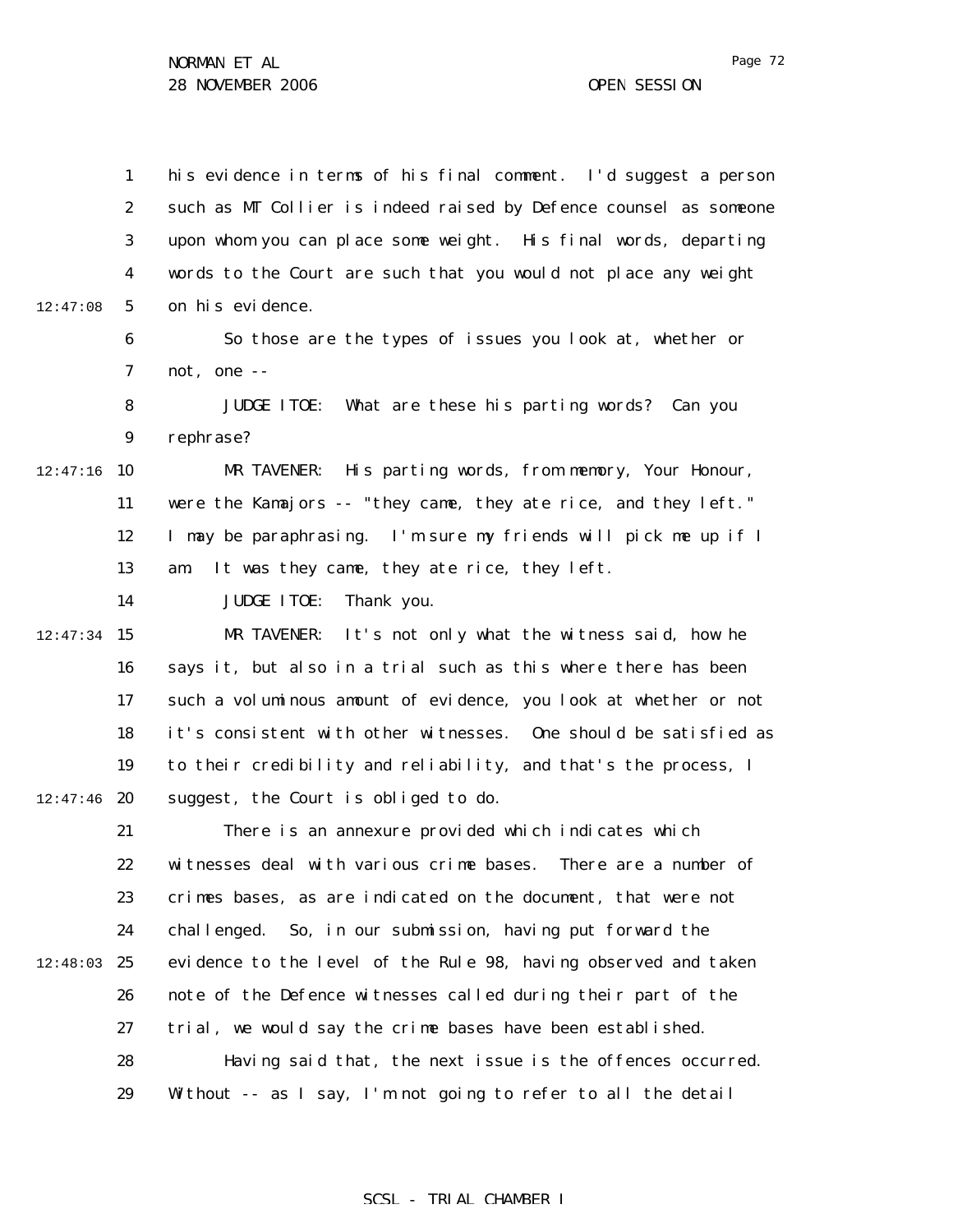1 2 3 4 5 6 7 8 9  $12:47:16$  10 11 12 13 14  $12:47:34$  15 16 17 18 19  $12:47:46$  20 21 22 23 24 12:48:03 25 26 27 28 29 12:47:08 his evidence in terms of his final comment. I'd suggest a person such as MT Collier is indeed raised by Defence counsel as someone upon whom you can place some weight. His final words, departing words to the Court are such that you would not place any weight on his evidence. So those are the types of issues you look at, whether or not, one -- JUDGE ITOE: What are these his parting words? Can you rephrase? MR TAVENER: His parting words, from memory, Your Honour, were the Kamajors -- "they came, they ate rice, and they left." I may be paraphrasing. I'm sure my friends will pick me up if I am. It was they came, they ate rice, they left. JUDGE ITOE: Thank you. MR TAVENER: It's not only what the witness said, how he says it, but also in a trial such as this where there has been such a voluminous amount of evidence, you look at whether or not it's consistent with other witnesses. One should be satisfied as to their credibility and reliability, and that's the process, I suggest, the Court is obliged to do. There is an annexure provided which indicates which witnesses deal with various crime bases. There are a number of crimes bases, as are indicated on the document, that were not challenged. So, in our submission, having put forward the evidence to the level of the Rule 98, having observed and taken note of the Defence witnesses called during their part of the trial, we would say the crime bases have been established. Having said that, the next issue is the offences occurred. Without -- as I say, I'm not going to refer to all the detail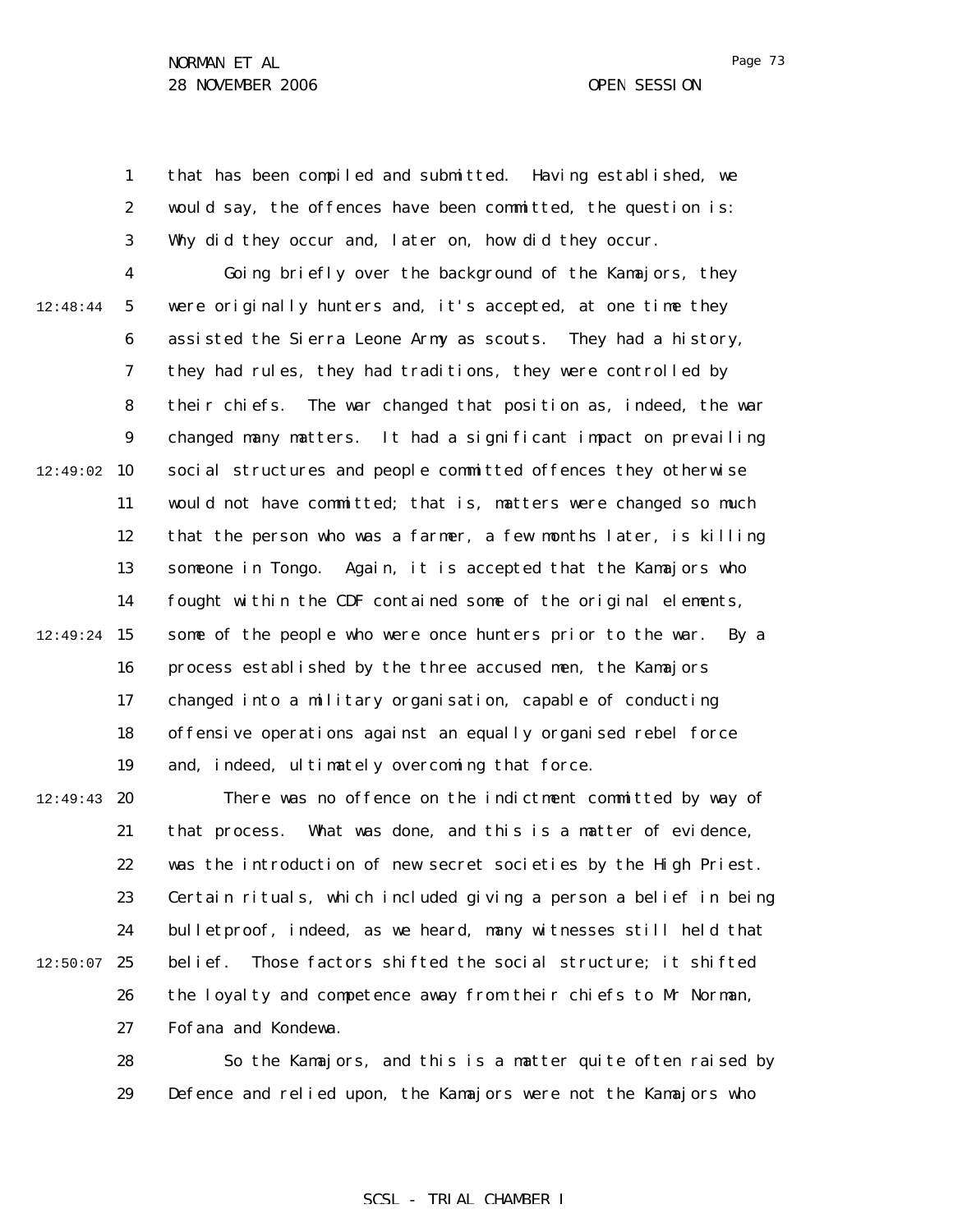1 2 3 that has been compiled and submitted. Having established, we would say, the offences have been committed, the question is: Why did they occur and, later on, how did they occur.

4 5 6 7 8 9  $12:49:02$  10 11 12 13 14  $12:49:24$  15 16 17 18 19 12:48:44 Going briefly over the background of the Kamajors, they were originally hunters and, it's accepted, at one time they assisted the Sierra Leone Army as scouts. They had a history, they had rules, they had traditions, they were controlled by their chiefs. The war changed that position as, indeed, the war changed many matters. It had a significant impact on prevailing social structures and people committed offences they otherwise would not have committed; that is, matters were changed so much that the person who was a farmer, a few months later, is killing someone in Tongo. Again, it is accepted that the Kamajors who fought within the CDF contained some of the original elements, some of the people who were once hunters prior to the war. By a process established by the three accused men, the Kamajors changed into a military organisation, capable of conducting offensive operations against an equally organised rebel force and, indeed, ultimately overcoming that force.

 $12:49:43$  20 21 22 23 24 25 26 27 12:50:07 There was no offence on the indictment committed by way of that process. What was done, and this is a matter of evidence, was the introduction of new secret societies by the High Priest. Certain rituals, which included giving a person a belief in being bulletproof, indeed, as we heard, many witnesses still held that belief. Those factors shifted the social structure; it shifted the loyalty and competence away from their chiefs to Mr Norman, Fofana and Kondewa.

> 28 29 So the Kamajors, and this is a matter quite often raised by Defence and relied upon, the Kamajors were not the Kamajors who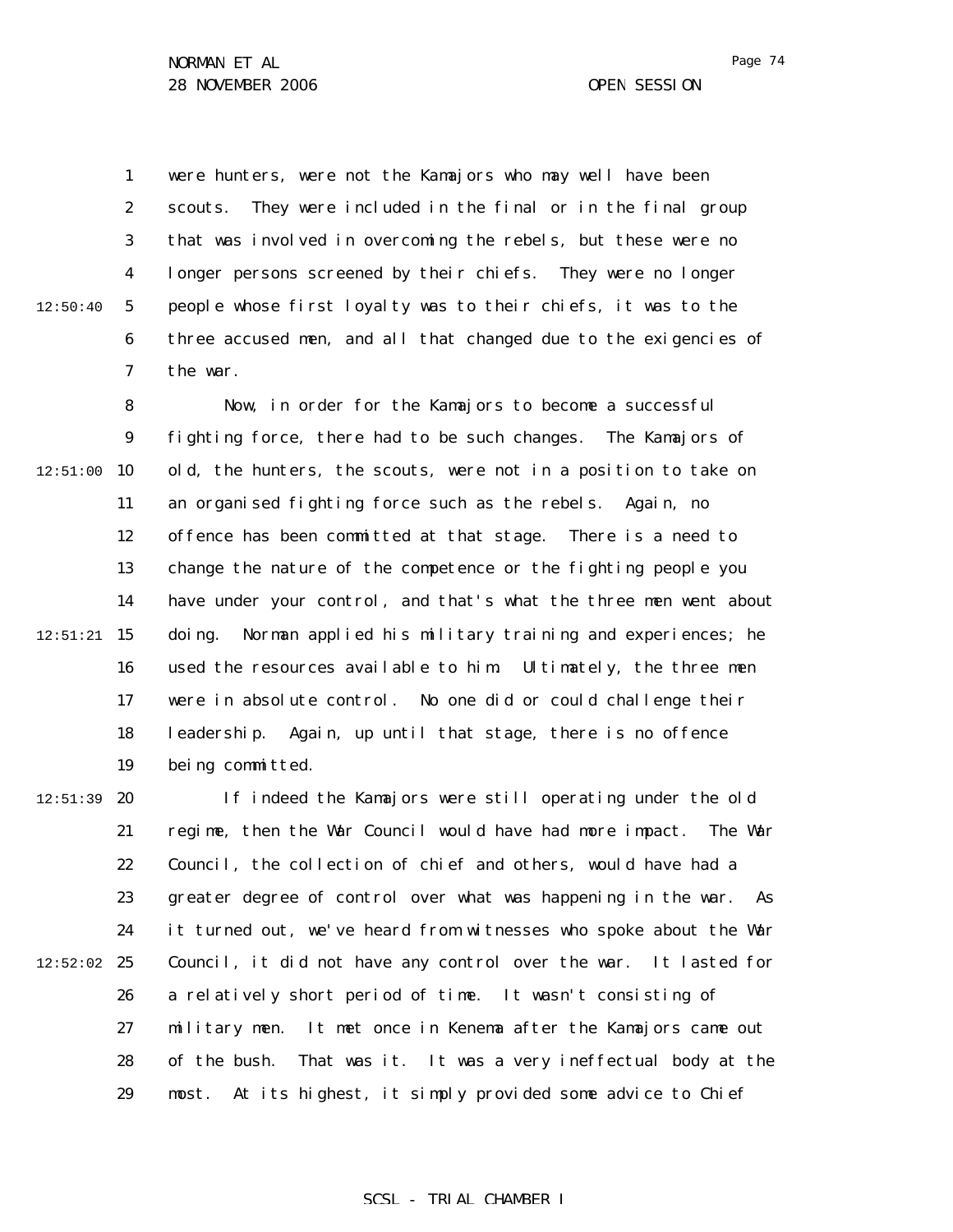12:50:40

1 2 3 4 5 6 7 were hunters, were not the Kamajors who may well have been scouts. They were included in the final or in the final group that was involved in overcoming the rebels, but these were no longer persons screened by their chiefs. They were no longer people whose first loyalty was to their chiefs, it was to the three accused men, and all that changed due to the exigencies of the war.

8 9  $12:51:00$  10 11 12 13 14  $12:51:21$  15 16 17 18 19 Now, in order for the Kamajors to become a successful fighting force, there had to be such changes. The Kamajors of old, the hunters, the scouts, were not in a position to take on an organised fighting force such as the rebels. Again, no offence has been committed at that stage. There is a need to change the nature of the competence or the fighting people you have under your control, and that's what the three men went about doing. Norman applied his military training and experiences; he used the resources available to him. Ultimately, the three men were in absolute control. No one did or could challenge their leadership. Again, up until that stage, there is no offence being committed.

 $12:51:39$  20 21 22 23 24  $12:52:02$  25 26 27 28 29 If indeed the Kamajors were still operating under the old regime, then the War Council would have had more impact. The War Council, the collection of chief and others, would have had a greater degree of control over what was happening in the war. As it turned out, we've heard from witnesses who spoke about the War Council, it did not have any control over the war. It lasted for a relatively short period of time. It wasn't consisting of military men. It met once in Kenema after the Kamajors came out of the bush. That was it. It was a very ineffectual body at the most. At its highest, it simply provided some advice to Chief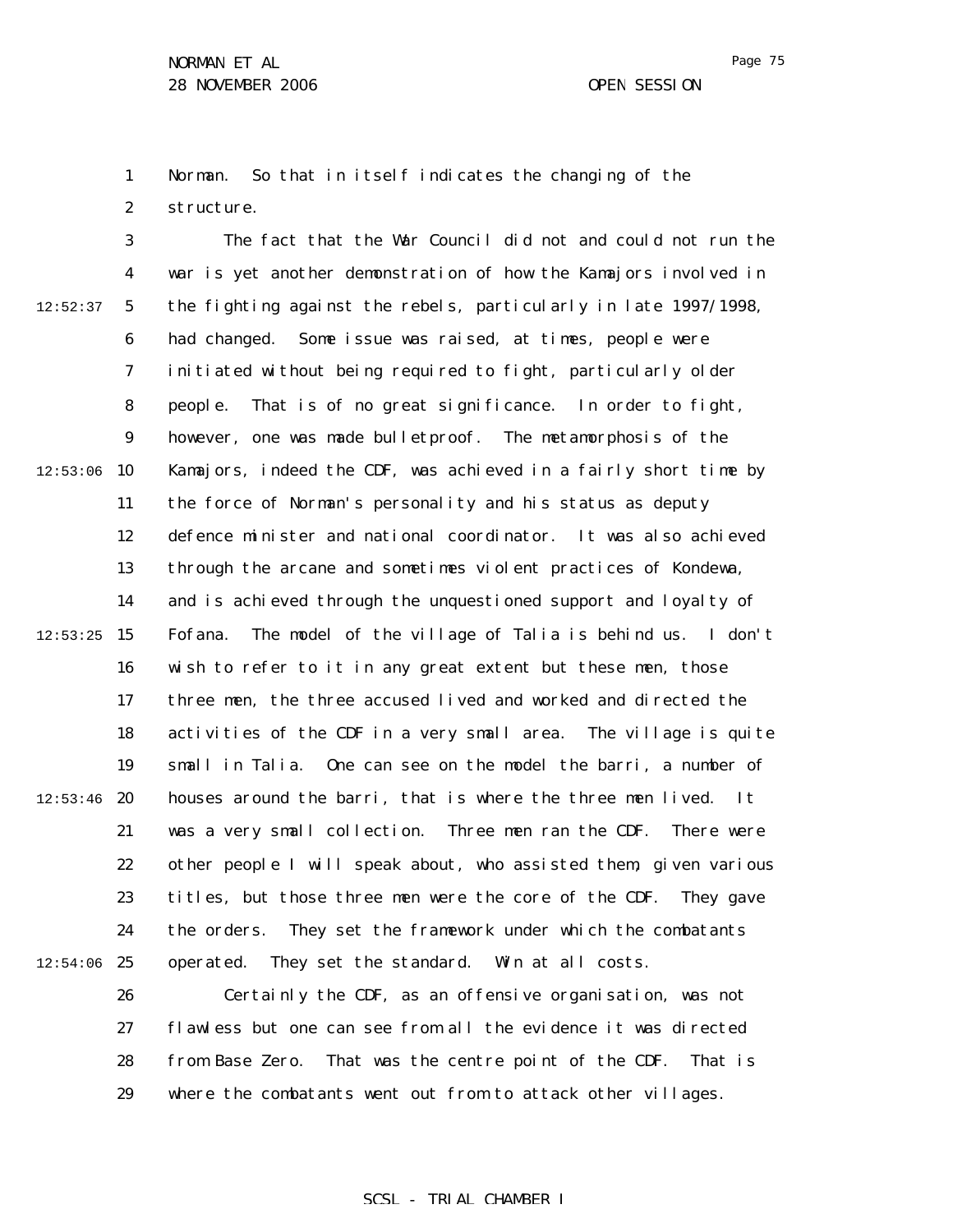Page 75

1 2 Norman. So that in itself indicates the changing of the structure.

3 4 5 6 7 8 9  $12:53:06$  10 11 12 13 14  $12:53:25$  15 16 17 18 19  $12:53:46$  20 21 22 23 24  $12:54:06$  25 12:52:37 The fact that the War Council did not and could not run the war is yet another demonstration of how the Kamajors involved in the fighting against the rebels, particularly in late 1997/1998, had changed. Some issue was raised, at times, people were initiated without being required to fight, particularly older people. That is of no great significance. In order to fight, however, one was made bulletproof. The metamorphosis of the Kamajors, indeed the CDF, was achieved in a fairly short time by the force of Norman's personality and his status as deputy defence minister and national coordinator. It was also achieved through the arcane and sometimes violent practices of Kondewa, and is achieved through the unquestioned support and loyalty of Fofana. The model of the village of Talia is behind us. I don't wish to refer to it in any great extent but these men, those three men, the three accused lived and worked and directed the activities of the CDF in a very small area. The village is quite small in Talia. One can see on the model the barri, a number of houses around the barri, that is where the three men lived. It was a very small collection. Three men ran the CDF. There were other people I will speak about, who assisted them, given various titles, but those three men were the core of the CDF. They gave the orders. They set the framework under which the combatants operated. They set the standard. Win at all costs.

> 26 27 28 29 Certainly the CDF, as an offensive organisation, was not flawless but one can see from all the evidence it was directed from Base Zero. That was the centre point of the CDF. That is where the combatants went out from to attack other villages.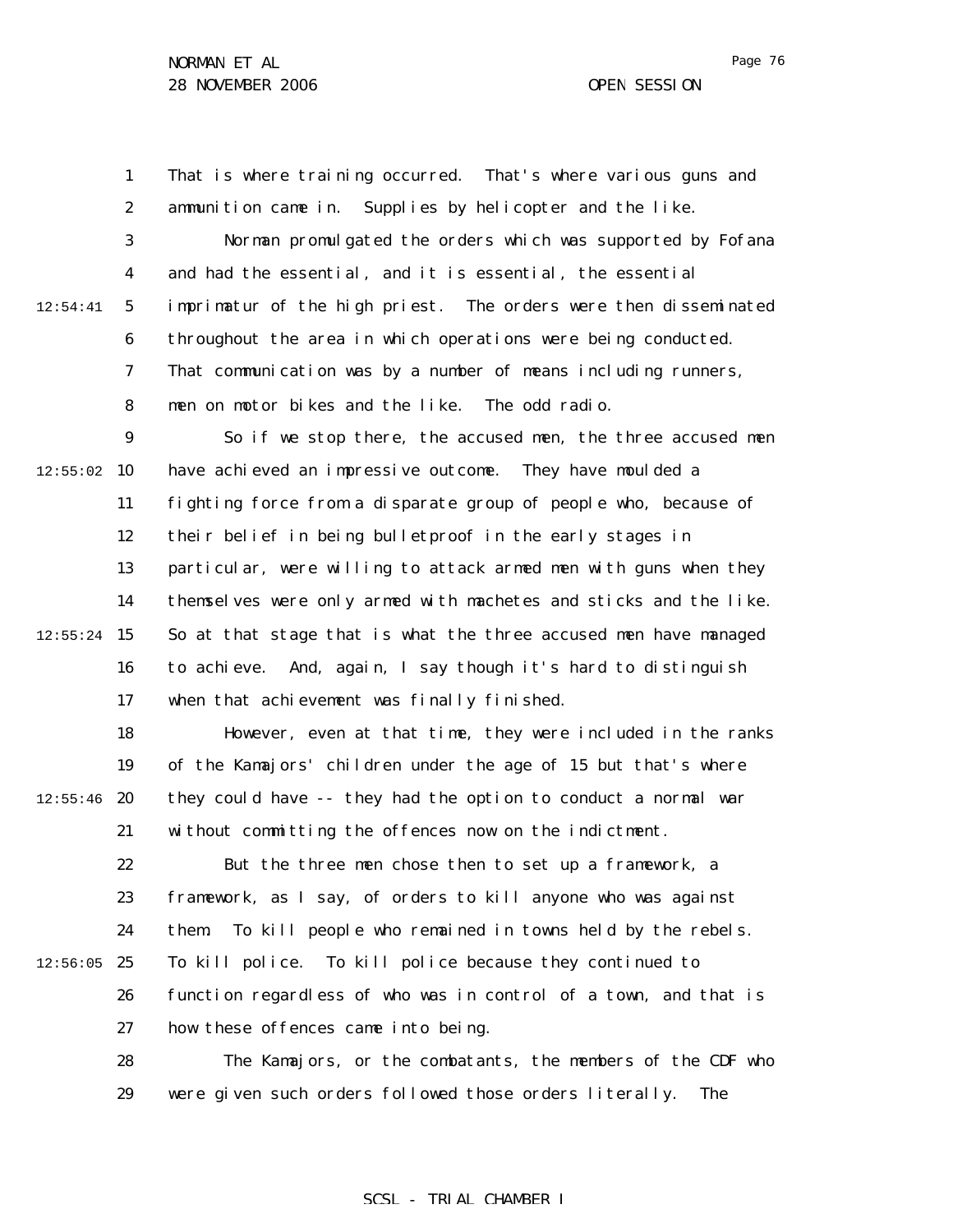1 2 3 4 5 6 7 8 9  $12:55:02$  10 11 12 13 14  $12:55:24$  15 16 17 18 19  $12:55:46$  20 21 22 23 24  $12:56:05$  25 26 27 28 29 12:54:41 That is where training occurred. That's where various guns and ammunition came in. Supplies by helicopter and the like. Norman promulgated the orders which was supported by Fofana and had the essential, and it is essential, the essential imprimatur of the high priest. The orders were then disseminated throughout the area in which operations were being conducted. That communication was by a number of means including runners, men on motor bikes and the like. The odd radio. So if we stop there, the accused men, the three accused men have achieved an impressive outcome. They have moulded a fighting force from a disparate group of people who, because of their belief in being bulletproof in the early stages in particular, were willing to attack armed men with guns when they themselves were only armed with machetes and sticks and the like. So at that stage that is what the three accused men have managed to achieve. And, again, I say though it's hard to distinguish when that achievement was finally finished. However, even at that time, they were included in the ranks of the Kamajors' children under the age of 15 but that's where they could have -- they had the option to conduct a normal war without committing the offences now on the indictment. But the three men chose then to set up a framework, a framework, as I say, of orders to kill anyone who was against them. To kill people who remained in towns held by the rebels. To kill police. To kill police because they continued to function regardless of who was in control of a town, and that is how these offences came into being. The Kamajors, or the combatants, the members of the CDF who were given such orders followed those orders literally. The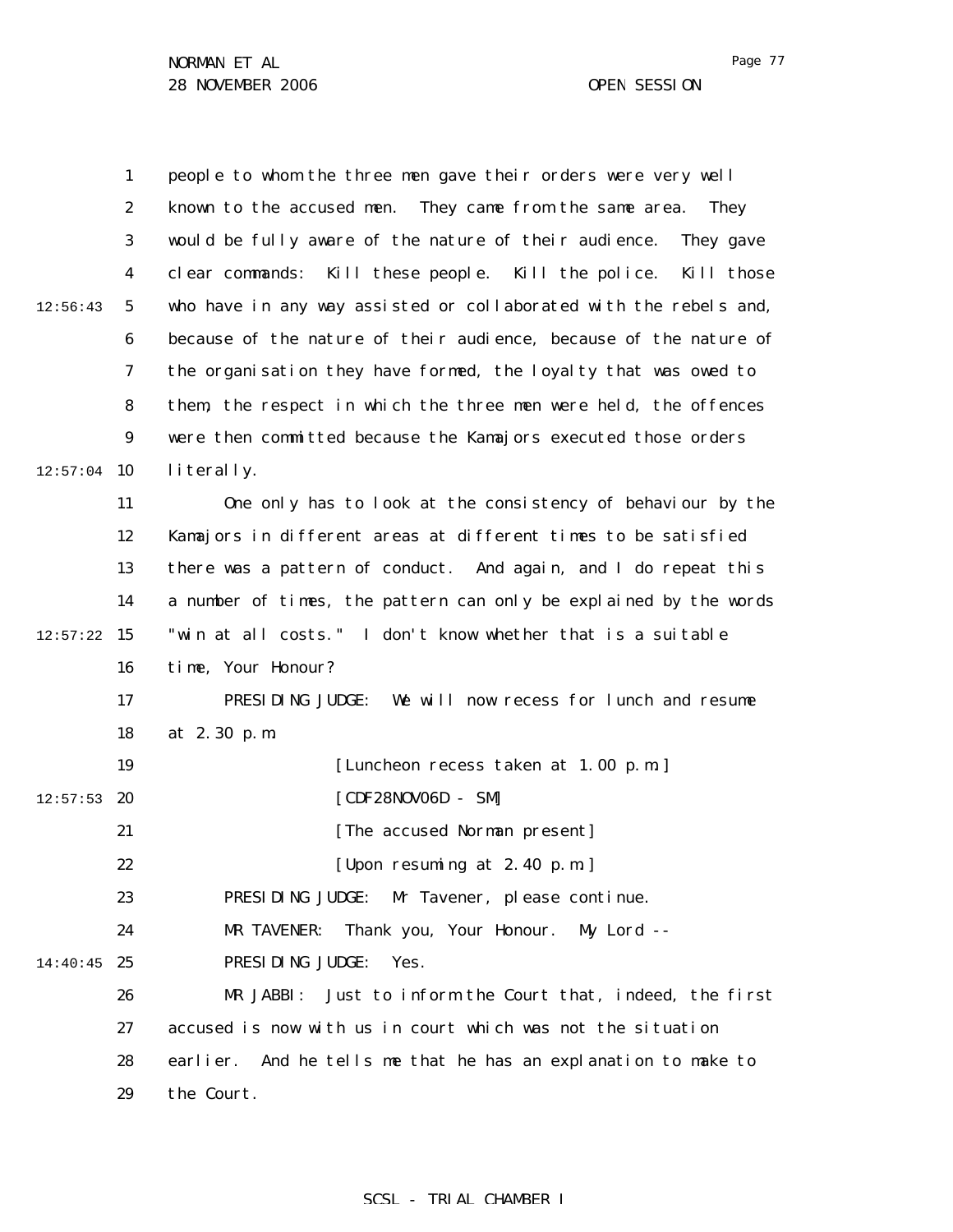|          | $\mathbf{1}$     | people to whom the three men gave their orders were very well          |
|----------|------------------|------------------------------------------------------------------------|
|          | $\boldsymbol{2}$ | known to the accused men. They came from the same area.<br><b>They</b> |
|          | $\boldsymbol{3}$ | would be fully aware of the nature of their audience.<br>They gave     |
|          | $\boldsymbol{4}$ | clear commands: Kill these people. Kill the police.<br>Kill those      |
| 12:56:43 | $\mathbf{5}$     | who have in any way assisted or collaborated with the rebels and,      |
|          | $\boldsymbol{6}$ | because of the nature of their audience, because of the nature of      |
|          | 7                | the organisation they have formed, the loyalty that was owed to        |
|          | 8                | them, the respect in which the three men were held, the offences       |
|          | $\boldsymbol{9}$ | were then committed because the Kamajors executed those orders         |
| 12:57:04 | 10               | literally.                                                             |
|          | 11               | One only has to look at the consistency of behaviour by the            |
|          | 12               | Kamajors in different areas at different times to be satisfied         |
|          | 13               | there was a pattern of conduct. And again, and I do repeat this        |
|          | 14               | a number of times, the pattern can only be explained by the words      |
| 12:57:22 | 15               | "win at all costs." I don't know whether that is a suitable            |
|          | 16               | time, Your Honour?                                                     |
|          | 17               | PRESIDING JUDGE:<br>We will now recess for lunch and resume            |
|          | 18               | at 2.30 p.m.                                                           |
|          | 19               | [Luncheon recess taken at 1.00 p.m.]                                   |
| 12:57:53 | 20               | [CDF28N0V06D - SM]                                                     |
|          | 21               | [The accused Norman present]                                           |
|          | 22               | [Upon resuming at 2.40 p.m.]                                           |
|          | 23               | PRESIDING JUDGE:<br>Mr Tavener, please continue.                       |
|          | 24               | Thank you, Your Honour.<br>MR TAVENER:<br>$Mv$ Lord --                 |
| 14:40:45 | 25               | PRESIDING JUDGE:<br>Yes.                                               |
|          | 26               | MR JABBI:<br>Just to inform the Court that, indeed, the first          |
|          | 27               | accused is now with us in court which was not the situation            |
|          | 28               | And he tells me that he has an explanation to make to<br>earlier.      |
|          | 29               | the Court.                                                             |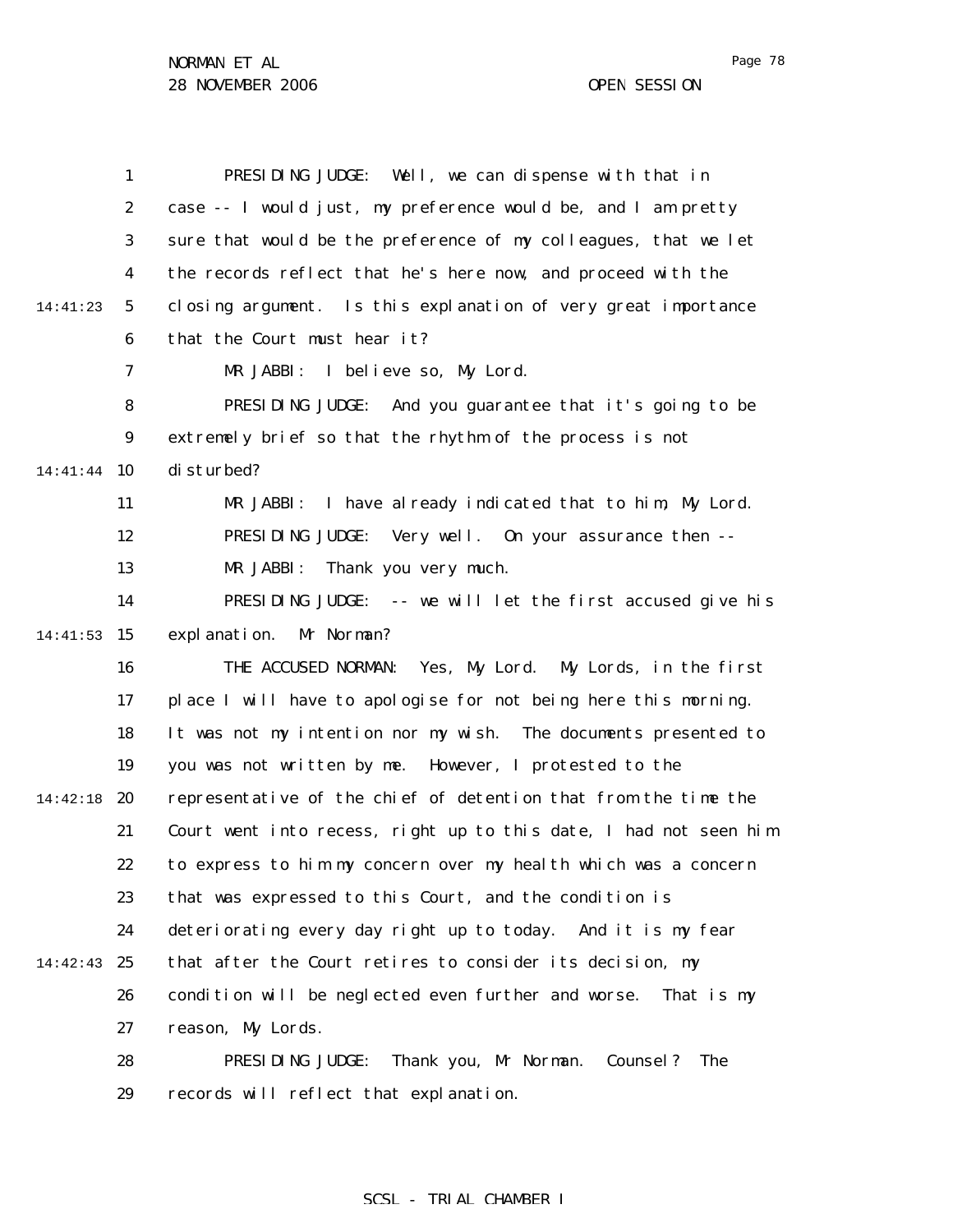|          | $\mathbf{1}$     | PRESIDING JUDGE: Well, we can dispense with that in                 |
|----------|------------------|---------------------------------------------------------------------|
|          | $\boldsymbol{2}$ | case -- I would just, my preference would be, and I am pretty       |
|          | 3                | sure that would be the preference of my colleagues, that we let     |
|          | 4                | the records reflect that he's here now, and proceed with the        |
| 14:41:23 | $\mathbf{5}$     | closing argument. Is this explanation of very great importance      |
|          | $\boldsymbol{6}$ | that the Court must hear it?                                        |
|          | 7                | MR JABBI:<br>I believe so, My Lord.                                 |
|          | 8                | PRESIDING JUDGE:<br>And you guarantee that it's going to be         |
|          | $\boldsymbol{9}$ | extremely brief so that the rhythm of the process is not            |
| 14:41:44 | 10               | disturbed?                                                          |
|          | 11               | I have already indicated that to him, My Lord.<br>MR JABBI:         |
|          | 12               | PRESIDING JUDGE:<br>Very well. On your assurance then --            |
|          | 13               | MR JABBI:<br>Thank you very much.                                   |
|          | 14               | PRESIDING JUDGE: -- we will let the first accused give his          |
| 14:41:53 | 15               | Mr Norman?<br>expl anation.                                         |
|          | 16               | THE ACCUSED NORMAN:<br>Yes, My Lord. My Lords, in the first         |
|          | 17               | place I will have to apologise for not being here this morning.     |
|          | 18               | It was not my intention nor my wish. The documents presented to     |
|          | 19               | you was not written by me. However, I protested to the              |
| 14:42:18 | 20               | representative of the chief of detention that from the time the     |
|          | 21               | Court went into recess, right up to this date, I had not seen him   |
|          | 22               | to express to him my concern over my health which was a concern     |
|          | 23               | that was expressed to this Court, and the condition is              |
|          | 24               | deteriorating every day right up to today. And it is my fear        |
| 14:42:43 | 25               | that after the Court retires to consider its decision, my           |
|          | 26               | condition will be neglected even further and worse.<br>That is my   |
|          | 27               | reason, My Lords.                                                   |
|          | 28               | PRESIDING JUDGE:<br>Thank you, Mr Norman.<br>Counsel?<br><b>The</b> |
|          | 29               | records will reflect that explanation.                              |

# SCSL - TRIAL CHAMBER I

Page 78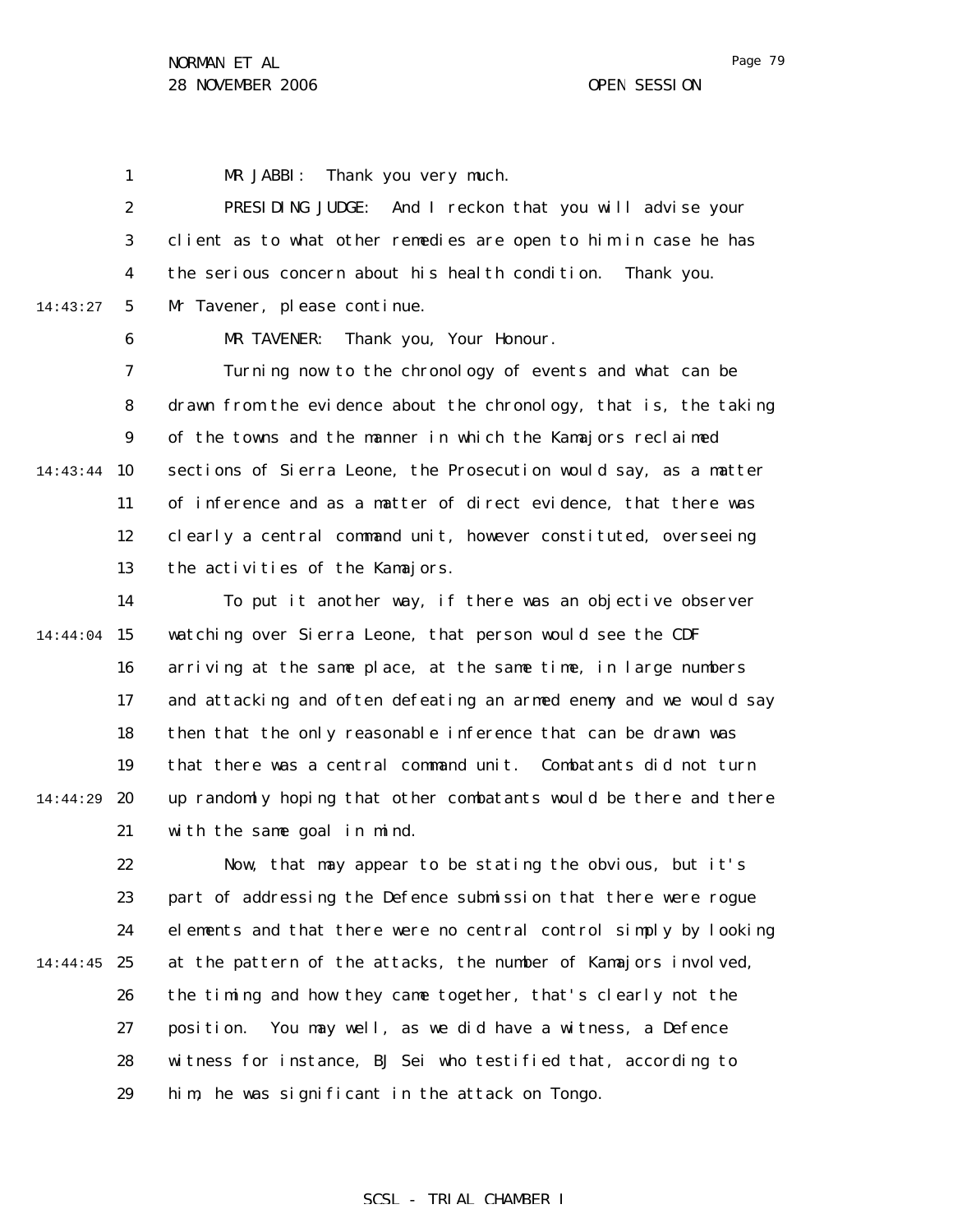1 MR JABBI: Thank you very much.

2 3 4 5 14:43:27 PRESIDING JUDGE: And I reckon that you will advise your client as to what other remedies are open to him in case he has the serious concern about his health condition. Thank you. Mr Tavener, please continue.

MR TAVENER: Thank you, Your Honour.

6

7 8 9 14:43:44 10 11 12 13 Turning now to the chronology of events and what can be drawn from the evidence about the chronology, that is, the taking of the towns and the manner in which the Kamajors reclaimed sections of Sierra Leone, the Prosecution would say, as a matter of inference and as a matter of direct evidence, that there was clearly a central command unit, however constituted, overseeing the activities of the Kamajors.

14 14:44:04 15 16 17 18 19 20 21 14:44:29 To put it another way, if there was an objective observer watching over Sierra Leone, that person would see the CDF arriving at the same place, at the same time, in large numbers and attacking and often defeating an armed enemy and we would say then that the only reasonable inference that can be drawn was that there was a central command unit. Combatants did not turn up randomly hoping that other combatants would be there and there with the same goal in mind.

22 23 24 14:44:45 25 26 27 28 29 Now, that may appear to be stating the obvious, but it's part of addressing the Defence submission that there were rogue elements and that there were no central control simply by looking at the pattern of the attacks, the number of Kamajors involved, the timing and how they came together, that's clearly not the position. You may well, as we did have a witness, a Defence witness for instance, BJ Sei who testified that, according to him, he was significant in the attack on Tongo.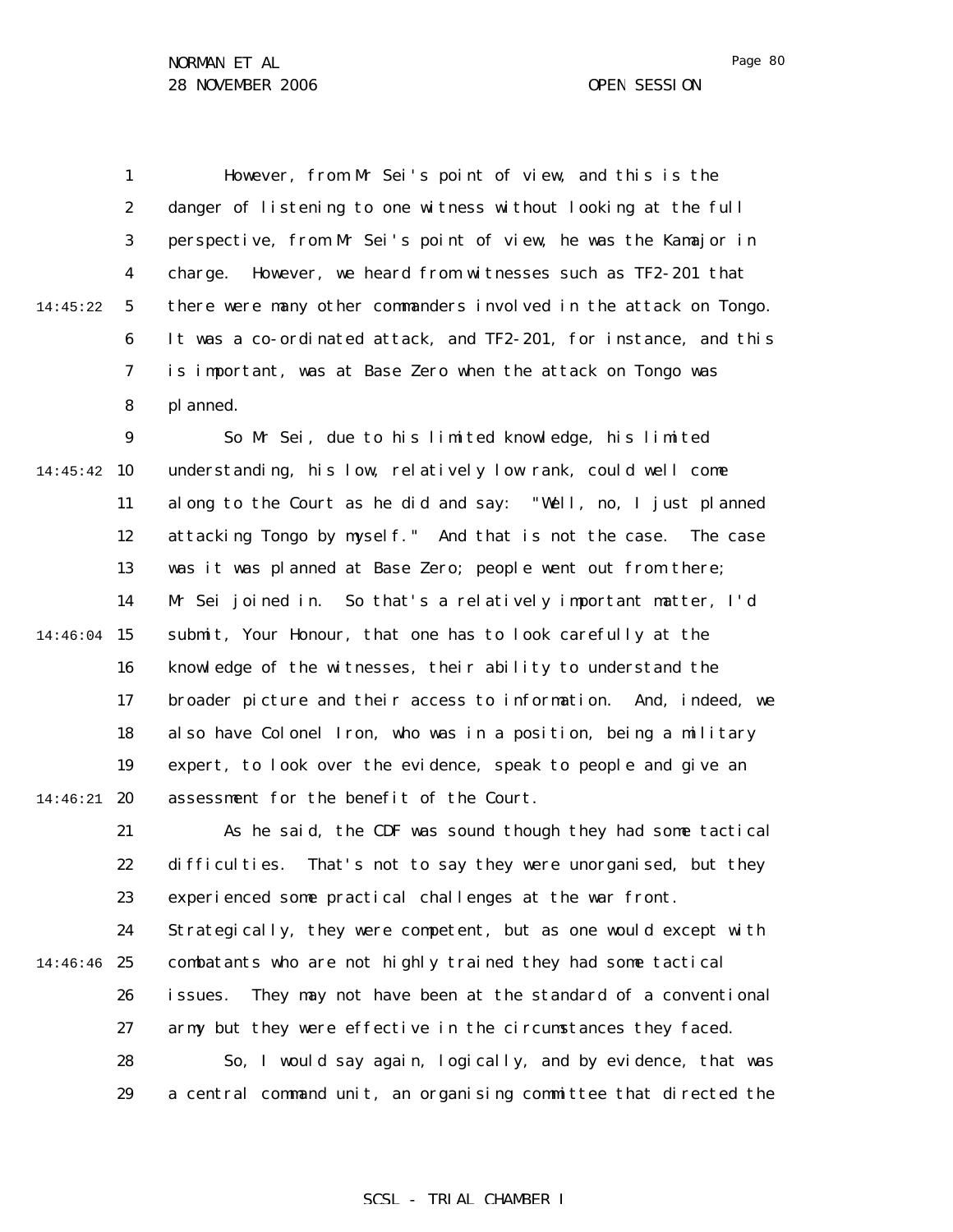Page 80

1 2 3 4 5 6 7 8 9 14:45:42 10 11 14:45:22 However, from Mr Sei's point of view, and this is the danger of listening to one witness without looking at the full perspective, from Mr Sei's point of view, he was the Kamajor in charge. However, we heard from witnesses such as TF2-201 that there were many other commanders involved in the attack on Tongo. It was a co-ordinated attack, and TF2-201, for instance, and this is important, was at Base Zero when the attack on Tongo was planned. So Mr Sei, due to his limited knowledge, his limited understanding, his low, relatively low rank, could well come along to the Court as he did and say: "Well, no, I just planned

12 13 14 14:46:04 15 16 17 18 19 14:46:21 **20** attacking Tongo by myself." And that is not the case. The case was it was planned at Base Zero; people went out from there; Mr Sei joined in. So that's a relatively important matter, I'd submit, Your Honour, that one has to look carefully at the knowledge of the witnesses, their ability to understand the broader picture and their access to information. And, indeed, we also have Colonel Iron, who was in a position, being a military expert, to look over the evidence, speak to people and give an assessment for the benefit of the Court.

21 22 23 24 14:46:46 25 26 27 28 29 As he said, the CDF was sound though they had some tactical difficulties. That's not to say they were unorganised, but they experienced some practical challenges at the war front. Strategically, they were competent, but as one would except with combatants who are not highly trained they had some tactical issues. They may not have been at the standard of a conventional army but they were effective in the circumstances they faced. So, I would say again, logically, and by evidence, that was a central command unit, an organising committee that directed the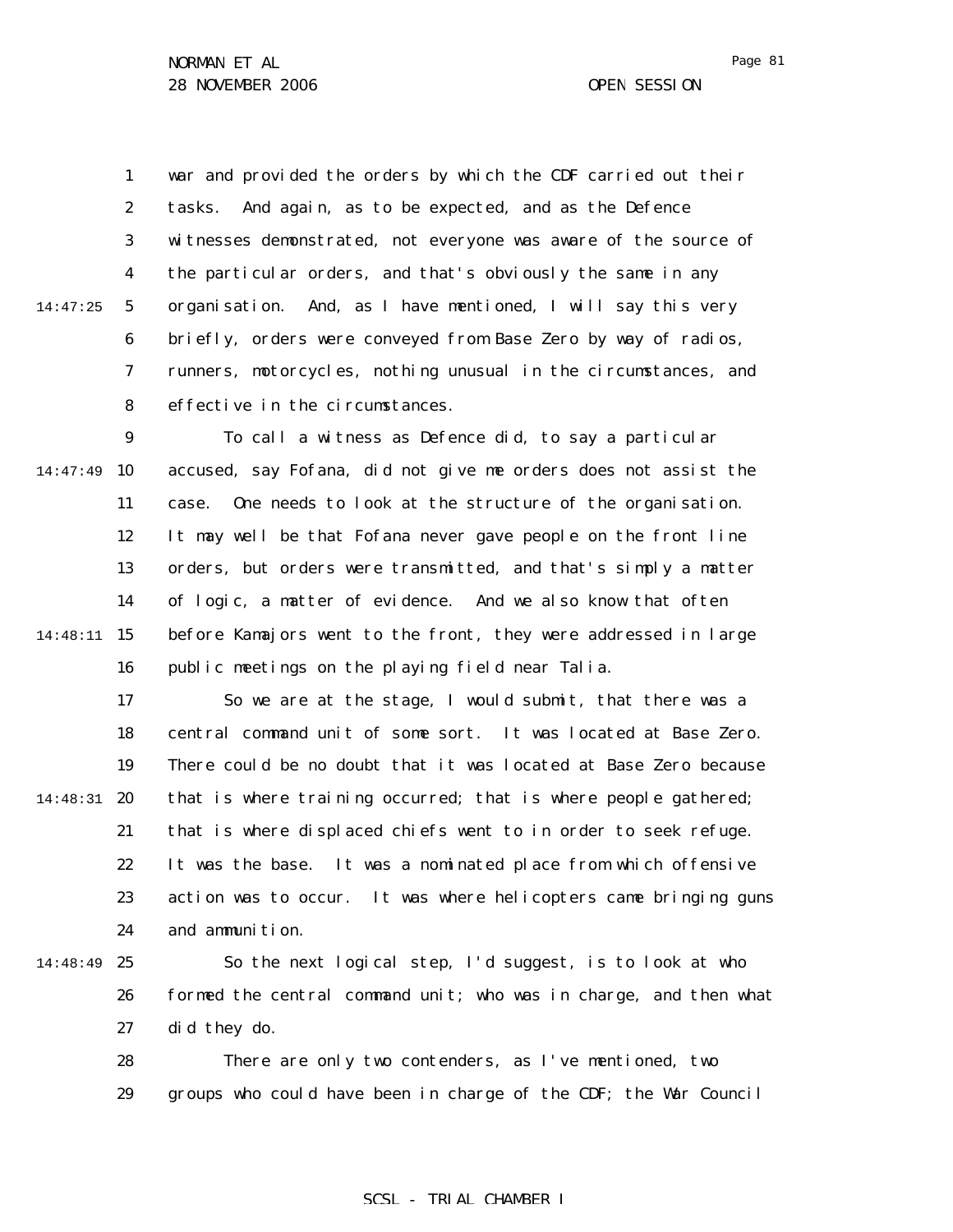1 2 3 4 5 6 7 8 14:47:25 war and provided the orders by which the CDF carried out their tasks. And again, as to be expected, and as the Defence witnesses demonstrated, not everyone was aware of the source of the particular orders, and that's obviously the same in any organisation. And, as I have mentioned, I will say this very briefly, orders were conveyed from Base Zero by way of radios, runners, motorcycles, nothing unusual in the circumstances, and effective in the circumstances.

9 14:47:49 10 11 12 13 14 15 14:48:11 16 To call a witness as Defence did, to say a particular accused, say Fofana, did not give me orders does not assist the case. One needs to look at the structure of the organisation. It may well be that Fofana never gave people on the front line orders, but orders were transmitted, and that's simply a matter of logic, a matter of evidence. And we also know that often before Kamajors went to the front, they were addressed in large public meetings on the playing field near Talia.

17 18 19 14:48:31 20 21 22 23 24 So we are at the stage, I would submit, that there was a central command unit of some sort. It was located at Base Zero. There could be no doubt that it was located at Base Zero because that is where training occurred; that is where people gathered; that is where displaced chiefs went to in order to seek refuge. It was the base. It was a nominated place from which offensive action was to occur. It was where helicopters came bringing guns and ammunition.

14:48:49 25

26 27 So the next logical step, I'd suggest, is to look at who formed the central command unit; who was in charge, and then what did they do.

28 29 There are only two contenders, as I've mentioned, two groups who could have been in charge of the CDF; the War Council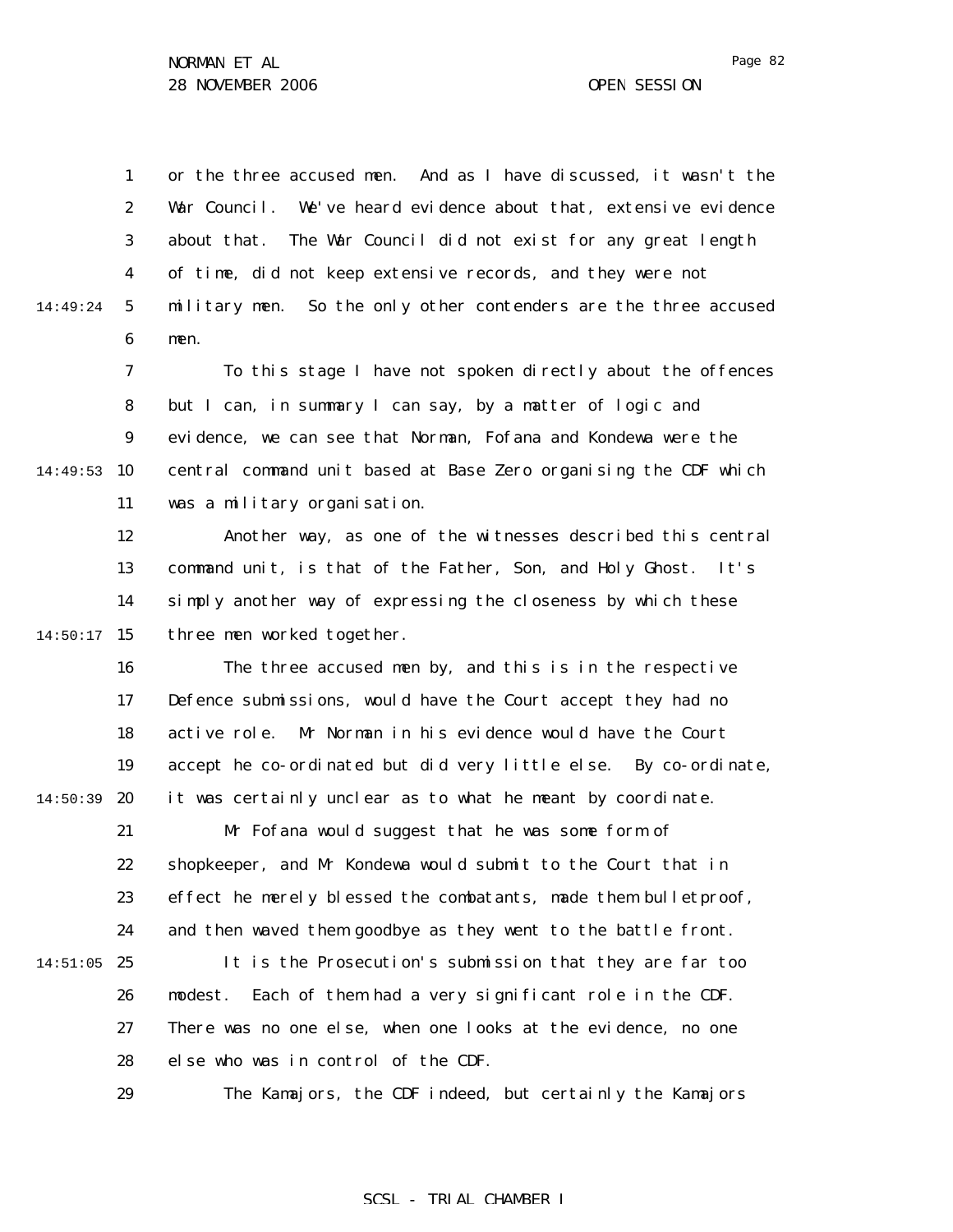1 2 3 4 5 6 14:49:24 or the three accused men. And as I have discussed, it wasn't the War Council. We've heard evidence about that, extensive evidence about that. The War Council did not exist for any great length of time, did not keep extensive records, and they were not military men. So the only other contenders are the three accused men.

7 8 9 14:49:53 10 11 To this stage I have not spoken directly about the offences but I can, in summary I can say, by a matter of logic and evidence, we can see that Norman, Fofana and Kondewa were the central command unit based at Base Zero organising the CDF which was a military organisation.

12 13 14  $14:50:17$  15 Another way, as one of the witnesses described this central command unit, is that of the Father, Son, and Holy Ghost. It's simply another way of expressing the closeness by which these three men worked together.

16 17 18 19 14:50:39 **20** The three accused men by, and this is in the respective Defence submissions, would have the Court accept they had no active role. Mr Norman in his evidence would have the Court accept he co-ordinated but did very little else. By co-ordinate, it was certainly unclear as to what he meant by coordinate.

21 22 23 24 Mr Fofana would suggest that he was some form of shopkeeper, and Mr Kondewa would submit to the Court that in effect he merely blessed the combatants, made them bulletproof, and then waved them goodbye as they went to the battle front.

 $14:51:05$  25 26 27 28 It is the Prosecution's submission that they are far too modest. Each of them had a very significant role in the CDF. There was no one else, when one looks at the evidence, no one else who was in control of the CDF.

29

The Kamajors, the CDF indeed, but certainly the Kamajors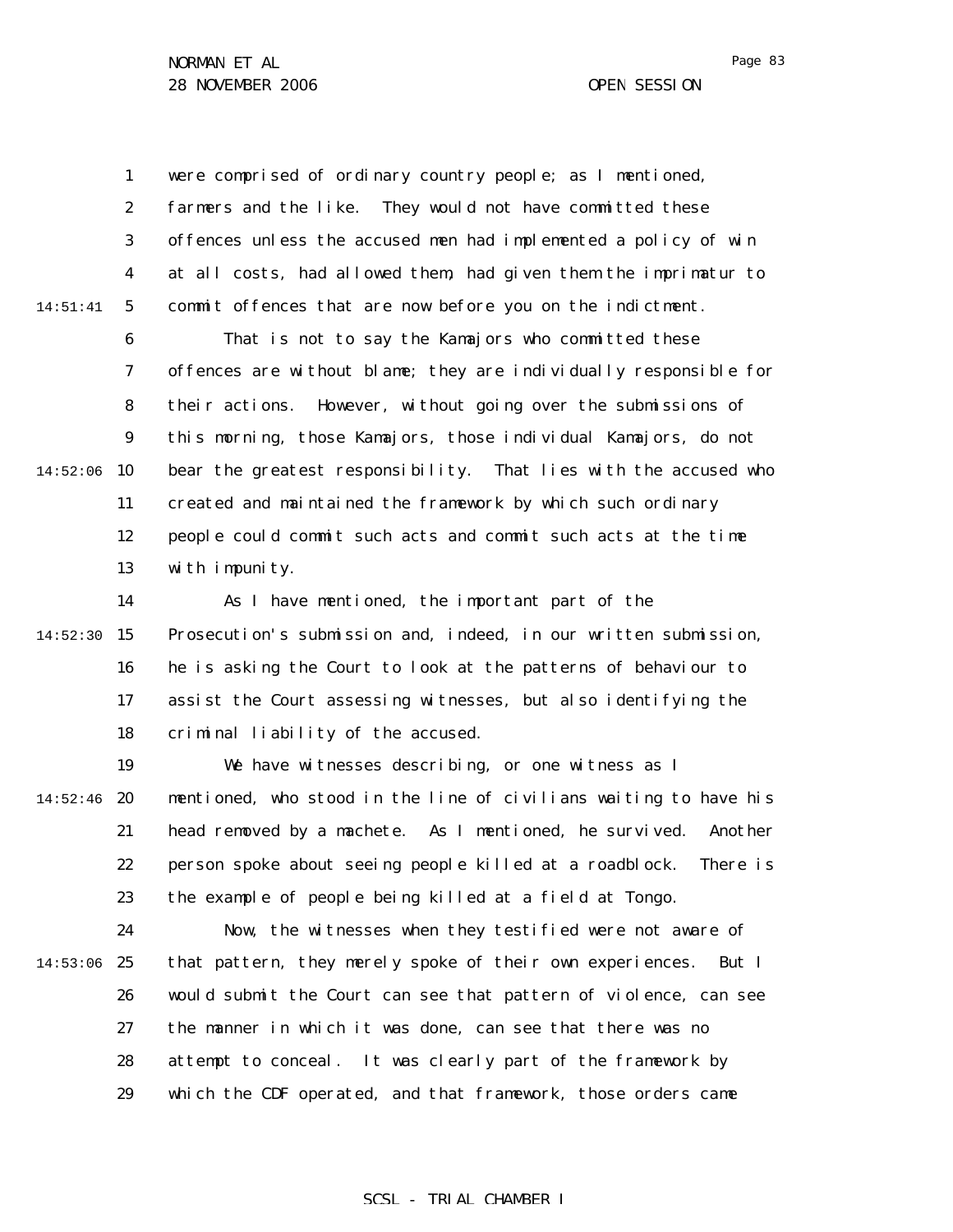1 2 3 4 5 14:51:41 were comprised of ordinary country people; as I mentioned, farmers and the like. They would not have committed these offences unless the accused men had implemented a policy of win at all costs, had allowed them, had given them the imprimatur to commit offences that are now before you on the indictment.

6 7 8 9  $14:52:06$  10 11 12 13 That is not to say the Kamajors who committed these offences are without blame; they are individually responsible for their actions. However, without going over the submissions of this morning, those Kamajors, those individual Kamajors, do not bear the greatest responsibility. That lies with the accused who created and maintained the framework by which such ordinary people could commit such acts and commit such acts at the time with impunity.

14  $14:52:30$  15 16 17 18 As I have mentioned, the important part of the Prosecution's submission and, indeed, in our written submission, he is asking the Court to look at the patterns of behaviour to assist the Court assessing witnesses, but also identifying the criminal liability of the accused.

19  $14:52:46$  20 21 22 23 We have witnesses describing, or one witness as I mentioned, who stood in the line of civilians waiting to have his head removed by a machete. As I mentioned, he survived. Another person spoke about seeing people killed at a roadblock. There is the example of people being killed at a field at Tongo.

24 14:53:06 25 26 27 28 29 Now, the witnesses when they testified were not aware of that pattern, they merely spoke of their own experiences. But I would submit the Court can see that pattern of violence, can see the manner in which it was done, can see that there was no attempt to conceal. It was clearly part of the framework by which the CDF operated, and that framework, those orders came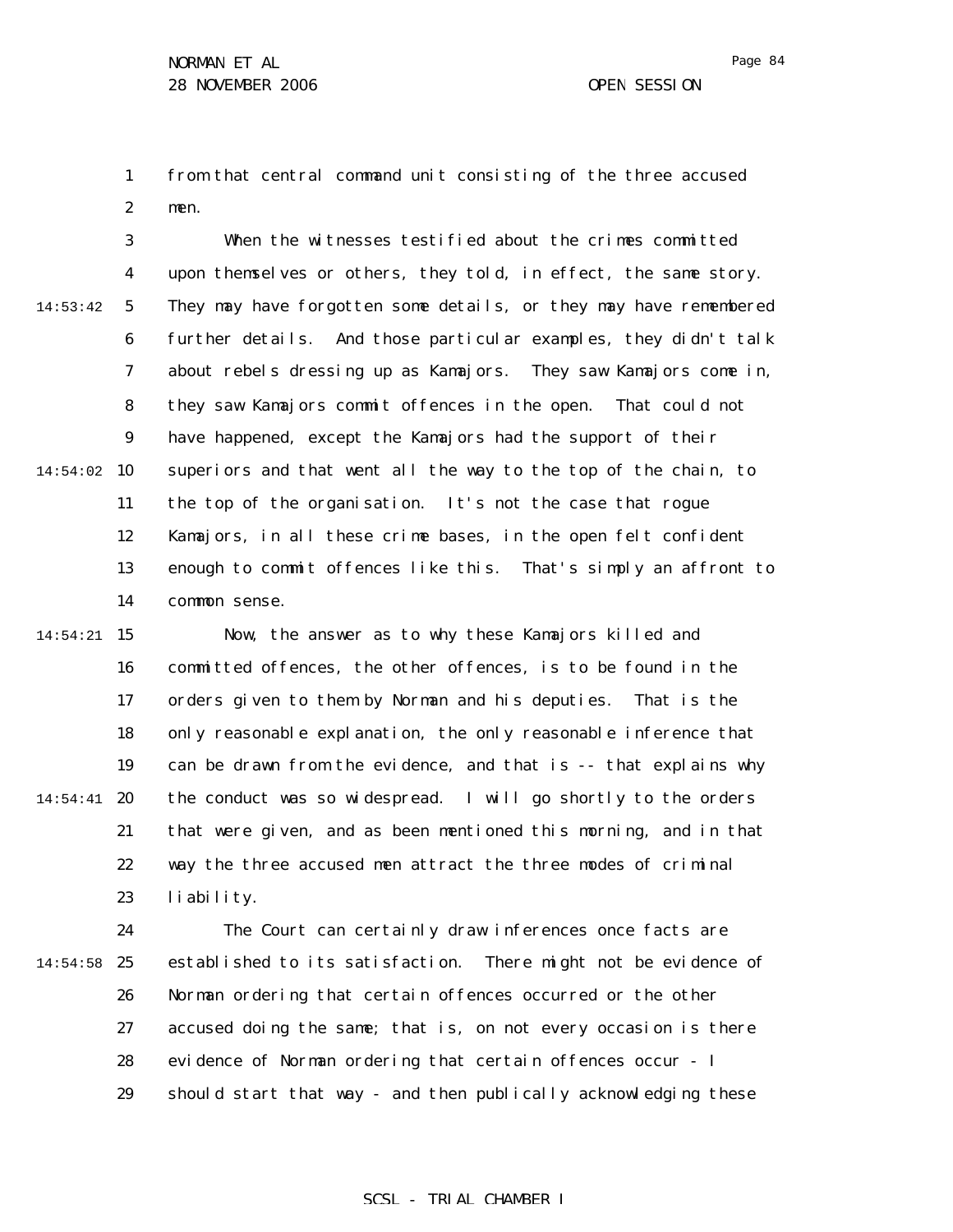1 2 from that central command unit consisting of the three accused men.

3 4 5 6 7 8 9 14:54:02 10 11 12 13 14 14:53:42 When the witnesses testified about the crimes committed upon themselves or others, they told, in effect, the same story. They may have forgotten some details, or they may have remembered further details. And those particular examples, they didn't talk about rebels dressing up as Kamajors. They saw Kamajors come in, they saw Kamajors commit offences in the open. That could not have happened, except the Kamajors had the support of their superiors and that went all the way to the top of the chain, to the top of the organisation. It's not the case that rogue Kamajors, in all these crime bases, in the open felt confident enough to commit offences like this. That's simply an affront to common sense.

14:54:21 15 16 17 18 19 14:54:41 **20** 21 22 23 Now, the answer as to why these Kamajors killed and committed offences, the other offences, is to be found in the orders given to them by Norman and his deputies. That is the only reasonable explanation, the only reasonable inference that can be drawn from the evidence, and that is -- that explains why the conduct was so widespread. I will go shortly to the orders that were given, and as been mentioned this morning, and in that way the three accused men attract the three modes of criminal liability.

24  $14:54:58$  25 26 27 28 29 The Court can certainly draw inferences once facts are established to its satisfaction. There might not be evidence of Norman ordering that certain offences occurred or the other accused doing the same; that is, on not every occasion is there evidence of Norman ordering that certain offences occur - I should start that way - and then publically acknowledging these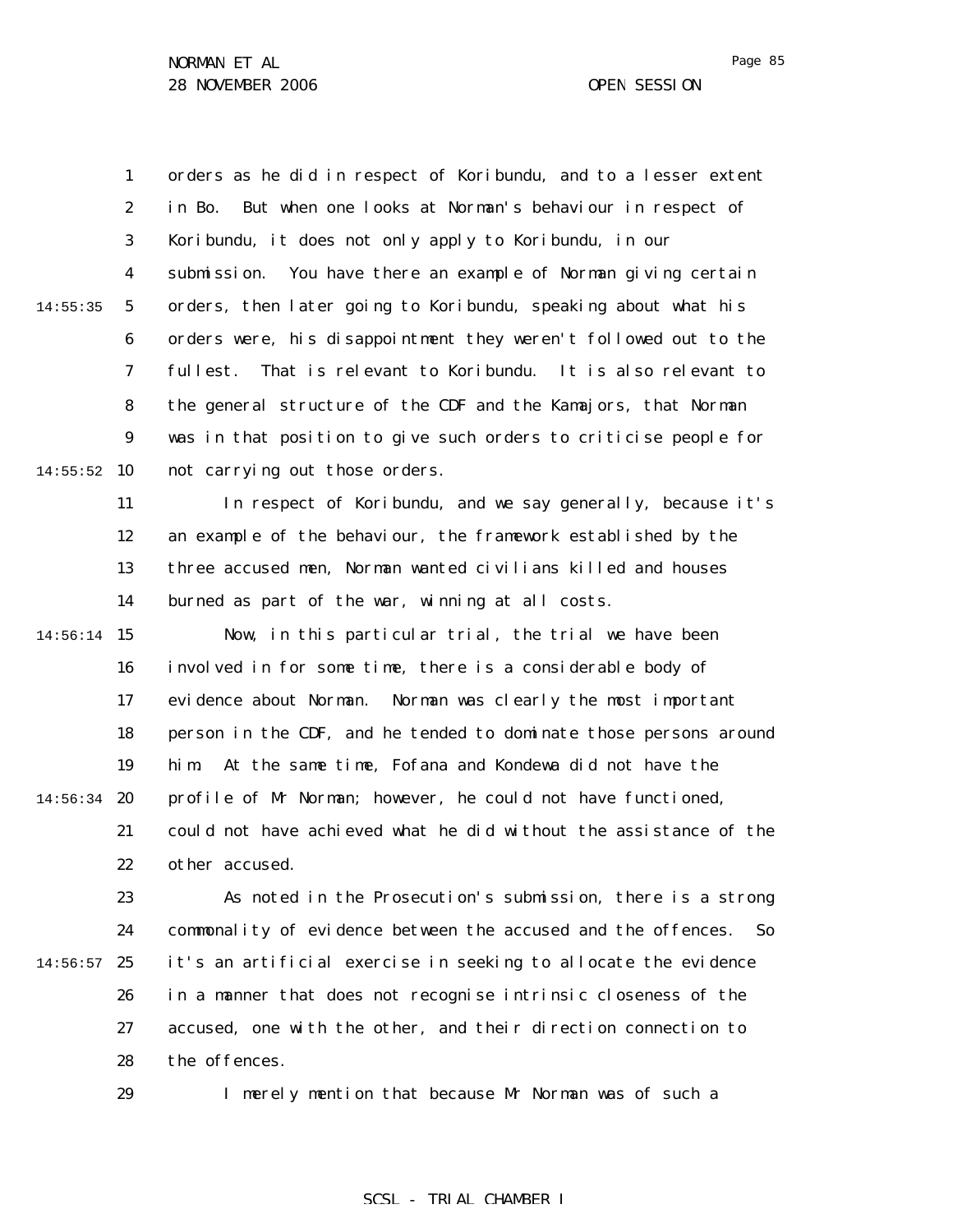1 2 3 4 5 6 7 8 9  $14:55:52$  10 11 12 13 14 14:56:14 15 16 17 18 19 14:56:34 **20** 21 22 23 24  $14:56:57$  25 26 14:55:35 orders as he did in respect of Koribundu, and to a lesser extent in Bo. But when one looks at Norman's behaviour in respect of Koribundu, it does not only apply to Koribundu, in our submission. You have there an example of Norman giving certain orders, then later going to Koribundu, speaking about what his orders were, his disappointment they weren't followed out to the fullest. That is relevant to Koribundu. It is also relevant to the general structure of the CDF and the Kamajors, that Norman was in that position to give such orders to criticise people for not carrying out those orders. In respect of Koribundu, and we say generally, because it's an example of the behaviour, the framework established by the three accused men, Norman wanted civilians killed and houses burned as part of the war, winning at all costs. Now, in this particular trial, the trial we have been involved in for some time, there is a considerable body of evidence about Norman. Norman was clearly the most important person in the CDF, and he tended to dominate those persons around him. At the same time, Fofana and Kondewa did not have the profile of Mr Norman; however, he could not have functioned, could not have achieved what he did without the assistance of the other accused. As noted in the Prosecution's submission, there is a strong commonality of evidence between the accused and the offences. So it's an artificial exercise in seeking to allocate the evidence in a manner that does not recognise intrinsic closeness of the

27 28 accused, one with the other, and their direction connection to the offences.

29

I merely mention that because Mr Norman was of such a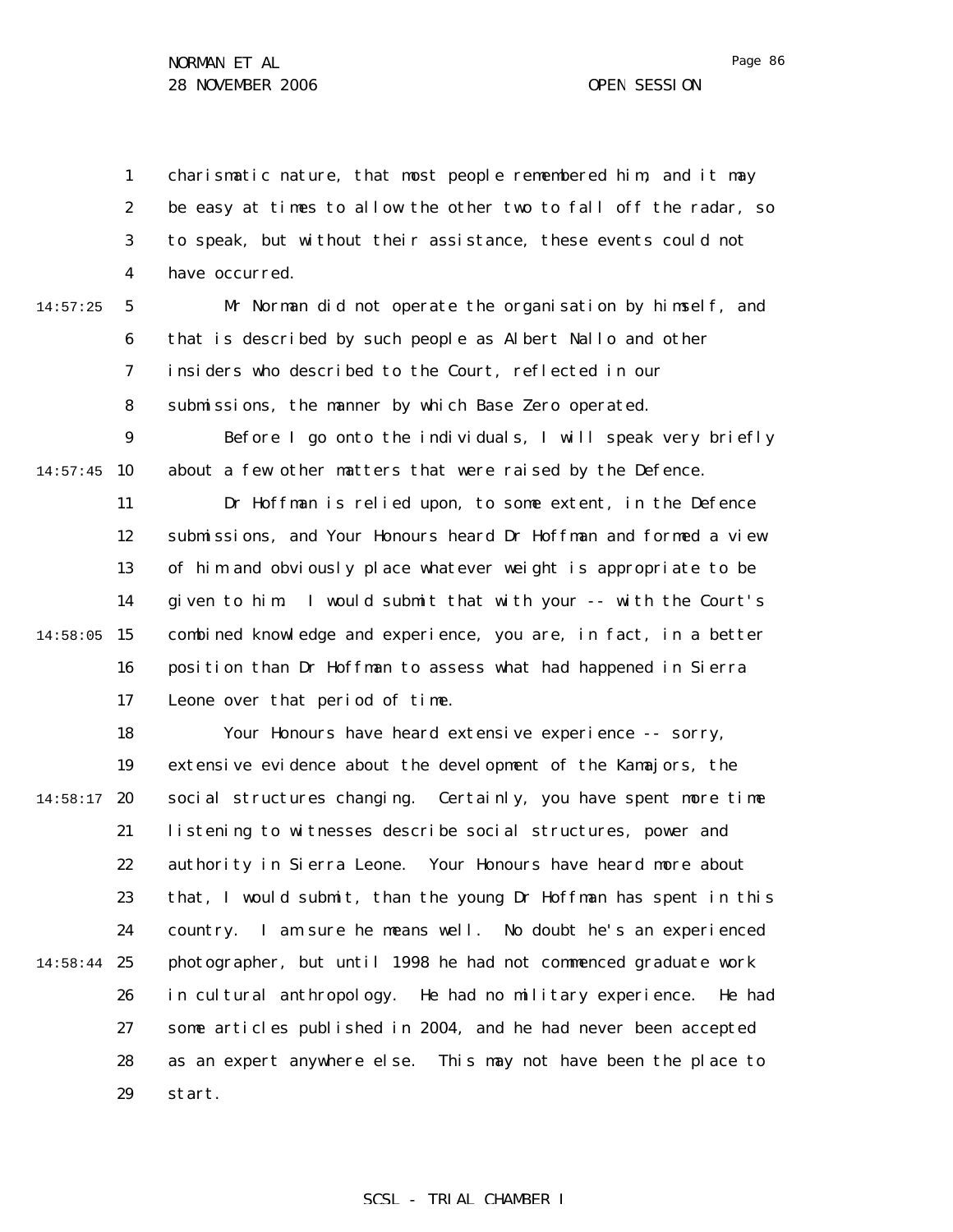1 2 3 4 charismatic nature, that most people remembered him, and it may be easy at times to allow the other two to fall off the radar, so to speak, but without their assistance, these events could not have occurred.

14:57:25

5 6 7 8 Mr Norman did not operate the organisation by himself, and that is described by such people as Albert Nallo and other insiders who described to the Court, reflected in our submissions, the manner by which Base Zero operated.

9  $14:57:45$  10 Before I go onto the individuals, I will speak very briefly about a few other matters that were raised by the Defence.

11 12 13 14  $14:58:05$  15 16 17 Dr Hoffman is relied upon, to some extent, in the Defence submissions, and Your Honours heard Dr Hoffman and formed a view of him and obviously place whatever weight is appropriate to be given to him. I would submit that with your -- with the Court's combined knowledge and experience, you are, in fact, in a better position than Dr Hoffman to assess what had happened in Sierra Leone over that period of time.

18 19  $14:58:17$  20 21 22 23 24 14:58:44 25 26 27 28 29 Your Honours have heard extensive experience -- sorry, extensive evidence about the development of the Kamajors, the social structures changing. Certainly, you have spent more time listening to witnesses describe social structures, power and authority in Sierra Leone. Your Honours have heard more about that, I would submit, than the young Dr Hoffman has spent in this country. I am sure he means well. No doubt he's an experienced photographer, but until 1998 he had not commenced graduate work in cultural anthropology. He had no military experience. He had some articles published in 2004, and he had never been accepted as an expert anywhere else. This may not have been the place to start.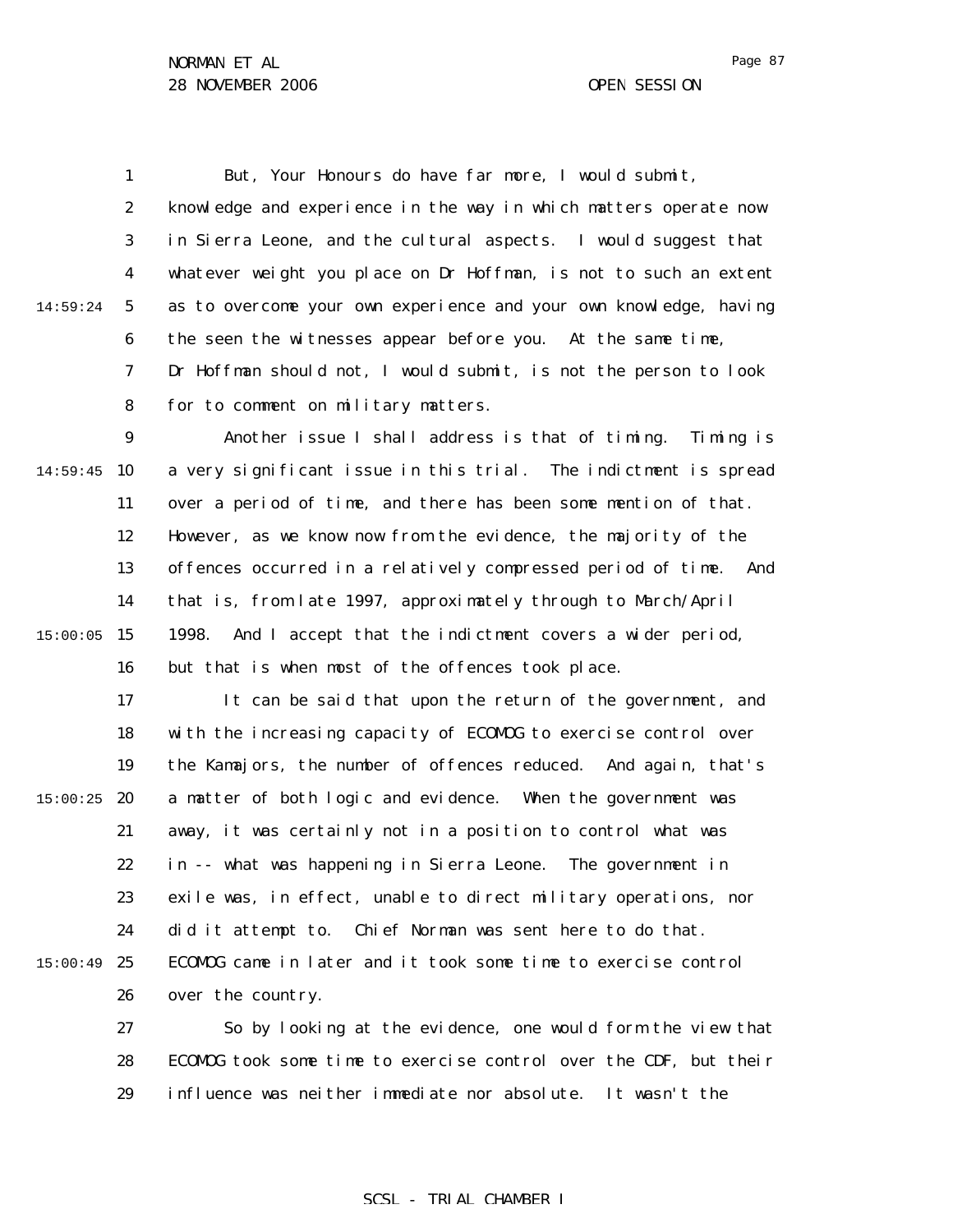1 2 3 4 5 6 7 8 9 14:59:45 10 11 12 13 14 15 15:00:05 16 17 18 19  $15:00:25$  20 21 22 23 24  $15:00:49$  25 26 27 28 29 14:59:24 But, Your Honours do have far more, I would submit, knowledge and experience in the way in which matters operate now in Sierra Leone, and the cultural aspects. I would suggest that whatever weight you place on Dr Hoffman, is not to such an extent as to overcome your own experience and your own knowledge, having the seen the witnesses appear before you. At the same time, Dr Hoffman should not, I would submit, is not the person to look for to comment on military matters. Another issue I shall address is that of timing. Timing is a very significant issue in this trial. The indictment is spread over a period of time, and there has been some mention of that. However, as we know now from the evidence, the majority of the offences occurred in a relatively compressed period of time. And that is, from late 1997, approximately through to March/April 1998. And I accept that the indictment covers a wider period, but that is when most of the offences took place. It can be said that upon the return of the government, and with the increasing capacity of ECOMOG to exercise control over the Kamajors, the number of offences reduced. And again, that's a matter of both logic and evidence. When the government was away, it was certainly not in a position to control what was in -- what was happening in Sierra Leone. The government in exile was, in effect, unable to direct military operations, nor did it attempt to. Chief Norman was sent here to do that. ECOMOG came in later and it took some time to exercise control over the country. So by looking at the evidence, one would form the view that ECOMOG took some time to exercise control over the CDF, but their influence was neither immediate nor absolute. It wasn't the

## SCSL - TRIAL CHAMBER I

Page 87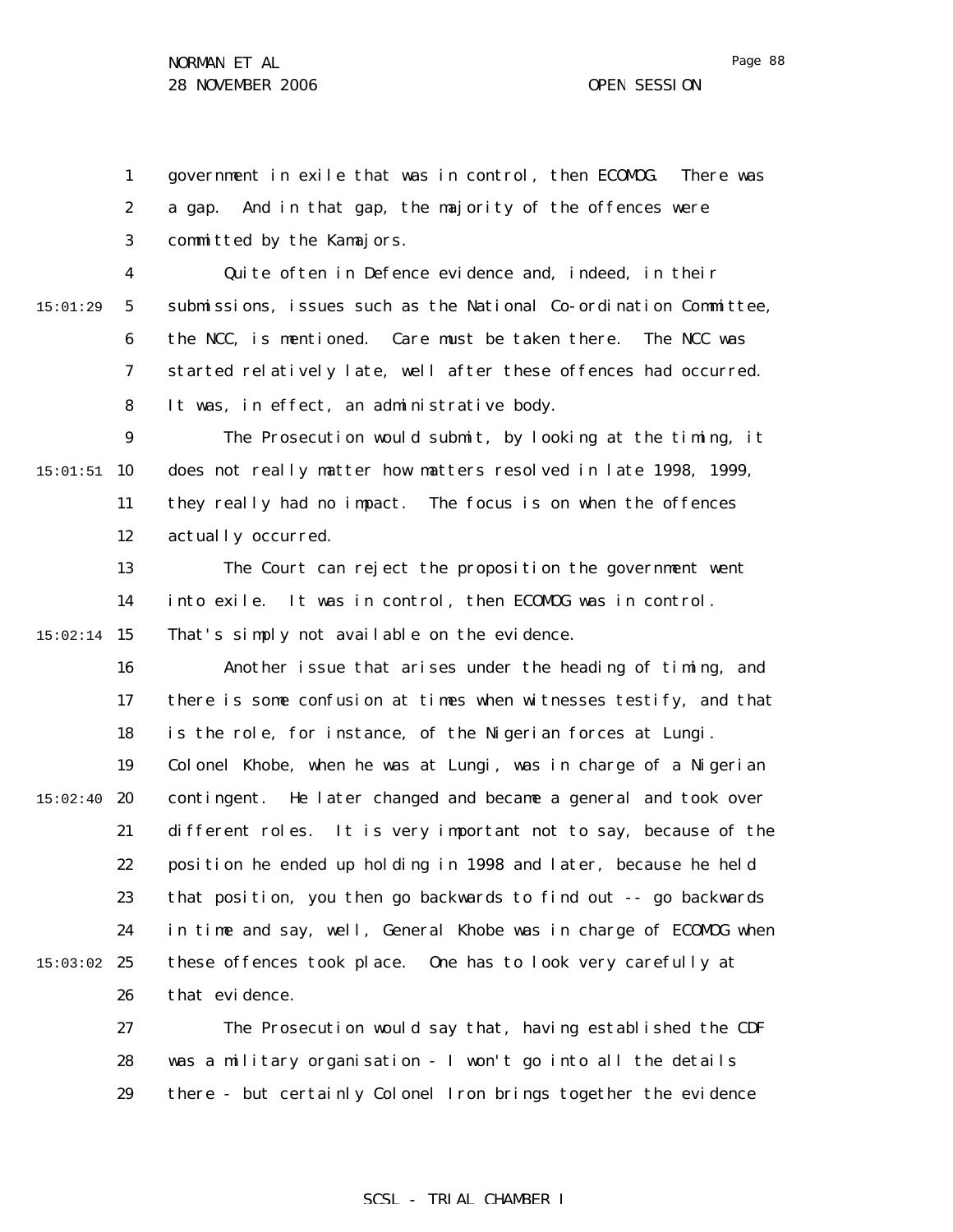1 2 3 4 government in exile that was in control, then ECOMOG. There was a gap. And in that gap, the majority of the offences were committed by the Kamajors. Quite often in Defence evidence and, indeed, in their

5 6 7 8 submissions, issues such as the National Co-ordination Committee, the NCC, is mentioned. Care must be taken there. The NCC was started relatively late, well after these offences had occurred. It was, in effect, an administrative body.

9  $15:01:51$  10 11 12 The Prosecution would submit, by looking at the timing, it does not really matter how matters resolved in late 1998, 1999, they really had no impact. The focus is on when the offences actually occurred.

13 14 15 15:02:14 The Court can reject the proposition the government went into exile. It was in control, then ECOMOG was in control. That's simply not available on the evidence.

16 17 18 19  $15:02:40$  20 21 22 23 24  $15:03:02$  25 26 Another issue that arises under the heading of timing, and there is some confusion at times when witnesses testify, and that is the role, for instance, of the Nigerian forces at Lungi. Colonel Khobe, when he was at Lungi, was in charge of a Nigerian contingent. He later changed and became a general and took over different roles. It is very important not to say, because of the position he ended up holding in 1998 and later, because he held that position, you then go backwards to find out -- go backwards in time and say, well, General Khobe was in charge of ECOMOG when these offences took place. One has to look very carefully at that evidence.

> 27 28 29 The Prosecution would say that, having established the CDF was a military organisation - I won't go into all the details there - but certainly Colonel Iron brings together the evidence

## SCSL - TRIAL CHAMBER I

15:01:29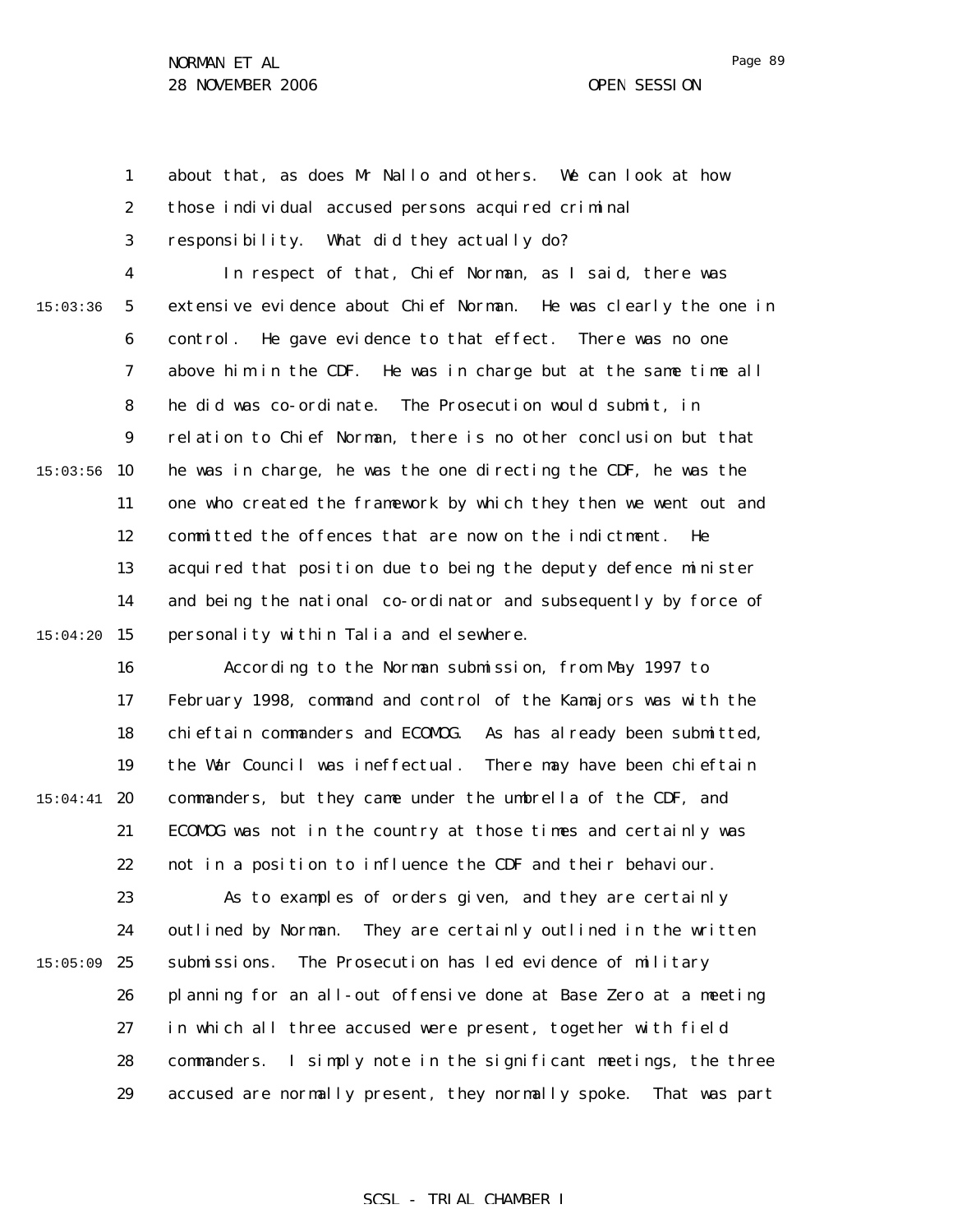1 2 3 4 5 6 7 8 9  $15:03:56$  10 11 12 13 14 15 15:04:20 16 17 18 19  $15:04:41$  20 21 22 15:03:36 about that, as does Mr Nallo and others. We can look at how those individual accused persons acquired criminal responsibility. What did they actually do? In respect of that, Chief Norman, as I said, there was extensive evidence about Chief Norman. He was clearly the one in control. He gave evidence to that effect. There was no one above him in the CDF. He was in charge but at the same time all he did was co-ordinate. The Prosecution would submit, in relation to Chief Norman, there is no other conclusion but that he was in charge, he was the one directing the CDF, he was the one who created the framework by which they then we went out and committed the offences that are now on the indictment. He acquired that position due to being the deputy defence minister and being the national co-ordinator and subsequently by force of personality within Talia and elsewhere. According to the Norman submission, from May 1997 to February 1998, command and control of the Kamajors was with the chieftain commanders and ECOMOG. As has already been submitted, the War Council was ineffectual. There may have been chieftain commanders, but they came under the umbrella of the CDF, and ECOMOG was not in the country at those times and certainly was not in a position to influence the CDF and their behaviour.

23 24  $15:05:09$  25 26 27 28 29 As to examples of orders given, and they are certainly outlined by Norman. They are certainly outlined in the written submissions. The Prosecution has led evidence of military planning for an all-out offensive done at Base Zero at a meeting in which all three accused were present, together with field commanders. I simply note in the significant meetings, the three accused are normally present, they normally spoke. That was part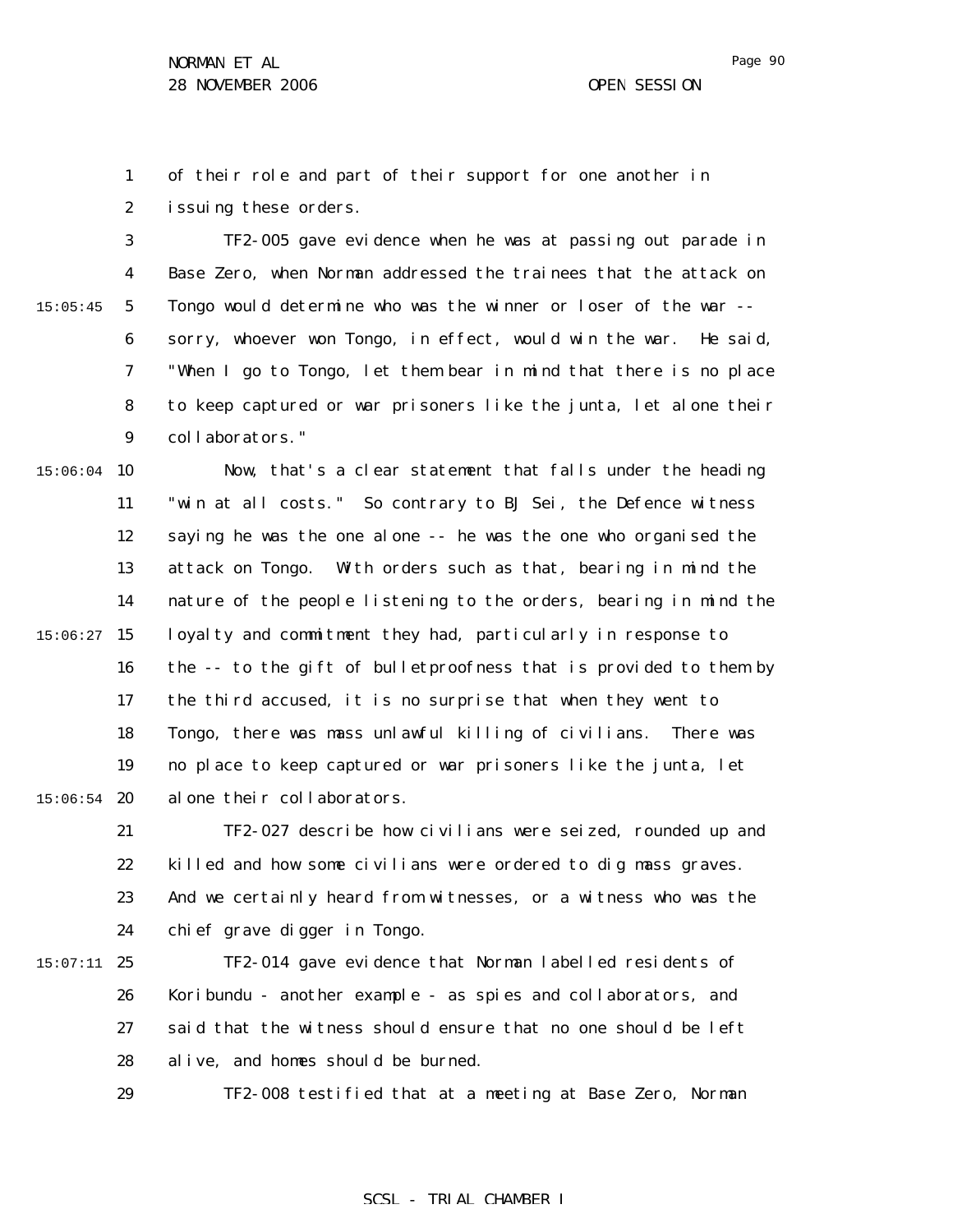1 2 of their role and part of their support for one another in issuing these orders.

3 4 5 6 7 8 9 15:05:45 TF2-005 gave evidence when he was at passing out parade in Base Zero, when Norman addressed the trainees that the attack on Tongo would determine who was the winner or loser of the war - sorry, whoever won Tongo, in effect, would win the war. He said, "When I go to Tongo, let them bear in mind that there is no place to keep captured or war prisoners like the junta, let alone their collaborators."

 $15:06:04$  10 11 12 13 14  $15:06:27$  15 16 17 18 19  $15:06:54$  20 Now, that's a clear statement that falls under the heading "win at all costs." So contrary to BJ Sei, the Defence witness saying he was the one alone -- he was the one who organised the attack on Tongo. With orders such as that, bearing in mind the nature of the people listening to the orders, bearing in mind the loyalty and commitment they had, particularly in response to the -- to the gift of bulletproofness that is provided to them by the third accused, it is no surprise that when they went to Tongo, there was mass unlawful killing of civilians. There was no place to keep captured or war prisoners like the junta, let alone their collaborators.

21 22 23 24 TF2-027 describe how civilians were seized, rounded up and killed and how some civilians were ordered to dig mass graves. And we certainly heard from witnesses, or a witness who was the chief grave digger in Tongo.

 $15:07:11$  25 26 27 28 TF2-014 gave evidence that Norman labelled residents of Koribundu - another example - as spies and collaborators, and said that the witness should ensure that no one should be left alive, and homes should be burned.

29

TF2-008 testified that at a meeting at Base Zero, Norman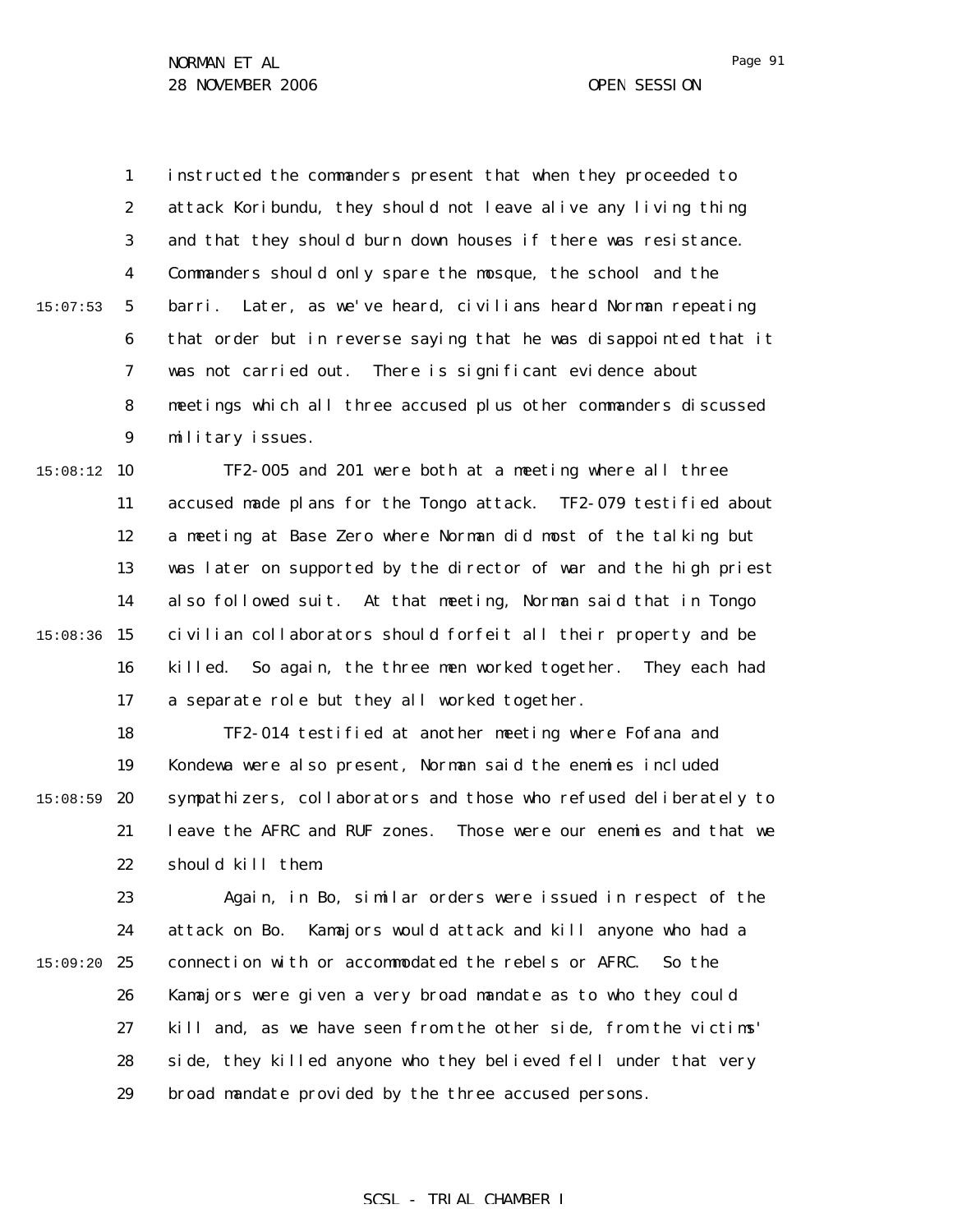1 2 3 4 5 6 7 8 9 15:07:53 instructed the commanders present that when they proceeded to attack Koribundu, they should not leave alive any living thing and that they should burn down houses if there was resistance. Commanders should only spare the mosque, the school and the barri. Later, as we've heard, civilians heard Norman repeating that order but in reverse saying that he was disappointed that it was not carried out. There is significant evidence about meetings which all three accused plus other commanders discussed military issues.

 $15:08:12$  10 11 12 13 14 15:08:36 15 16 17 TF2-005 and 201 were both at a meeting where all three accused made plans for the Tongo attack. TF2-079 testified about a meeting at Base Zero where Norman did most of the talking but was later on supported by the director of war and the high priest also followed suit. At that meeting, Norman said that in Tongo civilian collaborators should forfeit all their property and be killed. So again, the three men worked together. They each had a separate role but they all worked together.

18 19  $15:08:59$  20 21 22 TF2-014 testified at another meeting where Fofana and Kondewa were also present, Norman said the enemies included sympathizers, collaborators and those who refused deliberately to leave the AFRC and RUF zones. Those were our enemies and that we should kill them.

23 24 15:09:20 25 26 27 28 29 Again, in Bo, similar orders were issued in respect of the attack on Bo. Kamajors would attack and kill anyone who had a connection with or accommodated the rebels or AFRC. So the Kamajors were given a very broad mandate as to who they could kill and, as we have seen from the other side, from the victims' side, they killed anyone who they believed fell under that very broad mandate provided by the three accused persons.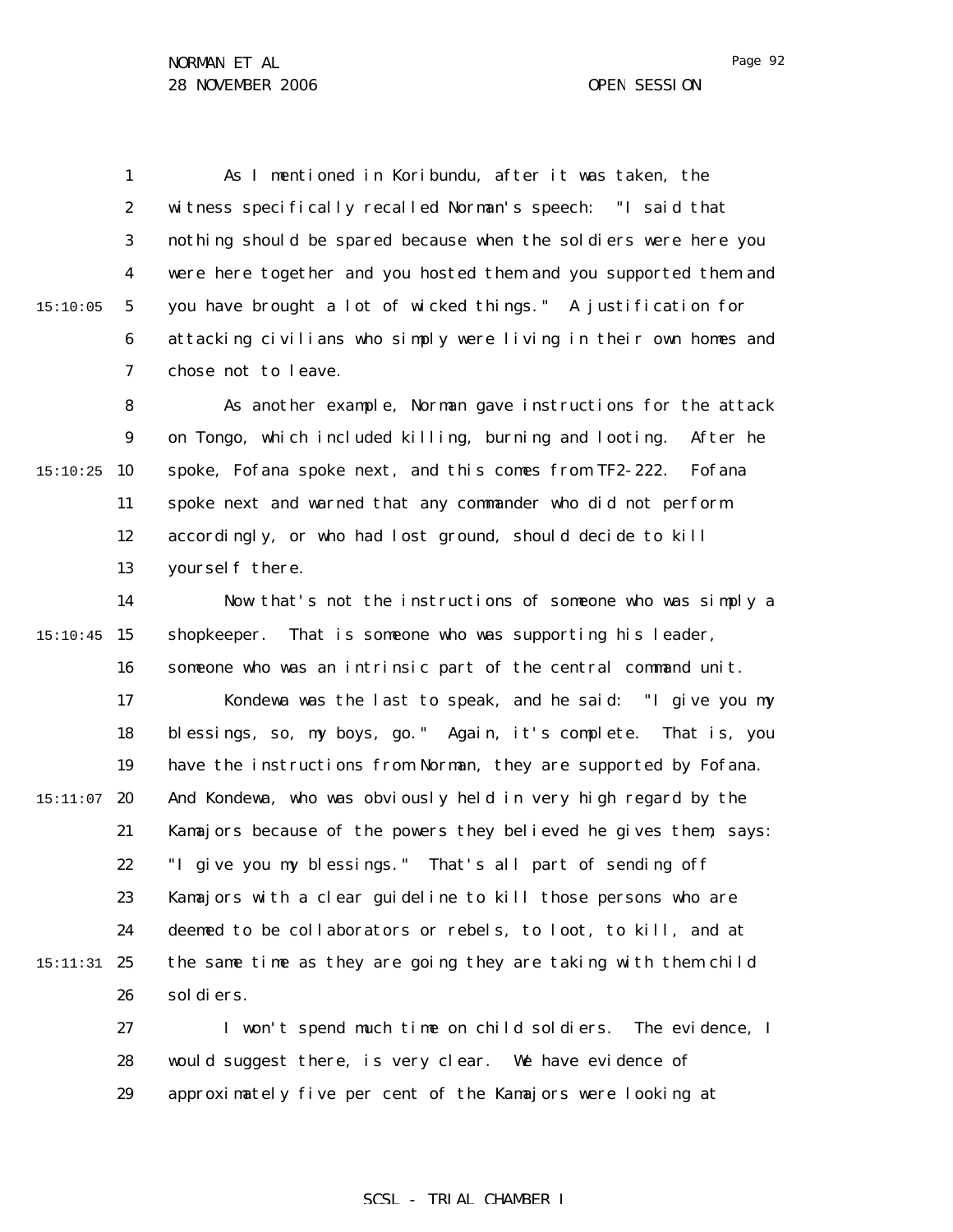1 2 3 4 5 6 7 15:10:05 As I mentioned in Koribundu, after it was taken, the witness specifically recalled Norman's speech: "I said that nothing should be spared because when the soldiers were here you were here together and you hosted them and you supported them and you have brought a lot of wicked things." A justification for attacking civilians who simply were living in their own homes and chose not to leave.

8 9  $15:10:25$  10 11 12 13 As another example, Norman gave instructions for the attack on Tongo, which included killing, burning and looting. After he spoke, Fofana spoke next, and this comes from TF2-222. Fofana spoke next and warned that any commander who did not perform accordingly, or who had lost ground, should decide to kill yourself there.

14 15 15:10:45 16 17 18 19  $15:11:07$  20 21 22 23 24 15:11:31 25 26 Now that's not the instructions of someone who was simply a shopkeeper. That is someone who was supporting his leader, someone who was an intrinsic part of the central command unit. Kondewa was the last to speak, and he said: "I give you my blessings, so, my boys, go." Again, it's complete. That is, you have the instructions from Norman, they are supported by Fofana. And Kondewa, who was obviously held in very high regard by the Kamajors because of the powers they believed he gives them, says: "I give you my blessings." That's all part of sending off Kamajors with a clear guideline to kill those persons who are deemed to be collaborators or rebels, to loot, to kill, and at the same time as they are going they are taking with them child soldiers.

27 28 29 I won't spend much time on child soldiers. The evidence, I would suggest there, is very clear. We have evidence of approximately five per cent of the Kamajors were looking at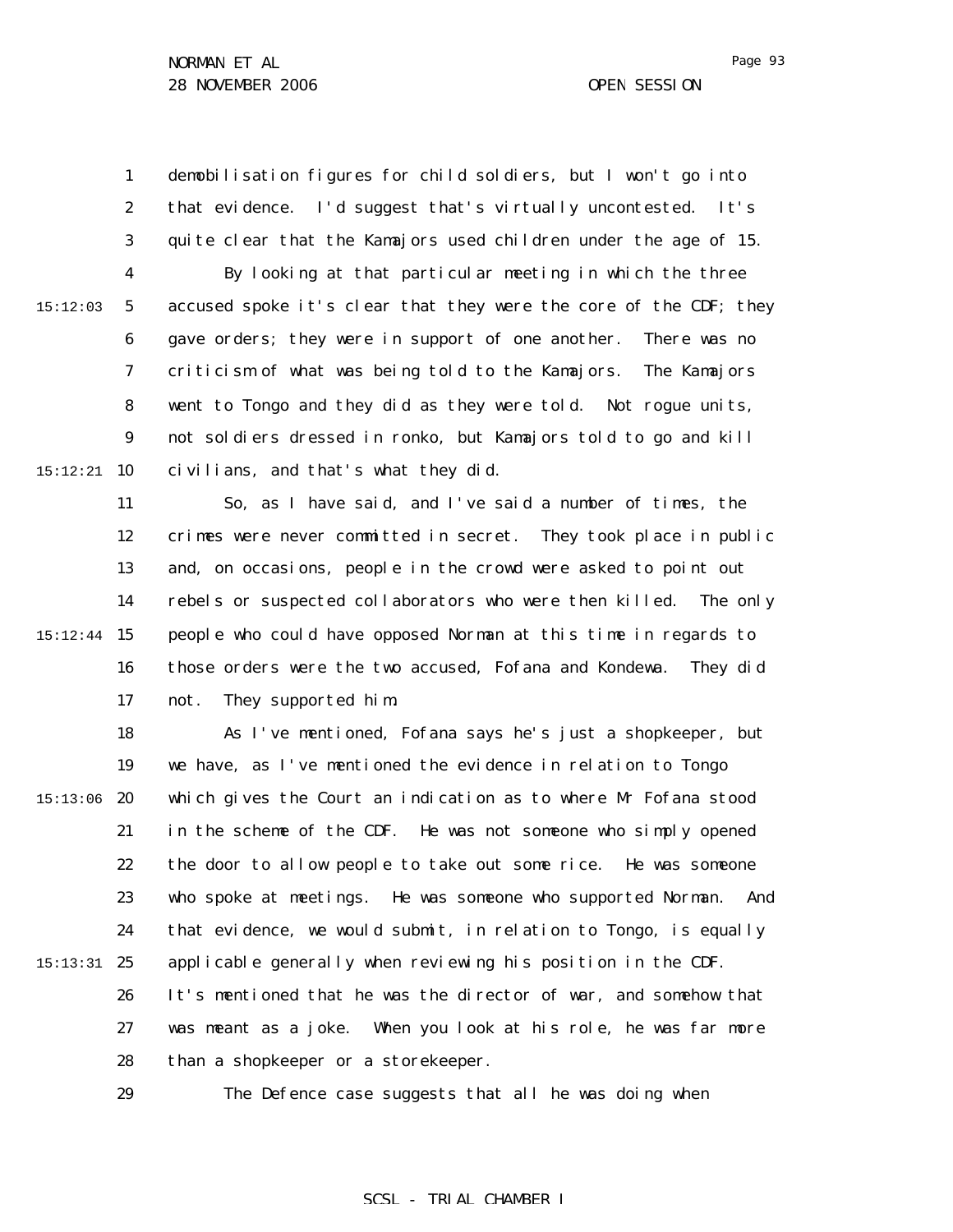1 2 3 4 5 6 7 8 9 15:12:21 **10** 15:12:03 demobilisation figures for child soldiers, but I won't go into that evidence. I'd suggest that's virtually uncontested. It's quite clear that the Kamajors used children under the age of 15. By looking at that particular meeting in which the three accused spoke it's clear that they were the core of the CDF; they gave orders; they were in support of one another. There was no criticism of what was being told to the Kamajors. The Kamajors went to Tongo and they did as they were told. Not rogue units, not soldiers dressed in ronko, but Kamajors told to go and kill civilians, and that's what they did.

11 12 13 14 15 15:12:44 16 17 So, as I have said, and I've said a number of times, the crimes were never committed in secret. They took place in public and, on occasions, people in the crowd were asked to point out rebels or suspected collaborators who were then killed. The only people who could have opposed Norman at this time in regards to those orders were the two accused, Fofana and Kondewa. They did not. They supported him.

18 19  $15:13:06$  20 21 22 23 24 15:13:31 25 26 27 28 As I've mentioned, Fofana says he's just a shopkeeper, but we have, as I've mentioned the evidence in relation to Tongo which gives the Court an indication as to where Mr Fofana stood in the scheme of the CDF. He was not someone who simply opened the door to allow people to take out some rice. He was someone who spoke at meetings. He was someone who supported Norman. And that evidence, we would submit, in relation to Tongo, is equally applicable generally when reviewing his position in the CDF. It's mentioned that he was the director of war, and somehow that was meant as a joke. When you look at his role, he was far more than a shopkeeper or a storekeeper.

29

The Defence case suggests that all he was doing when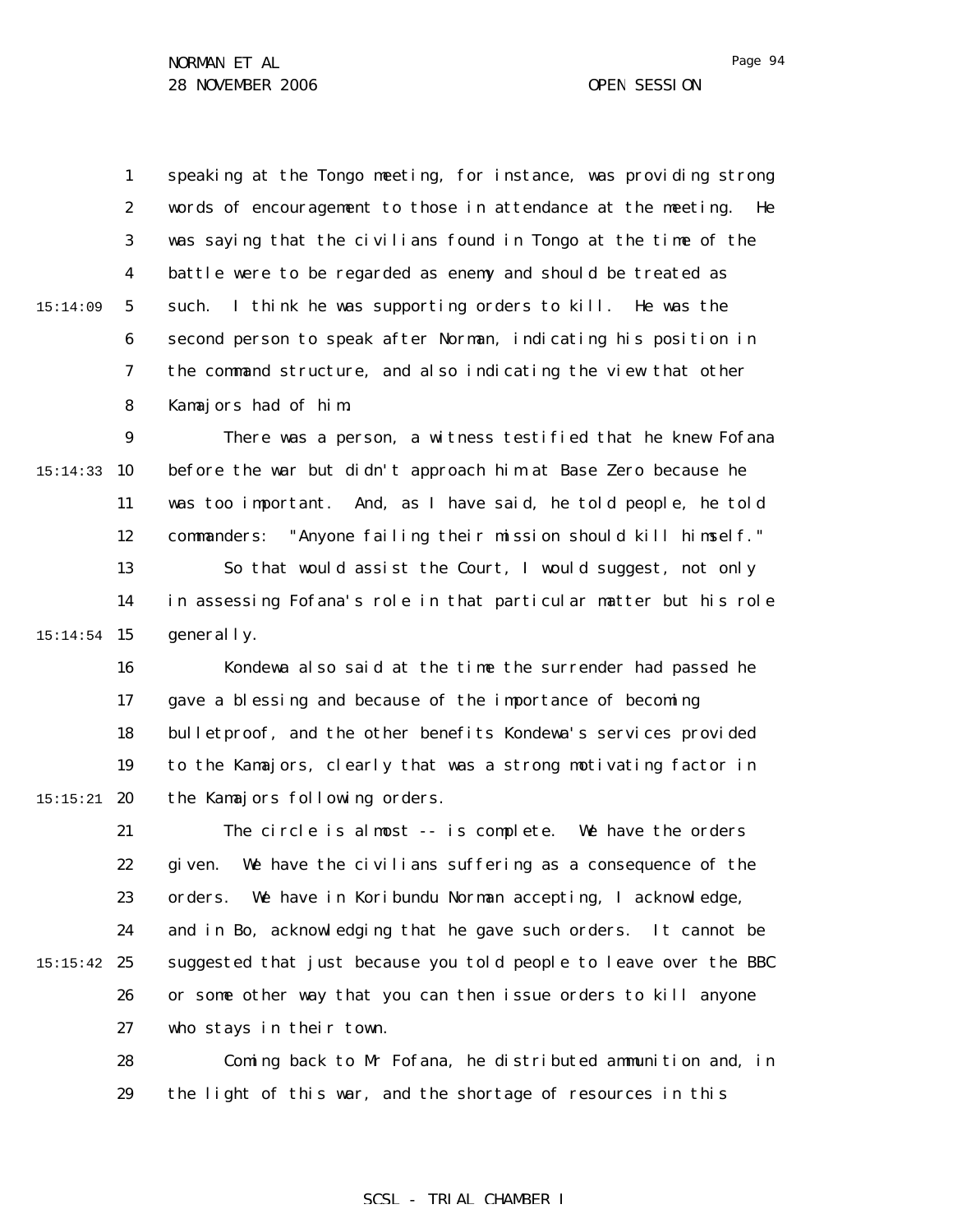15:14:09

1 2 3 4 5 6 7 8 speaking at the Tongo meeting, for instance, was providing strong words of encouragement to those in attendance at the meeting. He was saying that the civilians found in Tongo at the time of the battle were to be regarded as enemy and should be treated as such. I think he was supporting orders to kill. He was the second person to speak after Norman, indicating his position in the command structure, and also indicating the view that other Kamajors had of him.

9 15:14:33 10 11 12 13 14 15 15:14:54 There was a person, a witness testified that he knew Fofana before the war but didn't approach him at Base Zero because he was too important. And, as I have said, he told people, he told commanders: "Anyone failing their mission should kill himself." So that would assist the Court, I would suggest, not only in assessing Fofana's role in that particular matter but his role generally.

16 17 18 19  $15:15:21$  20 Kondewa also said at the time the surrender had passed he gave a blessing and because of the importance of becoming bulletproof, and the other benefits Kondewa's services provided to the Kamajors, clearly that was a strong motivating factor in the Kamajors following orders.

21 22 23 24  $15:15:42$  25 26 27 The circle is almost -- is complete. We have the orders given. We have the civilians suffering as a consequence of the orders. We have in Koribundu Norman accepting, I acknowledge, and in Bo, acknowledging that he gave such orders. It cannot be suggested that just because you told people to leave over the BBC or some other way that you can then issue orders to kill anyone who stays in their town.

> 28 29 Coming back to Mr Fofana, he distributed ammunition and, in the light of this war, and the shortage of resources in this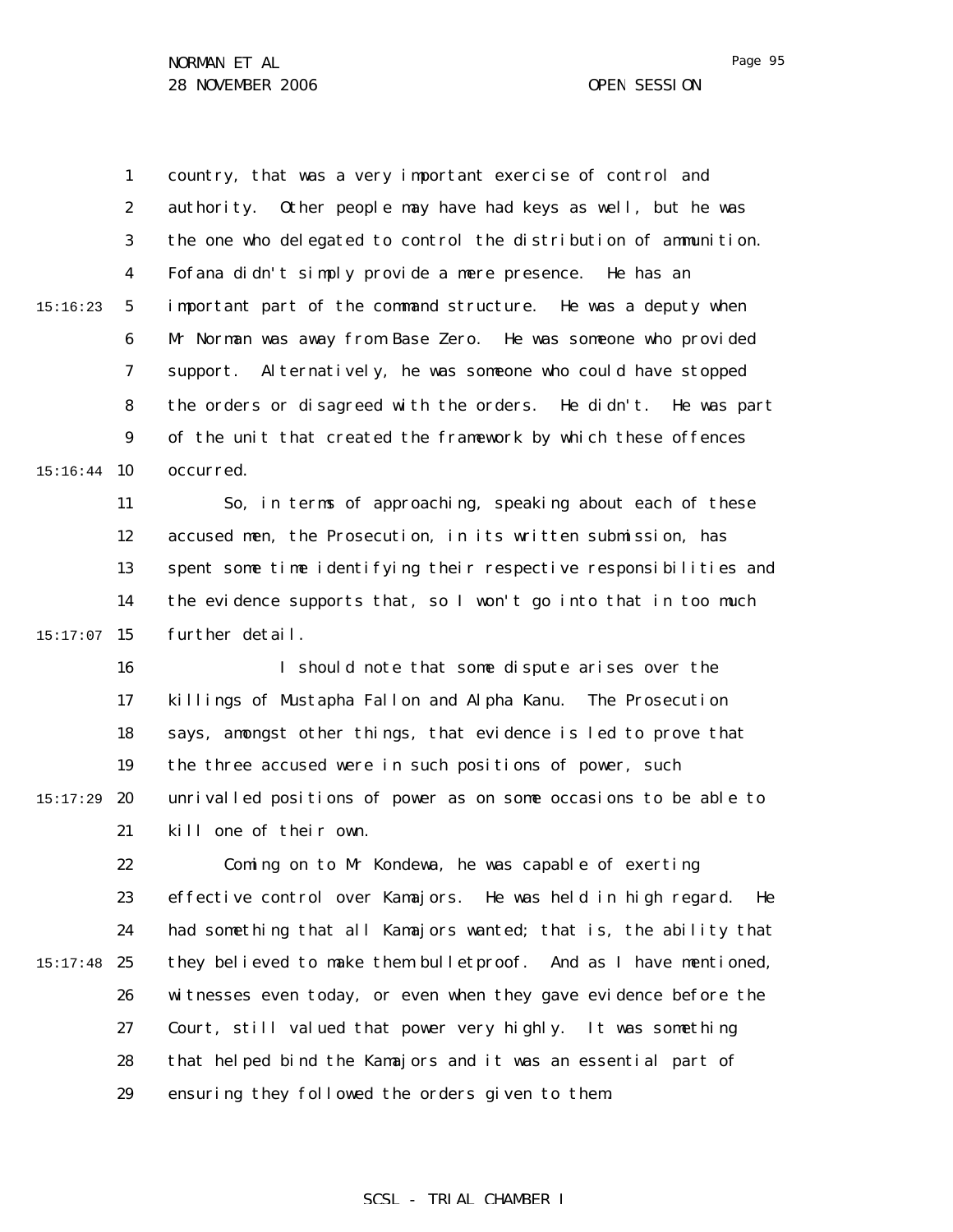1 2 3 4 5 6 7 8 9  $15:16:44$  10 15:16:23 country, that was a very important exercise of control and authority. Other people may have had keys as well, but he was the one who delegated to control the distribution of ammunition. Fofana didn't simply provide a mere presence. He has an important part of the command structure. He was a deputy when Mr Norman was away from Base Zero. He was someone who provided support. Alternatively, he was someone who could have stopped the orders or disagreed with the orders. He didn't. He was part of the unit that created the framework by which these offences occurred.

11 12 13 14  $15:17:07$  15 So, in terms of approaching, speaking about each of these accused men, the Prosecution, in its written submission, has spent some time identifying their respective responsibilities and the evidence supports that, so I won't go into that in too much further detail.

16 17 18 19 15:17:29 **20** 21 I should note that some dispute arises over the killings of Mustapha Fallon and Alpha Kanu. The Prosecution says, amongst other things, that evidence is led to prove that the three accused were in such positions of power, such unrivalled positions of power as on some occasions to be able to kill one of their own.

22 23 24  $15:17:48$  25 26 27 28 29 Coming on to Mr Kondewa, he was capable of exerting effective control over Kamajors. He was held in high regard. He had something that all Kamajors wanted; that is, the ability that they believed to make them bulletproof. And as I have mentioned, witnesses even today, or even when they gave evidence before the Court, still valued that power very highly. It was something that helped bind the Kamajors and it was an essential part of ensuring they followed the orders given to them.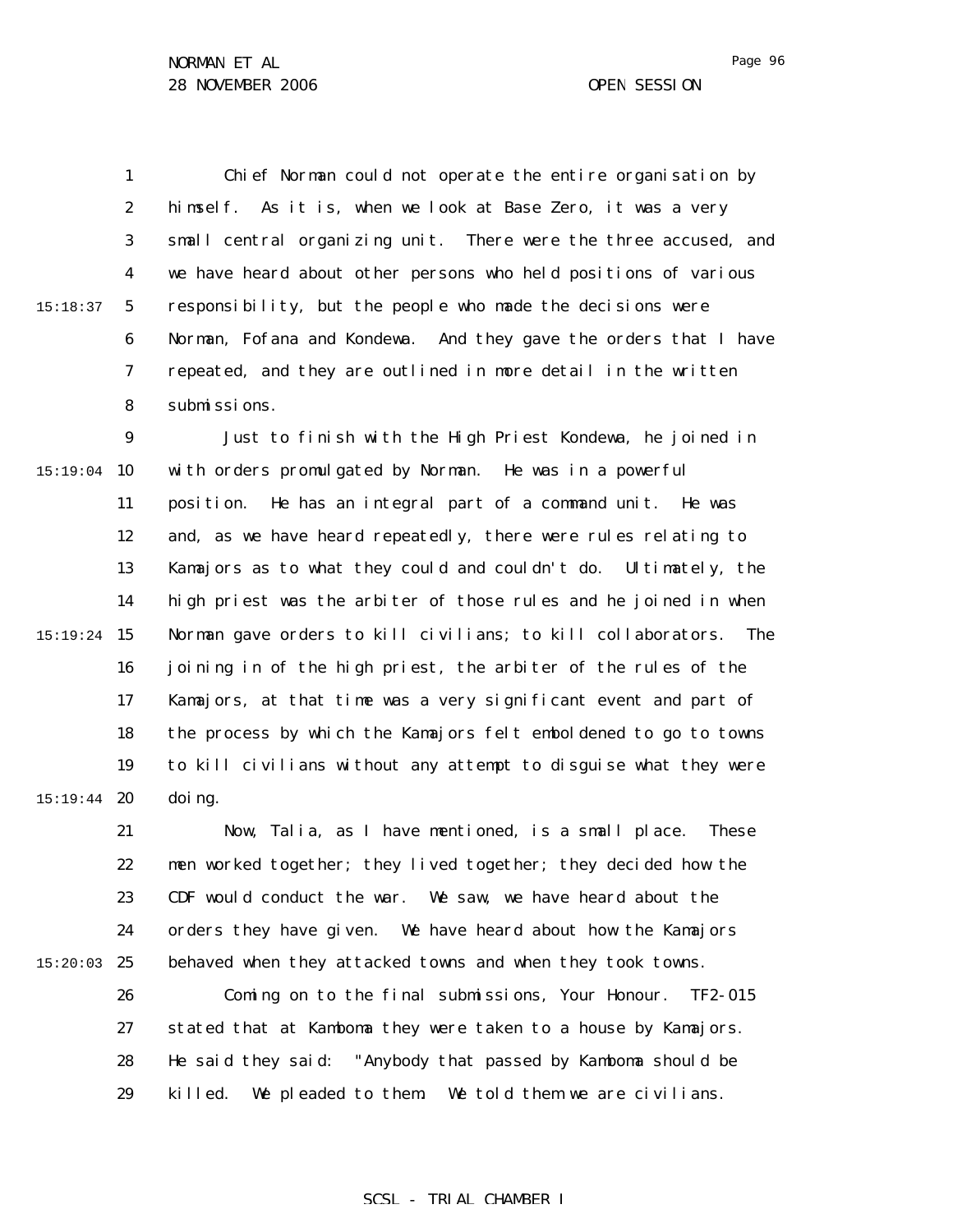1 2 3 4 5 6 7 8 15:18:37 Chief Norman could not operate the entire organisation by himself. As it is, when we look at Base Zero, it was a very small central organizing unit. There were the three accused, and we have heard about other persons who held positions of various responsibility, but the people who made the decisions were Norman, Fofana and Kondewa. And they gave the orders that I have repeated, and they are outlined in more detail in the written submissions.

9  $15:19:04$  10 11 12 13 14 15 15:19:24 16 17 18 19 15:19:44 **20** Just to finish with the High Priest Kondewa, he joined in with orders promulgated by Norman. He was in a powerful position. He has an integral part of a command unit. He was and, as we have heard repeatedly, there were rules relating to Kamajors as to what they could and couldn't do. Ultimately, the high priest was the arbiter of those rules and he joined in when Norman gave orders to kill civilians; to kill collaborators. The joining in of the high priest, the arbiter of the rules of the Kamajors, at that time was a very significant event and part of the process by which the Kamajors felt emboldened to go to towns to kill civilians without any attempt to disguise what they were doing.

21 22 23 24  $15:20:03$  25 Now, Talia, as I have mentioned, is a small place. These men worked together; they lived together; they decided how the CDF would conduct the war. We saw, we have heard about the orders they have given. We have heard about how the Kamajors behaved when they attacked towns and when they took towns.

26 27 28 29 Coming on to the final submissions, Your Honour. TF2-015 stated that at Kamboma they were taken to a house by Kamajors. He said they said: "Anybody that passed by Kamboma should be killed. We pleaded to them. We told them we are civilians.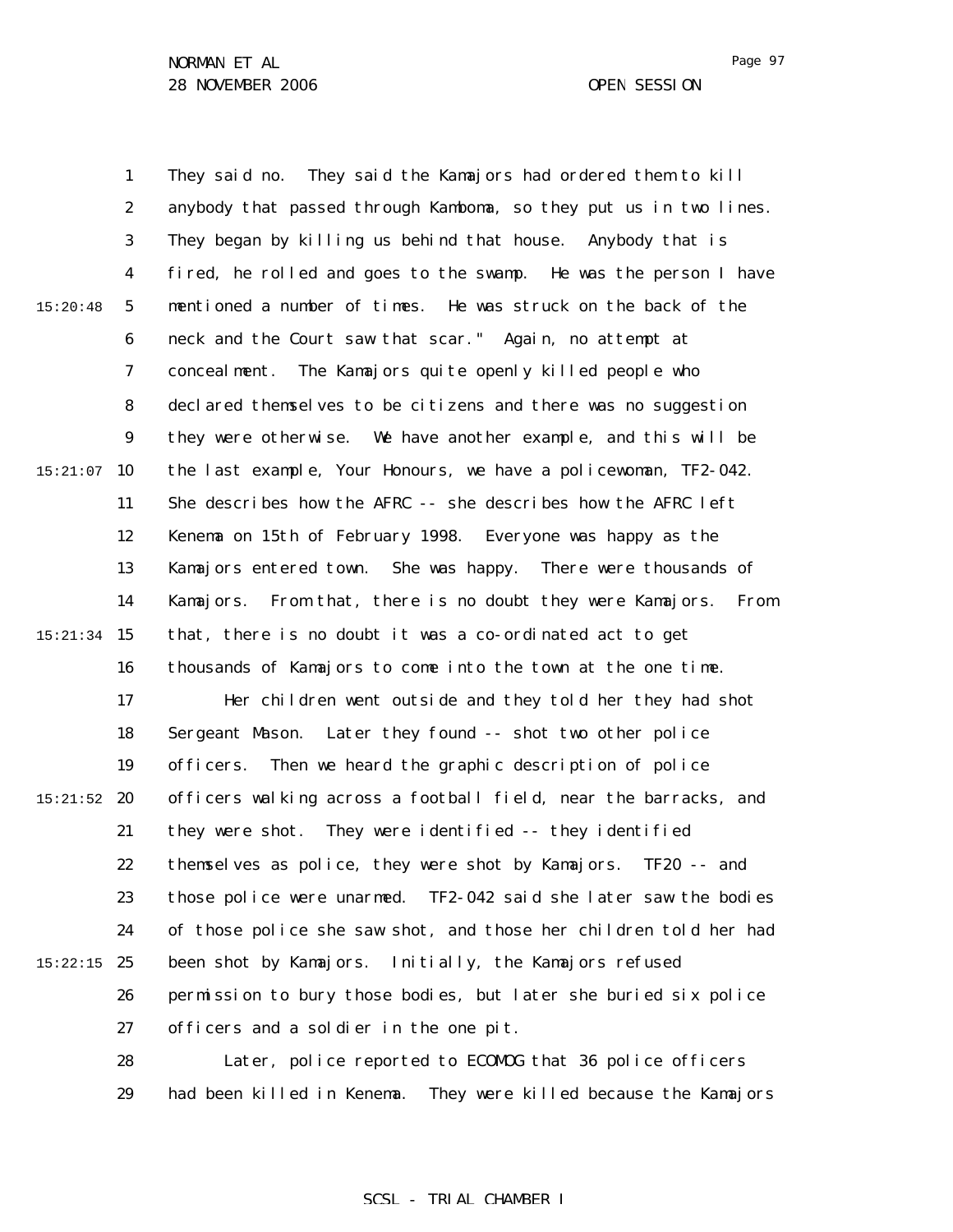Page 97

1 2 3 4 5 6 7 8 9  $15:21:07$  10 11 12 13 14 15 15:21:34 16 17 18 19  $15:21:52$  20 21 22 23 24  $15:22:15$  25 26 27 28 15:20:48 They said no. They said the Kamajors had ordered them to kill anybody that passed through Kamboma, so they put us in two lines. They began by killing us behind that house. Anybody that is fired, he rolled and goes to the swamp. He was the person I have mentioned a number of times. He was struck on the back of the neck and the Court saw that scar." Again, no attempt at concealment. The Kamajors quite openly killed people who declared themselves to be citizens and there was no suggestion they were otherwise. We have another example, and this will be the last example, Your Honours, we have a policewoman, TF2-042. She describes how the AFRC -- she describes how the AFRC left Kenema on 15th of February 1998. Everyone was happy as the Kamajors entered town. She was happy. There were thousands of Kamajors. From that, there is no doubt they were Kamajors. From that, there is no doubt it was a co-ordinated act to get thousands of Kamajors to come into the town at the one time. Her children went outside and they told her they had shot Sergeant Mason. Later they found -- shot two other police officers. Then we heard the graphic description of police officers walking across a football field, near the barracks, and they were shot. They were identified -- they identified themselves as police, they were shot by Kamajors. TF20 -- and those police were unarmed. TF2-042 said she later saw the bodies of those police she saw shot, and those her children told her had been shot by Kamajors. Initially, the Kamajors refused permission to bury those bodies, but later she buried six police officers and a soldier in the one pit. Later, police reported to ECOMOG that 36 police officers

> 29 had been killed in Kenema. They were killed because the Kamajors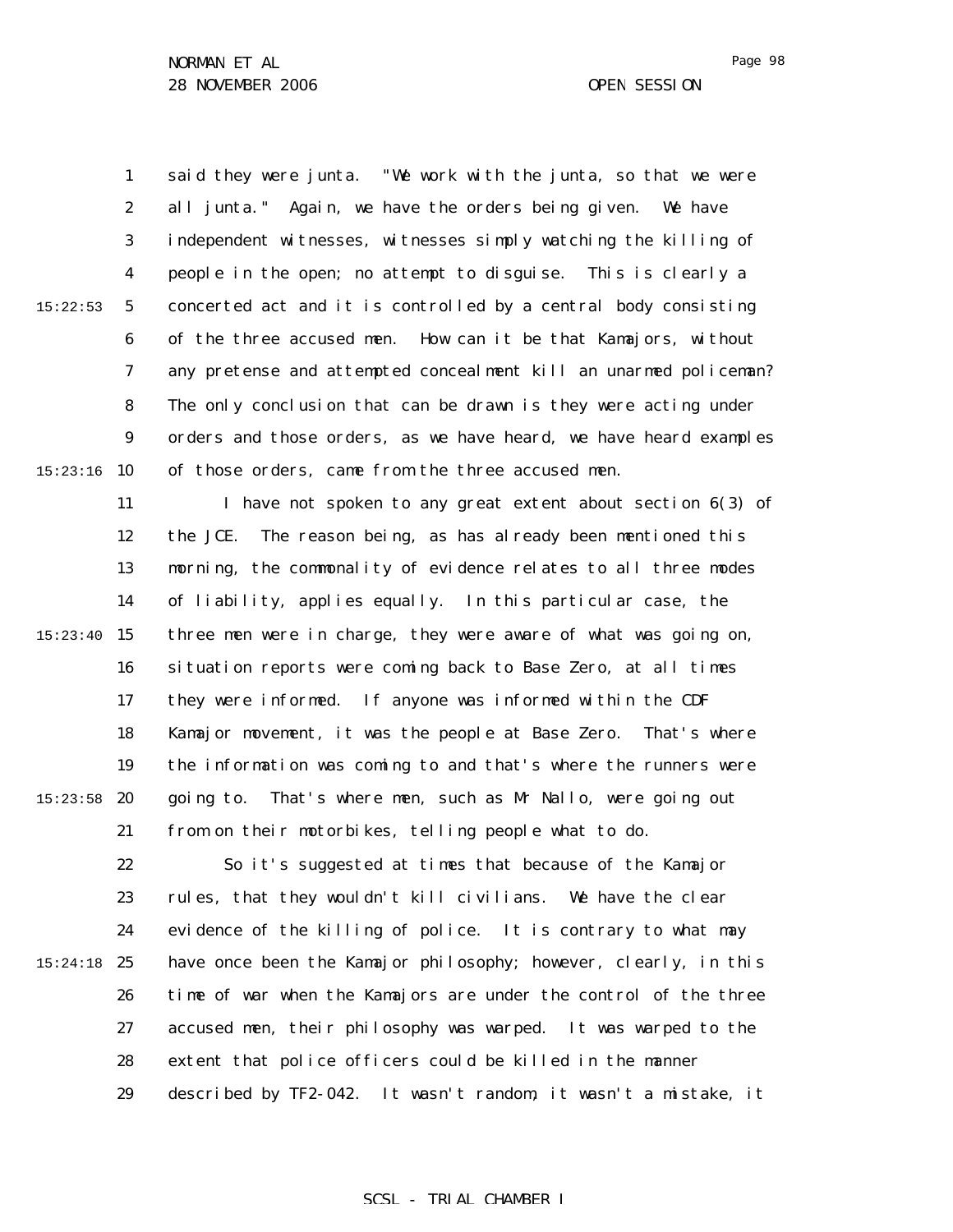1 2 3 4 5 6 7 8 9  $15:23:16$  10 15:22:53 said they were junta. "We work with the junta, so that we were all junta." Again, we have the orders being given. We have independent witnesses, witnesses simply watching the killing of people in the open; no attempt to disguise. This is clearly a concerted act and it is controlled by a central body consisting of the three accused men. How can it be that Kamajors, without any pretense and attempted concealment kill an unarmed policeman? The only conclusion that can be drawn is they were acting under orders and those orders, as we have heard, we have heard examples of those orders, came from the three accused men.

11 12 13 14 15:23:40 15 16 17 18 19  $15:23:58$  20 21 I have not spoken to any great extent about section 6(3) of the JCE. The reason being, as has already been mentioned this morning, the commonality of evidence relates to all three modes of liability, applies equally. In this particular case, the three men were in charge, they were aware of what was going on, situation reports were coming back to Base Zero, at all times they were informed. If anyone was informed within the CDF Kamajor movement, it was the people at Base Zero. That's where the information was coming to and that's where the runners were going to. That's where men, such as Mr Nallo, were going out from on their motorbikes, telling people what to do.

22 23 24 15:24:18 25 26 27 28 29 So it's suggested at times that because of the Kamajor rules, that they wouldn't kill civilians. We have the clear evidence of the killing of police. It is contrary to what may have once been the Kamajor philosophy; however, clearly, in this time of war when the Kamajors are under the control of the three accused men, their philosophy was warped. It was warped to the extent that police officers could be killed in the manner described by TF2-042. It wasn't random, it wasn't a mistake, it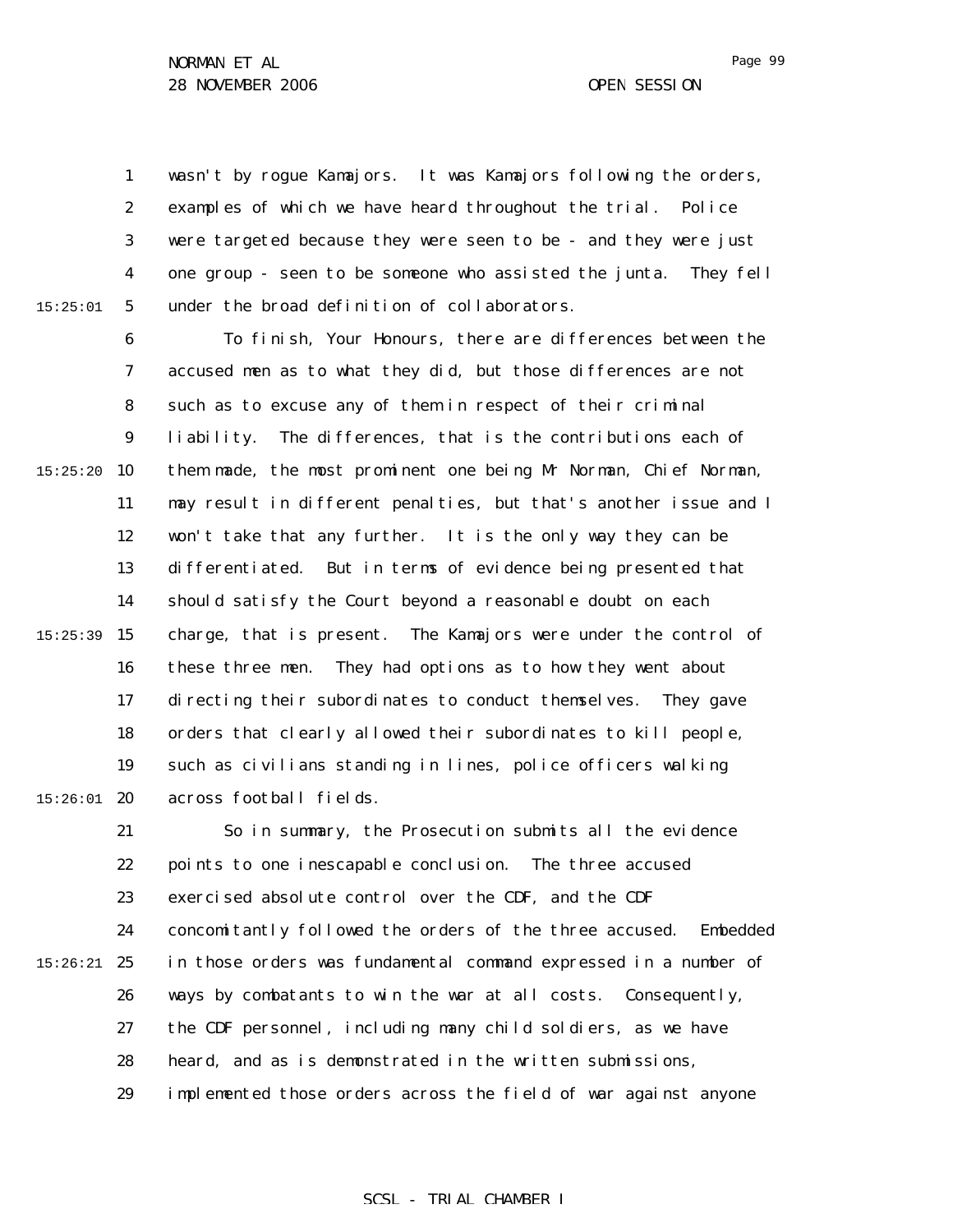15:25:01

1 2 3 4 5 wasn't by rogue Kamajors. It was Kamajors following the orders, examples of which we have heard throughout the trial. Police were targeted because they were seen to be - and they were just one group - seen to be someone who assisted the junta. They fell under the broad definition of collaborators.

6 7 8 9  $15:25:20$  10 11 12 13 14 15:25:39 15 16 17 18 19  $15:26:01$  20 To finish, Your Honours, there are differences between the accused men as to what they did, but those differences are not such as to excuse any of them in respect of their criminal liability. The differences, that is the contributions each of them made, the most prominent one being Mr Norman, Chief Norman, may result in different penalties, but that's another issue and I won't take that any further. It is the only way they can be differentiated. But in terms of evidence being presented that should satisfy the Court beyond a reasonable doubt on each charge, that is present. The Kamajors were under the control of these three men. They had options as to how they went about directing their subordinates to conduct themselves. They gave orders that clearly allowed their subordinates to kill people, such as civilians standing in lines, police officers walking across football fields.

21 22 23 24  $15:26:21$  25 26 27 28 29 So in summary, the Prosecution submits all the evidence points to one inescapable conclusion. The three accused exercised absolute control over the CDF, and the CDF concomitantly followed the orders of the three accused. Embedded in those orders was fundamental command expressed in a number of ways by combatants to win the war at all costs. Consequently, the CDF personnel, including many child soldiers, as we have heard, and as is demonstrated in the written submissions, implemented those orders across the field of war against anyone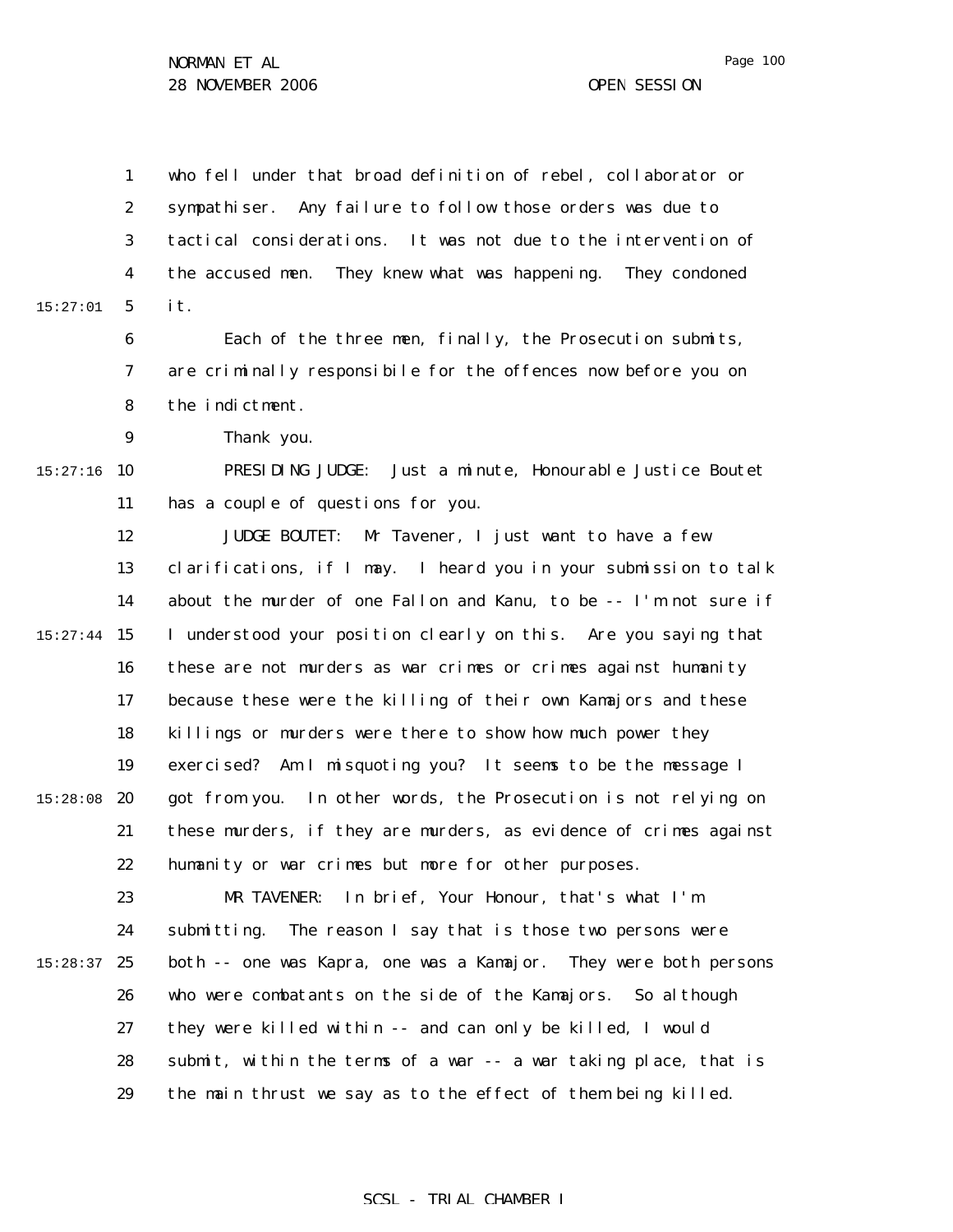Page 100

1 2 3 4 5 6 7 8 9  $15:27:16$  10 11 12 13 14 15:27:44 15 16 17 18 19 15:28:08 20 21 22 23 24  $15:28:37$  25 26 27 28 29 15:27:01 who fell under that broad definition of rebel, collaborator or sympathiser. Any failure to follow those orders was due to tactical considerations. It was not due to the intervention of the accused men. They knew what was happening. They condoned it. Each of the three men, finally, the Prosecution submits, are criminally responsibile for the offences now before you on the indictment. Thank you. PRESIDING JUDGE: Just a minute, Honourable Justice Boutet has a couple of questions for you. JUDGE BOUTET: Mr Tavener, I just want to have a few clarifications, if I may. I heard you in your submission to talk about the murder of one Fallon and Kanu, to be -- I'm not sure if I understood your position clearly on this. Are you saying that these are not murders as war crimes or crimes against humanity because these were the killing of their own Kamajors and these killings or murders were there to show how much power they exercised? Am I misquoting you? It seems to be the message I got from you. In other words, the Prosecution is not relying on these murders, if they are murders, as evidence of crimes against humanity or war crimes but more for other purposes. MR TAVENER: In brief, Your Honour, that's what I'm submitting. The reason I say that is those two persons were both -- one was Kapra, one was a Kamajor. They were both persons who were combatants on the side of the Kamajors. So although they were killed within -- and can only be killed, I would submit, within the terms of a war -- a war taking place, that is the main thrust we say as to the effect of them being killed.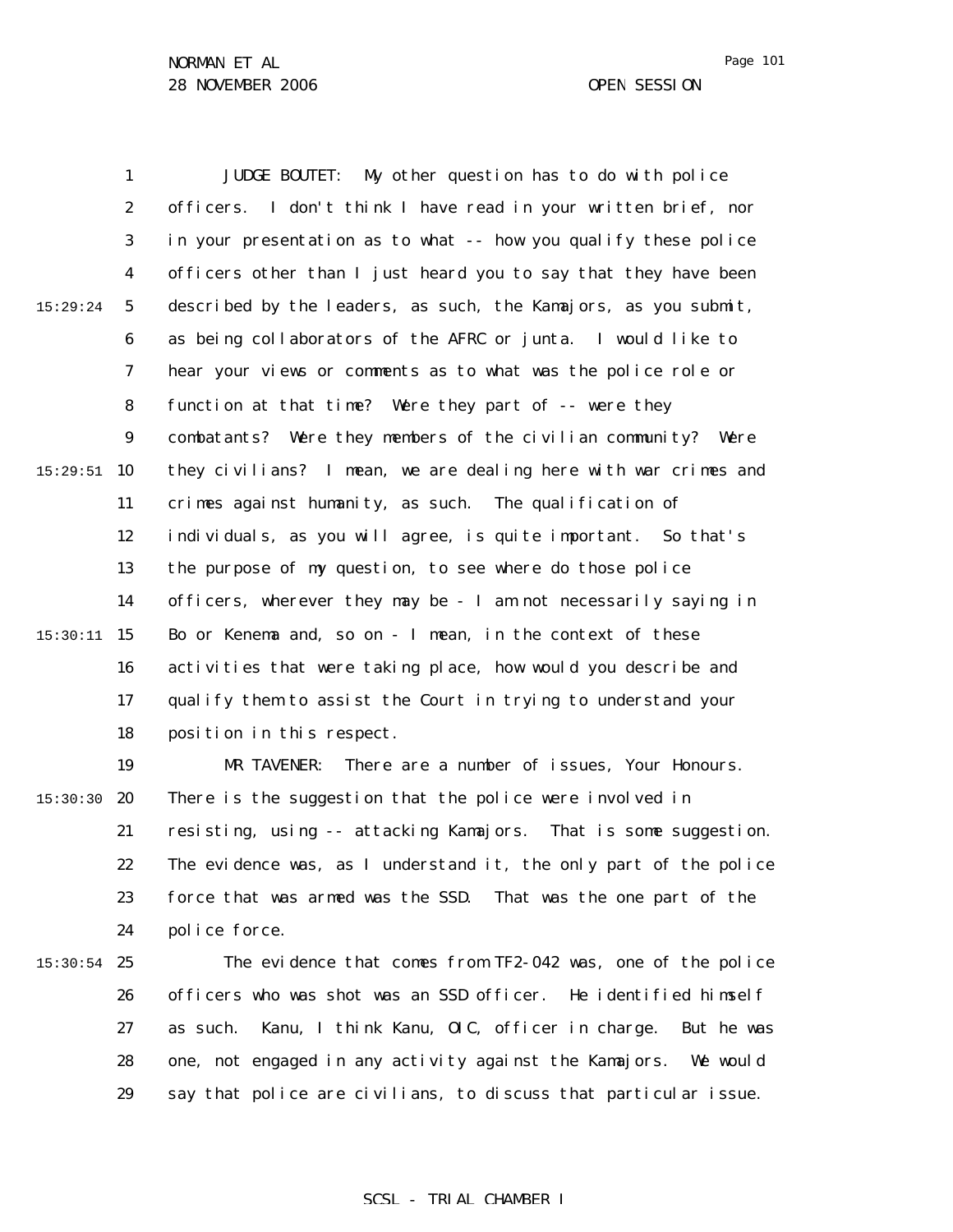Page 101

1 2 3 4 5 6 7 8 9  $15:29:51$  10 11 12 13 14 15 15:30:11 16 17 18 19 15:30:30 **20** 21 22 23 24  $15:30:54$  25 26 27 28 29 15:29:24 JUDGE BOUTET: My other question has to do with police officers. I don't think I have read in your written brief, nor in your presentation as to what -- how you qualify these police officers other than I just heard you to say that they have been described by the leaders, as such, the Kamajors, as you submit, as being collaborators of the AFRC or junta. I would like to hear your views or comments as to what was the police role or function at that time? Were they part of -- were they combatants? Were they members of the civilian community? Were they civilians? I mean, we are dealing here with war crimes and crimes against humanity, as such. The qualification of individuals, as you will agree, is quite important. So that's the purpose of my question, to see where do those police officers, wherever they may be - I am not necessarily saying in Bo or Kenema and, so on - I mean, in the context of these activities that were taking place, how would you describe and qualify them to assist the Court in trying to understand your position in this respect. MR TAVENER: There are a number of issues, Your Honours. There is the suggestion that the police were involved in resisting, using -- attacking Kamajors. That is some suggestion. The evidence was, as I understand it, the only part of the police force that was armed was the SSD. That was the one part of the police force. The evidence that comes from TF2-042 was, one of the police officers who was shot was an SSD officer. He identified himself as such. Kanu, I think Kanu, OIC, officer in charge. But he was one, not engaged in any activity against the Kamajors. We would say that police are civilians, to discuss that particular issue.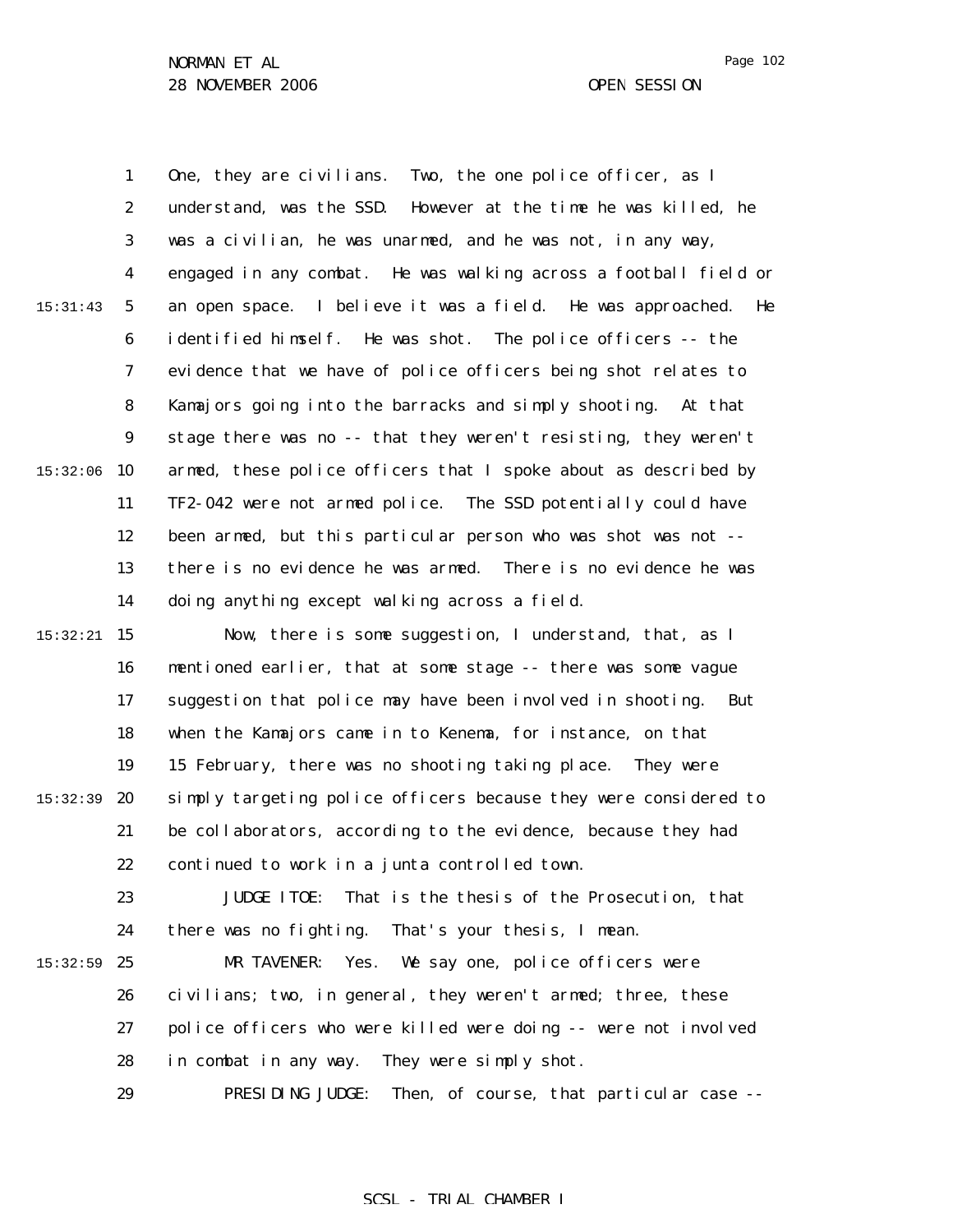1 2 3 4 5 6 7 8 9  $15:32:06$  10 11 12 13 14 15 15:32:21 16 15:31:43 One, they are civilians. Two, the one police officer, as I understand, was the SSD. However at the time he was killed, he was a civilian, he was unarmed, and he was not, in any way, engaged in any combat. He was walking across a football field or an open space. I believe it was a field. He was approached. He identified himself. He was shot. The police officers -- the evidence that we have of police officers being shot relates to Kamajors going into the barracks and simply shooting. At that stage there was no -- that they weren't resisting, they weren't armed, these police officers that I spoke about as described by TF2-042 were not armed police. The SSD potentially could have been armed, but this particular person who was shot was not - there is no evidence he was armed. There is no evidence he was doing anything except walking across a field. Now, there is some suggestion, I understand, that, as I mentioned earlier, that at some stage -- there was some vague

17 18 19 15:32:39 **20** 21 22 suggestion that police may have been involved in shooting. But when the Kamajors came in to Kenema, for instance, on that 15 February, there was no shooting taking place. They were simply targeting police officers because they were considered to be collaborators, according to the evidence, because they had continued to work in a junta controlled town.

23 24 JUDGE ITOE: That is the thesis of the Prosecution, that there was no fighting. That's your thesis, I mean.

 $15:32:59$  25 26 27 28 MR TAVENER: Yes. We say one, police officers were civilians; two, in general, they weren't armed; three, these police officers who were killed were doing -- were not involved in combat in any way. They were simply shot.

> 29 PRESIDING JUDGE: Then, of course, that particular case --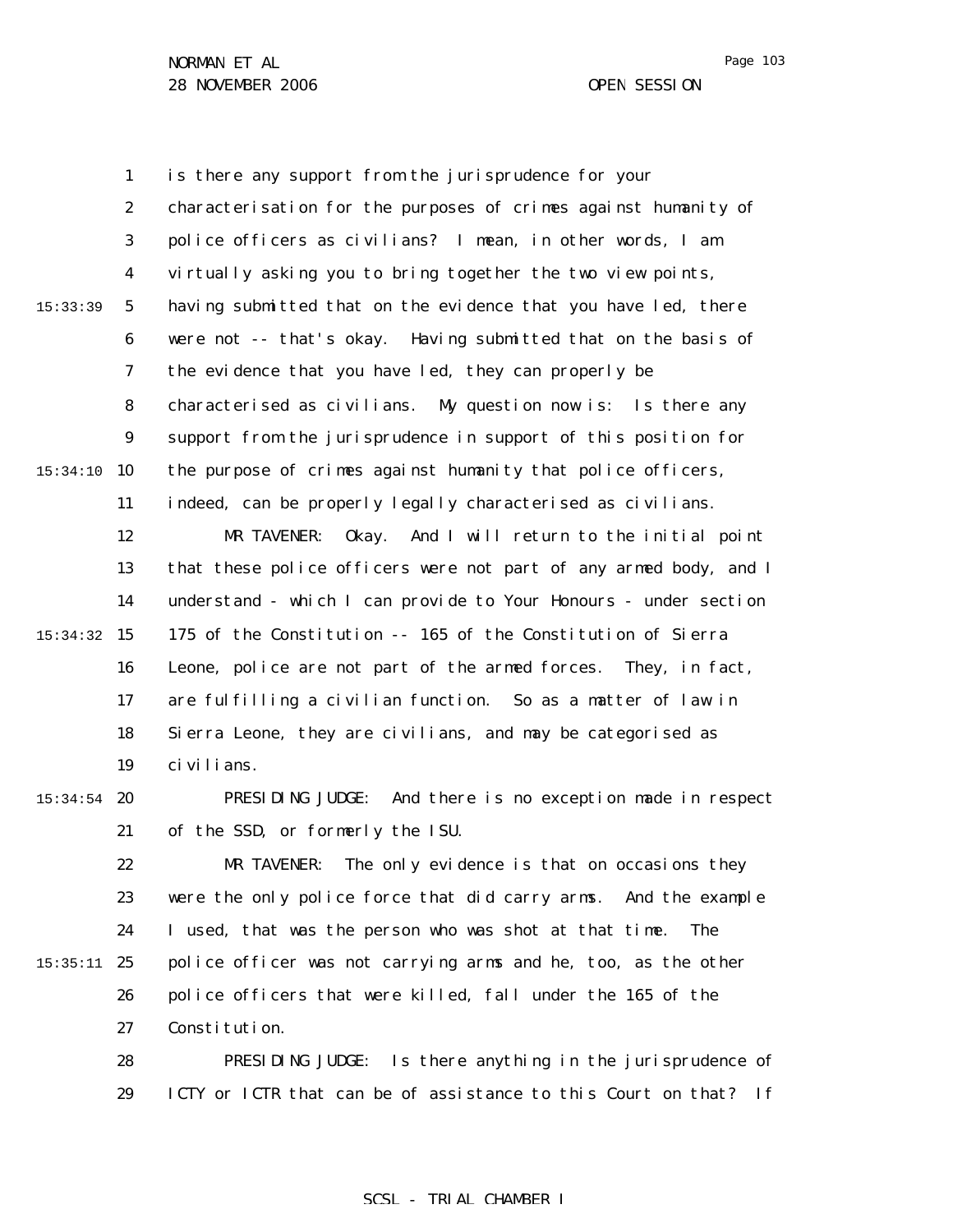29

Page 103

1 2 3 4 5 6 7 8 9  $15:34:10$  10 11 12 13 14 15 15:34:32 16 17 18 19  $15:34:54$  20 21 22 23 24 15:35:11 25 26 27 28 15:33:39 is there any support from the jurisprudence for your characterisation for the purposes of crimes against humanity of police officers as civilians? I mean, in other words, I am virtually asking you to bring together the two view points, having submitted that on the evidence that you have led, there were not -- that's okay. Having submitted that on the basis of the evidence that you have led, they can properly be characterised as civilians. My question now is: Is there any support from the jurisprudence in support of this position for the purpose of crimes against humanity that police officers, indeed, can be properly legally characterised as civilians. MR TAVENER: Okay. And I will return to the initial point that these police officers were not part of any armed body, and I understand - which I can provide to Your Honours - under section 175 of the Constitution -- 165 of the Constitution of Sierra Leone, police are not part of the armed forces. They, in fact, are fulfilling a civilian function. So as a matter of law in Sierra Leone, they are civilians, and may be categorised as civilians. PRESIDING JUDGE: And there is no exception made in respect of the SSD, or formerly the ISU. MR TAVENER: The only evidence is that on occasions they were the only police force that did carry arms. And the example I used, that was the person who was shot at that time. The police officer was not carrying arms and he, too, as the other police officers that were killed, fall under the 165 of the Constitution. PRESIDING JUDGE: Is there anything in the jurisprudence of

#### SCSL - TRIAL CHAMBER I

ICTY or ICTR that can be of assistance to this Court on that? If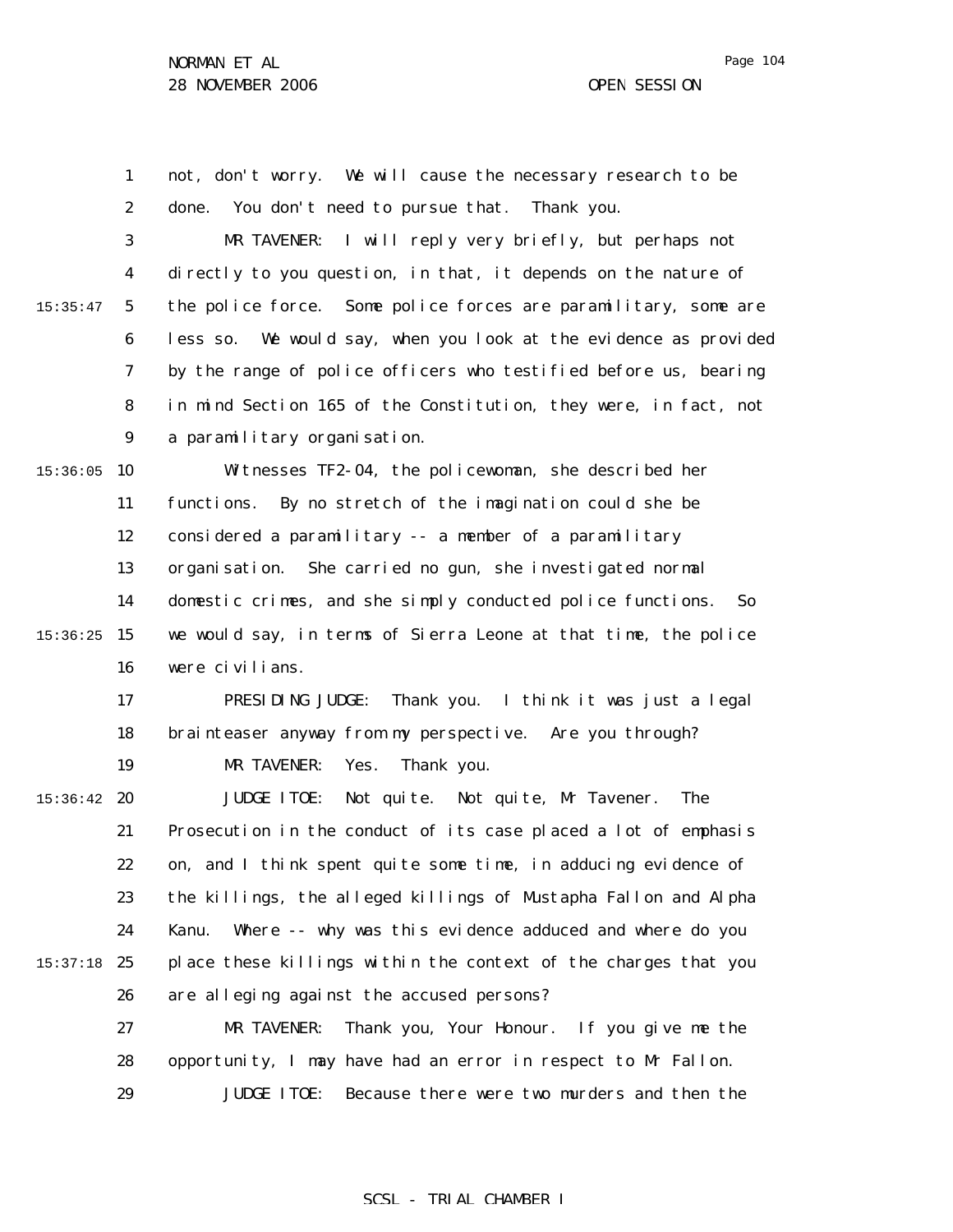1 2 3 4 5 6 7 8 9  $15:36:05$  10 11 12 13 14 15:36:25 15 16 17 18 19  $15:36:42$  20 21 22 23 24 15:37:18 25 26 27 28 29 15:35:47 not, don't worry. We will cause the necessary research to be done. You don't need to pursue that. Thank you. MR TAVENER: I will reply very briefly, but perhaps not directly to you question, in that, it depends on the nature of the police force. Some police forces are paramilitary, some are less so. We would say, when you look at the evidence as provided by the range of police officers who testified before us, bearing in mind Section 165 of the Constitution, they were, in fact, not a paramilitary organisation. Witnesses TF2-04, the policewoman, she described her functions. By no stretch of the imagination could she be considered a paramilitary -- a member of a paramilitary organisation. She carried no gun, she investigated normal domestic crimes, and she simply conducted police functions. So we would say, in terms of Sierra Leone at that time, the police were civilians. PRESIDING JUDGE: Thank you. I think it was just a legal brainteaser anyway from my perspective. Are you through? MR TAVENER: Yes. Thank you. JUDGE ITOE: Not quite. Not quite, Mr Tavener. The Prosecution in the conduct of its case placed a lot of emphasis on, and I think spent quite some time, in adducing evidence of the killings, the alleged killings of Mustapha Fallon and Alpha Kanu. Where -- why was this evidence adduced and where do you place these killings within the context of the charges that you are alleging against the accused persons? MR TAVENER: Thank you, Your Honour. If you give me the opportunity, I may have had an error in respect to Mr Fallon. JUDGE ITOE: Because there were two murders and then the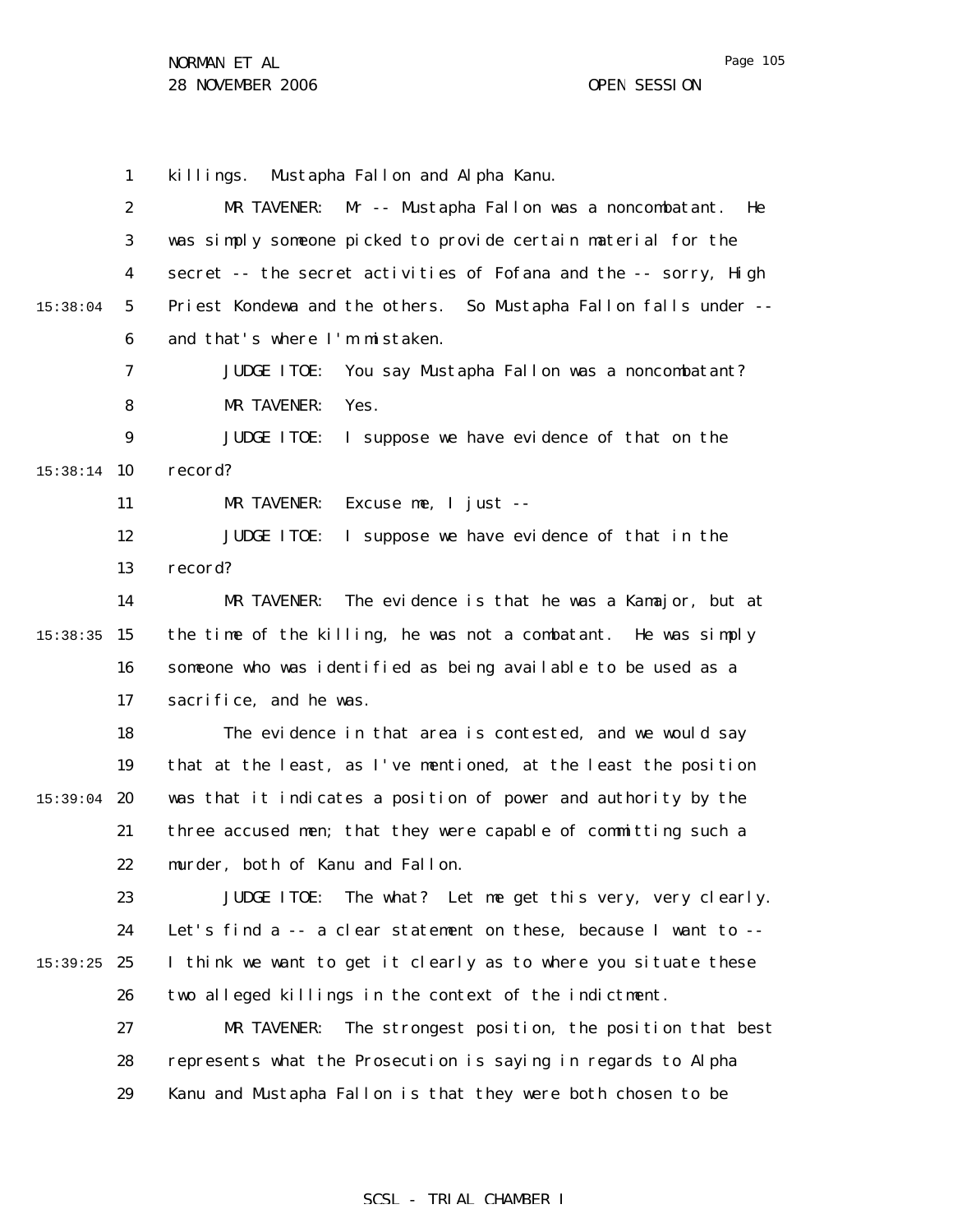1 2 3 4 5 6 7 8 9 15:38:14 10 11 12 13 14 15:38:35 15 16 17 18 19  $15:39:04$  20 21 22 23 24 15:39:25 25 26 27 28 29 15:38:04 killings. Mustapha Fallon and Alpha Kanu. MR TAVENER: Mr -- Mustapha Fallon was a noncombatant. He was simply someone picked to provide certain material for the secret -- the secret activities of Fofana and the -- sorry, High Priest Kondewa and the others. So Mustapha Fallon falls under - and that's where I'm mistaken. JUDGE ITOE: You say Mustapha Fallon was a noncombatant? MR TAVENER: Yes. JUDGE ITOE: I suppose we have evidence of that on the record? MR TAVENER: Excuse me, I just -- JUDGE ITOE: I suppose we have evidence of that in the record? MR TAVENER: The evidence is that he was a Kamajor, but at the time of the killing, he was not a combatant. He was simply someone who was identified as being available to be used as a sacrifice, and he was. The evidence in that area is contested, and we would say that at the least, as I've mentioned, at the least the position was that it indicates a position of power and authority by the three accused men; that they were capable of committing such a murder, both of Kanu and Fallon. JUDGE ITOE: The what? Let me get this very, very clearly. Let's find a -- a clear statement on these, because I want to -- I think we want to get it clearly as to where you situate these two alleged killings in the context of the indictment. MR TAVENER: The strongest position, the position that best represents what the Prosecution is saying in regards to Alpha Kanu and Mustapha Fallon is that they were both chosen to be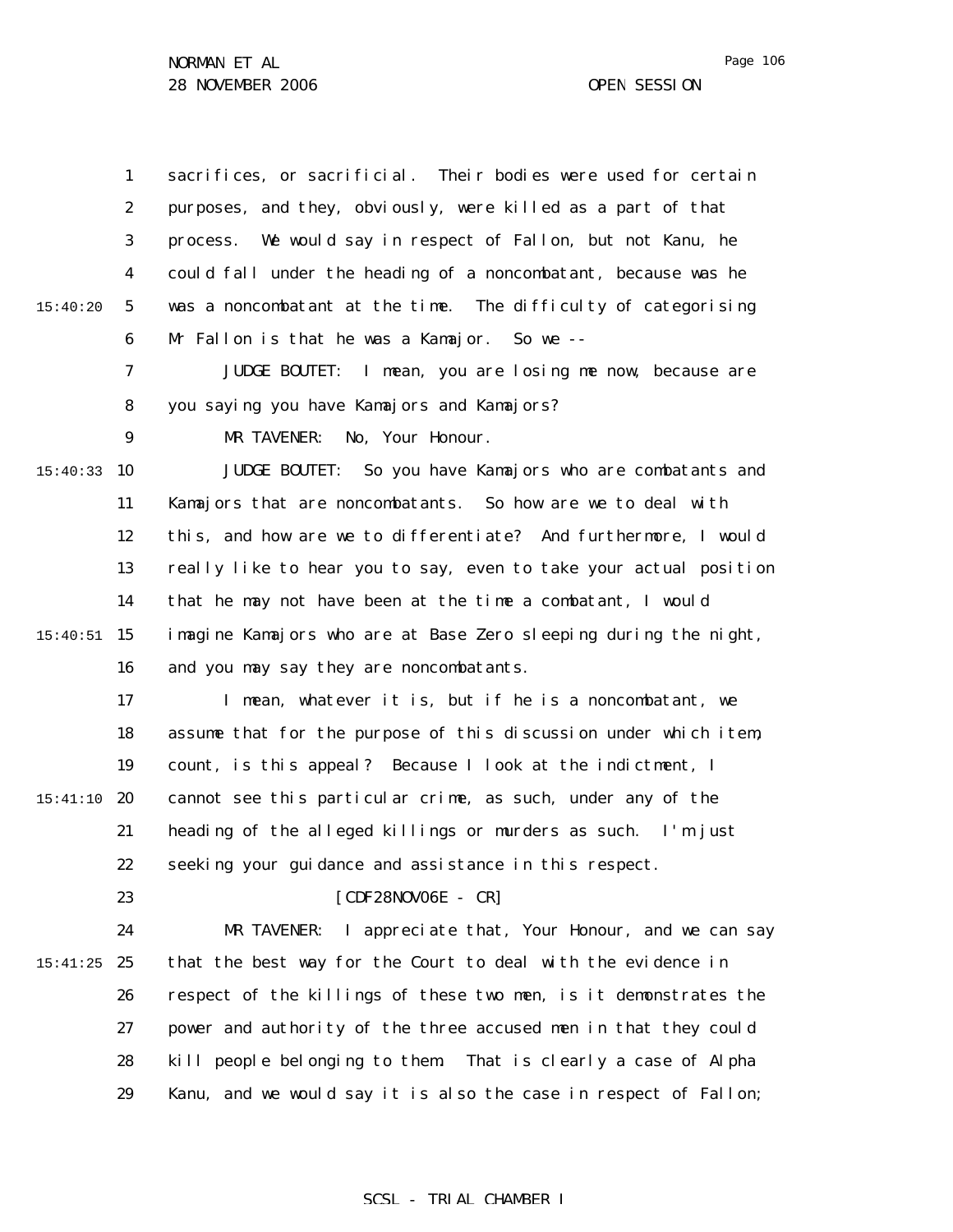|          | $\mathbf{1}$     | sacrifices, or sacrificial. Their bodies were used for certain     |
|----------|------------------|--------------------------------------------------------------------|
|          | $\boldsymbol{2}$ | purposes, and they, obviously, were killed as a part of that       |
|          | 3                | We would say in respect of Fallon, but not Kanu, he<br>process.    |
|          | 4                | could fall under the heading of a noncombatant, because was he     |
| 15:40:20 | $\sqrt{5}$       | was a noncombatant at the time. The difficulty of categorising     |
|          | 6                | Mr Fallon is that he was a Kamajor. So we --                       |
|          | 7                | I mean, you are losing me now, because are<br><b>JUDGE BOUTET:</b> |
|          | 8                | you saying you have Kamajors and Kamajors?                         |
|          | $\boldsymbol{9}$ | No, Your Honour.<br>MR TAVENER:                                    |
| 15:40:33 | 10               | JUDGE BOUTET: So you have Kamajors who are combatants and          |
|          | 11               | Kamajors that are noncombatants. So how are we to deal with        |
|          | 12               | this, and how are we to differentiate? And furthermore, I would    |
|          | 13               | really like to hear you to say, even to take your actual position  |
|          | 14               | that he may not have been at the time a combatant, I would         |
| 15:40:51 | 15               | imagine Kamajors who are at Base Zero sleeping during the night,   |
|          | 16               | and you may say they are noncombatants.                            |
|          | 17               | I mean, whatever it is, but if he is a noncombatant, we            |
|          | 18               | assume that for the purpose of this discussion under which item,   |
|          | 19               | count, is this appeal? Because I look at the indictment, I         |
| 15:41:10 | 20               | cannot see this particular crime, as such, under any of the        |
|          | 21               | heading of the alleged killings or murders as such. I'm just       |
|          | 22               | seeking your guidance and assistance in this respect.              |
|          | 23               | $[CDF28NOVO6E - CR]$                                               |
|          | 24               | I appreciate that, Your Honour, and we can say<br>MR TAVENER:      |
| 15:41:25 | 25               | that the best way for the Court to deal with the evidence in       |
|          | 26               | respect of the killings of these two men, is it demonstrates the   |
|          | 27               | power and authority of the three accused men in that they could    |
|          | 28               | kill people belonging to them.<br>That is clearly a case of Alpha  |
|          | 29               | Kanu, and we would say it is also the case in respect of Fallon;   |

# SCSL - TRIAL CHAMBER I

Page 106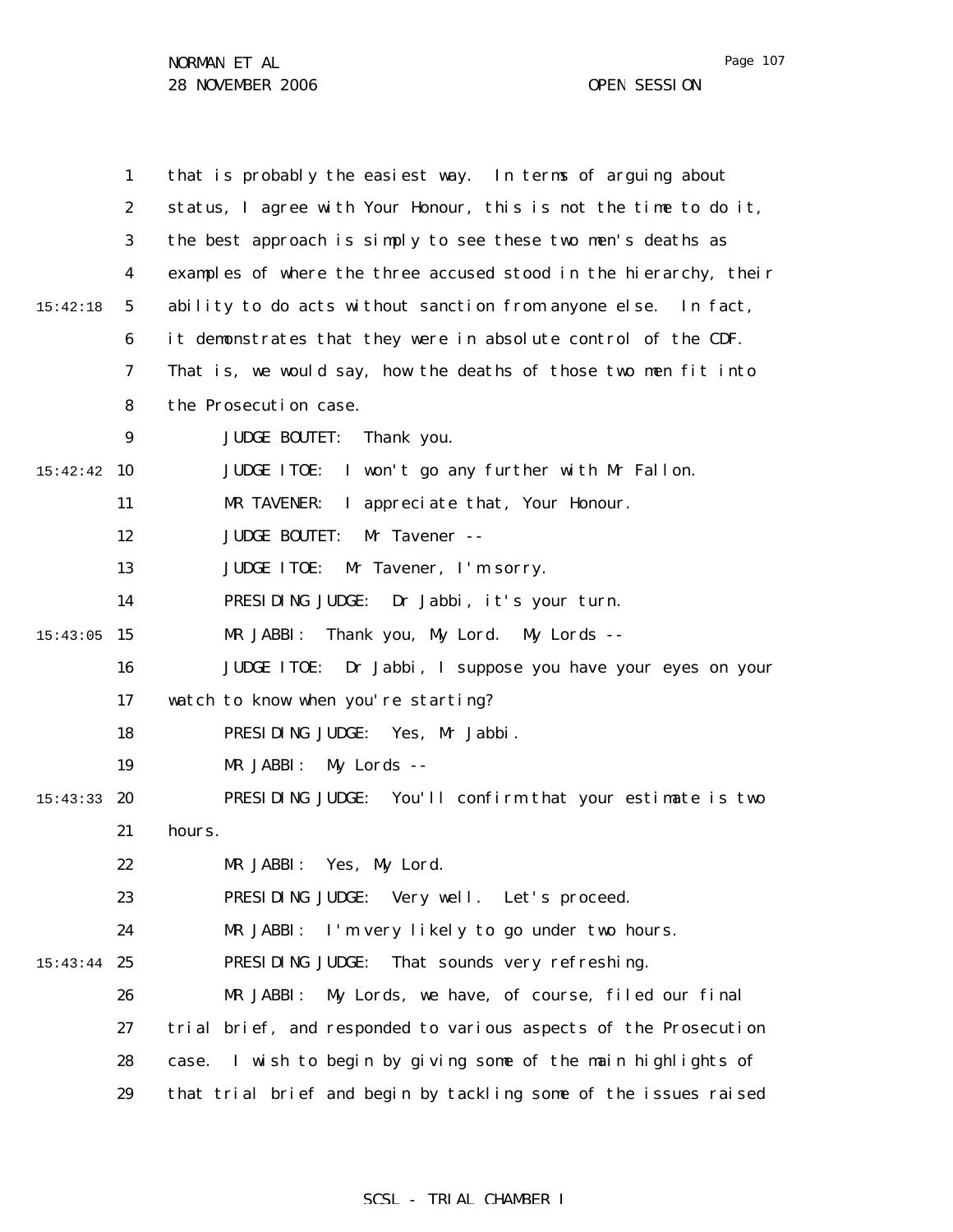Page 107

|          | $\mathbf{1}$     | that is probably the easiest way. In terms of arguing about          |
|----------|------------------|----------------------------------------------------------------------|
|          |                  |                                                                      |
|          | $\boldsymbol{2}$ | status, I agree with Your Honour, this is not the time to do it,     |
|          | 3                | the best approach is simply to see these two men's deaths as         |
|          | 4                | examples of where the three accused stood in the hierarchy, their    |
| 15:42:18 | $\mathbf{5}$     | ability to do acts without sanction from anyone else. In fact,       |
|          | 6                | it demonstrates that they were in absolute control of the CDF.       |
|          | 7                | That is, we would say, how the deaths of those two men fit into      |
|          | 8                | the Prosecution case.                                                |
|          | $\boldsymbol{9}$ | <b>JUDGE BOUTET:</b><br>Thank you.                                   |
| 15:42:42 | 10               | I won't go any further with Mr Fallon.<br><b>JUDGE ITOE:</b>         |
|          | 11               | I appreciate that, Your Honour.<br>MR TAVENER:                       |
|          | 12               | <b>JUDGE BOUTET:</b><br>Mr Tavener --                                |
|          | 13               | <b>JUDGE ITOE:</b><br>Mr Tavener, I'm sorry.                         |
|          | 14               | PRESIDING JUDGE:<br>Dr Jabbi, it's your turn.                        |
| 15:43:05 | 15               | Thank you, My Lord. My Lords --<br>MR JABBI:                         |
|          | 16               | <b>JUDGE ITOE:</b><br>Dr Jabbi, I suppose you have your eyes on your |
|          | 17               | watch to know when you're starting?                                  |
|          | 18               | PRESIDING JUDGE:<br>Yes, Mr Jabbi.                                   |
|          | 19               | MR JABBI:<br>My Lords --                                             |
| 15:43:33 | 20               | PRESIDING JUDGE:<br>You'll confirm that your estimate is two         |
|          | 21               | hours.                                                               |
|          | 22               | Yes, My Lord.<br>MR JABBI:                                           |
|          | 23               | PRESIDING JUDGE:<br>Very well. Let's proceed.                        |
|          | 24               | I'm very likely to go under two hours.<br>MR JABBI:                  |
| 15:43:44 | 25               | PRESIDING JUDGE:<br>That sounds very refreshing.                     |
|          | 26               | MR JABBI:<br>My Lords, we have, of course, filed our final           |
|          | 27               | trial brief, and responded to various aspects of the Prosecution     |
|          | 28               | I wish to begin by giving some of the main highlights of<br>case.    |
|          | 29               | that trial brief and begin by tackling some of the issues raised     |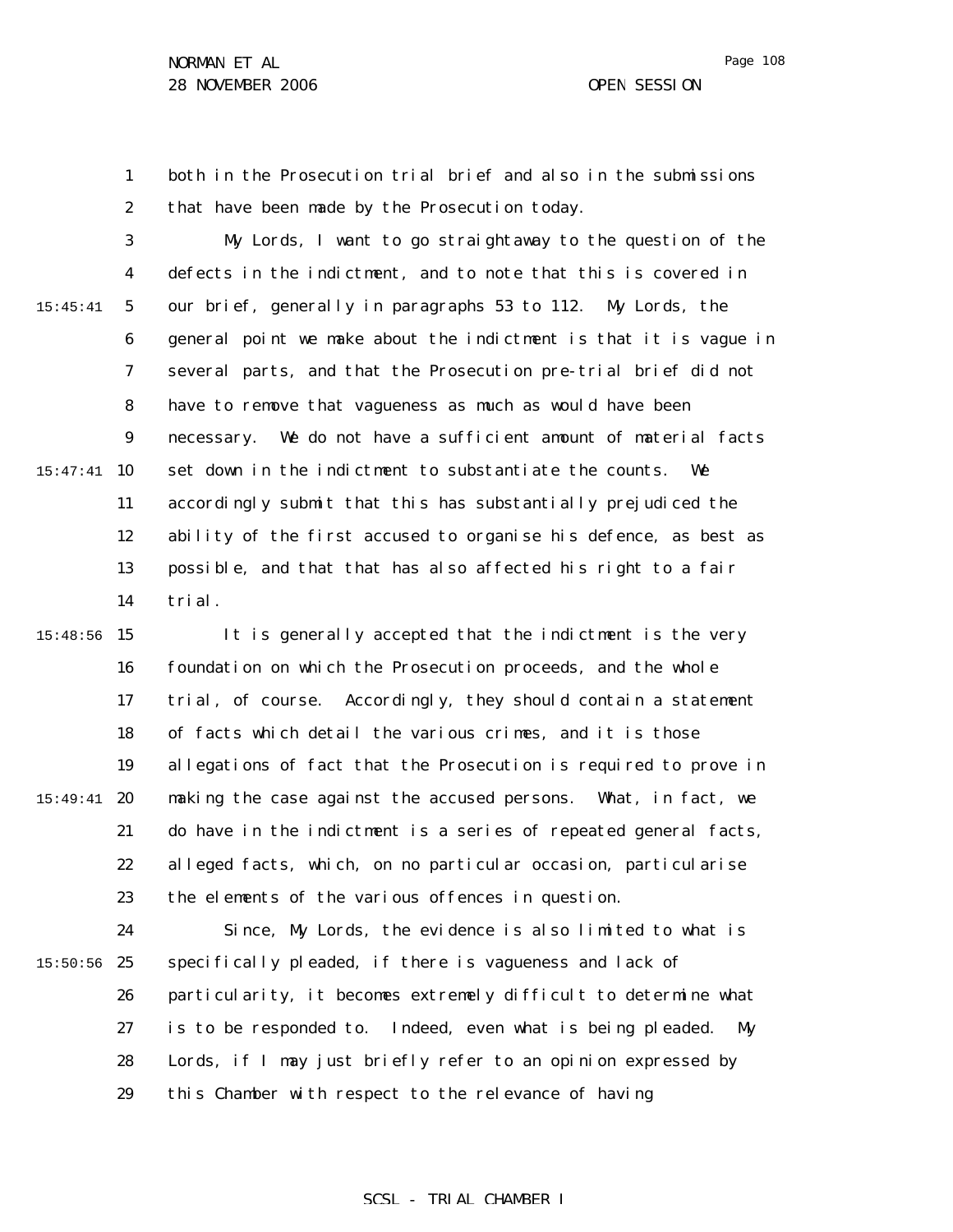Page 108

1 2 both in the Prosecution trial brief and also in the submissions that have been made by the Prosecution today.

3 4 5 6 7 8 9 15:47:41 10 11 12 13 14 15:45:41 My Lords, I want to go straightaway to the question of the defects in the indictment, and to note that this is covered in our brief, generally in paragraphs 53 to 112. My Lords, the general point we make about the indictment is that it is vague in several parts, and that the Prosecution pre-trial brief did not have to remove that vagueness as much as would have been necessary. We do not have a sufficient amount of material facts set down in the indictment to substantiate the counts. We accordingly submit that this has substantially prejudiced the ability of the first accused to organise his defence, as best as possible, and that that has also affected his right to a fair trial.

15:48:56 15 16 17 18 19 15:49:41 **20** 21 22 23 It is generally accepted that the indictment is the very foundation on which the Prosecution proceeds, and the whole trial, of course. Accordingly, they should contain a statement of facts which detail the various crimes, and it is those allegations of fact that the Prosecution is required to prove in making the case against the accused persons. What, in fact, we do have in the indictment is a series of repeated general facts, alleged facts, which, on no particular occasion, particularise the elements of the various offences in question.

24  $15:50:56$  25 26 27 28 29 Since, My Lords, the evidence is also limited to what is specifically pleaded, if there is vagueness and lack of particularity, it becomes extremely difficult to determine what is to be responded to. Indeed, even what is being pleaded. My Lords, if I may just briefly refer to an opinion expressed by this Chamber with respect to the relevance of having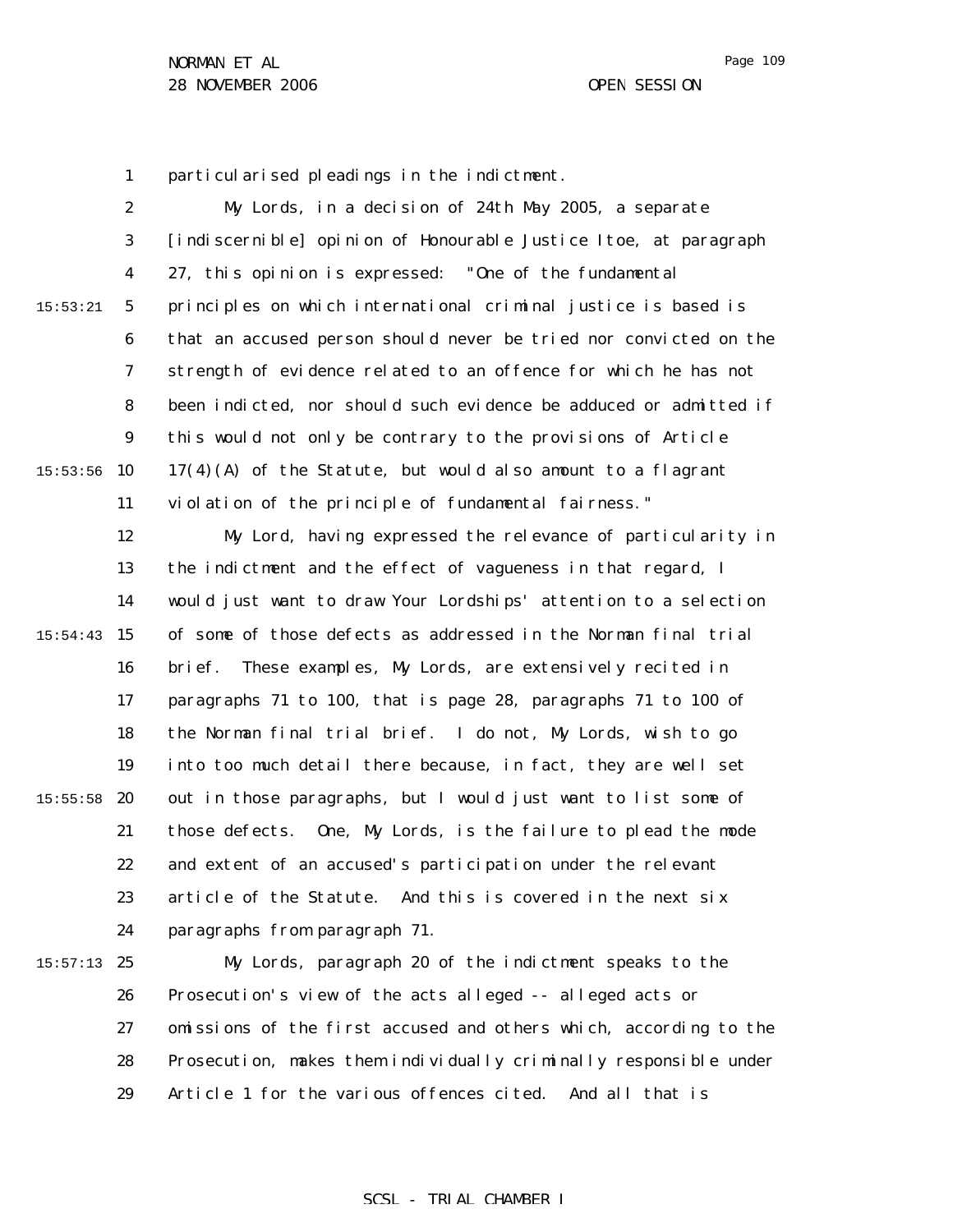Page 109

1 particularised pleadings in the indictment.

2 3 4 5 6 7 8 9  $15:53:56$  10 11 12 13 14 15:54:43 15 16 17 18 19  $15:55:58$  20 21 22 23 24  $15:57:13$  25 26 27 28 29 15:53:21 My Lords, in a decision of 24th May 2005, a separate [indiscernible] opinion of Honourable Justice Itoe, at paragraph 27, this opinion is expressed: "One of the fundamental principles on which international criminal justice is based is that an accused person should never be tried nor convicted on the strength of evidence related to an offence for which he has not been indicted, nor should such evidence be adduced or admitted if this would not only be contrary to the provisions of Article  $17(4)(A)$  of the Statute, but would also amount to a flagrant violation of the principle of fundamental fairness." My Lord, having expressed the relevance of particularity in the indictment and the effect of vagueness in that regard, I would just want to draw Your Lordships' attention to a selection of some of those defects as addressed in the Norman final trial brief. These examples, My Lords, are extensively recited in paragraphs 71 to 100, that is page 28, paragraphs 71 to 100 of the Norman final trial brief. I do not, My Lords, wish to go into too much detail there because, in fact, they are well set out in those paragraphs, but I would just want to list some of those defects. One, My Lords, is the failure to plead the mode and extent of an accused's participation under the relevant article of the Statute. And this is covered in the next six paragraphs from paragraph 71. My Lords, paragraph 20 of the indictment speaks to the Prosecution's view of the acts alleged -- alleged acts or omissions of the first accused and others which, according to the Prosecution, makes them individually criminally responsible under Article 1 for the various offences cited. And all that is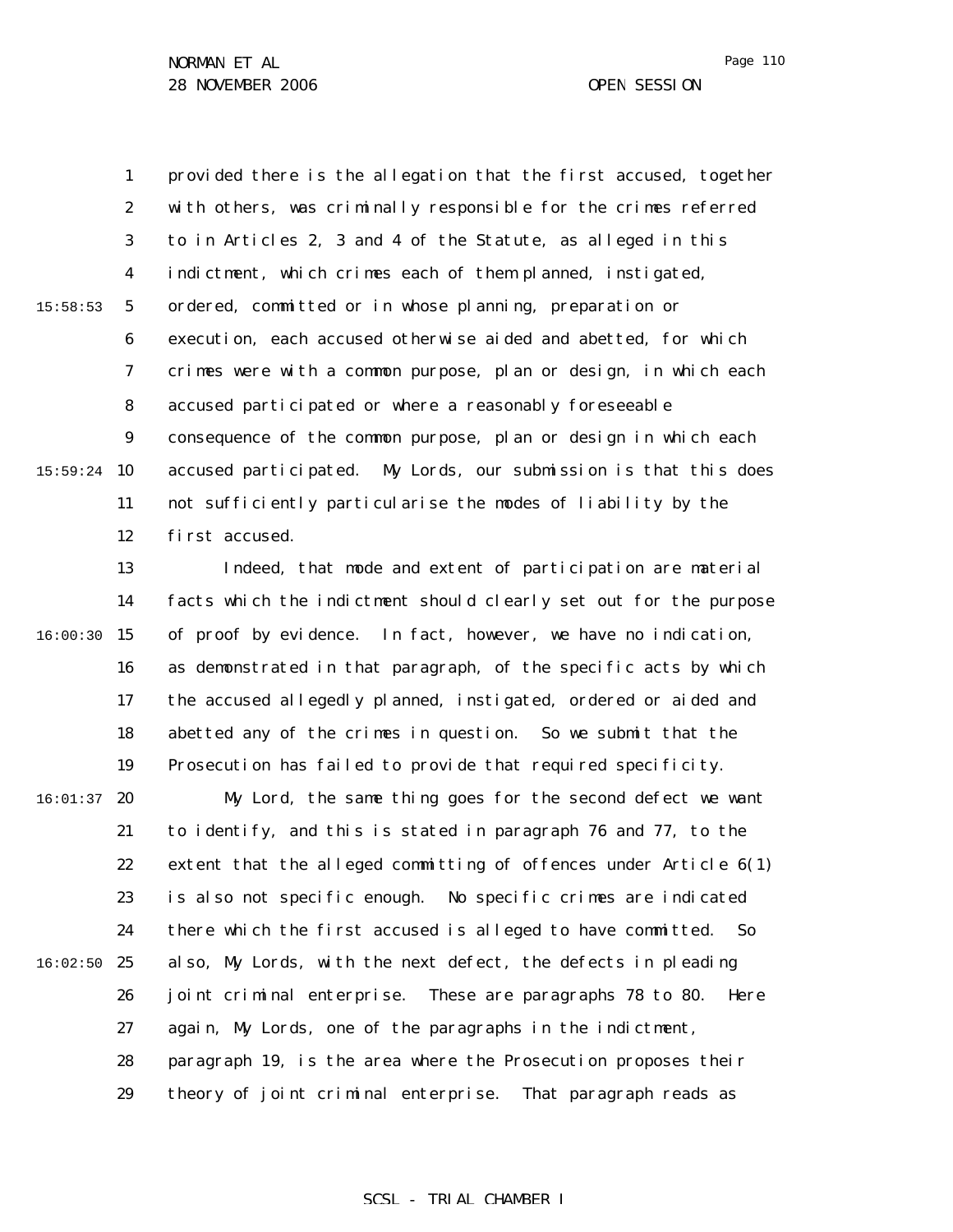1 2 3 4 5 6 7 8 9  $15:59:24$  10 11 12 15:58:53 provided there is the allegation that the first accused, together with others, was criminally responsible for the crimes referred to in Articles 2, 3 and 4 of the Statute, as alleged in this indictment, which crimes each of them planned, instigated, ordered, committed or in whose planning, preparation or execution, each accused otherwise aided and abetted, for which crimes were with a common purpose, plan or design, in which each accused participated or where a reasonably foreseeable consequence of the common purpose, plan or design in which each accused participated. My Lords, our submission is that this does not sufficiently particularise the modes of liability by the first accused.

13 14 16:00:30 15 16 17 18 19 Indeed, that mode and extent of participation are material facts which the indictment should clearly set out for the purpose of proof by evidence. In fact, however, we have no indication, as demonstrated in that paragraph, of the specific acts by which the accused allegedly planned, instigated, ordered or aided and abetted any of the crimes in question. So we submit that the Prosecution has failed to provide that required specificity.

 $16:01:37$  20 21 22 23 24  $16:02:50$  25 26 27 28 29 My Lord, the same thing goes for the second defect we want to identify, and this is stated in paragraph 76 and 77, to the extent that the alleged committing of offences under Article 6(1) is also not specific enough. No specific crimes are indicated there which the first accused is alleged to have committed. So also, My Lords, with the next defect, the defects in pleading joint criminal enterprise. These are paragraphs 78 to 80. Here again, My Lords, one of the paragraphs in the indictment, paragraph 19, is the area where the Prosecution proposes their theory of joint criminal enterprise. That paragraph reads as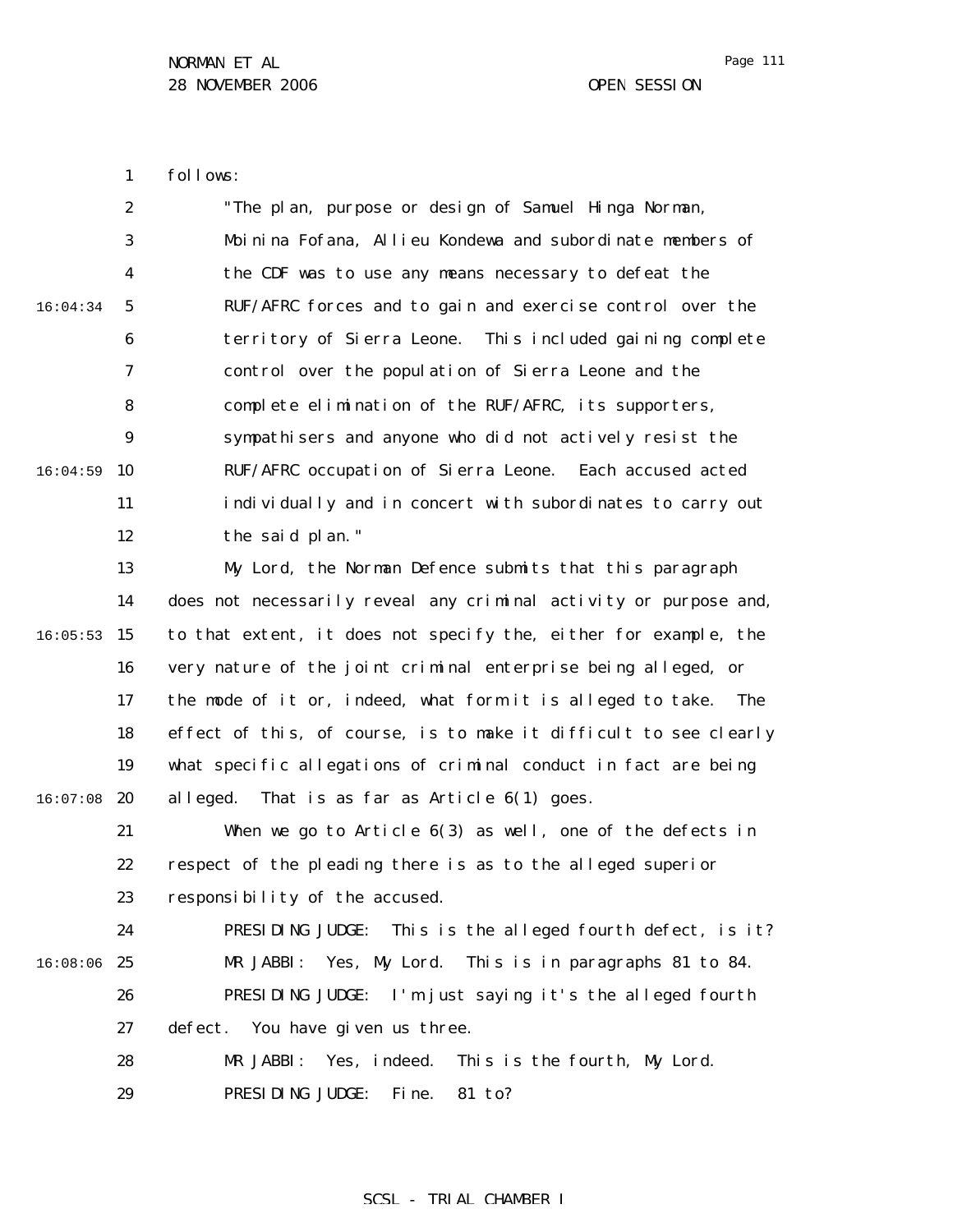1 follows:

|          | $\boldsymbol{2}$ | "The plan, purpose or design of Samuel Hinga Norman,               |
|----------|------------------|--------------------------------------------------------------------|
|          | $\boldsymbol{3}$ | Moinina Fofana, Allieu Kondewa and subordinate members of          |
|          | 4                | the CDF was to use any means necessary to defeat the               |
| 16:04:34 | $5\phantom{.0}$  | RUF/AFRC forces and to gain and exercise control over the          |
|          | 6                | territory of Sierra Leone. This included gaining complete          |
|          | 7                | control over the population of Sierra Leone and the                |
|          | 8                | complete elimination of the RUF/AFRC, its supporters,              |
|          | $\boldsymbol{9}$ | sympathisers and anyone who did not actively resist the            |
| 16:04:59 | 10               | RUF/AFRC occupation of Sierra Leone. Each accused acted            |
|          | 11               | individually and in concert with subordinates to carry out         |
|          | 12               | the said plan."                                                    |
|          | 13               | My Lord, the Norman Defence submits that this paragraph            |
|          | 14               | does not necessarily reveal any criminal activity or purpose and,  |
| 16:05:53 | 15               | to that extent, it does not specify the, either for example, the   |
|          | 16               | very nature of the joint criminal enterprise being alleged, or     |
|          | 17               | the mode of it or, indeed, what form it is alleged to take.<br>The |
|          | 18               | effect of this, of course, is to make it difficult to see clearly  |
|          | 19               | what specific allegations of criminal conduct in fact are being    |
| 16:07:08 | 20               | al leged.<br>That is as far as Article $6(1)$ goes.                |
|          | 21               | When we go to Article $6(3)$ as well, one of the defects in        |
|          | 22               | respect of the pleading there is as to the alleged superior        |
|          | 23               | responsibility of the accused.                                     |
|          | 24               | PRESIDING JUDGE:<br>This is the alleged fourth defect, is it?      |
| 16:08:06 | 25               | Yes, My Lord.<br>This is in paragraphs 81 to 84.<br>MR JABBI:      |
|          | 26               | PRESIDING JUDGE: I'm just saying it's the alleged fourth           |
|          | 27               | defect. You have given us three.                                   |
|          | 28               | This is the fourth, My Lord.<br>MR JABBI:<br>Yes, indeed.          |
|          | 29               | PRESIDING JUDGE:<br>81 to?<br>Fi ne.                               |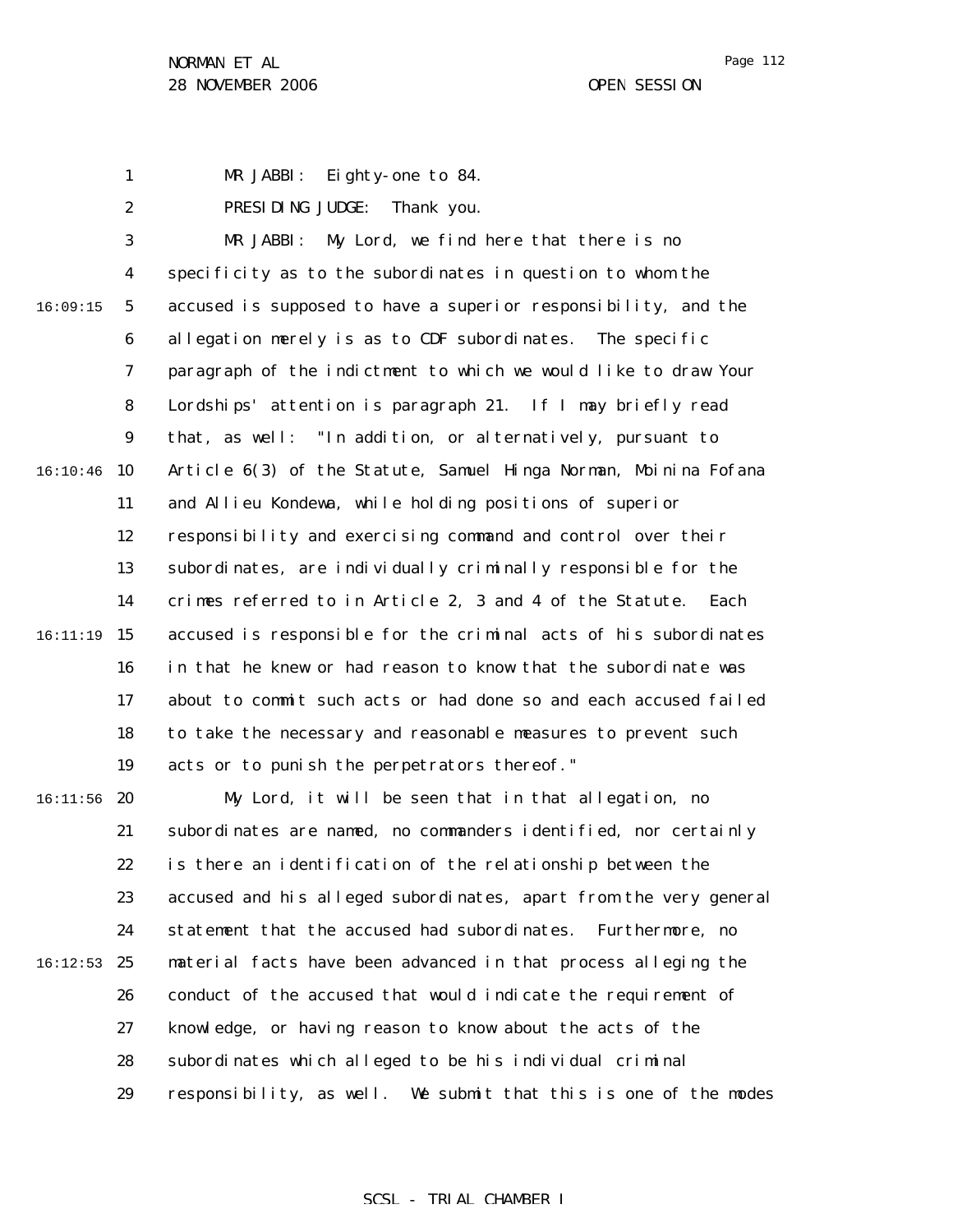1 MR JABBI: Eighty-one to 84.

2 PRESIDING JUDGE: Thank you.

3 4 5 6 7 8 9  $16:10:46$  10 11 12 13 14 15 16:11:19 16 17 18 19  $16:11:56$  20 21 22 23 24  $16:12:53$  25 26 27 16:09:15 MR JABBI: My Lord, we find here that there is no specificity as to the subordinates in question to whom the accused is supposed to have a superior responsibility, and the allegation merely is as to CDF subordinates. The specific paragraph of the indictment to which we would like to draw Your Lordships' attention is paragraph 21. If I may briefly read that, as well: "In addition, or alternatively, pursuant to Article 6(3) of the Statute, Samuel Hinga Norman, Moinina Fofana and Allieu Kondewa, while holding positions of superior responsibility and exercising command and control over their subordinates, are individually criminally responsible for the crimes referred to in Article 2, 3 and 4 of the Statute. Each accused is responsible for the criminal acts of his subordinates in that he knew or had reason to know that the subordinate was about to commit such acts or had done so and each accused failed to take the necessary and reasonable measures to prevent such acts or to punish the perpetrators thereof." My Lord, it will be seen that in that allegation, no subordinates are named, no commanders identified, nor certainly is there an identification of the relationship between the accused and his alleged subordinates, apart from the very general statement that the accused had subordinates. Furthermore, no material facts have been advanced in that process alleging the conduct of the accused that would indicate the requirement of knowledge, or having reason to know about the acts of the

> 28 subordinates which alleged to be his individual criminal

29 responsibility, as well. We submit that this is one of the modes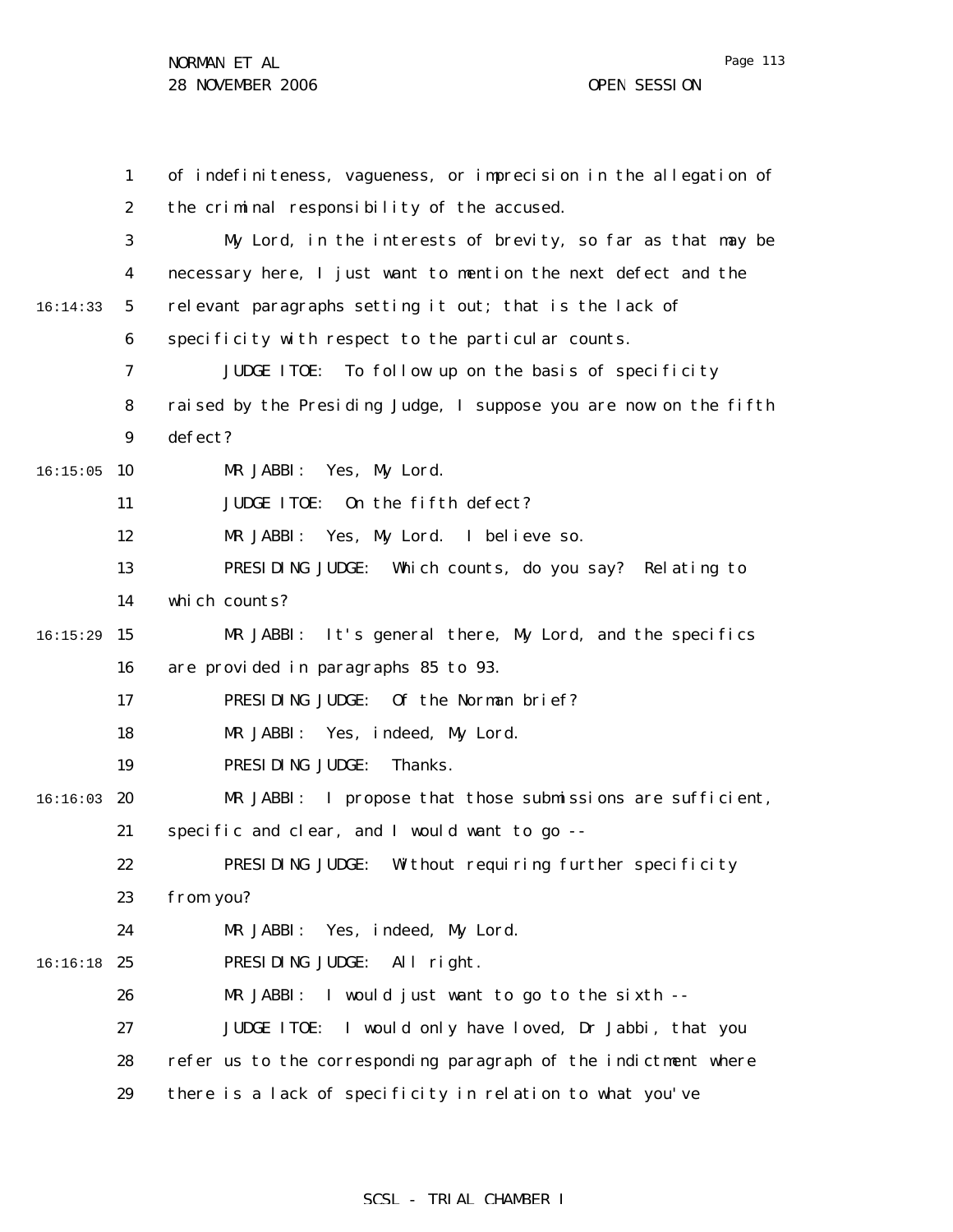Page 113

|          | $\mathbf{1}$     | of indefiniteness, vagueness, or imprecision in the allegation of |
|----------|------------------|-------------------------------------------------------------------|
|          | $\boldsymbol{2}$ | the criminal responsibility of the accused.                       |
|          | 3                | My Lord, in the interests of brevity, so far as that may be       |
|          | 4                | necessary here, I just want to mention the next defect and the    |
| 16:14:33 | $5\phantom{.0}$  | relevant paragraphs setting it out; that is the lack of           |
|          | 6                | specificity with respect to the particular counts.                |
|          | 7                | <b>JUDGE ITOE:</b><br>To follow up on the basis of specificity    |
|          | 8                | raised by the Presiding Judge, I suppose you are now on the fifth |
|          | $\boldsymbol{9}$ | defect?                                                           |
| 16:15:05 | 10               | MR JABBI:<br>Yes, My Lord.                                        |
|          | 11               | <b>JUDGE ITOE:</b><br>On the fifth defect?                        |
|          | 12               | MR JABBI:<br>Yes,My Lord.<br>I believe so.                        |
|          | 13               | PRESIDING JUDGE: Which counts, do you say? Relating to            |
|          | 14               | which counts?                                                     |
| 16:15:29 | 15               | MR JABBI: It's general there, My Lord, and the specifics          |
|          | 16               | are provided in paragraphs 85 to 93.                              |
|          | 17               | PRESIDING JUDGE: Of the Norman brief?                             |
|          | 18               | MR JABBI:<br>Yes, indeed, My Lord.                                |
|          | 19               | PRESIDING JUDGE:<br>Thanks.                                       |
| 16:16:03 | 20               | I propose that those submissions are sufficient,<br>MR JABBI:     |
|          | 21               | specific and clear, and I would want to go --                     |
|          | 22               | PRESIDING JUDGE: Without requiring further specificity            |
|          | 23               | from you?                                                         |
|          | 24               | Yes, indeed, My Lord.<br>MR JABBI:                                |
| 16:16:18 | 25               | PRESIDING JUDGE:<br>All right.                                    |
|          | 26               | I would just want to go to the sixth --<br>MR JABBI:              |
|          | 27               | I would only have loved, Dr Jabbi, that you<br><b>JUDGE ITOE:</b> |
|          | 28               | refer us to the corresponding paragraph of the indictment where   |
|          | 29               | there is a lack of specificity in relation to what you've         |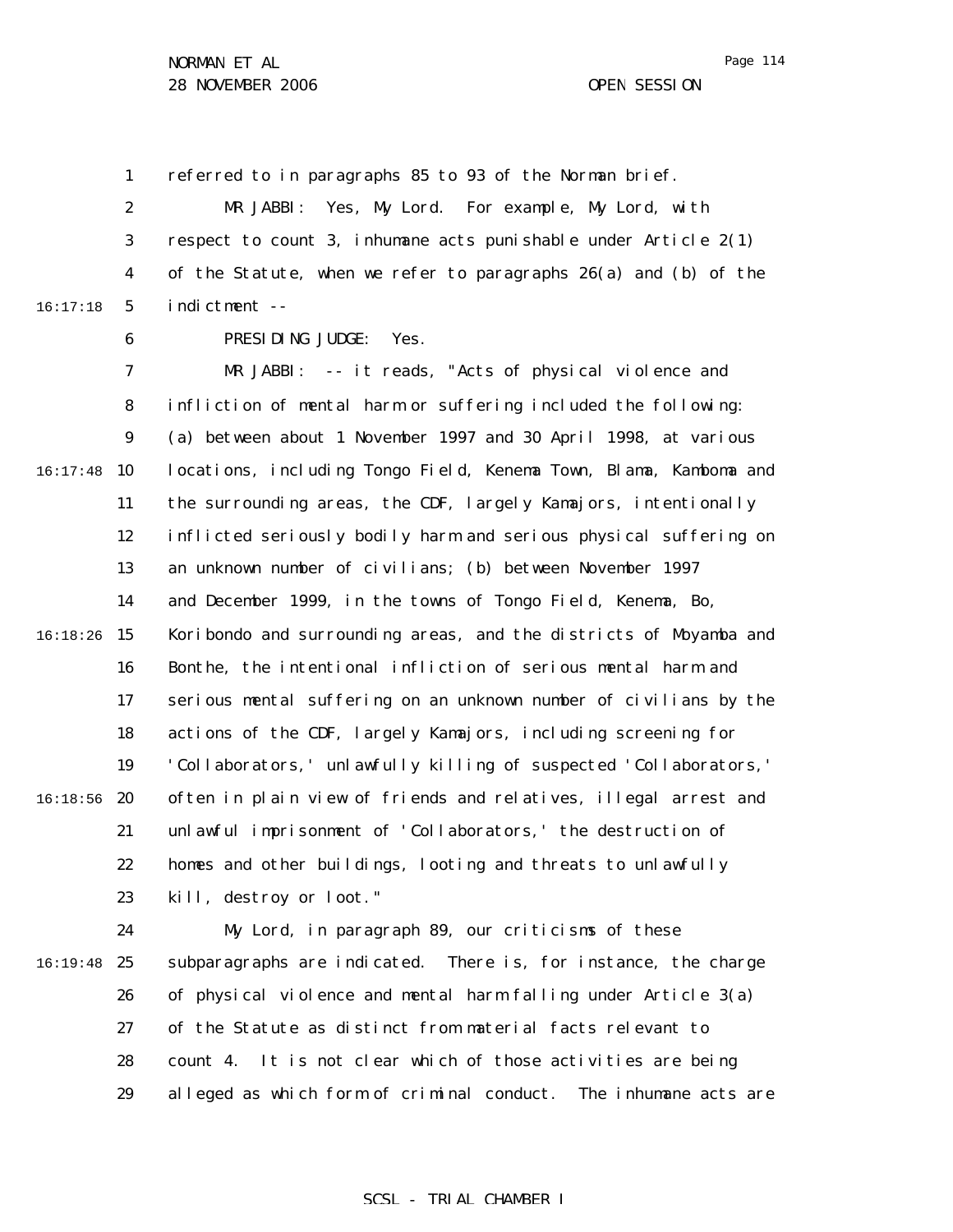Page 114

1 referred to in paragraphs 85 to 93 of the Norman brief.

2 3 4 5 16:17:18 MR JABBI: Yes, My Lord. For example, My Lord, with respect to count 3, inhumane acts punishable under Article 2(1) of the Statute, when we refer to paragraphs 26(a) and (b) of the indictment --

6

PRESIDING JUDGE: Yes.

7 8 9  $16:17:48$  10 11 12 13 14 16:18:26 15 16 17 18 19  $16:18:56$  20 21 22 23 MR JABBI: -- it reads, "Acts of physical violence and infliction of mental harm or suffering included the following: (a) between about 1 November 1997 and 30 April 1998, at various locations, including Tongo Field, Kenema Town, Blama, Kamboma and the surrounding areas, the CDF, largely Kamajors, intentionally inflicted seriously bodily harm and serious physical suffering on an unknown number of civilians; (b) between November 1997 and December 1999, in the towns of Tongo Field, Kenema, Bo, Koribondo and surrounding areas, and the districts of Moyamba and Bonthe, the intentional infliction of serious mental harm and serious mental suffering on an unknown number of civilians by the actions of the CDF, largely Kamajors, including screening for 'Collaborators,' unlawfully killing of suspected 'Collaborators,' often in plain view of friends and relatives, illegal arrest and unlawful imprisonment of 'Collaborators,' the destruction of homes and other buildings, looting and threats to unlawfully kill, destroy or loot."

24 16:19:48 25 26 27 28 29 My Lord, in paragraph 89, our criticisms of these subparagraphs are indicated. There is, for instance, the charge of physical violence and mental harm falling under Article 3(a) of the Statute as distinct from material facts relevant to count 4. It is not clear which of those activities are being alleged as which form of criminal conduct. The inhumane acts are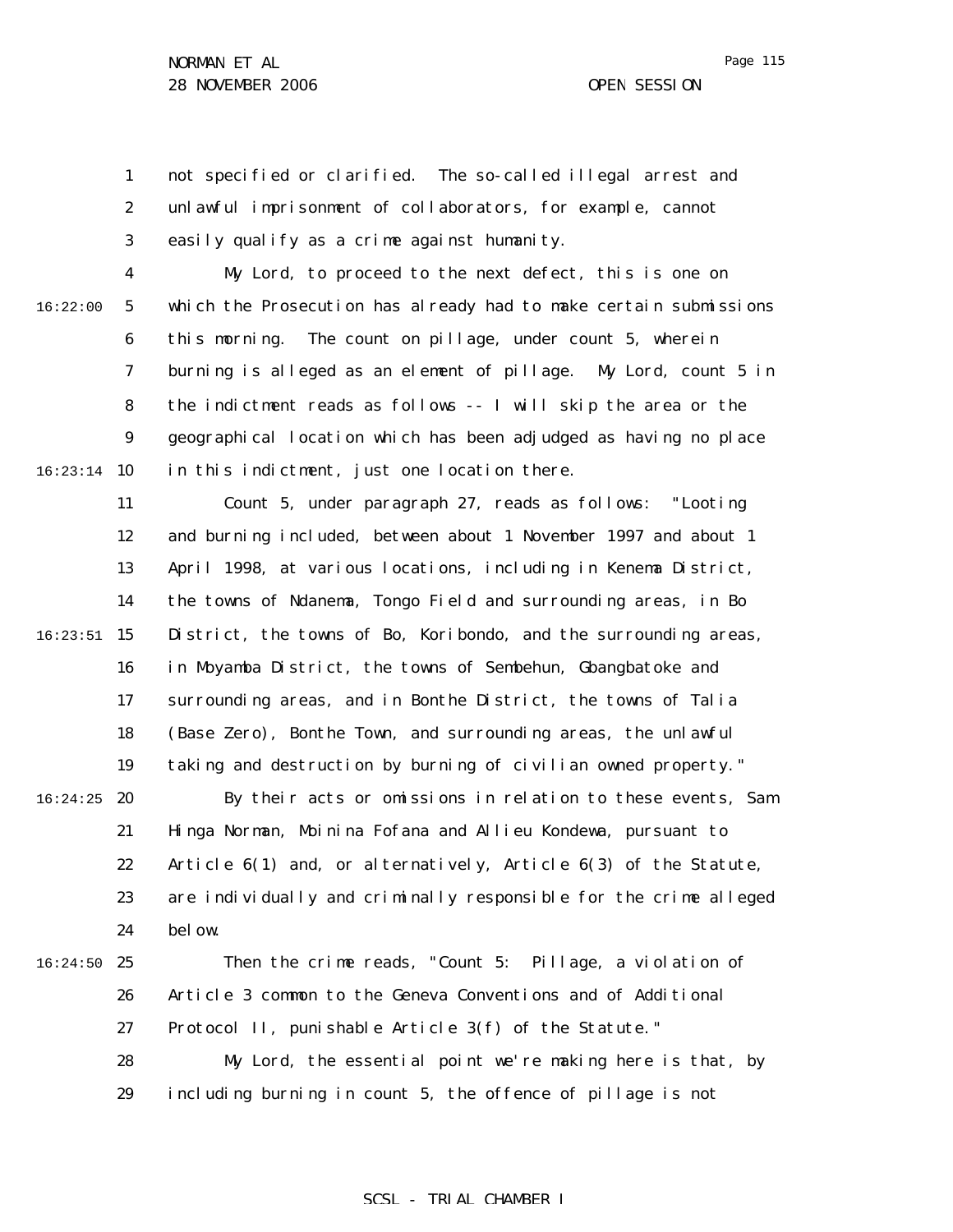1 2 3 not specified or clarified. The so-called illegal arrest and unlawful imprisonment of collaborators, for example, cannot easily qualify as a crime against humanity.

16:22:00

4 5 6 7 8 9  $16:23:14$  10 My Lord, to proceed to the next defect, this is one on which the Prosecution has already had to make certain submissions this morning. The count on pillage, under count 5, wherein burning is alleged as an element of pillage. My Lord, count 5 in the indictment reads as follows -- I will skip the area or the geographical location which has been adjudged as having no place in this indictment, just one location there.

11 12 13 14 15 15 16 17 18 19 Count 5, under paragraph 27, reads as follows: "Looting and burning included, between about 1 November 1997 and about 1 April 1998, at various locations, including in Kenema District, the towns of Ndanema, Tongo Field and surrounding areas, in Bo District, the towns of Bo, Koribondo, and the surrounding areas, in Moyamba District, the towns of Sembehun, Gbangbatoke and surrounding areas, and in Bonthe District, the towns of Talia (Base Zero), Bonthe Town, and surrounding areas, the unlawful taking and destruction by burning of civilian owned property."

 $16:24:25$  20 21 22 23 24 By their acts or omissions in relation to these events, Sam Hinga Norman, Moinina Fofana and Allieu Kondewa, pursuant to Article 6(1) and, or alternatively, Article 6(3) of the Statute, are individually and criminally responsible for the crime alleged bel ow.

 $16:24:50$  25 26 27 28 29 Then the crime reads, "Count 5: Pillage, a violation of Article 3 common to the Geneva Conventions and of Additional Protocol II, punishable Article 3(f) of the Statute." My Lord, the essential point we're making here is that, by including burning in count 5, the offence of pillage is not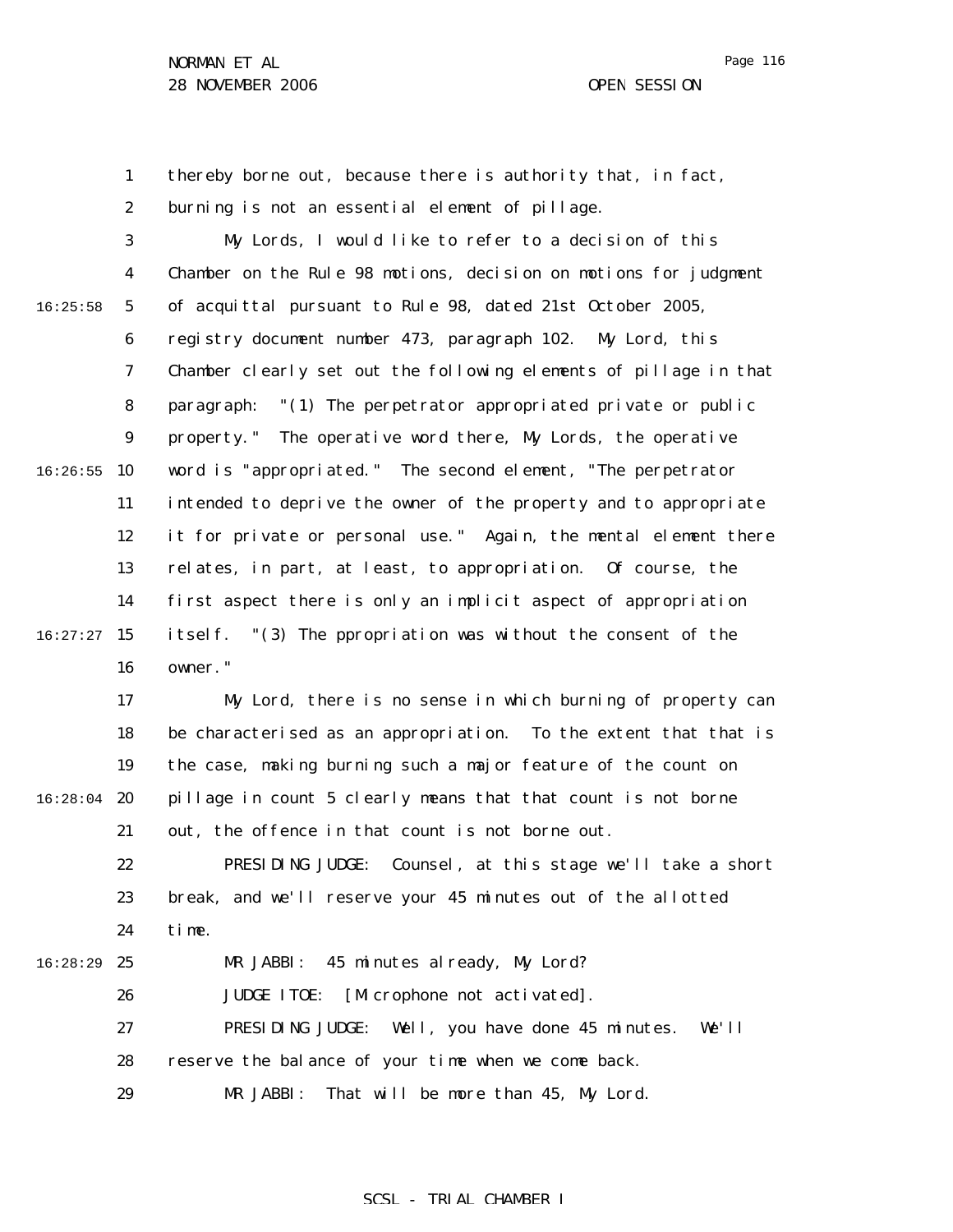Page 116

1 2 thereby borne out, because there is authority that, in fact, burning is not an essential element of pillage.

3 4 5 6 7 8 9  $16:26:55$  10 11 12 13 14  $16:27:27$  15 16 16:25:58 My Lords, I would like to refer to a decision of this Chamber on the Rule 98 motions, decision on motions for judgment of acquittal pursuant to Rule 98, dated 21st October 2005, registry document number 473, paragraph 102. My Lord, this Chamber clearly set out the following elements of pillage in that paragraph: "(1) The perpetrator appropriated private or public property." The operative word there, My Lords, the operative word is "appropriated." The second element, "The perpetrator intended to deprive the owner of the property and to appropriate it for private or personal use." Again, the mental element there relates, in part, at least, to appropriation. Of course, the first aspect there is only an implicit aspect of appropriation itself. "(3) The ppropriation was without the consent of the owner."

17 18 19  $16:28:04$  20 21 My Lord, there is no sense in which burning of property can be characterised as an appropriation. To the extent that that is the case, making burning such a major feature of the count on pillage in count 5 clearly means that that count is not borne out, the offence in that count is not borne out.

22 23 24 16:28:29 25 PRESIDING JUDGE: Counsel, at this stage we'll take a short break, and we'll reserve your 45 minutes out of the allotted time. MR JABBI: 45 minutes already, My Lord?

26 27 JUDGE ITOE: [Microphone not activated]. PRESIDING JUDGE: Well, you have done 45 minutes. We'll

28 reserve the balance of your time when we come back.

29 MR JABBI: That will be more than 45, My Lord.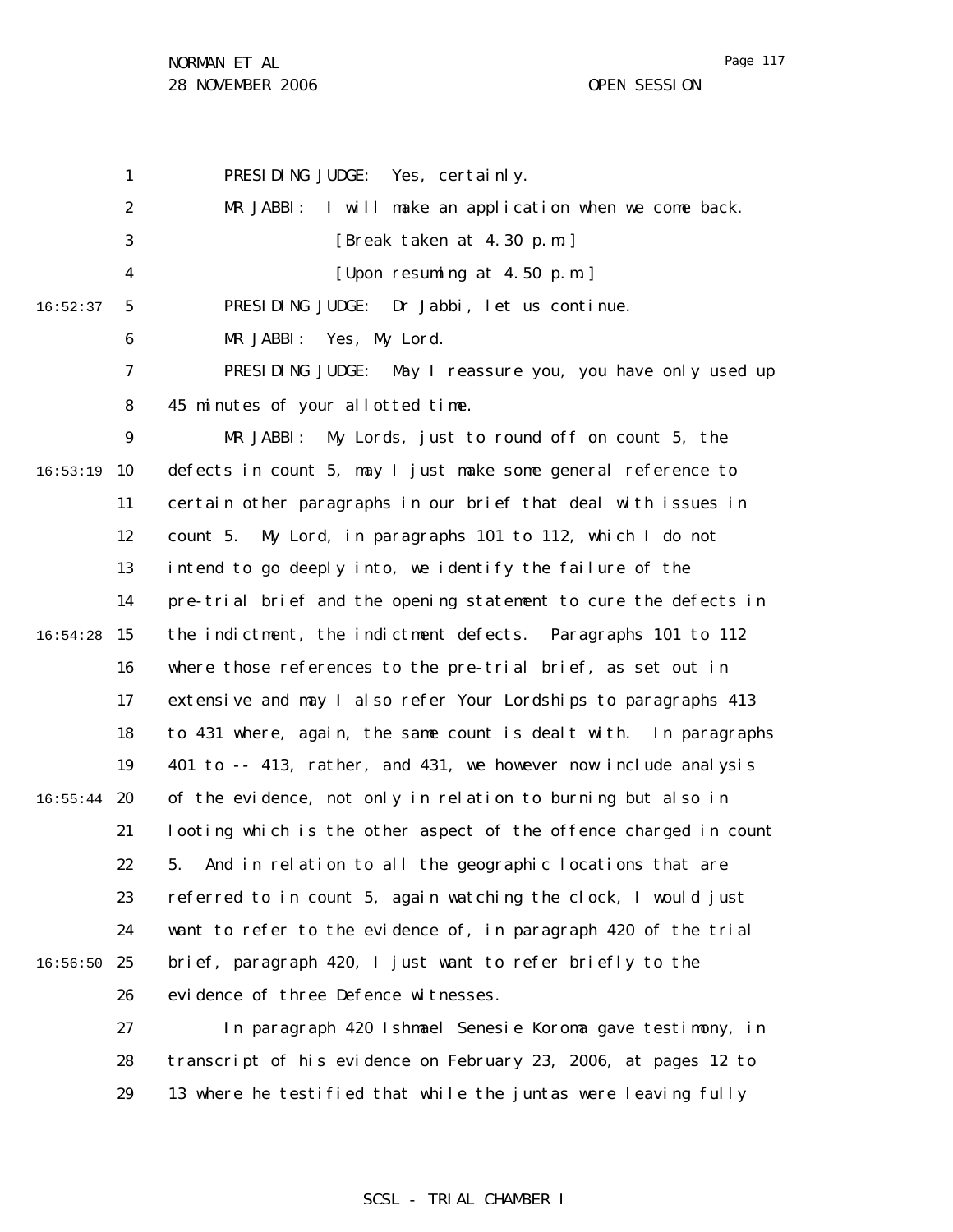1 2 3 4 5 6 7 8 9  $16:53:19$  10 11 12 13 14  $16:54:28$  15 16 17 18 19  $16:55:44$  20 21 22 23 24  $16:56:50$  25 16:52:37 PRESIDING JUDGE: Yes, certainly. MR JABBI: I will make an application when we come back. [Break taken at 4.30 p.m.] [Upon resuming at 4.50 p.m.] PRESIDING JUDGE: Dr Jabbi, let us continue. MR JABBI: Yes, My Lord. PRESIDING JUDGE: May I reassure you, you have only used up 45 minutes of your allotted time. MR JABBI: My Lords, just to round off on count 5, the defects in count 5, may I just make some general reference to certain other paragraphs in our brief that deal with issues in count 5. My Lord, in paragraphs 101 to 112, which I do not intend to go deeply into, we identify the failure of the pre-trial brief and the opening statement to cure the defects in the indictment, the indictment defects. Paragraphs 101 to 112 where those references to the pre-trial brief, as set out in extensive and may I also refer Your Lordships to paragraphs 413 to 431 where, again, the same count is dealt with. In paragraphs 401 to -- 413, rather, and 431, we however now include analysis of the evidence, not only in relation to burning but also in looting which is the other aspect of the offence charged in count 5. And in relation to all the geographic locations that are referred to in count 5, again watching the clock, I would just want to refer to the evidence of, in paragraph 420 of the trial brief, paragraph 420, I just want to refer briefly to the

26 evidence of three Defence witnesses.

27 28 29 In paragraph 420 Ishmael Senesie Koroma gave testimony, in transcript of his evidence on February 23, 2006, at pages 12 to 13 where he testified that while the juntas were leaving fully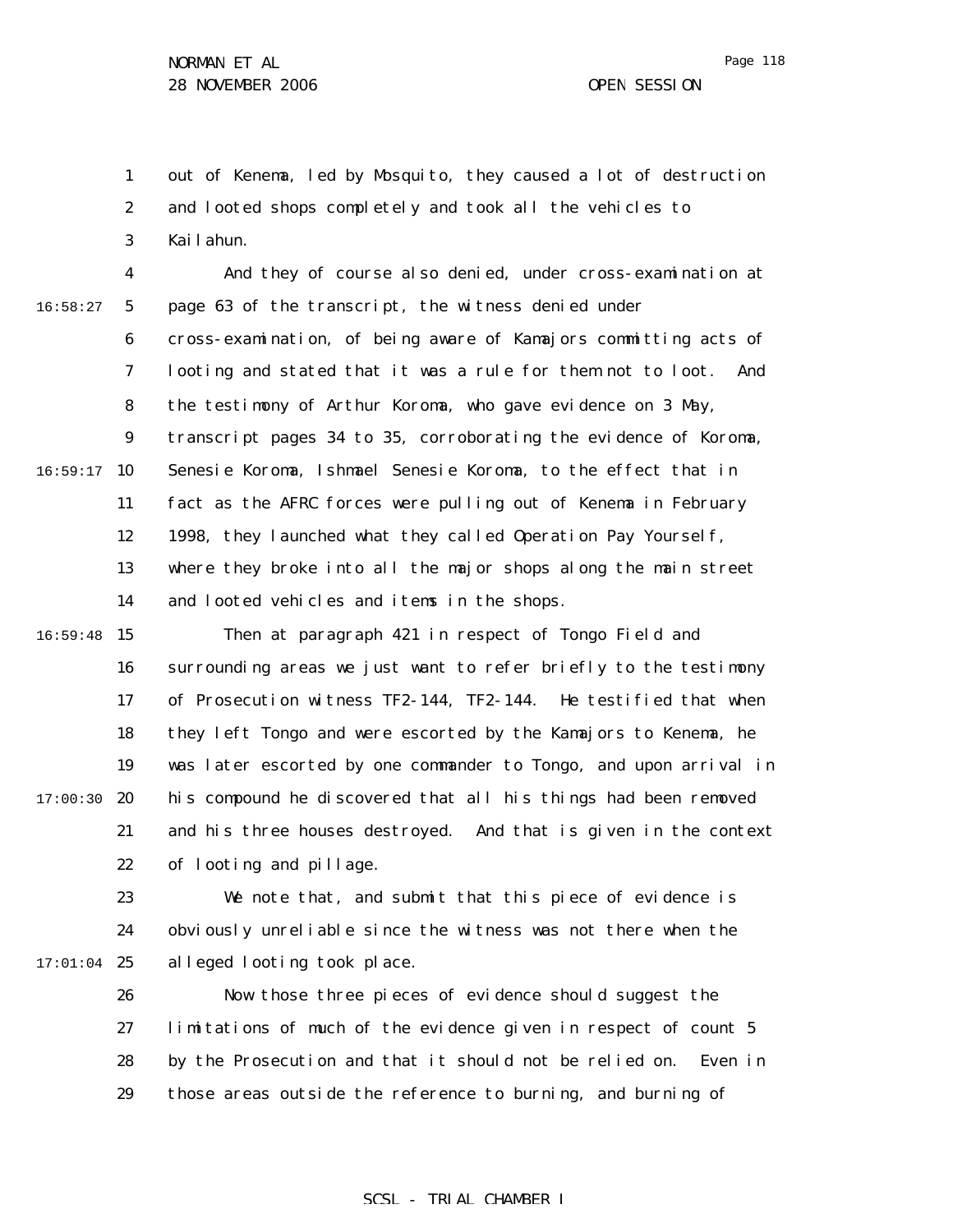1 2 3 out of Kenema, led by Mosquito, they caused a lot of destruction and looted shops completely and took all the vehicles to Kailahun.

4 5 6 7 8 9  $16:59:17$  10 11 12 13 14 16:58:27 And they of course also denied, under cross-examination at page 63 of the transcript, the witness denied under cross-examination, of being aware of Kamajors committing acts of looting and stated that it was a rule for them not to loot. And the testimony of Arthur Koroma, who gave evidence on 3 May, transcript pages 34 to 35, corroborating the evidence of Koroma, Senesie Koroma, Ishmael Senesie Koroma, to the effect that in fact as the AFRC forces were pulling out of Kenema in February 1998, they launched what they called Operation Pay Yourself, where they broke into all the major shops along the main street and looted vehicles and items in the shops.

 $16:59:48$  15 16 17 18 19  $17:00:30$  20 21 22 Then at paragraph 421 in respect of Tongo Field and surrounding areas we just want to refer briefly to the testimony of Prosecution witness TF2-144, TF2-144. He testified that when they left Tongo and were escorted by the Kamajors to Kenema, he was later escorted by one commander to Tongo, and upon arrival in his compound he discovered that all his things had been removed and his three houses destroyed. And that is given in the context of looting and pillage.

23 24  $17:01:04$  25 We note that, and submit that this piece of evidence is obviously unreliable since the witness was not there when the alleged looting took place.

> 26 27 28 29 Now those three pieces of evidence should suggest the limitations of much of the evidence given in respect of count 5 by the Prosecution and that it should not be relied on. Even in those areas outside the reference to burning, and burning of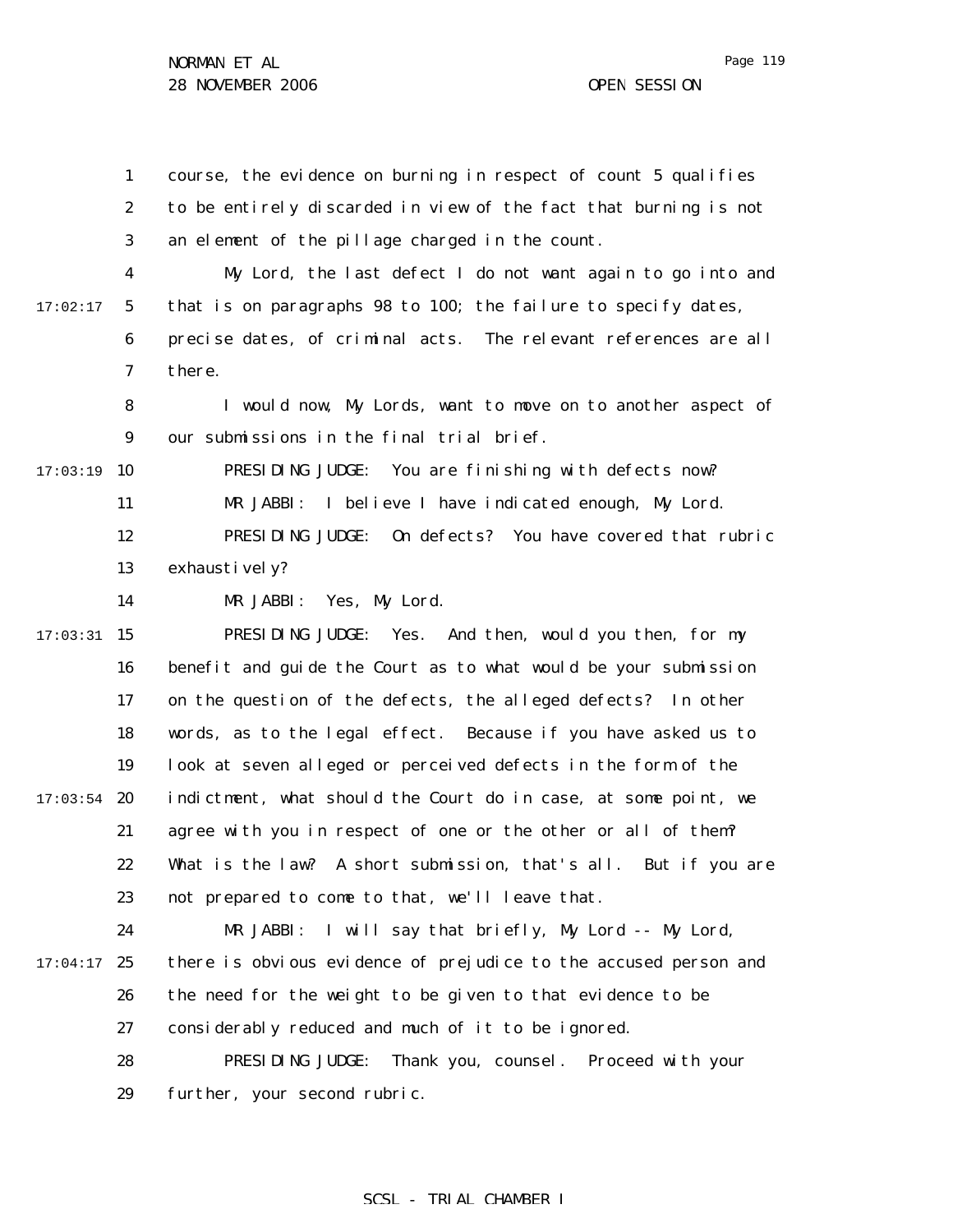Page 119

1 2 3 4 5 6 7 8 9  $17:03:19$  10 11 12 13 14  $17:03:31$  15 16 17 18 19  $17:03:54$  20 21 22 23 24  $17:04:17$  25 26 27 28 29 17:02:17 course, the evidence on burning in respect of count 5 qualifies to be entirely discarded in view of the fact that burning is not an element of the pillage charged in the count. My Lord, the last defect I do not want again to go into and that is on paragraphs 98 to 100; the failure to specify dates, precise dates, of criminal acts. The relevant references are all there. I would now, My Lords, want to move on to another aspect of our submissions in the final trial brief. PRESIDING JUDGE: You are finishing with defects now? MR JABBI: I believe I have indicated enough, My Lord. PRESIDING JUDGE: On defects? You have covered that rubric exhaustively? MR JABBI: Yes, My Lord. PRESIDING JUDGE: Yes. And then, would you then, for my benefit and guide the Court as to what would be your submission on the question of the defects, the alleged defects? In other words, as to the legal effect. Because if you have asked us to look at seven alleged or perceived defects in the form of the indictment, what should the Court do in case, at some point, we agree with you in respect of one or the other or all of them? What is the law? A short submission, that's all. But if you are not prepared to come to that, we'll leave that. MR JABBI: I will say that briefly, My Lord -- My Lord, there is obvious evidence of prejudice to the accused person and the need for the weight to be given to that evidence to be considerably reduced and much of it to be ignored. PRESIDING JUDGE: Thank you, counsel. Proceed with your further, your second rubric.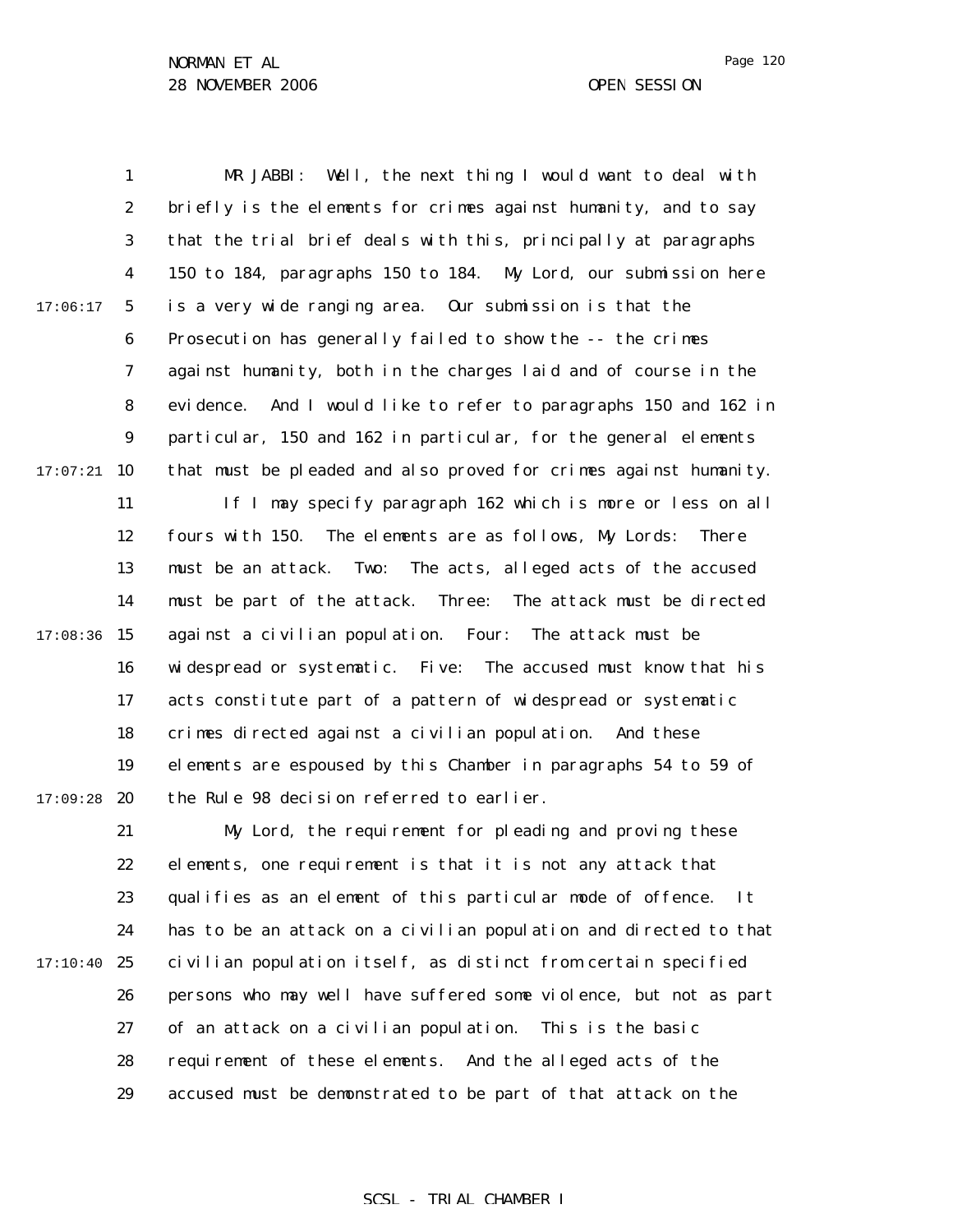Page 120

1 2 3 4 5 6 7 8 9  $17:07:21$  10 11 12 13 14  $17:08:36$  15 16 17 18 19  $17:09:28$  20 21 22 23 24  $17:10:40$  25 26 27 28 29 17:06:17 MR JABBI: Well, the next thing I would want to deal with briefly is the elements for crimes against humanity, and to say that the trial brief deals with this, principally at paragraphs 150 to 184, paragraphs 150 to 184. My Lord, our submission here is a very wide ranging area. Our submission is that the Prosecution has generally failed to show the -- the crimes against humanity, both in the charges laid and of course in the evidence. And I would like to refer to paragraphs 150 and 162 in particular, 150 and 162 in particular, for the general elements that must be pleaded and also proved for crimes against humanity. If I may specify paragraph 162 which is more or less on all fours with 150. The elements are as follows, My Lords: There must be an attack. Two: The acts, alleged acts of the accused must be part of the attack. Three: The attack must be directed against a civilian population. Four: The attack must be widespread or systematic. Five: The accused must know that his acts constitute part of a pattern of widespread or systematic crimes directed against a civilian population. And these elements are espoused by this Chamber in paragraphs 54 to 59 of the Rule 98 decision referred to earlier. My Lord, the requirement for pleading and proving these elements, one requirement is that it is not any attack that qualifies as an element of this particular mode of offence. It has to be an attack on a civilian population and directed to that civilian population itself, as distinct from certain specified persons who may well have suffered some violence, but not as part of an attack on a civilian population. This is the basic requirement of these elements. And the alleged acts of the accused must be demonstrated to be part of that attack on the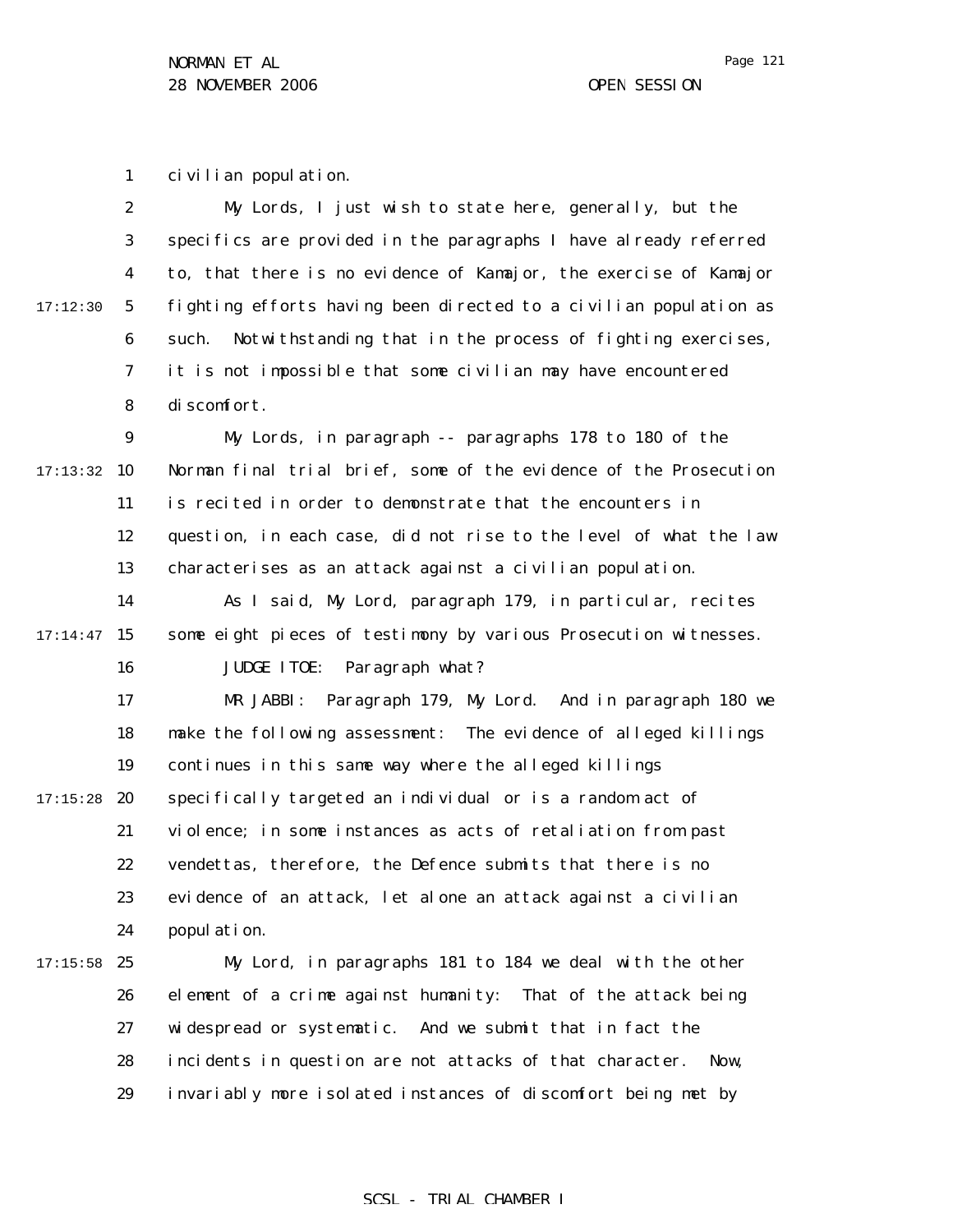1 civilian population.

2 3 4 5 6 7 8 17:12:30 My Lords, I just wish to state here, generally, but the specifics are provided in the paragraphs I have already referred to, that there is no evidence of Kamajor, the exercise of Kamajor fighting efforts having been directed to a civilian population as such. Notwithstanding that in the process of fighting exercises, it is not impossible that some civilian may have encountered discomfort.

9  $17:13:32$  10 11 12 13 My Lords, in paragraph -- paragraphs 178 to 180 of the Norman final trial brief, some of the evidence of the Prosecution is recited in order to demonstrate that the encounters in question, in each case, did not rise to the level of what the law characterises as an attack against a civilian population.

14  $17:14:47$  15 16 As I said, My Lord, paragraph 179, in particular, recites some eight pieces of testimony by various Prosecution witnesses. JUDGE ITOE: Paragraph what?

17 18 19  $17:15:28$  20 21 22 23 24 MR JABBI: Paragraph 179, My Lord. And in paragraph 180 we make the following assessment: The evidence of alleged killings continues in this same way where the alleged killings specifically targeted an individual or is a random act of violence; in some instances as acts of retaliation from past vendettas, therefore, the Defence submits that there is no evidence of an attack, let alone an attack against a civilian population.

 $17:15:58$  25 26 27 28 29 My Lord, in paragraphs 181 to 184 we deal with the other element of a crime against humanity: That of the attack being widespread or systematic. And we submit that in fact the incidents in question are not attacks of that character. Now, invariably more isolated instances of discomfort being met by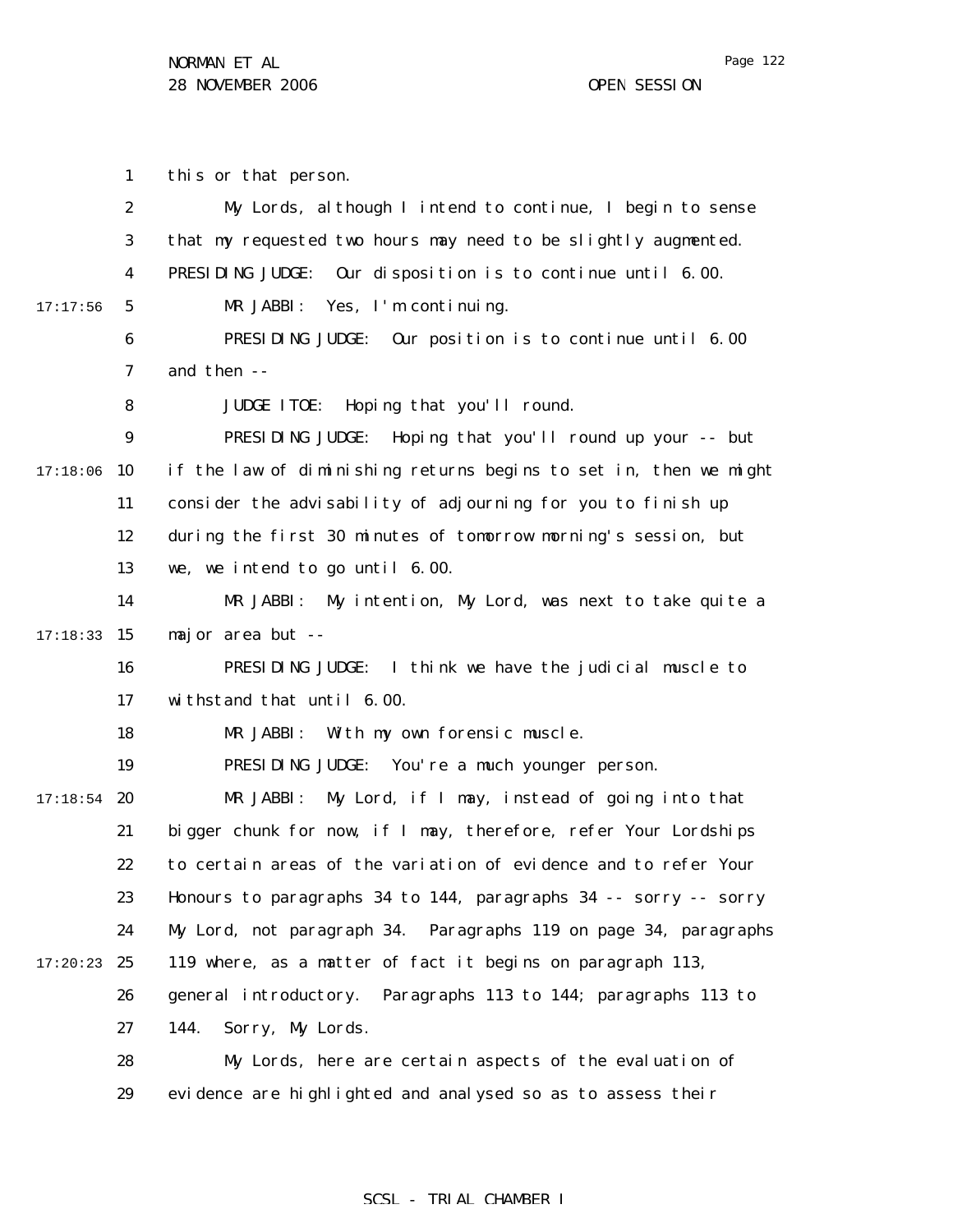Page 122

1 2 3 4 5 6 7 8 9  $17:18:06$  10 11 12 13 14  $17:18:33$  15 16 17 18 19  $17:18:54$  20 21 22 23 24  $17:20:23$  25 26 27 28 29 17:17:56 this or that person. My Lords, although I intend to continue, I begin to sense that my requested two hours may need to be slightly augmented. PRESIDING JUDGE: Our disposition is to continue until 6.00. MR JABBI: Yes, I'm continuing. PRESIDING JUDGE: Our position is to continue until 6.00 and then -- JUDGE ITOE: Hoping that you'll round. PRESIDING JUDGE: Hoping that you'll round up your -- but if the law of diminishing returns begins to set in, then we might consider the advisability of adjourning for you to finish up during the first 30 minutes of tomorrow morning's session, but we, we intend to go until 6.00. MR JABBI: My intention, My Lord, was next to take quite a major area but -- PRESIDING JUDGE: I think we have the judicial muscle to withstand that until 6.00. MR JABBI: With my own forensic muscle. PRESIDING JUDGE: You're a much younger person. MR JABBI: My Lord, if I may, instead of going into that bigger chunk for now, if I may, therefore, refer Your Lordships to certain areas of the variation of evidence and to refer Your Honours to paragraphs 34 to 144, paragraphs 34 -- sorry -- sorry My Lord, not paragraph 34. Paragraphs 119 on page 34, paragraphs 119 where, as a matter of fact it begins on paragraph 113, general introductory. Paragraphs 113 to 144; paragraphs 113 to 144. Sorry, My Lords. My Lords, here are certain aspects of the evaluation of evidence are highlighted and analysed so as to assess their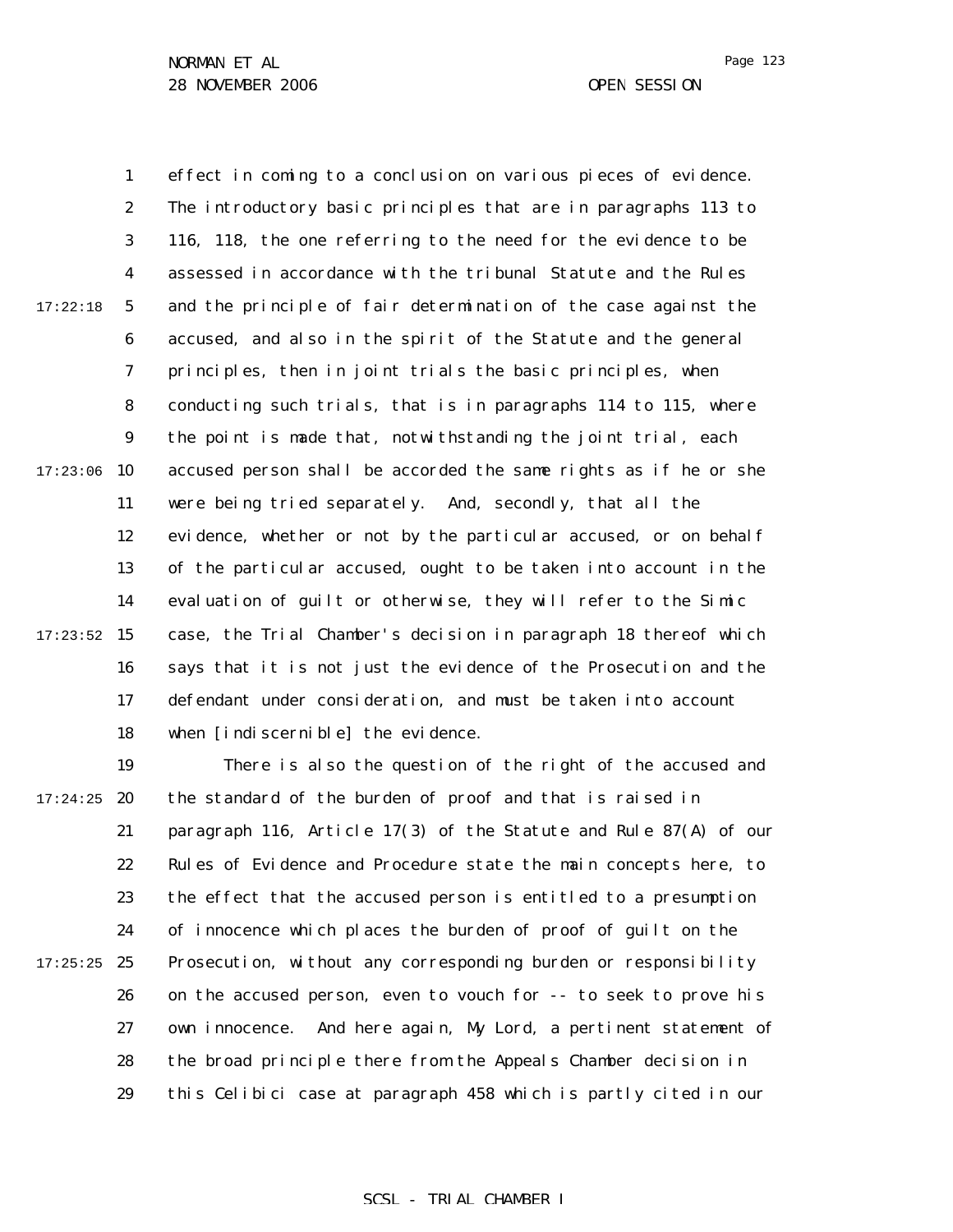Page 123

1 2 3 4 5 6 7 8 9  $17:23:06$  10 11 12 13 14  $17:23:52$  15 16 17 18 17:22:18 effect in coming to a conclusion on various pieces of evidence. The introductory basic principles that are in paragraphs 113 to 116, 118, the one referring to the need for the evidence to be assessed in accordance with the tribunal Statute and the Rules and the principle of fair determination of the case against the accused, and also in the spirit of the Statute and the general principles, then in joint trials the basic principles, when conducting such trials, that is in paragraphs 114 to 115, where the point is made that, notwithstanding the joint trial, each accused person shall be accorded the same rights as if he or she were being tried separately. And, secondly, that all the evidence, whether or not by the particular accused, or on behalf of the particular accused, ought to be taken into account in the evaluation of guilt or otherwise, they will refer to the *Simic* case, the Trial Chamber's decision in paragraph 18 thereof which says that it is not just the evidence of the Prosecution and the defendant under consideration, and must be taken into account when [indiscernible] the evidence.

19  $17:24:25$  20 21 22 23 24  $17:25:25$  25 26 27 28 29 There is also the question of the right of the accused and the standard of the burden of proof and that is raised in paragraph 116, Article 17(3) of the Statute and Rule 87(A) of our Rules of Evidence and Procedure state the main concepts here, to the effect that the accused person is entitled to a presumption of innocence which places the burden of proof of guilt on the Prosecution, without any corresponding burden or responsibility on the accused person, even to vouch for -- to seek to prove his own innocence. And here again, My Lord, a pertinent statement of the broad principle there from the Appeals Chamber decision in this *Celibici* case at paragraph 458 which is partly cited in our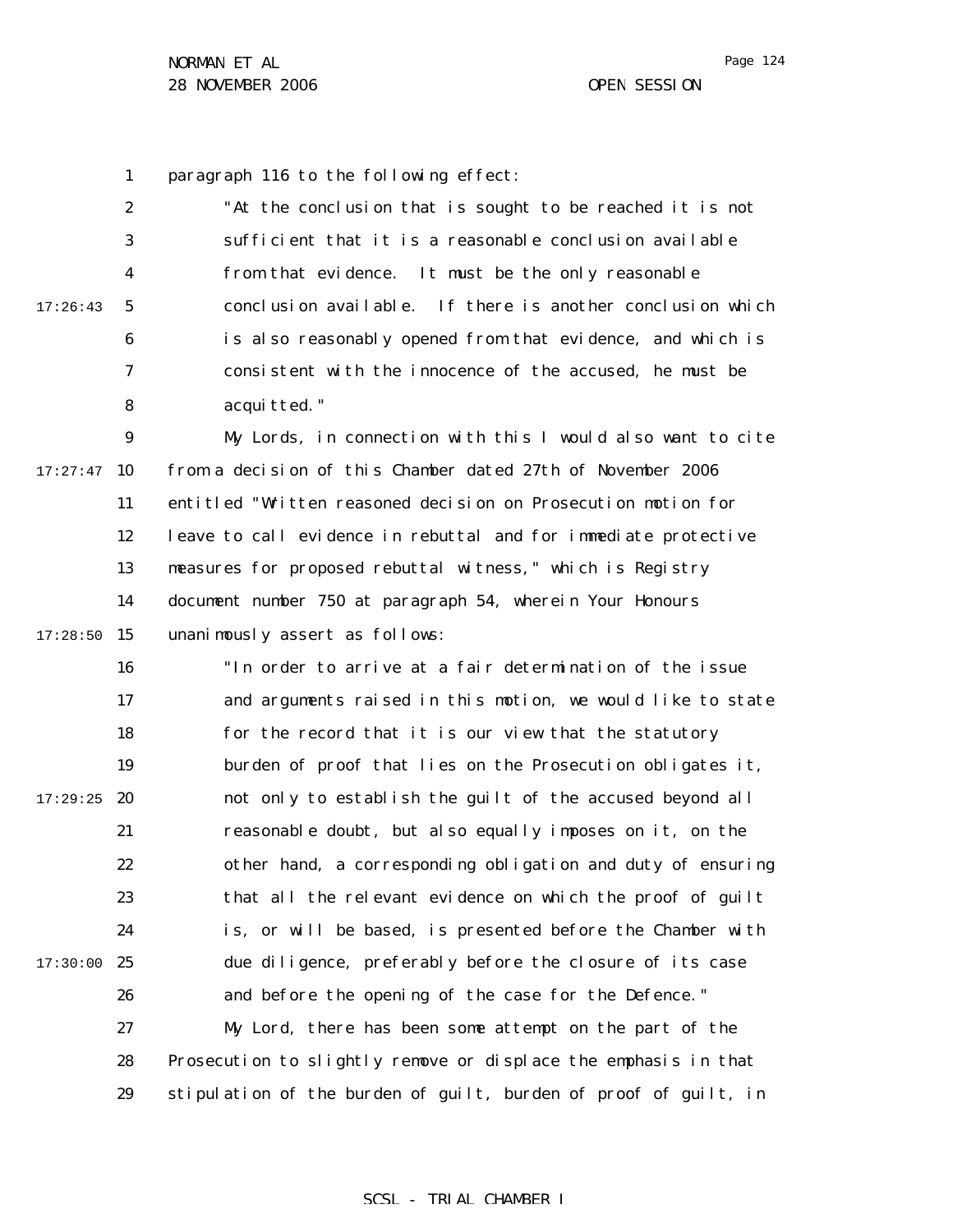1 paragraph 116 to the following effect:

2 3 4 5 6 7 8 17:26:43 "At the conclusion that is sought to be reached it is not sufficient that it is a reasonable conclusion available from that evidence. It must be the only reasonable conclusion available. If there is another conclusion which is also reasonably opened from that evidence, and which is consistent with the innocence of the accused, he must be acquitted."

9  $17:27:47$  10 11 12 13 14  $17:28:50$  15 My Lords, in connection with this I would also want to cite from a decision of this Chamber dated 27th of November 2006 entitled "Written reasoned decision on Prosecution motion for leave to call evidence in rebuttal and for immediate protective measures for proposed rebuttal witness," which is Registry document number 750 at paragraph 54, wherein Your Honours unanimously assert as follows:

16 17 18 19  $17:29:25$  20 21 22 23 24 17:30:00 25 26 27 28 29 "In order to arrive at a fair determination of the issue and arguments raised in this motion, we would like to state for the record that it is our view that the statutory burden of proof that lies on the Prosecution obligates it, not only to establish the guilt of the accused beyond all reasonable doubt, but also equally imposes on it, on the other hand, a corresponding obligation and duty of ensuring that all the relevant evidence on which the proof of guilt is, or will be based, is presented before the Chamber with due diligence, preferably before the closure of its case and before the opening of the case for the Defence." My Lord, there has been some attempt on the part of the Prosecution to slightly remove or displace the emphasis in that stipulation of the burden of guilt, burden of proof of guilt, in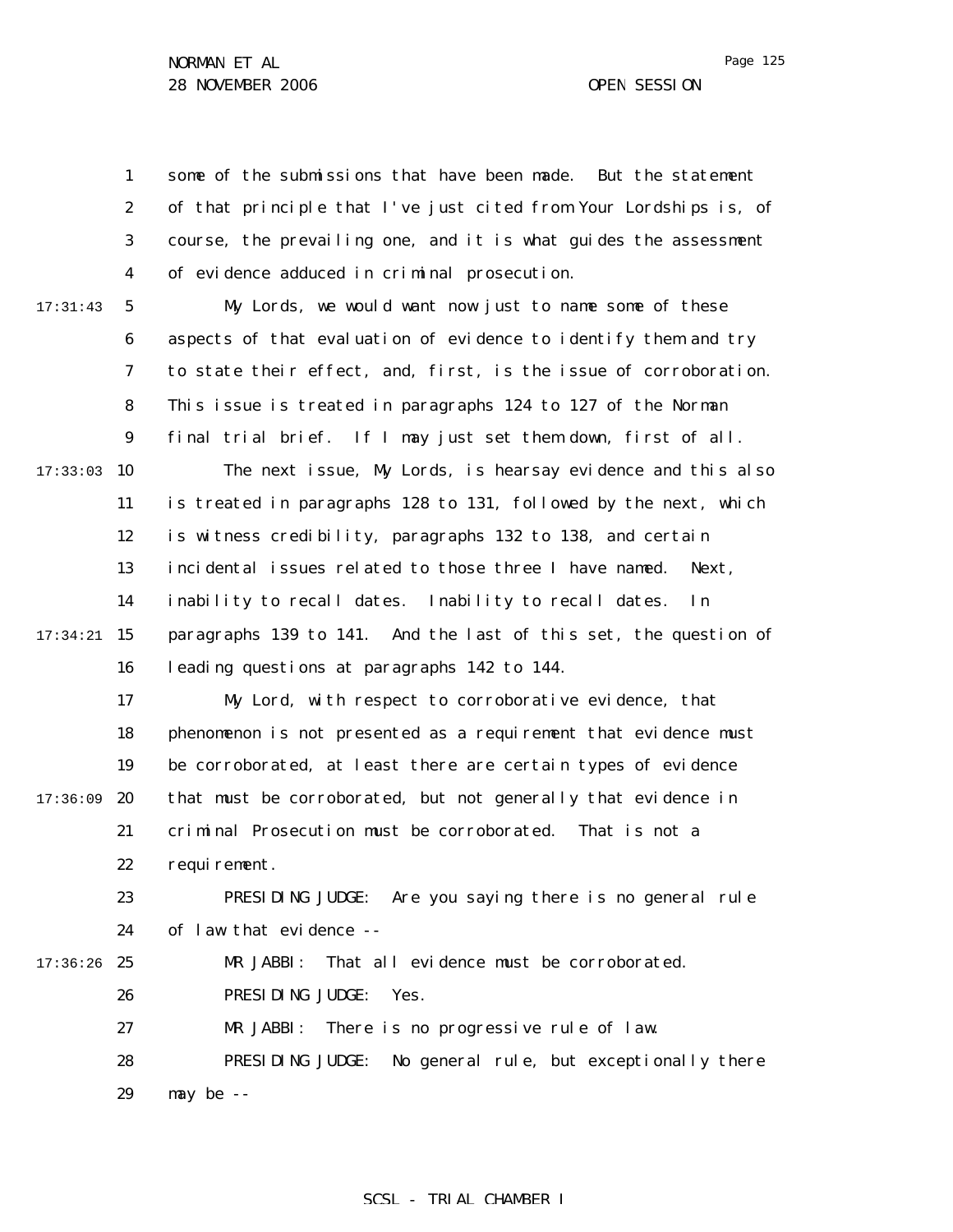1 2 3 4 5 6 7 8 9  $17:33:03$  10 11 12 13 14 17:34:21 15 16 17 18 19 17:36:09 20 21 22 23 24 17:36:26 25 26 27 28 29 17:31:43 some of the submissions that have been made. But the statement of that principle that I've just cited from Your Lordships is, of course, the prevailing one, and it is what guides the assessment of evidence adduced in criminal prosecution. My Lords, we would want now just to name some of these aspects of that evaluation of evidence to identify them and try to state their effect, and, first, is the issue of corroboration. This issue is treated in paragraphs 124 to 127 of the Norman final trial brief. If I may just set them down, first of all. The next issue, My Lords, is hearsay evidence and this also is treated in paragraphs 128 to 131, followed by the next, which is witness credibility, paragraphs 132 to 138, and certain incidental issues related to those three I have named. Next, inability to recall dates. Inability to recall dates. In paragraphs 139 to 141. And the last of this set, the question of leading questions at paragraphs 142 to 144. My Lord, with respect to corroborative evidence, that phenomenon is not presented as a requirement that evidence must be corroborated, at least there are certain types of evidence that must be corroborated, but not generally that evidence in criminal Prosecution must be corroborated. That is not a requirement. PRESIDING JUDGE: Are you saying there is no general rule of law that evidence -- MR JABBI: That all evidence must be corroborated. PRESIDING JUDGE: Yes. MR JABBI: There is no progressive rule of law. PRESIDING JUDGE: No general rule, but exceptionally there may be --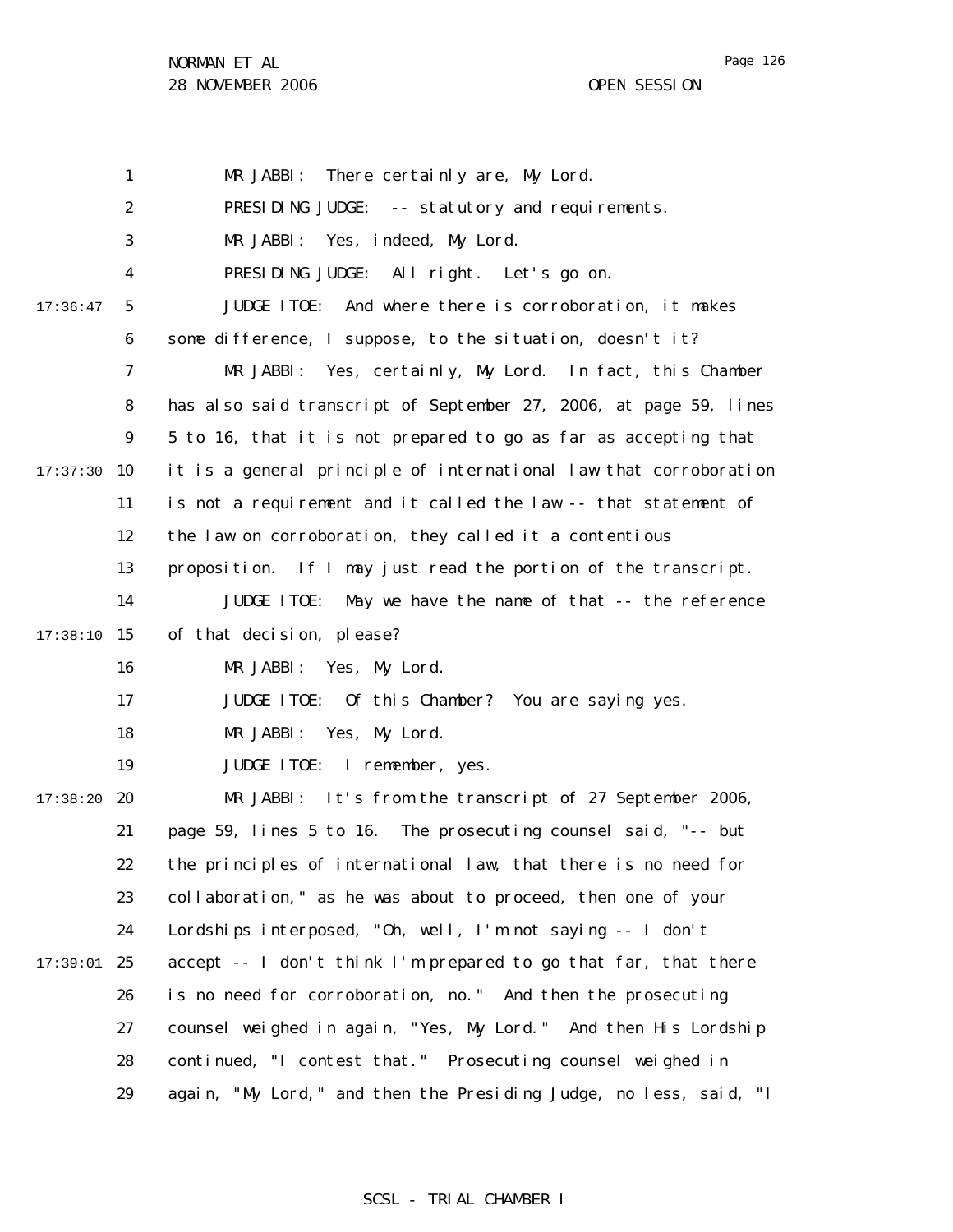Page 126

|          | $\mathbf{1}$     | MR JABBI:<br>There certainly are, My Lord.                          |
|----------|------------------|---------------------------------------------------------------------|
|          | $\boldsymbol{2}$ | PRESIDING JUDGE: -- statutory and requirements.                     |
|          | 3                | MR JABBI:<br>Yes, indeed, My Lord.                                  |
|          | 4                | PRESIDING JUDGE: All right. Let's go on.                            |
| 17:36:47 | 5                | And where there is corroboration, it makes<br><b>JUDGE ITOE:</b>    |
|          | 6                | some difference, I suppose, to the situation, doesn't it?           |
|          | 7                | Yes, certainly, My Lord. In fact, this Chamber<br>MR JABBI:         |
|          | 8                | has also said transcript of September 27, 2006, at page 59, lines   |
|          | $\boldsymbol{9}$ | 5 to 16, that it is not prepared to go as far as accepting that     |
| 17:37:30 | 10               | it is a general principle of international law that corroboration   |
|          | 11               | is not a requirement and it called the law -- that statement of     |
|          | 12               | the law on corroboration, they called it a contentious              |
|          | 13               | proposition. If I may just read the portion of the transcript.      |
|          | 14               | <b>JUDGE ITOE:</b><br>May we have the name of that -- the reference |
| 17:38:10 | 15               | of that decision, please?                                           |
|          | 16               | MR JABBI: Yes, My Lord.                                             |
|          | 17               | <b>JUDGE ITOE:</b><br>Of this Chamber? You are saying yes.          |
|          | 18               | MR JABBI: Yes, My Lord.                                             |
|          | 19               | <b>JUDGE ITOE:</b><br>I remember, yes.                              |
| 17:38:20 | 20               | MR JABBI: It's from the transcript of 27 September 2006,            |
|          | 21               | page 59, lines 5 to 16. The prosecuting counsel said, "-- but       |
|          | 22               | the principles of international law, that there is no need for      |
|          | 23               | collaboration," as he was about to proceed, then one of your        |
|          | 24               | Lordships interposed, "Oh, well, I'm not saying -- I don't          |
| 17:39:01 | 25               | accept -- I don't think I'm prepared to go that far, that there     |
|          | 26               | is no need for corroboration, no." And then the prosecuting         |
|          | 27               | counsel weighed in again, "Yes, My Lord." And then His Lordship     |
|          | 28               | continued, "I contest that." Prosecuting counsel weighed in         |
|          | 29               | again, "My Lord," and then the Presiding Judge, no less, said, "I   |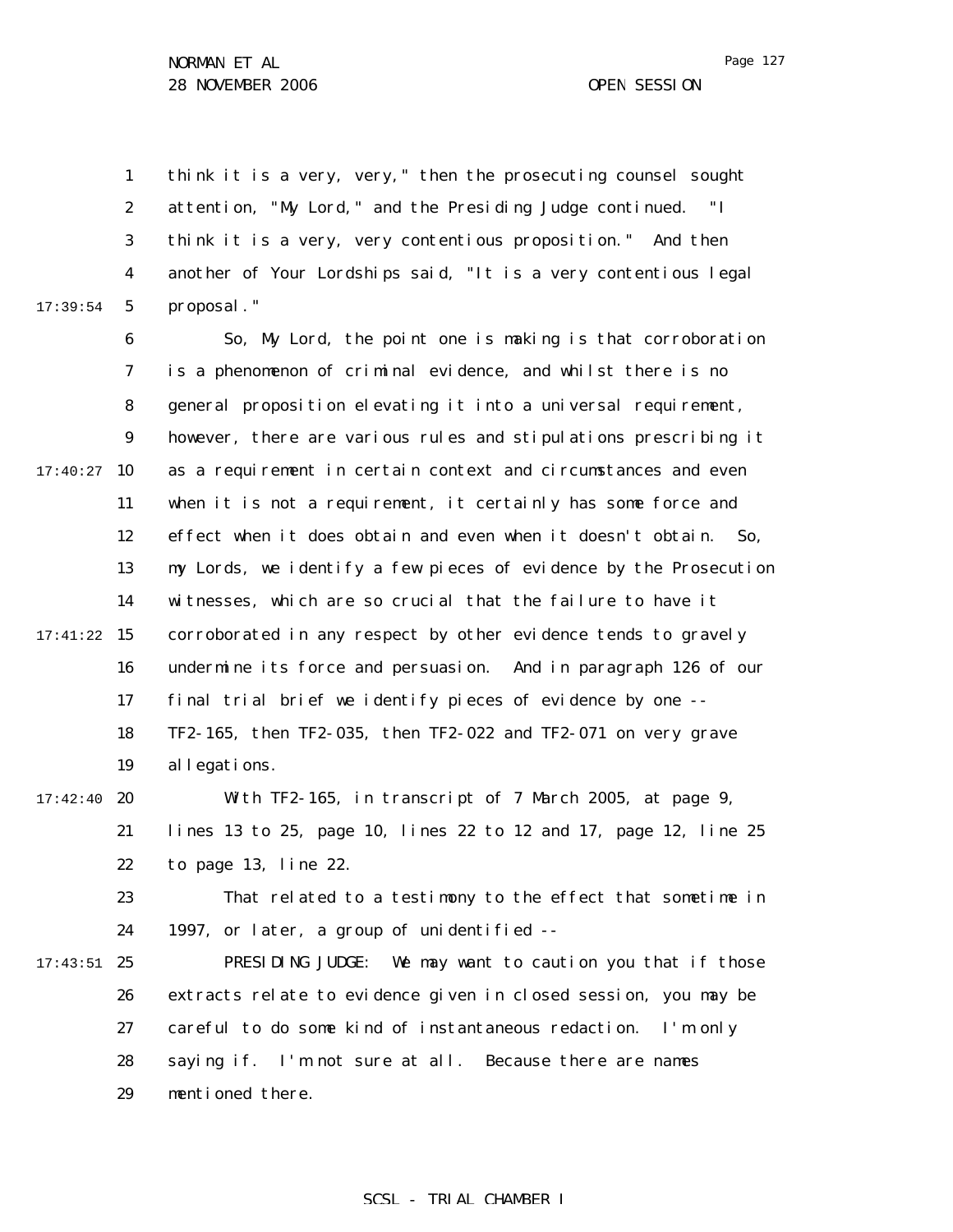1 2 3 4 5 17:39:54 think it is a very, very," then the prosecuting counsel sought attention, "My Lord," and the Presiding Judge continued. "I think it is a very, very contentious proposition." And then another of Your Lordships said, "It is a very contentious legal proposal."

6 7 8 9  $17:40:27$  10 11 12 13 14 17:41:22 15 16 17 18 19 17:42:40 **20** So, My Lord, the point one is making is that corroboration is a phenomenon of criminal evidence, and whilst there is no general proposition elevating it into a universal requirement, however, there are various rules and stipulations prescribing it as a requirement in certain context and circumstances and even when it is not a requirement, it certainly has some force and effect when it does obtain and even when it doesn't obtain. So, my Lords, we identify a few pieces of evidence by the Prosecution witnesses, which are so crucial that the failure to have it corroborated in any respect by other evidence tends to gravely undermine its force and persuasion. And in paragraph 126 of our final trial brief we identify pieces of evidence by one -- TF2-165, then TF2-035, then TF2-022 and TF2-071 on very grave allegations. Wh TF2-165, in transcript of 7 March 2005, at page 9,

21 22 lines 13 to 25, page 10, lines 22 to 12 and 17, page 12, line 25 to page 13, line 22.

23 24 That related to a testimony to the effect that sometime in 1997, or later, a group of unidentified --

 $17:43:51$  25 26 27 28 29 PRESIDING JUDGE: We may want to caution you that if those extracts relate to evidence given in closed session, you may be careful to do some kind of instantaneous redaction. I'm only saying if. I'm not sure at all. Because there are names mentioned there.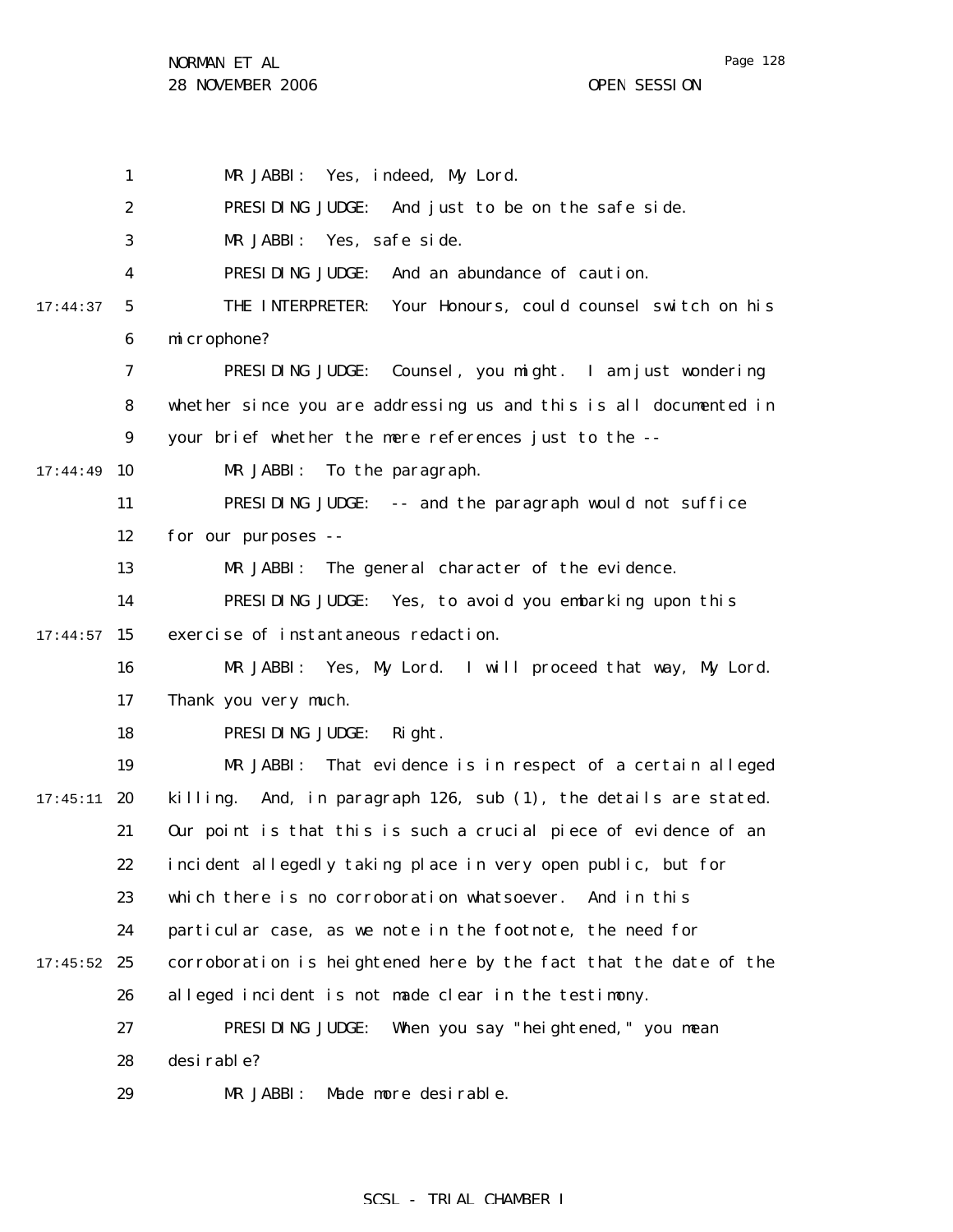Page 128

1 2 3 4 5 6 7 8 9 17:44:49 10 11 12 13 14  $17:44:57$  15 16 17 18 19  $17:45:11$  20 21 22 23 24  $17:45:52$  25 26 27 28 29 17:44:37 MR JABBI: Yes, indeed, My Lord. PRESIDING JUDGE: And just to be on the safe side. MR JABBI: Yes, safe side. PRESIDING JUDGE: And an abundance of caution. THE INTERPRETER: Your Honours, could counsel switch on his microphone? PRESIDING JUDGE: Counsel, you might. I am just wondering whether since you are addressing us and this is all documented in your brief whether the mere references just to the -- MR JABBI: To the paragraph. PRESIDING JUDGE: -- and the paragraph would not suffice for our purposes -- MR JABBI: The general character of the evidence. PRESIDING JUDGE: Yes, to avoid you embarking upon this exercise of instantaneous redaction. MR JABBI: Yes, My Lord. I will proceed that way, My Lord. Thank you very much. PRESIDING JUDGE: Right. MR JABBI: That evidence is in respect of a certain alleged killing. And, in paragraph 126, sub (1), the details are stated. Our point is that this is such a crucial piece of evidence of an incident allegedly taking place in very open public, but for which there is no corroboration whatsoever. And in this particular case, as we note in the footnote, the need for corroboration is heightened here by the fact that the date of the alleged incident is not made clear in the testimony. PRESIDING JUDGE: When you say "heightened," you mean desirable? MR JABBI: Made more desirable.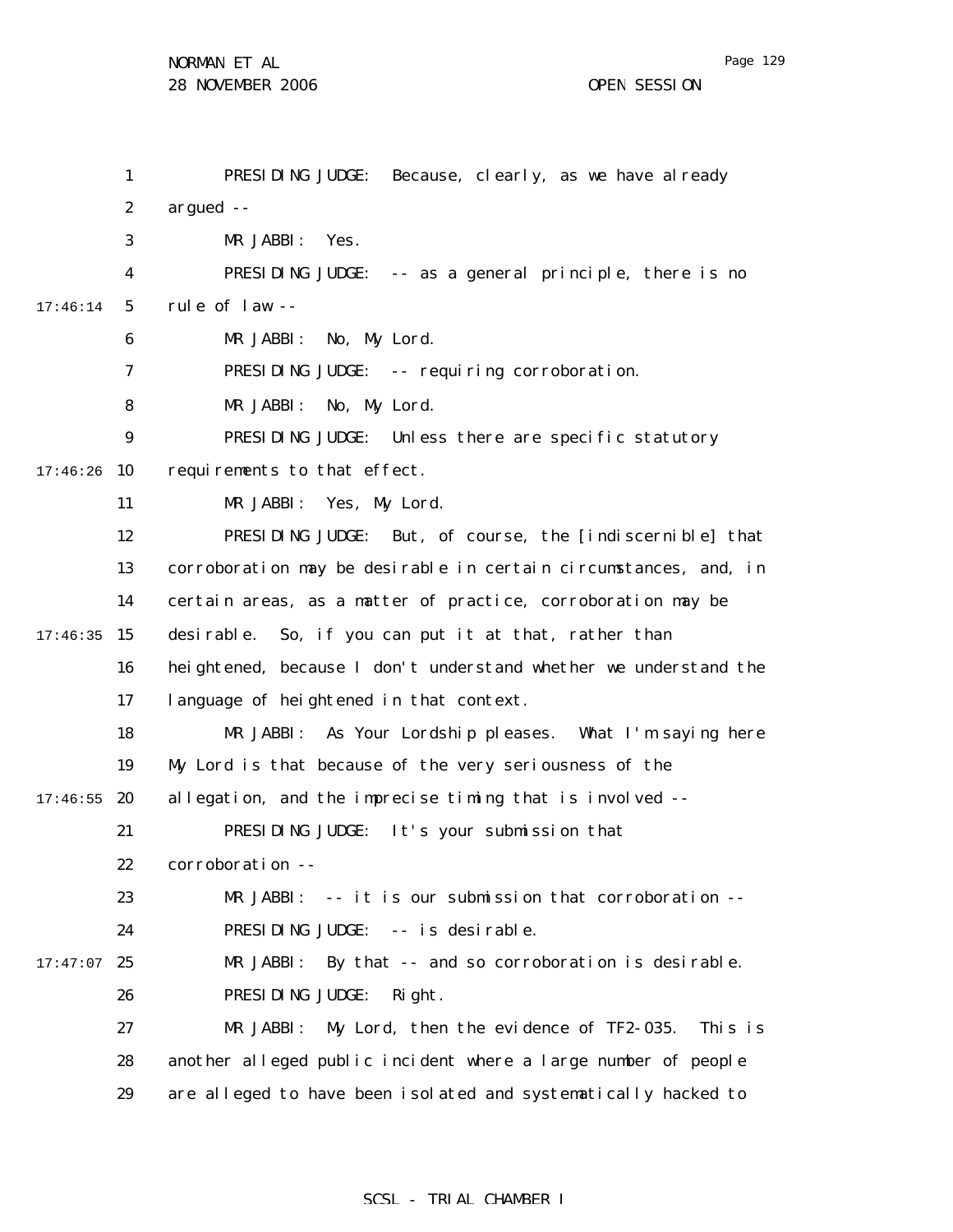1 2 3 4 5 6 7 8 9  $17:46:26$  10 11 12 13 14  $17:46:35$  15 16 17 18 19  $17:46:55$  20 21 22 23 24  $17:47:07$  25 26 27 28 17:46:14 PRESIDING JUDGE: Because, clearly, as we have already argued -- MR JABBI: Yes. PRESIDING JUDGE: -- as a general principle, there is no rule of law -- MR JABBI: No, My Lord. PRESIDING JUDGE: -- requiring corroboration. MR JABBI: No, My Lord. PRESIDING JUDGE: Unless there are specific statutory requirements to that effect. MR JABBI: Yes, My Lord. PRESIDING JUDGE: But, of course, the [indiscernible] that corroboration may be desirable in certain circumstances, and, in certain areas, as a matter of practice, corroboration may be desirable. So, if you can put it at that, rather than heightened, because I don't understand whether we understand the language of heightened in that context. MR JABBI: As Your Lordship pleases. What I'm saying here My Lord is that because of the very seriousness of the allegation, and the imprecise timing that is involved -- PRESIDING JUDGE: It's your submission that corroboration -- MR JABBI: -- it is our submission that corroboration --PRESIDING JUDGE: -- is desirable. MR JABBI: By that -- and so corroboration is desirable. PRESIDING JUDGE: Right. MR JABBI: My Lord, then the evidence of TF2-035. This is another alleged public incident where a large number of people

> 29 are alleged to have been isolated and systematically hacked to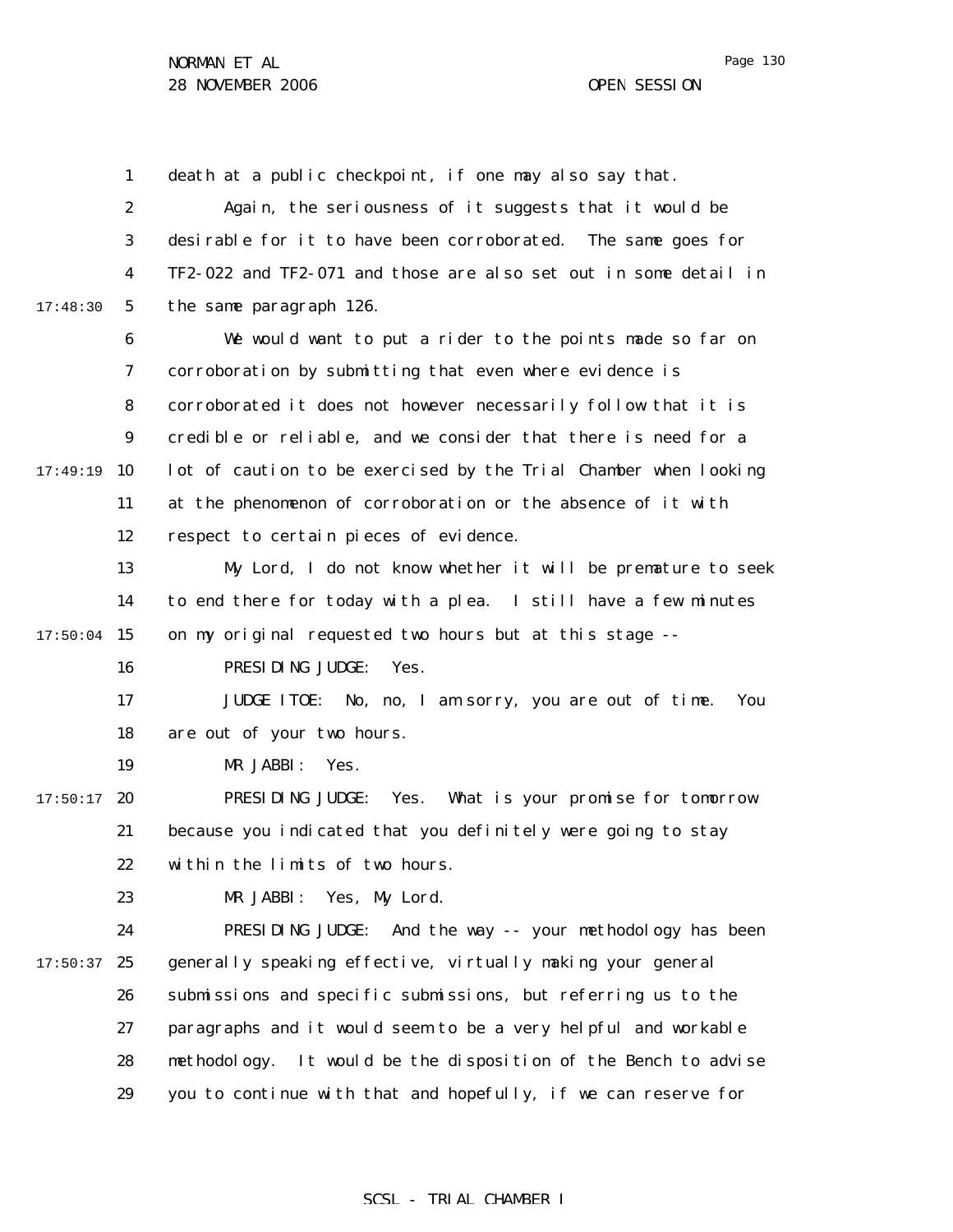Page 130

1 2 3 4 5 6 7 8 9  $17:49:19$  10 11 12 13 14  $17:50:04$  15 16 17 18 19  $17:50:17$  20 21 22 23 24  $17:50:37$  25 26 27 28 29 17:48:30 death at a public checkpoint, if one may also say that. Again, the seriousness of it suggests that it would be desirable for it to have been corroborated. The same goes for TF2-022 and TF2-071 and those are also set out in some detail in the same paragraph 126. We would want to put a rider to the points made so far on corroboration by submitting that even where evidence is corroborated it does not however necessarily follow that it is credible or reliable, and we consider that there is need for a lot of caution to be exercised by the Trial Chamber when looking at the phenomenon of corroboration or the absence of it with respect to certain pieces of evidence. My Lord, I do not know whether it will be premature to seek to end there for today with a plea. I still have a few minutes on my original requested two hours but at this stage -- PRESIDING JUDGE: Yes. JUDGE ITOE: No, no, I am sorry, you are out of time. You are out of your two hours. MR JABBI: Yes. PRESIDING JUDGE: Yes. What is your promise for tomorrow because you indicated that you definitely were going to stay within the limits of two hours. MR JABBI: Yes, My Lord. PRESIDING JUDGE: And the way -- your methodology has been generally speaking effective, virtually making your general submissions and specific submissions, but referring us to the paragraphs and it would seem to be a very helpful and workable methodology. It would be the disposition of the Bench to advise you to continue with that and hopefully, if we can reserve for